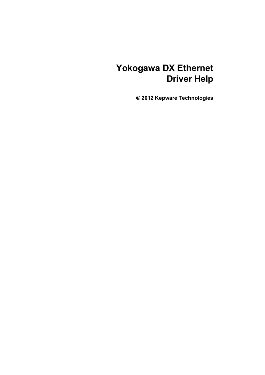# **Yokogawa DX Ethernet Driver Help**

**© 2012 Kepware Technologies**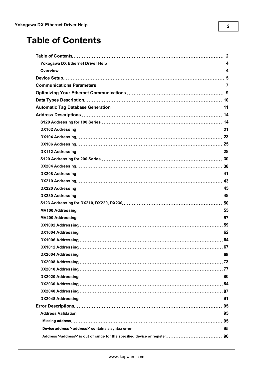# <span id="page-1-0"></span>**Table of Contents**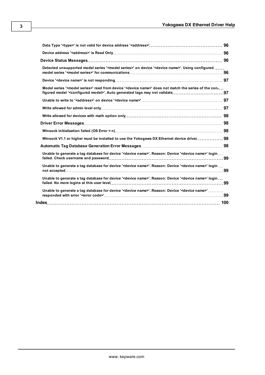| Detected unsupported model series ' <model series="">' on device '<device name="">'. Using configured </device></model>      |  |
|------------------------------------------------------------------------------------------------------------------------------|--|
|                                                                                                                              |  |
| Model series ' <model series="">' read from device '<device name="">' does not match the series of the con-</device></model> |  |
|                                                                                                                              |  |
|                                                                                                                              |  |
|                                                                                                                              |  |
|                                                                                                                              |  |
|                                                                                                                              |  |
| Winsock V1.1 or higher must be installed to use the Yokogawa DX Ethernet device driver 98                                    |  |
|                                                                                                                              |  |
| Unable to generate a tag database for device ' <device name="">'. Reason: Device '<device name="">' login</device></device>  |  |
| Unable to generate a tag database for device ' <device name="">'. Reason: Device '<device name="">' login </device></device> |  |
| Unable to generate a tag database for device ' <device name="">'. Reason: Device '<device name="">' login</device></device>  |  |
| Unable to generate a tag database for device ' <device name="">'. Reason: Device '<device name="">'</device></device>        |  |
|                                                                                                                              |  |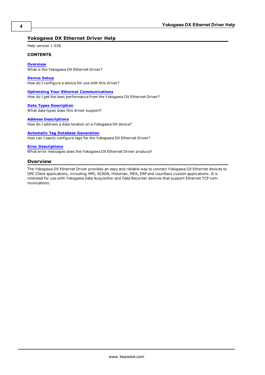## <span id="page-3-0"></span>**Yokogawa DX Ethernet Driver Help**

Help version 1.036

## **CONTENTS**

**[Overview](#page-3-1)** What is the Yokogawa DX Ethernet Driver?

**[Device](#page-4-0) [Setup](#page-4-0)** How do I configure a device for use with this driver?

**[Optimizing](#page-8-0) [Your](#page-8-0) [Ethernet](#page-8-0) [Communications](#page-8-0)** How do I get the best performance from the Yokogawa DX Ethernet Driver?

**[Data](#page-9-0) [Types](#page-9-0) [Description](#page-9-0)** What data types does this driver support?

#### **[Address](#page-13-0) [Descriptions](#page-13-0)**

How do I address a data location on a Yokogawa DX device?

## **[Automatic](#page-10-0) [Tag](#page-10-0) [Database](#page-10-0) [Generation](#page-10-0)**

How can I easily configure tags for the Yokogawa DX Ethernet Driver?

## **[Error](#page-94-0) [Descriptions](#page-94-0)**

<span id="page-3-1"></span>What error messages does the Yokogawa DX Ethernet Driver produce?

## **Overview**

The Yokogawa DX Ethernet Driver provides an easy and reliable way to connect Yokogawa DX Ethernet devices to OPC Client applications, including HMI, SCADA, Historian, MES, ERP and countless custom applications. It is intended for use with Yokogawa Data Acquisition and Data Recorder devices that support Ethernet TCP communications.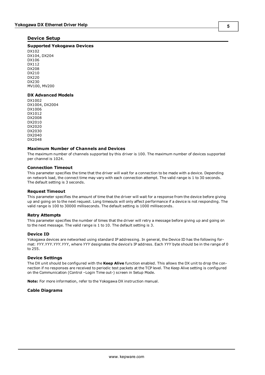## <span id="page-4-0"></span>**Device Setup**

## **Supported Yokogawa Devices**

DX102 DX104, DX204 DX106 DX112 DX208 DX210 DX220 DX230 MV100, MV200

## **DX Advanced Models**

DX1002 DX1004, DX2004 DX1006 DX1012 DX2008 DX2010 DX2020 DX2030 DX2040 DX2048

## **Maximum Number of Channels and Devices**

The maximum number of channels supported by this driver is 100. The maximum number of devices supported per channel is 1024.

## **Connection Timeout**

This parameter specifies the time that the driver will wait for a connection to be made with a device. Depending on network load, the connect time may vary with each connection attempt. The valid range is 1 to 30 seconds. The default setting is 3 seconds.

## **Request Timeout**

This parameter specifies the amount of time that the driver will wait for a response from the device before giving up and going on to the next request. Long timeouts will only affect performance if a device is not responding. The valid range is 100 to 30000 milliseconds. The default setting is 1000 milliseconds.

## **Retry Attempts**

This parameter specifies the number of times that the driver will retry a message before giving up and going on to the next message. The valid range is 1 to 10. The default setting is 3.

## **Device ID**

Yokogawa devices are networked using standard IP addressing. In general, the Device ID has the following format: *YYY.YYY.YYY.YYY*, where *YYY* designates the device's IP address. Each *YYY* byte should be in the range of 0 to 255.

## **Device Settings**

The DX unit should be configured with the **Keep Alive** function enabled. This allows the DX unit to drop the connection if no responses are received to periodic test packets at the TCP level. The Keep Alive setting is configured on the Communication (Control –Login Time out-) screen in Setup Mode.

**Note:** For more information, refer to the Yokogawa DX instruction manual.

## **Cable Diagrams**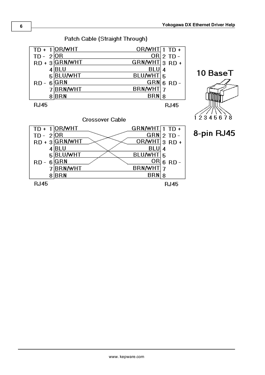

Patch Cable (Straight Through)

**RJ45** 

7BRN/WHT

 $8$  $BRN$ 

**RJ45** 

BRN/WHT 7

 $BRN|8$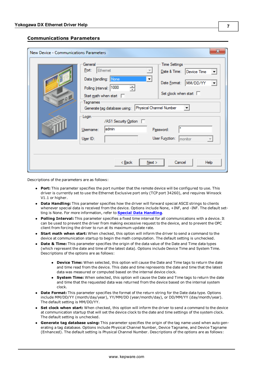## <span id="page-6-0"></span>**Communications Parameters**

| New Device - Communications Parameters |                                                                                                                                                                                                                                                                                         | $\overline{\mathbf{z}}$                                                                                                                                     |
|----------------------------------------|-----------------------------------------------------------------------------------------------------------------------------------------------------------------------------------------------------------------------------------------------------------------------------------------|-------------------------------------------------------------------------------------------------------------------------------------------------------------|
| .0                                     | General<br>Ethemet<br>Port:<br>Data Handling: None<br>$\blacktriangledown$<br>Polling Interval: 1000<br>÷<br>Start math when start $\square$<br>Tagnames<br>Physical Channel Number<br>Generate tag database using:<br>Login<br>/AS1 Security Option  <br>admin<br>Usemame:<br>User ID: | <b>Time Settings</b><br>Date & Time:<br>Device Time<br>MM/DD/YY<br>Date Format:<br>Set clock when start $\square$<br>Password:<br>User Function:<br>monitor |
|                                        | Next<br>< <u>B</u> ack                                                                                                                                                                                                                                                                  | Cancel<br>Help                                                                                                                                              |

Descriptions of the parameters are as follows:

- **Port:** This parameter specifies the port number that the remote device will be configured to use. This driver is currently set to use the Ethernet Exclusive port only (TCP port 34260), and requires Winsock V1.1 or higher.
- **Data Handling:** This parameter specifies how the driver will forward special ASCII strings to clients whenever special data is received from the device. Options include None, +INF, and -INF. The default setting is None. For more information, refer to **[Special](#page-7-0) [Data](#page-7-0) [Handling](#page-7-0)**.
- **Polling Interval:** This parameter specifies a fixed time interval for all communications with a device. It can be used to prevent the driver from making excessive request to the device, and to prevent the OPC client from forcing the driver to run at its maximum update rate.
- **Start math when start:** When checked, this option will inform the driver to send a command to the device at communication startup to begin the math computation. The default setting is unchecked.
- **Date & Time:** This parameter specifies the origin of the data value of the Date and Time data types (which represent the date and time of the latest data). Options include Device Time and System Time. Descriptions of the options are as follows:
	- **Device Time:** When selected, this option will cause the Date and Time tags to return the date and time read from the device. This date and time represents the date and time that the latest data was measured or computed based on the internal device clock.
	- **System Time:** When selected, this option will cause the Date and Time tags to return the date and time that the requested data was returned from the device based on the internal system clock.
- **Date Format:** This parameter specifies the format of the return string for the Date data type. Options include MM/DD/YY (month/day/year), YY/MM/DD (year/month/day), or DD/MM/YY (day/month/year). The default setting is MM/DD/YY.
- **Set clock when start:** When checked, this option will inform the driver to send a command to the device at communication startup that will set the device clock to the date and time settings of the system clock. The default setting is unchecked.
- **Generate tag database using:** This parameter specifies the origin of the tag name used when auto generating a tag database. Options include Physical Channel Number, Device Tagname, and Device Tagname (Enhanced). The default setting is Physical Channel Number. Descriptions of the options are as follows: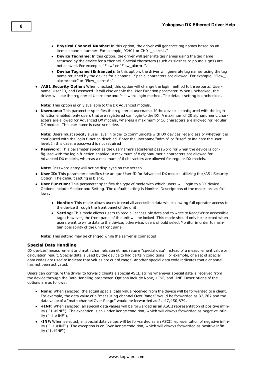- **Physical Channel Number:** In this option, the driver will generate tag names based on an item's channel number. For example, "CH01 or CH01\_alarm1."
- **Device Tagname:** In this option, the driver will generate tag names using the tag name returned by the device for a channel. Special characters (such as slashes or pound signs) are not allowed. For example, "Flow" or "Flow\_alarm1".
- **Device Tagname (Enhanced):** In this option, the driver will generate tag names using the tag name returned by the device for a channel. Special characters are allowed. For example, "Flow\_ alarm/state" or "Flow\_alarm#4".
- **/AS1 Security Option:** When checked, this option will change the login method to three parts: Username, User ID, and Password. It will also enable the User Function parameter. When unchecked, the driver will use the registered Username and Password login method. The default setting is unchecked.

**Note:** This option is only available to the DX Advanced models.

<sup>l</sup> **Username:** This parameter specifies the registered username. If the device is configured with the login function enabled, only users that are registered can login to the DX. A maximum of 20 alphanumeric characters are allowed for Advanced DX models, whereas a maximum of 16 characters are allowed for regular DX models. The user name is case sensitive.

**Note:** Users must specify a user level in order to communicate with DX devices regardless of whether it is configured with the login function disabled. Enter the username "admin" or "user" to indicate the user level. In this case, a password is not required.

Password: This parameter specifies the username's registered password for when the device is configured with the login function enabled. A maximum of 8 alphanumeric characters are allowed for Advanced DX models, whereas a maximum of 6 characters are allowed for regular DX models.

**Note:** Password entry will not be displayed on the screen.

- **User ID:** This parameter specifies the unique User ID for Advanced DX models utilizing the /AS1 Security Option. The default setting is blank.
- <span id="page-7-0"></span>**User Function:** This parameter specifies the type of mode with which users will login to a DX device. Options include Monitor and Setting. The default setting is Monitor. Descriptions of the modes are as follows:
	- **Monitor:** This mode allows users to read all accessible data while allowing full operator access to the device through the front panel of the unit.
	- **Setting:** This mode allows users to read all accessible data and to write to Read/Write accessible tags; however, the front panel of the unit will be locked. This mode should only be selected when users want to write data to the device; otherwise, users should select Monitor in order to maintain operability of the unit front panel.

**Note:** This setting may be changed while the server is connected.

## **Special Data Handling**

DX devices' measurement and math channels sometimes return "special data" instead of a measurement value or calculation result. Special data is used by the device to flag certain conditions. For example, one set of special data codes are used to indicate that values are out of range. Another special data code indicates that a channel has not been activated.

Users can configure the driver to forward clients a special ASCII string whenever special data is received from the device through the Data Handling parameter. Options include None, +INF, and -INF. Descriptions of the options are as follows:

- **None:** When selected, the actual special data value received from the device will be forwarded to a client. For example, the data value of a "measuring channel Over Range" would be forwarded as 32,767 and the data value of a "math channel Over Range" would be forwarded as 2,147,450,879.
- **+ HNF:** When selected, all special data values will be forwarded as an ASCII representation of positive infinity ( "1.#INF"). The exception is an Under Range condition, which will always forwarded as negative infinity ("-1.#INF").
- **-INF:** When selected, all special data values will be forwarded as an ASCII representation of negative infinity ( "-1.#INF"). The exception is an Over Range condition, which will always forwarded as positive infinity ("1.#INF").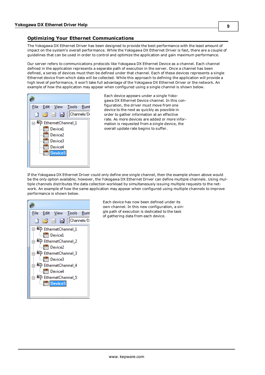## <span id="page-8-0"></span>**Optimizing Your Ethernet Communications**

The Yokogawa DX Ethernet Driver has been designed to provide the best performance with the least amount of impact on the system's overall performance. While the Yokogawa DX Ethernet Driver is fast, there are a couple of guidelines that can be used in order to control and optimize the application and gain maximum performance.

Our server refers to communications protocols like Yokogawa DX Ethernet Device as a channel. Each channel defined in the application represents a separate path of execution in the server. Once a channel has been defined, a series of devices must then be defined under that channel. Each of these devices represents a single Ethernet device from which data will be collected. While this approach to defining the application will provide a high level of performance, it won't take full advantage of the Yokogawa DX Ethernet Driver or the network. An example of how the application may appear when configured using a single channel is shown below.



Each device appears under a single Yokogawa DX Ethernet Device channel. In this configuration, the driver must move from one device to the next as quickly as possible in order to gather information at an effective rate. As more devices are added or more information is requested from a single device, the overall update rate begins to suffer.

If the Yokogawa DX Ethernet Driver could only define one single channel, then the example shown above would be the only option available; however, the Yokogawa DX Ethernet Driver can define multiple channels. Using multiple channels distributes the data collection workload by simultaneously issuing multiple requests to the network. An example of how the same application may appear when configured using multiple channels to improve performance is shown below.



Each device has now been defined under its own channel. In this new configuration, a single path of execution is dedicated to the task of gathering data from each device.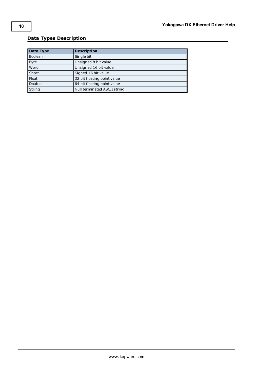## <span id="page-9-0"></span>**Data Types Description**

| Data Type   | <b>Description</b>           |
|-------------|------------------------------|
|             |                              |
| Boolean     | Single bit                   |
| <b>Byte</b> | Unsigned 8 bit value         |
| Word        | Unsigned 16 bit value        |
| Short       | Signed 16 bit value          |
| Float       | 32 bit floating point value  |
| Double      | 64 bit floating point value  |
| String      | Null terminated ASCII string |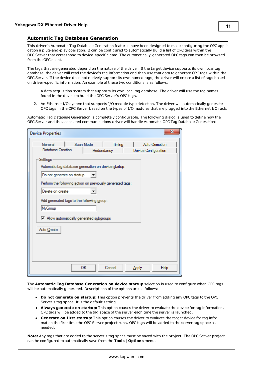## <span id="page-10-0"></span>**Automatic Tag Database Generation**

This driver's Automatic Tag Database Generation features have been designed to make configuring the OPC application a plug-and-play operation. It can be configured to automatically build a list of OPC tags within the OPC Server that correspond to device-specific data. The automatically-generated OPC tags can then be browsed from the OPC client.

The tags that are generated depend on the nature of the driver. If the target device supports its own local tag database, the driver will read the device's tag information and then use that data to generate OPC tags within the OPC Server. If the device does not natively support its own named tags, the driver will create a list of tags based on driver-specific information. An example of these two conditions is as follows:

- 1. A data acquisition system that supports its own local tag database. The driver will use the tag names found in the device to build the OPC Server's OPC tags.
- 2. An Ethernet I/O system that supports I/O module type detection. The driver will automatically generate OPC tags in the OPC Server based on the types of I/O modules that are plugged into the Ethernet I/O rack.

Automatic Tag Database Generation is completely configurable. The following dialog is used to define how the OPC Server and the associated communications driver will handle Automatic OPC Tag Database Generation:

| <b>Device Properties</b>                                   |           |            | X                    |
|------------------------------------------------------------|-----------|------------|----------------------|
| General                                                    | Scan Mode | Timing     | Auto-Demotion        |
| Database Creation                                          |           | Redundancy | Device Configuration |
| Settings                                                   |           |            |                      |
| Automatic tag database generation on device startup:       |           |            |                      |
|                                                            |           |            |                      |
| Do not generate on startup                                 |           |            |                      |
| Perform the following action on previously generated tags: |           |            |                      |
| Delete on create                                           |           |            |                      |
|                                                            |           |            |                      |
| Add generated tags to the following group:                 |           |            |                      |
| MyGroup                                                    |           |            |                      |
| M Allow automatically generated subgroups                  |           |            |                      |
|                                                            |           |            |                      |
| Auto Create                                                |           |            |                      |
|                                                            |           |            |                      |
|                                                            |           |            |                      |
|                                                            |           |            |                      |
|                                                            |           |            |                      |
|                                                            | <b>OK</b> | Cancel     |                      |
|                                                            |           |            | Help<br>Apply        |

The **Automatic Tag Database Generation on device startup** selection is used to configure when OPC tags will be automatically generated. Descriptions of the options are as follows:

- **Do not generate on startup:** This option prevents the driver from adding any OPC tags to the OPC Server's tag space. It is the default setting.
- **Always generate on startup:** This option causes the driver to evaluate the device for tag information. OPC tags will be added to the tag space of the server each time the server is launched.
- <sup>l</sup> **Generate on first startup:** This option causes the driver to evaluate the target device for tag information the first time the OPC Server project runs. OPC tags will be added to the server tag space as needed.

**Note:** Any tags that are added to the server's tag space must be saved with the project. The OPC Server project can be configured to automatically save from the **Tools** | **Options** menu.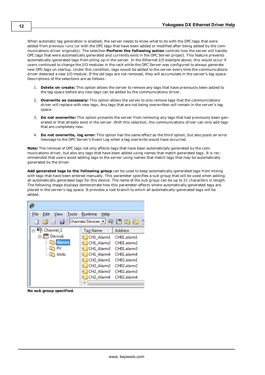When automatic tag generation is enabled, the server needs to know what to do with the OPC tags that were added from previous runs (or with the OPC tags that have been added or modified after being added by the communications driver originally). The selection **Perform the following action** controls how the server will handle OPC tags that were automatically generated and currently exist in the OPC Server project. This feature prevents automatically-generated tags from piling up in the server. In the Ethernet I/O example above, this would occur if users continued to change the I/O modules in the rack while the OPC Server was configured to always generate new OPC tags on startup. Under this condition, tags would be added to the server every time the communications driver detected a new I/O module. If the old tags are not removed, they will accumulate in the server's tag space. Descriptions of the selections are as follows:

- 1. **Delete on create:** This option allows the server to remove any tags that have previously been added to the tag space before any new tags can be added by the communications driver.
- 2. **Overwrite as necessary:** This option allows the server to only remove tags that the communications driver will replace with new tags. Any tags that are not being overwritten will remain in the server's tag space.
- 3. **Do not overwrite:** This option prevents the server from removing any tags that had previously been generated or that already exist in the server. With this selection, the communications driver can only add tags that are completely new.
- 4. **Do not overwrite, log error:** This option has the same effect as the third option, but also posts an error message to the OPC Server's Event Log when a tag overwrite would have occurred.

**Note:** The removal of OPC tags not only affects tags that have been automatically generated by the communications driver, but also any tags that have been added using names that match generated tags. It is recommended that users avoid adding tags to the server using names that match tags that may be automatically generated by the driver.

**Add generated tags to the following group** can be used to keep automatically-generated tags from mixing with tags that have been entered manually. This parameter specifies a sub group that will be used when adding all automatically generated tags for this device. The name of the sub group can be up to 31 characters in length. The following image displays demonstrate how this parameter affects where automatically generated tags are placed in the server's tag space. It provides a root branch to which all automatically-generated tags will be added.

| File<br>Edit<br>Tools<br>View | <b>Runtime</b><br>He      |
|-------------------------------|---------------------------|
| $\Box$ $\Box$ $\Box$ $\Box$   | 睯                         |
| $\Box$ $\Box$ Channel 1       | Address<br>Tag Name       |
| Device1                       | CH1_Alarm1 CH01.alarm1    |
| <b>Alarms</b>                 | CH1 Alarm2<br>CH01.alarm2 |
| PV                            | CH1 Alarm3 CH01.alarm3    |
| Units                         | CH1 Alarm4<br>CH01.alarm4 |
|                               | CH2_Alarm1 CH02.alarm1    |
|                               | CH2 Alarm2 CH02.alarm2    |
|                               | CH2 Alarm3 CH02.alarm3    |
|                               | CH2 Alarm4 CH02.alarm4    |
|                               |                           |

**No sub group specified.**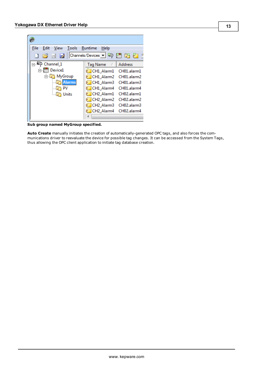| File<br>Edit                                                                                                                                                                                                                                             | <b>Tools</b><br>View | Runtime<br>Help                    |                |
|----------------------------------------------------------------------------------------------------------------------------------------------------------------------------------------------------------------------------------------------------------|----------------------|------------------------------------|----------------|
| $\begin{array}{c} \begin{array}{c} \begin{array}{c} \end{array} \\ \begin{array}{c} \end{array} \end{array} \end{array} \begin{array}{c} \begin{array}{c} \end{array} \end{array} \begin{array}{c} \begin{array}{c} \end{array} \end{array} \end{array}$ |                      |                                    | - P            |
| Channel 1<br>89. LE P                                                                                                                                                                                                                                    |                      | <b>Tag Name</b><br>r.              | <b>Address</b> |
|                                                                                                                                                                                                                                                          | Device1              | CH1 Alarm1                         | CH01.alarm1    |
|                                                                                                                                                                                                                                                          | ⊟ MyGroup            | CH1 Alarm2                         | CH01.alarm2    |
|                                                                                                                                                                                                                                                          | <b>Alarms</b>        | CH1 Alarm3                         | CH01.alarm3    |
|                                                                                                                                                                                                                                                          | PV                   | CH1 Alarm4                         | CH01.alarm4    |
|                                                                                                                                                                                                                                                          | Units                | CH <sub>2_Alarm1</sub>             | CH02.alarm1    |
|                                                                                                                                                                                                                                                          |                      | CH <sub>2_Alarm2</sub>             | CH02.alarm2    |
|                                                                                                                                                                                                                                                          |                      | CH <sub>2</sub> Alarm <sub>3</sub> | CH02.alarm3    |
|                                                                                                                                                                                                                                                          |                      | CH2 Alarm4                         | CH02.alarm4    |
|                                                                                                                                                                                                                                                          |                      |                                    |                |
|                                                                                                                                                                                                                                                          |                      |                                    |                |

**Sub group named MyGroup specified.**

**Auto Create** manually initiates the creation of automatically-generated OPC tags, and also forces the communications driver to reevaluate the device for possible tag changes. It can be accessed from the System Tags, thus allowing the OPC client application to initiate tag database creation.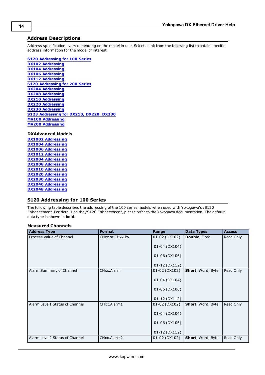## <span id="page-13-0"></span>**Address Descriptions**

Address specifications vary depending on the model in use. Select a link from the following list to obtain specific address information for the model of interest.

**[S120](#page-13-1) [Addressing](#page-13-1) [for](#page-13-1) [100](#page-13-1) [Series](#page-13-1)**

**[DX102](#page-20-0) [Addressing](#page-20-0) [DX104](#page-22-0) [Addressing](#page-22-0) [DX106](#page-24-0) [Addressing](#page-24-0) [DX112](#page-27-0) [Addressing](#page-27-0) [S120](#page-29-0) [Addressing](#page-29-0) [for](#page-29-0) [200](#page-29-0) [Series](#page-29-0) [DX204](#page-37-0) [Addressing](#page-37-0) [DX208](#page-40-0) [Addressing](#page-40-0) [DX210](#page-42-0) [Addressing](#page-42-0) [DX220](#page-44-0) [Addressing](#page-44-0) [DX230](#page-47-0) [Addressing](#page-47-0) [S123](#page-49-0) [Addressing](#page-49-0) [for](#page-49-0) [DX210,](#page-49-0) [DX220,](#page-49-0) [DX230](#page-49-0) [MV100](#page-54-0) [Addressing](#page-54-0) [MV200](#page-56-0) [Addressing](#page-56-0)**

**DXAdvanced Models**

**[DX1002](#page-58-0) [Addressing](#page-58-0) [DX1004](#page-61-0) [Addressing](#page-61-0) [DX1006](#page-63-0) [Addressing](#page-63-0) [DX1012](#page-66-0) [Addressing](#page-66-0) [DX2004](#page-68-0) [Addressing](#page-68-0) [DX2008](#page-72-0) [Addressing](#page-72-0) [DX2010](#page-76-0) [Addressing](#page-76-0) [DX2020](#page-79-0) [Addressing](#page-79-0) [DX2030](#page-83-0) [Addressing](#page-83-0) [DX2040](#page-86-0) [Addressing](#page-86-0) [DX2048](#page-90-0) [Addressing](#page-90-0)**

## <span id="page-13-1"></span>**S120 Addressing for 100 Series**

The following table describes the addressing of the 100 series models when used with Yokogawa's /S120 Enhancement. For details on the /S120 Enhancement, please refer to the Yokogawa documentation. The default data type is shown in **bold**.

## **Measured Channels**

| <b>Address Type</b>            | <b>Format</b>   | Range         | <b>Data Types</b> | <b>Access</b> |
|--------------------------------|-----------------|---------------|-------------------|---------------|
| Process Value of Channel       | CHxx or CHxx.PV | 01-02 (DX102) | Double, Float     | Read Only     |
|                                |                 | 01-04 (DX104) |                   |               |
|                                |                 | 01-06 (DX106) |                   |               |
|                                |                 | 01-12 (DX112) |                   |               |
| Alarm Summary of Channel       | CHxx.Alarm      | 01-02 (DX102) | Short, Word, Byte | Read Only     |
|                                |                 | 01-04 (DX104) |                   |               |
|                                |                 | 01-06 (DX106) |                   |               |
|                                |                 | 01-12 (DX112) |                   |               |
| Alarm Level1 Status of Channel | CHxx.Alarm1     | 01-02 (DX102) | Short, Word, Byte | Read Only     |
|                                |                 | 01-04 (DX104) |                   |               |
|                                |                 | 01-06 (DX106) |                   |               |
|                                |                 | 01-12 (DX112) |                   |               |
| Alarm Level2 Status of Channel | CHxx.Alarm2     | 01-02 (DX102) | Short, Word, Byte | Read Only     |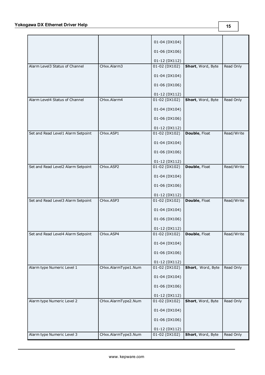|                                    |                     | 01-04 (DX104)                 |                   |            |
|------------------------------------|---------------------|-------------------------------|-------------------|------------|
|                                    |                     | 01-06 (DX106)                 |                   |            |
|                                    |                     | 01-12 (DX112)                 |                   |            |
| Alarm Level3 Status of Channel     | CHxx.Alarm3         | 01-02 (DX102)                 | Short, Word, Byte | Read Only  |
|                                    |                     | 01-04 (DX104)                 |                   |            |
|                                    |                     | 01-06 (DX106)                 |                   |            |
|                                    |                     | 01-12 (DX112)                 |                   |            |
| Alarm Level4 Status of Channel     | CHxx.Alarm4         | $01 - 02$ (DX102)             | Short, Word, Byte | Read Only  |
|                                    |                     | 01-04 (DX104)                 |                   |            |
|                                    |                     | 01-06 (DX106)                 |                   |            |
|                                    |                     | 01-12 (DX112)                 |                   |            |
| Set and Read Level1 Alarm Setpoint | CHxx.ASP1           | 01-02 (DX102)                 | Double, Float     | Read/Write |
|                                    |                     | 01-04 (DX104)                 |                   |            |
|                                    |                     | 01-06 (DX106)                 |                   |            |
|                                    |                     | 01-12 (DX112)                 |                   |            |
| Set and Read Level2 Alarm Setpoint | CHxx.ASP2           | $01 - 02$ (DX102)             | Double, Float     | Read/Write |
|                                    |                     | 01-04 (DX104)                 |                   |            |
|                                    |                     | 01-06 (DX106)                 |                   |            |
|                                    |                     | 01-12 (DX112)                 |                   |            |
| Set and Read Level3 Alarm Setpoint | CHxx.ASP3           | $01 - 02$ (DX102)             | Double, Float     | Read/Write |
|                                    |                     | 01-04 (DX104)                 |                   |            |
|                                    |                     | 01-06 (DX106)                 |                   |            |
|                                    |                     | 01-12 (DX112)                 |                   |            |
| Set and Read Level4 Alarm Setpoint | CHxx.ASP4           | 01-02 (DX102)   Double, Float |                   | Read/Write |
|                                    |                     | 01-04 (DX104)                 |                   |            |
|                                    |                     | 01-06 (DX106)                 |                   |            |
|                                    |                     | 01-12 (DX112)                 |                   |            |
| Alarm type Numeric Level 1         | CHxx.AlarmType1.Num | 01-02 (DX102)                 | Short, Word, Byte | Read Only  |
|                                    |                     | 01-04 (DX104)                 |                   |            |
|                                    |                     | 01-06 (DX106)                 |                   |            |
|                                    |                     | 01-12 (DX112)                 |                   |            |
| Alarm type Numeric Level 2         | CHxx.AlarmType2.Num | $01 - 02$ (DX102)             | Short, Word, Byte | Read Only  |
|                                    |                     | 01-04 (DX104)                 |                   |            |
|                                    |                     | 01-06 (DX106)                 |                   |            |
|                                    |                     | 01-12 (DX112)                 |                   |            |
| Alarm type Numeric Level 3         | CHxx.AlarmType3.Num | 01-02 (DX102)                 | Short, Word, Byte | Read Only  |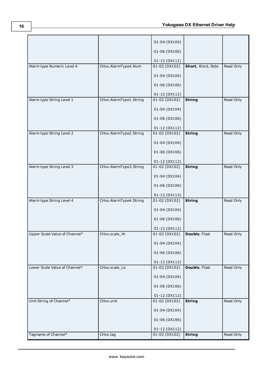|                               |                          | 01-04 (DX104)             |                   |           |
|-------------------------------|--------------------------|---------------------------|-------------------|-----------|
|                               |                          | 01-06 (DX106)             |                   |           |
|                               |                          | 01-12 (DX112)             |                   |           |
| Alarm type Numeric Level 4    | CHxx.AlarmType4.Num      | 01-02 (DX102)             | Short, Word, Byte | Read Only |
|                               |                          | 01-04 (DX104)             |                   |           |
|                               |                          | 01-06 (DX106)             |                   |           |
|                               |                          | 01-12 (DX112)             |                   |           |
| Alarm type String Level 1     | CHxx.AlarmType1.String   | 01-02 (DX102)             | <b>String</b>     | Read Only |
|                               |                          | 01-04 (DX104)             |                   |           |
|                               |                          | 01-06 (DX106)             |                   |           |
|                               |                          | 01-12 (DX112)             |                   |           |
| Alarm type String Level 2     | CHxx.AlarmType2.String   | 01-02 (DX102)             | <b>String</b>     | Read Only |
|                               |                          | 01-04 (DX104)             |                   |           |
|                               |                          | 01-06 (DX106)             |                   |           |
|                               |                          | 01-12 (DX112)             |                   |           |
| Alarm type String Level 3     | CHxx.AlarmType3.String   | $01 - 02$ (DX102)         | <b>String</b>     | Read Only |
|                               |                          | 01-04 (DX104)             |                   |           |
|                               |                          | 01-06 (DX106)             |                   |           |
|                               |                          | 01-12 (DX112)             |                   |           |
| Alarm type String Level 4     | CHxx. AlarmType4. String | $01 - 02$ (DX102)         | <b>String</b>     | Read Only |
|                               |                          | 01-04 (DX104)             |                   |           |
|                               |                          | 01-06 (DX106)             |                   |           |
|                               |                          | 01-12 (DX112)             |                   |           |
| Upper Scale Value of Channel* | CHxx.scale_Hi            | $01 - 02(DX102)$          | Double, Float     | Read Only |
|                               |                          | 01-04 (DX104)             |                   |           |
|                               |                          | 01-06 (DX106)             |                   |           |
|                               |                          | 01-12 (DX112)             |                   |           |
| Lower Scale Value of Channel* | CHxx.scale_Lo            | $\overline{01-02(DX102)}$ | Double, Float     | Read Only |
|                               |                          | 01-04 (DX104)             |                   |           |
|                               |                          | 01-06 (DX106)             |                   |           |
|                               |                          | 01-12 (DX112)             |                   |           |
| Unit String of Channel*       | CHxx.unit                | $01 - 02$ (DX102)         | <b>String</b>     | Read Only |
|                               |                          | 01-04 (DX104)             |                   |           |
|                               |                          | 01-06 (DX106)             |                   |           |
|                               |                          | 01-12 (DX112)             |                   |           |
| Tagname of Channel*           | CHxx.tag                 | 01-02 (DX102)             | <b>String</b>     | Read Only |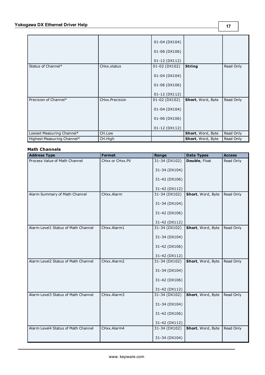|                            |                | 01-04 (DX104)<br>01-06 (DX106)<br>01-12 (DX112) |                          |           |
|----------------------------|----------------|-------------------------------------------------|--------------------------|-----------|
| Status of Channel*         | CHxx.status    | 01-02 (DX102)                                   | <b>String</b>            | Read Only |
|                            |                | 01-04 (DX104)                                   |                          |           |
|                            |                | 01-06 (DX106)                                   |                          |           |
|                            |                | 01-12 (DX112)                                   |                          |           |
| Precision of Channel*      | CHxx.Precision | 01-02 (DX102)                                   | Short, Word, Byte        | Read Only |
|                            |                | 01-04 (DX104)                                   |                          |           |
|                            |                | 01-06 (DX106)                                   |                          |           |
|                            |                | 01-12 (DX112)                                   |                          |           |
| Lowest Measuring Channel*  | CH.Low         |                                                 | <b>Short, Word, Byte</b> | Read Only |
| Highest Measuring Channel* | CH.High        |                                                 | <b>Short, Word, Byte</b> | Read Only |

## **Math Channels**

| <b>Address Type</b>                 | <b>Format</b>   | Range         | <b>Data Types</b>    | <b>Access</b> |
|-------------------------------------|-----------------|---------------|----------------------|---------------|
| Process Value of Math Channel       | CHxx or CHxx.PV | 31-34 (DX102) | <b>Double, Float</b> | Read Only     |
|                                     |                 | 31-34 (DX104) |                      |               |
|                                     |                 | 31-42 (DX106) |                      |               |
|                                     |                 | 31-42 (DX112) |                      |               |
| Alarm Summary of Math Channel       | CHxx.Alarm      | 31-34 (DX102) | Short, Word, Byte    | Read Only     |
|                                     |                 | 31-34 (DX104) |                      |               |
|                                     |                 | 31-42 (DX106) |                      |               |
|                                     |                 | 31-42 (DX112) |                      |               |
| Alarm Level1 Status of Math Channel | CHxx.Alarm1     | 31-34 (DX102) | Short, Word, Byte    | Read Only     |
|                                     |                 | 31-34 (DX104) |                      |               |
|                                     |                 | 31-42 (DX106) |                      |               |
|                                     |                 | 31-42 (DX112) |                      |               |
| Alarm Level2 Status of Math Channel | CHxx.Alarm2     | 31-34 (DX102) | Short, Word, Byte    | Read Only     |
|                                     |                 | 31-34 (DX104) |                      |               |
|                                     |                 | 31-42 (DX106) |                      |               |
|                                     |                 | 31-42 (DX112) |                      |               |
| Alarm Level3 Status of Math Channel | CHxx.Alarm3     | 31-34 (DX102) | Short, Word, Byte    | Read Only     |
|                                     |                 | 31-34 (DX104) |                      |               |
|                                     |                 | 31-42 (DX106) |                      |               |
|                                     |                 | 31-42 (DX112) |                      |               |
| Alarm Level4 Status of Math Channel | CHxx.Alarm4     | 31-34 (DX102) | Short, Word, Byte    | Read Only     |
|                                     |                 | 31-34 (DX104) |                      |               |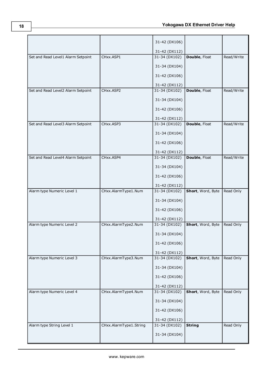|                                    |                        | 31-42 (DX106)     |                      |            |
|------------------------------------|------------------------|-------------------|----------------------|------------|
|                                    |                        | 31-42 (DX112)     |                      |            |
| Set and Read Level1 Alarm Setpoint | CHxx.ASP1              | $31-34$ (DX102)   | <b>Double, Float</b> | Read/Write |
|                                    |                        | 31-34 (DX104)     |                      |            |
|                                    |                        | 31-42 (DX106)     |                      |            |
|                                    |                        | 31-42 (DX112)     |                      |            |
| Set and Read Level2 Alarm Setpoint | CHxx.ASP2              | 31-34 (DX102)     | Double, Float        | Read/Write |
|                                    |                        | 31-34 (DX104)     |                      |            |
|                                    |                        | 31-42 (DX106)     |                      |            |
|                                    |                        | 31-42 (DX112)     |                      |            |
| Set and Read Level3 Alarm Setpoint | CHxx.ASP3              | 31-34 (DX102)     | Double, Float        | Read/Write |
|                                    |                        | 31-34 (DX104)     |                      |            |
|                                    |                        |                   |                      |            |
|                                    |                        | 31-42 (DX106)     |                      |            |
|                                    |                        | 31-42 (DX112)     |                      |            |
| Set and Read Level4 Alarm Setpoint | CHxx.ASP4              | $31-34$ (DX102)   | Double, Float        | Read/Write |
|                                    |                        | 31-34 (DX104)     |                      |            |
|                                    |                        | 31-42 (DX106)     |                      |            |
|                                    |                        | 31-42 (DX112)     |                      |            |
| Alarm type Numeric Level 1         | CHxx.AlarmType1.Num    | $31 - 34$ (DX102) | Short, Word, Byte    | Read Only  |
|                                    |                        | 31-34 (DX104)     |                      |            |
|                                    |                        | 31-42 (DX106)     |                      |            |
|                                    |                        | 31-42 (DX112)     |                      |            |
| Alarm type Numeric Level 2         | CHxx.AlarmType2.Num    | $31-34$ (DX102)   | Short, Word, Byte    | Read Only  |
|                                    |                        | 31-34 (DX104)     |                      |            |
|                                    |                        | 31-42 (DX106)     |                      |            |
|                                    |                        | 31-42 (DX112)     |                      |            |
| Alarm type Numeric Level 3         | CHxx.AlarmType3.Num    | 31-34 (DX102)     | Short, Word, Byte    | Read Only  |
|                                    |                        | 31-34 (DX104)     |                      |            |
|                                    |                        | 31-42 (DX106)     |                      |            |
|                                    |                        | 31-42 (DX112)     |                      |            |
| Alarm type Numeric Level 4         | CHxx.AlarmType4.Num    | 31-34 (DX102)     | Short, Word, Byte    | Read Only  |
|                                    |                        |                   |                      |            |
|                                    |                        | 31-34 (DX104)     |                      |            |
|                                    |                        | 31-42 (DX106)     |                      |            |
|                                    |                        | 31-42 (DX112)     |                      |            |
| Alarm type String Level 1          | CHxx.AlarmType1.String | 31-34 (DX102)     | <b>String</b>        | Read Only  |
|                                    |                        | 31-34 (DX104)     |                      |            |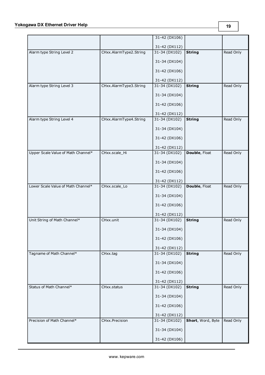## **Yokogawa DX Ethernet Driver Help**

|                                    |                        | $31 - 42$ (DX106) |                      |           |
|------------------------------------|------------------------|-------------------|----------------------|-----------|
|                                    |                        | 31-42 (DX112)     |                      |           |
| Alarm type String Level 2          | CHxx.AlarmType2.String | 31-34 (DX102)     | <b>String</b>        | Read Only |
|                                    |                        | 31-34 (DX104)     |                      |           |
|                                    |                        | 31-42 (DX106)     |                      |           |
|                                    |                        | 31-42 (DX112)     |                      |           |
| Alarm type String Level 3          | CHxx.AlarmType3.String | 31-34 (DX102)     | <b>String</b>        | Read Only |
|                                    |                        | 31-34 (DX104)     |                      |           |
|                                    |                        | 31-42 (DX106)     |                      |           |
|                                    |                        | 31-42 (DX112)     |                      |           |
| Alarm type String Level 4          | CHxx.AlarmType4.String | 31-34 (DX102)     | <b>String</b>        | Read Only |
|                                    |                        | 31-34 (DX104)     |                      |           |
|                                    |                        | 31-42 (DX106)     |                      |           |
|                                    |                        | 31-42 (DX112)     |                      |           |
| Upper Scale Value of Math Channel* | CHxx.scale_Hi          | 31-34 (DX102)     | <b>Double, Float</b> | Read Only |
|                                    |                        | 31-34 (DX104)     |                      |           |
|                                    |                        | 31-42 (DX106)     |                      |           |
|                                    |                        | 31-42 (DX112)     |                      |           |
| Lower Scale Value of Math Channel* | CHxx.scale_Lo          | 31-34 (DX102)     | Double, Float        | Read Only |
|                                    |                        | 31-34 (DX104)     |                      |           |
|                                    |                        | 31-42 (DX106)     |                      |           |
|                                    |                        | 31-42 (DX112)     |                      |           |
| Unit String of Math Channel*       | CHxx.unit              | 31-34 (DX102)     | <b>String</b>        | Read Only |
|                                    |                        | 31-34 (DX104)     |                      |           |
|                                    |                        | 31-42 (DX106)     |                      |           |
|                                    |                        | 31-42 (DX112)     |                      |           |
| Tagname of Math Channel*           | CHxx.tag               | 31-34 (DX102)     | <b>String</b>        | Read Only |
|                                    |                        | 31-34 (DX104)     |                      |           |
|                                    |                        | 31-42 (DX106)     |                      |           |
|                                    |                        | 31-42 (DX112)     |                      |           |
| Status of Math Channel*            | CHxx.status            | 31-34 (DX102)     | <b>String</b>        | Read Only |
|                                    |                        | 31-34 (DX104)     |                      |           |
|                                    |                        | 31-42 (DX106)     |                      |           |
|                                    |                        | 31-42 (DX112)     |                      |           |
| Precision of Math Channel*         | CHxx.Precision         | 31-34 (DX102)     | Short, Word, Byte    | Read Only |
|                                    |                        | 31-34 (DX104)     |                      |           |
|                                    |                        | 31-42 (DX106)     |                      |           |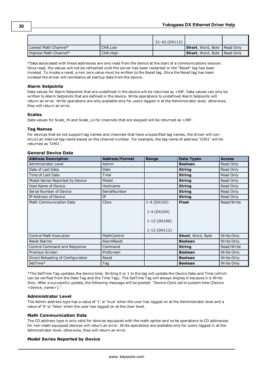|                       |          | 31-42 (DX112) |                                       |  |
|-----------------------|----------|---------------|---------------------------------------|--|
| Lowest Math Channel*  | CHA Low  |               | <b>Short</b> , Word, Byte   Read Only |  |
| Highest Math Channel* | CHA.High |               | <b>Short</b> , Word, Byte   Read Only |  |

\*Data associated with these addresses are only read from the device at the start of a communications session. Once read, the values will not be refreshed until the server has been restarted or the "Reset" tag has been invoked. To invoke a reset, a non zero value must be written to the Reset tag. Once the Reset tag has been invoked the driver will reinitialize all startup data from the device.

## **Alarm Setpoints**

Data values for Alarm Setpoints that are undefined in the device will be returned as +INF. Data values can only be written to Alarm Setpoints that are defined in the device. Write operations to undefined Alarm Setpoints will return an error. Write operations are only available only for users logged in at the Administrator level; otherwise, they will return an error.

## **Scales**

Data values for Scale Hi and Scale Lo for channels that are skipped will be returned as +INF.

## **Tag Names**

For devices that do not support tag names and channels that have unspecified tag names, the driver will construct an internal tag name based on the channel number. For example, the tag name of address 'CH01' will be returned as 'CH01'.

## **General Device Data**

| <b>Address Description</b>        | <b>Address/Format</b> | Range                                                             | <b>Data Types</b>        | <b>Access</b> |
|-----------------------------------|-----------------------|-------------------------------------------------------------------|--------------------------|---------------|
| Administrator Level               | Admin                 |                                                                   | <b>Boolean</b>           | Read Only     |
| Date of Last Data                 | Date                  |                                                                   | <b>String</b>            | Read Only     |
| Time of Last Data                 | Time                  |                                                                   | <b>String</b>            | Read Only     |
| Model Series Reported by Device   | Model                 |                                                                   | <b>String</b>            | Read Only     |
| Host Name of Device               | Hostname              |                                                                   | <b>String</b>            | Read Only     |
| Serial Number of Device           | SerialNumber          |                                                                   | <b>String</b>            | Read Only     |
| IP Address of Device              | IP                    |                                                                   | <b>String</b>            | Read Only     |
| Math Communication Data           | <b>CDxx</b>           | 1-4 (DX102)<br>$1 - 4$ (DX104)<br>$1-12$ (DX106)<br>$1-12(DX112)$ | <b>Float</b>             | Read/Write    |
| <b>Control Math Execution</b>     | MathControl           |                                                                   | <b>Short, Word, Byte</b> | Write Only    |
| <b>Reset Alarms</b>               | AlarmReset            |                                                                   | <b>Boolean</b>           | Write Only    |
| Control Command and Response      | Command               |                                                                   | <b>String</b>            | Read/Write    |
| Previous Screen                   | PreScreen             |                                                                   | <b>Boolean</b>           | Write Only    |
| Direct Reloading of Configuration | Reset                 |                                                                   | <b>Boolean</b>           | Write Only    |
| SetTime*                          | Tag                   |                                                                   | <b>Boolean</b>           | Write Only    |

\*The SetTime Tag updates the device time. Writing 0 or 1 to the tag will update the Device Date and Time (which can be verified from the Date Tag and the Time Tag). The SetTime Tag will always display 0 because it is Write Only. After a successful update, the following message will be posted: "Device Clock set to system time [Device <device\_name>]."

## **Administrator Level**

The Admin address type has a value of '1' or 'true' when the user has logged on at the Administrator level and a value of '0' or 'false' when the user has logged on at the User level.

## **Math Communication Data**

The CD address type is only valid for devices equipped with the math option and write operations to CD addresses for non-math equipped devices will return an error. Write operations are available only for users logged in at the Administrator level; otherwise, they will return an error.

## **Model Series Reported by Device**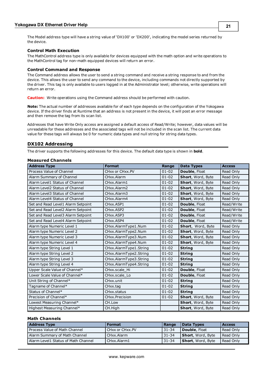The Model address type will have a string value of 'DX100' or 'DX200', indicating the model series returned by the device.

## **Control Math Execution**

The MathControl address type is only available for devices equipped with the math option and write operations to the MathControl tag for non-math equipped devices will return an error.

## **Control Command and Response**

The Command address allows the user to send a string command and receive a string response to and from the device. This allows the user to send any command to the device, including commands not directly supported by the driver. This tag is only available to users logged in at the Administrator level; otherwise, write operations will return an error.

**Caution:** Write operations using the Command address should be performed with caution.

**Note:** The actual number of addresses available for of each type depends on the configuration of the Yokogawa device. If the driver finds at Runtime that an address is not present in the device, it will post an error message and then remove the tag from its scan list.

Addresses that have Write Only access are assigned a default access of Read/Write; however, data values will be unreadable for these addresses and the associated tags will not be included in the scan list. The current data value for these tags will always be 0 for numeric data types and null string for string data types.

## <span id="page-20-0"></span>**DX102 Addressing**

The driver supports the following addresses for this device. The default data type is shown in **bold**.

## **Measured Channels**

| <b>Address Type</b>                | <b>Format</b>          | Range     | <b>Data Types</b> | <b>Access</b> |
|------------------------------------|------------------------|-----------|-------------------|---------------|
| Process Value of Channel           | CHxx or CHxx.PV        | $01 - 02$ | Double, Float     | Read Only     |
| Alarm Summary of Channel           | CHxx.Alarm             | $01 - 02$ | Short, Word, Byte | Read Only     |
| Alarm Level1 Status of Channel     | CHxx.Alarm1            | $01 - 02$ | Short, Word, Byte | Read Only     |
| Alarm Level2 Status of Channel     | CHxx.Alarm2            | $01 - 02$ | Short, Word, Byte | Read Only     |
| Alarm Level3 Status of Channel     | CHxx.Alarm3            | $01 - 02$ | Short, Word, Byte | Read Only     |
| Alarm Level4 Status of Channel     | CHxx.Alarm4            | $01 - 02$ | Short, Word, Byte | Read Only     |
| Set and Read Level1 Alarm Setpoint | CHxx.ASP1              | $01 - 02$ | Double, Float     | Read/Write    |
| Set and Read Level2 Alarm Setpoint | CHxx.ASP2              | $01 - 02$ | Double, Float     | Read/Write    |
| Set and Read Level3 Alarm Setpoint | CHxx.ASP3              | $01 - 02$ | Double, Float     | Read/Write    |
| Set and Read Level4 Alarm Setpoint | CHxx.ASP4              | $01 - 02$ | Double, Float     | Read/Write    |
| Alarm type Numeric Level 1         | CHxx.AlarmType1.Num    | $01 - 02$ | Short, Word, Byte | Read Only     |
| Alarm type Numeric Level 2         | CHxx.AlarmType2.Num    | $01 - 02$ | Short, Word, Byte | Read Only     |
| Alarm type Numeric Level 3         | CHxx.AlarmType3.Num    | $01 - 02$ | Short, Word, Byte | Read Only     |
| Alarm type Numeric Level 4         | CHxx.AlarmType4.Num    | $01 - 02$ | Short, Word, Byte | Read Only     |
| Alarm type String Level 1          | CHxx.AlarmType1.String | $01 - 02$ | <b>String</b>     | Read Only     |
| Alarm type String Level 2          | CHxx.AlarmType2.String | $01 - 02$ | <b>String</b>     | Read Only     |
| Alarm type String Level 3          | CHxx.AlarmType3.String | $01 - 02$ | <b>String</b>     | Read Only     |
| Alarm type String Level 4          | CHxx.AlarmType4.String | $01 - 02$ | <b>String</b>     | Read Only     |
| Upper Scale Value of Channel*      | CHxx.scale Hi          | $01 - 02$ | Double, Float     | Read Only     |
| Lower Scale Value of Channel*      | CHxx.scale Lo          | $01 - 02$ | Double, Float     | Read Only     |
| Unit String of Channel*            | CHxx.unit              | $01 - 02$ | <b>String</b>     | Read Only     |
| Tagname of Channel*                | CHxx.tag               | $01 - 02$ | <b>String</b>     | Read Only     |
| Status of Channel*                 | CHxx.status            | $01 - 02$ | <b>String</b>     | Read Only     |
| Precision of Channel*              | <b>CHxx. Precision</b> | $01 - 02$ | Short, Word, Byte | Read Only     |
| Lowest Measuring Channel*          | CH.Low                 |           | Short, Word, Byte | Read Only     |
| Highest Measuring Channel*         | CH.High                |           | Short, Word, Byte | Read Only     |

## **Math Channels**

| <b>Address Type</b>                  | <b>Format</b>   | Range     | Data Types                | <b>Access</b> |
|--------------------------------------|-----------------|-----------|---------------------------|---------------|
| <b>Process Value of Math Channel</b> | CHxx or CHxx.PV | $31 - 34$ | <b>Double</b> , Float     | Read Only     |
| Alarm Summary of Math Channel        | CHxx.Alarm      | 31-34     | Short, Word, Byte         | Read Only     |
| Alarm Level1 Status of Math Channel  | l CHxx.Alarm1   | 31-34     | <b>Short</b> , Word, Byte | Read Only     |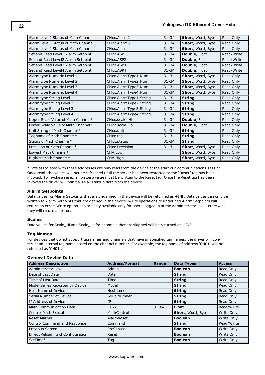| Alarm Level2 Status of Math Channel | CHxx.Alarm2             | $31 - 34$ | Short, Word, Byte        | Read Only  |
|-------------------------------------|-------------------------|-----------|--------------------------|------------|
| Alarm Level3 Status of Math Channel | CHxx.Alarm3             | $31 - 34$ | Short, Word, Byte        | Read Only  |
| Alarm Level4 Status of Math Channel | CHxx.Alarm4             | $31 - 34$ | Short, Word, Byte        | Read Only  |
| Set and Read Level1 Alarm Setpoint  | CHxx.ASP1               | $31 - 34$ | Double, Float            | Read/Write |
| Set and Read Level2 Alarm Setpoint  | CHxx.ASP2               | $31 - 34$ | Double, Float            | Read/Write |
| Set and Read Level3 Alarm Setpoint  | CH <sub>xx</sub> , ASP3 | $31 - 34$ | Double, Float            | Read/Write |
| Set and Read Level4 Alarm Setpoint  | CHxx.ASP4               | $31 - 34$ | Double, Float            | Read/Write |
| Alarm type Numeric Level 1          | CHxx.AlarmType1.Num     | $31 - 34$ | Short, Word, Byte        | Read Only  |
| Alarm type Numeric Level 2          | CHxx.AlarmType2.Num     | $31 - 34$ | Short, Word, Byte        | Read Only  |
| Alarm type Numeric Level 3          | CHxx.AlarmType3.Num     | $31 - 34$ | <b>Short, Word, Byte</b> | Read Only  |
| Alarm type Numeric Level 4          | CHxx.AlarmType4.Num     | $31 - 34$ | Short, Word, Byte        | Read Only  |
| Alarm type String Level 1           | CHxx.AlarmType1.String  | $31 - 34$ | <b>String</b>            | Read Only  |
| Alarm type String Level 2           | CHxx.AlarmType2.String  | $31 - 34$ | <b>String</b>            | Read Only  |
| Alarm type String Level 3           | CHxx.AlarmType3.String  | $31 - 34$ | <b>String</b>            | Read Only  |
| Alarm type String Level 4           | CHxx.AlarmType4.String  | $31 - 34$ | <b>String</b>            | Read Only  |
| Upper Scale Value of Math Channel*  | CHxx.scale Hi           | $31 - 34$ | Double, Float            | Read Only  |
| Lower Scale Value of Math Channel*  | CHxx.scale_Lo           | $31 - 34$ | Double, Float            | Read Only  |
| Unit String of Math Channel*        | CHxx.unit               | $31 - 34$ | <b>String</b>            | Read Only  |
| Tagname of Math Channel*            | CHxx.tag                | $31 - 34$ | <b>String</b>            | Read Only  |
| Status of Math Channel*             | CHxx.status             | $31 - 34$ | <b>String</b>            | Read Only  |
| Precision of Math Channel*          | CHxx.Precision          | $31 - 34$ | <b>Short, Word, Byte</b> | Read Only  |
| Lowest Math Channel*                | CHA.Low                 |           | Short, Word, Byte        | Read Only  |
| Highest Math Channel*               | CHA.High                |           | Short, Word, Byte        | Read Only  |

\*Data associated with these addresses are only read from the device at the start of a communications session. Once read, the values will not be refreshed until the server has been restarted or the "Reset" tag has been invoked. To invoke a reset, a non zero value must be written to the Reset tag. Once the Reset tag has been invoked the driver will reinitialize all startup data from the device.

## **Alarm Setpoints**

Data values for Alarm Setpoints that are undefined in the device will be returned as +INF. Data values can only be written to Alarm Setpoints that are defined in the device. Write operations to undefined Alarm Setpoints will return an error. Write operations are only available only for users logged in at the Administrator level; otherwise, they will return an error.

## **Scales**

Data values for Scale Hi and Scale Lo for channels that are skipped will be returned as +INF.

## **Tag Names**

For devices that do not support tag names and channels that have unspecified tag names, the driver will construct an internal tag name based on the channel number. For example, the tag name of address 'CH01' will be returned as 'CH01'.

## **General Device Data**

| <b>Address Description</b>        | <b>Address/Format</b> | Range     | <b>Data Types</b> | <b>Access</b> |
|-----------------------------------|-----------------------|-----------|-------------------|---------------|
| Administrator Level               | Admin                 |           | <b>Boolean</b>    | Read Only     |
| Date of Last Data                 | Date                  |           | <b>String</b>     | Read Only     |
| Time of Last Data                 | Time                  |           | <b>String</b>     | Read Only     |
| Model Series Reported by Device   | Model                 |           | <b>String</b>     | Read Only     |
| Host Name of Device               | Hostname              |           | <b>String</b>     | Read Only     |
| Serial Number of Device           | SerialNumber          |           | <b>String</b>     | Read Only     |
| IP Address of Device              | <b>TP</b>             |           | <b>String</b>     | Read Only     |
| <b>Math Communication Data</b>    | <b>CDxx</b>           | $01 - 04$ | <b>Float</b>      | Read/Write    |
| <b>Control Math Execution</b>     | MathControl           |           | Short, Word, Byte | Write Only    |
| <b>Reset Alarms</b>               | AlarmReset            |           | <b>Boolean</b>    | Write Only    |
| Control Command and Response      | Command               |           | <b>String</b>     | Read/Write    |
| Previous Screen                   | PreScreen             |           | <b>Boolean</b>    | Write Only    |
| Direct Reloading of Configuration | Reset                 |           | <b>Boolean</b>    | Write Only    |
| SetTime*                          | Tag                   |           | <b>Boolean</b>    | Write Only    |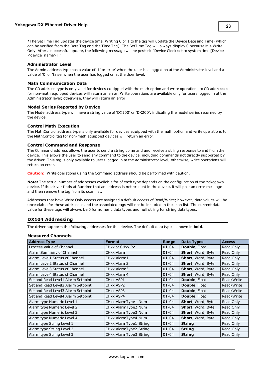\*The SetTime Tag updates the device time. Writing 0 or 1 to the tag will update the Device Date and Time (which can be verified from the Date Tag and the Time Tag). The SetTime Tag will always display 0 because it is Write Only. After a successful update, the following message will be posted: "Device Clock set to system time [Device <device\_name>]."

## **Administrator Level**

The Admin address type has a value of '1' or 'true' when the user has logged on at the Administrator level and a value of '0' or 'false' when the user has logged on at the User level.

## **Math Communication Data**

The CD address type is only valid for devices equipped with the math option and write operations to CD addresses for non-math equipped devices will return an error. Write operations are available only for users logged in at the Administrator level; otherwise, they will return an error.

## **Model Series Reported by Device**

The Model address type will have a string value of 'DX100' or 'DX200', indicating the model series returned by the device.

## **Control Math Execution**

The MathControl address type is only available for devices equipped with the math option and write operations to the MathControl tag for non-math equipped devices will return an error.

## **Control Command and Response**

The Command address allows the user to send a string command and receive a string response to and from the device. This allows the user to send any command to the device, including commands not directly supported by the driver. This tag is only available to users logged in at the Administrator level; otherwise, write operations will return an error.

**Caution:** Write operations using the Command address should be performed with caution.

**Note:** The actual number of addresses available for of each type depends on the configuration of the Yokogawa device. If the driver finds at Runtime that an address is not present in the device, it will post an error message and then remove the tag from its scan list.

Addresses that have Write Only access are assigned a default access of Read/Write; however, data values will be unreadable for these addresses and the associated tags will not be included in the scan list. The current data value for these tags will always be 0 for numeric data types and null string for string data types.

## <span id="page-22-0"></span>**DX104 Addressing**

The driver supports the following addresses for this device. The default data type is shown in **bold**.

## **Measured Channels**

| <b>Address Type</b>                | <b>Format</b>          | Range     | <b>Data Types</b>        | <b>Access</b> |
|------------------------------------|------------------------|-----------|--------------------------|---------------|
| Process Value of Channel           | CHxx or CHxx.PV        | $01 - 04$ | Double, Float            | Read Only     |
| Alarm Summary of Channel           | CHxx.Alarm             | $01 - 04$ | <b>Short, Word, Byte</b> | Read Only     |
| Alarm Level1 Status of Channel     | CHxx.Alarm1            | $01 - 04$ | Short, Word, Byte        | Read Only     |
| Alarm Level2 Status of Channel     | CHxx.Alarm2            | $01 - 04$ | Short, Word, Byte        | Read Only     |
| Alarm Level3 Status of Channel     | CHxx.Alarm3            | $01 - 04$ | <b>Short, Word, Byte</b> | Read Only     |
| Alarm Level4 Status of Channel     | CHxx.Alarm4            | $01 - 04$ | <b>Short, Word, Byte</b> | Read Only     |
| Set and Read Level1 Alarm Setpoint | CHxx.ASP1              | $01 - 04$ | <b>Double, Float</b>     | Read/Write    |
| Set and Read Level2 Alarm Setpoint | CHxx.ASP2              | $01 - 04$ | <b>Double, Float</b>     | Read/Write    |
| Set and Read Level3 Alarm Setpoint | CH <sub>xx</sub> .ASP3 | $01 - 04$ | <b>Double, Float</b>     | Read/Write    |
| Set and Read Level4 Alarm Setpoint | CH <sub>xx</sub> .ASP4 | $01 - 04$ | Double, Float            | Read/Write    |
| Alarm type Numeric Level 1         | CHxx.AlarmType1.Num    | $01 - 04$ | Short, Word, Byte        | Read Only     |
| Alarm type Numeric Level 2         | CHxx.AlarmType2.Num    | $01 - 04$ | <b>Short, Word, Byte</b> | Read Only     |
| Alarm type Numeric Level 3         | CHxx.AlarmType3.Num    | $01 - 04$ | Short, Word, Byte        | Read Only     |
| Alarm type Numeric Level 4         | CHxx.AlarmType4.Num    | $01 - 04$ | <b>Short, Word, Byte</b> | Read Only     |
| Alarm type String Level 1          | CHxx.AlarmType1.String | $01 - 04$ | <b>String</b>            | Read Only     |
| Alarm type String Level 2          | CHxx.AlarmType2.String | $01 - 04$ | <b>String</b>            | Read Only     |
| Alarm type String Level 3          | CHxx.AlarmType3.String | $01 - 04$ | <b>String</b>            | Read Only     |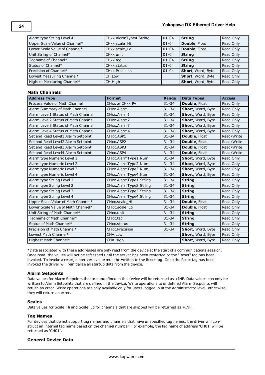| Alarm type String Level 4     | CHxx.AlarmType4.String | $ 01 - 04 $ | <b>String</b>     | Read Only |
|-------------------------------|------------------------|-------------|-------------------|-----------|
| Upper Scale Value of Channel* | CHxx.scale Hi          | $01 - 04$   | Double, Float     | Read Only |
| Lower Scale Value of Channel* | CHxx.scale Lo          | $01 - 04$   | Double, Float     | Read Only |
| Unit String of Channel*       | CHxx.unit              | $01 - 04$   | String            | Read Only |
| Tagname of Channel*           | CHxx.tag               | $01 - 04$   | <b>String</b>     | Read Only |
| Status of Channel*            | CHxx.status            | $01 - 04$   | <b>String</b>     | Read Only |
| Precision of Channel*         | CHxx.Precision         | $01 - 04$   | Short, Word, Byte | Read Only |
| Lowest Measuring Channel*     | CH.Low                 |             | Short, Word, Byte | Read Only |
| Highest Measuring Channel*    | CH.High                |             | Short, Word, Byte | Read Only |

## **Math Channels**

| <b>Address Type</b>                 | <b>Format</b>          | Range     | <b>Data Types</b> | <b>Access</b> |
|-------------------------------------|------------------------|-----------|-------------------|---------------|
| Process Value of Math Channel       | CHxx or CHxx.PV        | $31 - 34$ | Double, Float     | Read Only     |
| Alarm Summary of Math Channel       | CHxx.Alarm             | $31 - 34$ | Short, Word, Byte | Read Only     |
| Alarm Level1 Status of Math Channel | CHxx.Alarm1            | $31 - 34$ | Short, Word, Byte | Read Only     |
| Alarm Level2 Status of Math Channel | CHxx.Alarm2            | $31 - 34$ | Short, Word, Byte | Read Only     |
| Alarm Level3 Status of Math Channel | CHxx.Alarm3            | $31 - 34$ | Short, Word, Byte | Read Only     |
| Alarm Level4 Status of Math Channel | CHxx.Alarm4            | $31 - 34$ | Short, Word, Byte | Read Only     |
| Set and Read Level1 Alarm Setpoint  | CHxx.ASP1              | $31 - 34$ | Double, Float     | Read/Write    |
| Set and Read Level2 Alarm Setpoint  | CHxx.ASP2              | $31 - 34$ | Double, Float     | Read/Write    |
| Set and Read Level3 Alarm Setpoint  | CHxx.ASP3              | $31 - 34$ | Double, Float     | Read/Write    |
| Set and Read Level4 Alarm Setpoint  | CHxx.ASP4              | $31 - 34$ | Double, Float     | Read/Write    |
| Alarm type Numeric Level 1          | CHxx.AlarmType1.Num    | $31 - 34$ | Short, Word, Byte | Read Only     |
| Alarm type Numeric Level 2          | CHxx.AlarmType2.Num    | $31 - 34$ | Short, Word, Byte | Read Only     |
| Alarm type Numeric Level 3          | CHxx.AlarmType3.Num    | $31 - 34$ | Short, Word, Byte | Read Only     |
| Alarm type Numeric Level 4          | CHxx.AlarmType4.Num    | $31 - 34$ | Short, Word, Byte | Read Only     |
| Alarm type String Level 1           | CHxx.AlarmType1.String | $31 - 34$ | <b>String</b>     | Read Only     |
| Alarm type String Level 2           | CHxx.AlarmType2.String | $31 - 34$ | <b>String</b>     | Read Only     |
| Alarm type String Level 3           | CHxx.AlarmType3.String | $31 - 34$ | <b>String</b>     | Read Only     |
| Alarm type String Level 4           | CHxx.AlarmType4.String | $31 - 34$ | <b>String</b>     | Read Only     |
| Upper Scale Value of Math Channel*  | CHxx.scale Hi          | $31 - 34$ | Double, Float     | Read Only     |
| Lower Scale Value of Math Channel*  | CHxx.scale Lo          | $31 - 34$ | Double, Float     | Read Only     |
| Unit String of Math Channel*        | CHxx.unit              | $31 - 34$ | <b>String</b>     | Read Only     |
| Tagname of Math Channel*            | CHxx.tag               | $31 - 34$ | <b>String</b>     | Read Only     |
| Status of Math Channel*             | CHxx.status            | $31 - 34$ | <b>String</b>     | Read Only     |
| Precision of Math Channel*          | CHxx.Precision         | $31 - 34$ | Short, Word, Byte | Read Only     |
| Lowest Math Channel*                | CHA.Low                |           | Short, Word, Byte | Read Only     |
| Highest Math Channel*               | CHA.High               |           | Short, Word, Byte | Read Only     |

\*Data associated with these addresses are only read from the device at the start of a communications session. Once read, the values will not be refreshed until the server has been restarted or the "Reset" tag has been invoked. To invoke a reset, a non-zero value must be written to the Reset tag. Once the Reset tag has been invoked the driver will reinitialize all startup data from the device.

## **Alarm Setpoints**

Data values for Alarm Setpoints that are undefined in the device will be returned as +INF. Data values can only be written to Alarm Setpoints that are defined in the device. Write operations to undefined Alarm Setpoints will return an error. Write operations are only available only for users logged in at the Administrator level; otherwise, they will return an error.

## **Scales**

Data values for Scale\_Hi and Scale\_Lo for channels that are skipped will be returned as +INF.

## **Tag Names**

For devices that do not support tag names and channels that have unspecified tag names, the driver will construct an internal tag name based on the channel number. For example, the tag name of address 'CH01' will be returned as 'CH01'.

## **General Device Data**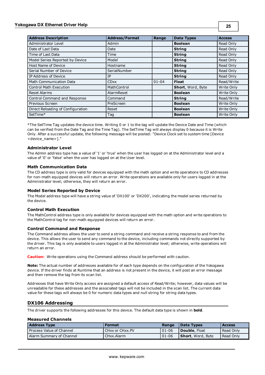## **Yokogawa DX Ethernet Driver Help**

| <b>Address Description</b>        | <b>Address/Format</b> | Range     | <b>Data Types</b> | <b>Access</b> |
|-----------------------------------|-----------------------|-----------|-------------------|---------------|
| Administrator Level               | Admin                 |           | <b>Boolean</b>    | Read Only     |
| Date of Last Data                 | Date                  |           | <b>String</b>     | Read Only     |
| Time of Last Data                 | Time                  |           | <b>String</b>     | Read Only     |
| Model Series Reported by Device   | Model                 |           | <b>String</b>     | Read Only     |
| Host Name of Device               | Hostname              |           | <b>String</b>     | Read Only     |
| Serial Number of Device           | SerialNumber          |           | <b>String</b>     | Read Only     |
| IP Address of Device              | IP                    |           | <b>String</b>     | Read Only     |
| <b>Math Communication Data</b>    | <b>CDxx</b>           | $01 - 04$ | <b>Float</b>      | Read/Write    |
| <b>Control Math Execution</b>     | MathControl           |           | Short, Word, Byte | Write Only    |
| <b>Reset Alarms</b>               | AlarmReset            |           | <b>Boolean</b>    | Write Only    |
| Control Command and Response      | Command               |           | <b>String</b>     | Read/Write    |
| Previous Screen                   | PreScreen             |           | <b>Boolean</b>    | Write Only    |
| Direct Reloading of Configuration | Reset                 |           | <b>Boolean</b>    | Write Only    |
| SetTime*                          | Tag                   |           | <b>Boolean</b>    | Write Only    |

\*The SetTime Tag updates the device time. Writing 0 or 1 to the tag will update the Device Date and Time (which can be verified from the Date Tag and the Time Tag). The SetTime Tag will always display 0 because it is Write Only. After a successful update, the following message will be posted: "Device Clock set to system time [Device <device\_name>]."

## **Administrator Level**

The Admin address type has a value of '1' or 'true' when the user has logged on at the Administrator level and a value of '0' or 'false' when the user has logged on at the User level.

## **Math Communication Data**

The CD address type is only valid for devices equipped with the math option and write operations to CD addresses for non-math equipped devices will return an error. Write operations are available only for users logged in at the Administrator level; otherwise, they will return an error.

## **Model Series Reported by Device**

The Model address type will have a string value of 'DX100' or 'DX200', indicating the model series returned by the device.

## **Control Math Execution**

The MathControl address type is only available for devices equipped with the math option and write operations to the MathControl tag for non-math equipped devices will return an error.

## **Control Command and Response**

The Command address allows the user to send a string command and receive a string response to and from the device. This allows the user to send any command to the device, including commands not directly supported by the driver. This tag is only available to users logged in at the Administrator level; otherwise, write operations will return an error.

**Caution:** Write operations using the Command address should be performed with caution.

**Note:** The actual number of addresses available for of each type depends on the configuration of the Yokogawa device. If the driver finds at Runtime that an address is not present in the device, it will post an error message and then remove the tag from its scan list.

Addresses that have Write Only access are assigned a default access of Read/Write; however, data values will be unreadable for these addresses and the associated tags will not be included in the scan list. The current data value for these tags will always be 0 for numeric data types and null string for string data types.

## <span id="page-24-0"></span>**DX106 Addressing**

The driver supports the following addresses for this device. The default data type is shown in **bold**.

## **Measured Channels**

| <b>Address Type</b>      | <b>Format</b>          | Range      | Data Types                | <b>Access</b> |
|--------------------------|------------------------|------------|---------------------------|---------------|
| Process Value of Channel | <b>CHxx or CHxx.PV</b> | $101 - 06$ | Double, Float             | Read Only     |
| Alarm Summary of Channel | I CHxx. Alarm          | $01 - 06$  | <b>Short</b> , Word, Byte | Read Only     |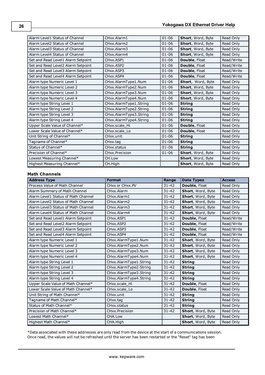| Alarm Level1 Status of Channel     | CHxx.Alarm1                        | $01 - 06$ | Short, Word, Byte    | Read Only  |
|------------------------------------|------------------------------------|-----------|----------------------|------------|
| Alarm Level2 Status of Channel     | CHxx.Alarm2                        | $01 - 06$ | Short, Word, Byte    | Read Only  |
| Alarm Level3 Status of Channel     | CHxx.Alarm3                        | $01 - 06$ | Short, Word, Byte    | Read Only  |
| Alarm Level4 Status of Channel     | CHxx.Alarm4                        | $01 - 06$ | Short, Word, Byte    | Read Only  |
| Set and Read Level1 Alarm Setpoint | CHxx.ASP1                          | $01 - 06$ | Double, Float        | Read/Write |
| Set and Read Level2 Alarm Setpoint | CH <sub>xx</sub> .ASP <sub>2</sub> | $01 - 06$ | Double, Float        | Read/Write |
| Set and Read Level3 Alarm Setpoint | CH <sub>xx</sub> , ASP3            | $01 - 06$ | Double, Float        | Read/Write |
| Set and Read Level4 Alarm Setpoint | CHxx.ASP4                          | $01 - 06$ | Double, Float        | Read/Write |
| Alarm type Numeric Level 1         | CHxx.AlarmType1.Num                | $01 - 06$ | Short, Word, Byte    | Read Only  |
| Alarm type Numeric Level 2         | CHxx.AlarmType2.Num                | $01 - 06$ | Short, Word, Byte    | Read Only  |
| Alarm type Numeric Level 3         | CHxx.AlarmType3.Num                | $01 - 06$ | Short, Word, Byte    | Read Only  |
| Alarm type Numeric Level 4         | CHxx.AlarmType4.Num                | $01 - 06$ | Short, Word, Byte    | Read Only  |
| Alarm type String Level 1          | CHxx.AlarmType1.String             | $01 - 06$ | <b>String</b>        | Read Only  |
| Alarm type String Level 2          | CHxx.AlarmType2.String             | $01 - 06$ | <b>String</b>        | Read Only  |
| Alarm type String Level 3          | CHxx.AlarmType3.String             | $01 - 06$ | <b>String</b>        | Read Only  |
| Alarm type String Level 4          | CHxx.AlarmType4.String             | $01 - 06$ | <b>String</b>        | Read Only  |
| Upper Scale Value of Channel*      | CHxx.scale_Hi                      | $01 - 06$ | Double, Float        | Read Only  |
| Lower Scale Value of Channel*      | CHxx.scale Lo                      | $01 - 06$ | <b>Double, Float</b> | Read Only  |
| Unit String of Channel*            | CHxx.unit                          | $01 - 06$ | <b>String</b>        | Read Only  |
| Tagname of Channel*                | CHxx.tag                           | $01 - 06$ | <b>String</b>        | Read Only  |
| Status of Channel*                 | CHxx.status                        | $01 - 06$ | <b>String</b>        | Read Only  |
| Precision of Channel*              | CHxx.Precision                     | $01 - 06$ | Short, Word, Byte    | Read Only  |
| Lowest Measuring Channel*          | CH.Low                             |           | Short, Word, Byte    | Read Only  |
| Highest Measuring Channel*         | CH.High                            |           | Short, Word, Byte    | Read Only  |

## **Math Channels**

| <b>Address Type</b>                 | <b>Format</b>          | Range     | <b>Data Types</b> | <b>Access</b> |
|-------------------------------------|------------------------|-----------|-------------------|---------------|
| Process Value of Math Channel       | CHxx or CHxx.PV        | $31 - 42$ | Double, Float     | Read Only     |
| Alarm Summary of Math Channel       | CHxx.Alarm             | $31 - 42$ | Short, Word, Byte | Read Only     |
| Alarm Level1 Status of Math Channel | CHxx.Alarm1            | $31 - 42$ | Short, Word, Byte | Read Only     |
| Alarm Level2 Status of Math Channel | CHxx.Alarm2            | $31 - 42$ | Short, Word, Byte | Read Only     |
| Alarm Level3 Status of Math Channel | CHxx.Alarm3            | $31 - 42$ | Short, Word, Byte | Read Only     |
| Alarm Level4 Status of Math Channel | CHxx.Alarm4            | $31 - 42$ | Short, Word, Byte | Read Only     |
| Set and Read Level1 Alarm Setpoint  | CHxx.ASP1              | $31 - 42$ | Double, Float     | Read/Write    |
| Set and Read Level2 Alarm Setpoint  | CHxx.ASP2              | $31 - 42$ | Double, Float     | Read/Write    |
| Set and Read Level3 Alarm Setpoint  | CHxx.ASP3              | $31 - 42$ | Double, Float     | Read/Write    |
| Set and Read Level4 Alarm Setpoint  | CHxx.ASP4              | $31 - 42$ | Double, Float     | Read/Write    |
| Alarm type Numeric Level 1          | CHxx.AlarmType1.Num    | $31 - 42$ | Short, Word, Byte | Read Only     |
| Alarm type Numeric Level 2          | CHxx.AlarmType2.Num    | $31 - 42$ | Short, Word, Byte | Read Only     |
| Alarm type Numeric Level 3          | CHxx.AlarmType3.Num    | $31 - 42$ | Short, Word, Byte | Read Only     |
| Alarm type Numeric Level 4          | CHxx.AlarmType4.Num    | $31 - 42$ | Short, Word, Byte | Read Only     |
| Alarm type String Level 1           | CHxx.AlarmType1.String | $31 - 42$ | <b>String</b>     | Read Only     |
| Alarm type String Level 2           | CHxx.AlarmType2.String | $31 - 42$ | <b>String</b>     | Read Only     |
| Alarm type String Level 3           | CHxx.AlarmType3.String | $31 - 42$ | <b>String</b>     | Read Only     |
| Alarm type String Level 4           | CHxx.AlarmType4.String | $31 - 42$ | <b>String</b>     | Read Only     |
| Upper Scale Value of Math Channel*  | CHxx.scale Hi          | $31 - 42$ | Double, Float     | Read Only     |
| Lower Scale Value of Math Channel*  | CHxx.scale Lo          | $31 - 42$ | Double, Float     | Read Only     |
| Unit String of Math Channel*        | CHxx.unit              | $31 - 42$ | <b>String</b>     | Read Only     |
| Tagname of Math Channel*            | CHxx.tag               | $31 - 42$ | <b>String</b>     | Read Only     |
| Status of Math Channel*             | CHxx.status            | $31 - 42$ | <b>String</b>     | Read Only     |
| Precision of Math Channel*          | CHxx.Precision         | $31 - 42$ | Short, Word, Byte | Read Only     |
| Lowest Math Channel*                | CHA.Low                |           | Short, Word, Byte | Read Only     |
| Highest Math Channel*               | CHA.High               |           | Short, Word, Byte | Read Only     |

\*Data associated with these addresses are only read from the device at the start of a communications session. Once read, the values will not be refreshed until the server has been restarted or the "Reset" tag has been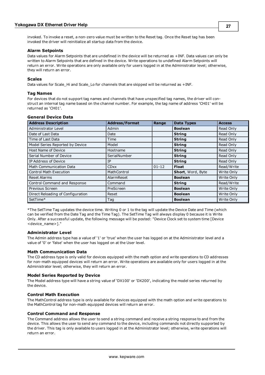invoked. To invoke a reset, a non-zero value must be written to the Reset tag. Once the Reset tag has been invoked the driver will reinitialize all startup data from the device.

## **Alarm Setpoints**

Data values for Alarm Setpoints that are undefined in the device will be returned as +INF. Data values can only be written to Alarm Setpoints that are defined in the device. Write operations to undefined Alarm Setpoints will return an error. Write operations are only available only for users logged in at the Administrator level; otherwise, they will return an error.

## **Scales**

Data values for Scale\_Hi and Scale\_Lo for channels that are skipped will be returned as +INF.

## **Tag Names**

For devices that do not support tag names and channels that have unspecified tag names, the driver will construct an internal tag name based on the channel number. For example, the tag name of address 'CH01' will be returned as 'CH01'.

| <b>Address Description</b>        | <b>Address/Format</b> | Range     | <b>Data Types</b> | <b>Access</b> |
|-----------------------------------|-----------------------|-----------|-------------------|---------------|
| Administrator Level               | Admin                 |           | <b>Boolean</b>    | Read Only     |
| Date of Last Data                 | Date                  |           | <b>String</b>     | Read Only     |
| Time of Last Data                 | Time                  |           | <b>String</b>     | Read Only     |
| Model Series Reported by Device   | Model                 |           | <b>String</b>     | Read Only     |
| Host Name of Device               | Hostname              |           | <b>String</b>     | Read Only     |
| Serial Number of Device           | SerialNumber          |           | <b>String</b>     | Read Only     |
| IP Address of Device              | IP                    |           | <b>String</b>     | Read Only     |
| <b>Math Communication Data</b>    | <b>CDxx</b>           | $01 - 12$ | <b>Float</b>      | Read/Write    |
| <b>Control Math Execution</b>     | MathControl           |           | Short, Word, Byte | Write Only    |
| <b>Reset Alarms</b>               | AlarmReset            |           | <b>Boolean</b>    | Write Only    |
| Control Command and Response      | Command               |           | <b>String</b>     | Read/Write    |
| Previous Screen                   | PreScreen             |           | <b>Boolean</b>    | Write Only    |
| Direct Reloading of Configuration | Reset                 |           | <b>Boolean</b>    | Write Only    |
| SetTime*                          | Tag                   |           | <b>Boolean</b>    | Write Only    |

#### **General Device Data**

\*The SetTime Tag updates the device time. Writing 0 or 1 to the tag will update the Device Date and Time (which can be verified from the Date Tag and the Time Tag). The SetTime Tag will always display 0 because it is Write Only. After a successful update, the following message will be posted: "Device Clock set to system time [Device <device\_name>]."

## **Administrator Level**

The Admin address type has a value of '1' or 'true' when the user has logged on at the Administrator level and a value of '0' or 'false' when the user has logged on at the User level.

## **Math Communication Data**

The CD address type is only valid for devices equipped with the math option and write operations to CD addresses for non-math equipped devices will return an error. Write operations are available only for users logged in at the Administrator level; otherwise, they will return an error.

## **Model Series Reported by Device**

The Model address type will have a string value of 'DX100' or 'DX200', indicating the model series returned by the device.

## **Control Math Execution**

The MathControl address type is only available for devices equipped with the math option and write operations to the MathControl tag for non-math equipped devices will return an error.

## **Control Command and Response**

The Command address allows the user to send a string command and receive a string response to and from the device. This allows the user to send any command to the device, including commands not directly supported by the driver. This tag is only available to users logged in at the Administrator level; otherwise, write operations will return an error.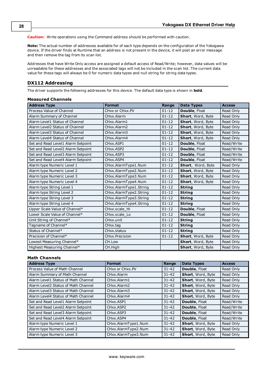**Caution:** Write operations using the Command address should be performed with caution.

**Note:** The actual number of addresses available for of each type depends on the configuration of the Yokogawa device. If the driver finds at Runtime that an address is not present in the device, it will post an error message and then remove the tag from its scan list.

Addresses that have Write Only access are assigned a default access of Read/Write; however, data values will be unreadable for these addresses and the associated tags will not be included in the scan list. The current data value for these tags will always be 0 for numeric data types and null string for string data types.

## <span id="page-27-0"></span>**DX112 Addressing**

The driver supports the following addresses for this device. The default data type is shown in **bold**.

| measured Channels                  |                        |           |                   |               |
|------------------------------------|------------------------|-----------|-------------------|---------------|
| <b>Address Type</b>                | <b>Format</b>          | Range     | <b>Data Types</b> | <b>Access</b> |
| Process Value of Channel           | CHxx or CHxx.PV        | $01 - 12$ | Double, Float     | Read Only     |
| Alarm Summary of Channel           | CHxx.Alarm             | $01 - 12$ | Short, Word, Byte | Read Only     |
| Alarm Level1 Status of Channel     | CHxx.Alarm1            | $01 - 12$ | Short, Word, Byte | Read Only     |
| Alarm Level2 Status of Channel     | CHxx.Alarm2            | $01 - 12$ | Short, Word, Byte | Read Only     |
| Alarm Level3 Status of Channel     | CHxx.Alarm3            | $01 - 12$ | Short, Word, Byte | Read Only     |
| Alarm Level4 Status of Channel     | CHxx.Alarm4            | $01 - 12$ | Short, Word, Byte | Read Only     |
| Set and Read Level1 Alarm Setpoint | CHxx.ASP1              | $01 - 12$ | Double, Float     | Read/Write    |
| Set and Read Level2 Alarm Setpoint | CHxx.ASP2              | $01 - 12$ | Double, Float     | Read/Write    |
| Set and Read Level3 Alarm Setpoint | CHxx.ASP3              | $01 - 12$ | Double, Float     | Read/Write    |
| Set and Read Level4 Alarm Setpoint | CHxx.ASP4              | $01 - 12$ | Double, Float     | Read/Write    |
| Alarm type Numeric Level 1         | CHxx.AlarmType1.Num    | $01 - 12$ | Short, Word, Byte | Read Only     |
| Alarm type Numeric Level 2         | CHxx.AlarmType2.Num    | $01 - 12$ | Short, Word, Byte | Read Only     |
| Alarm type Numeric Level 3         | CHxx.AlarmType3.Num    | $01 - 12$ | Short, Word, Byte | Read Only     |
| Alarm type Numeric Level 4         | CHxx.AlarmType4.Num    | $01 - 12$ | Short, Word, Byte | Read Only     |
| Alarm type String Level 1          | CHxx.AlarmType1.String | $01 - 12$ | <b>String</b>     | Read Only     |
| Alarm type String Level 2          | CHxx.AlarmType2.String | $01 - 12$ | <b>String</b>     | Read Only     |
| Alarm type String Level 3          | CHxx.AlarmType3.String | $01 - 12$ | <b>String</b>     | Read Only     |
| Alarm type String Level 4          | CHxx.AlarmType4.String | $01 - 12$ | <b>String</b>     | Read Only     |
| Upper Scale Value of Channel*      | CHxx.scale_Hi          | $01 - 12$ | Double, Float     | Read Only     |
| Lower Scale Value of Channel*      | CHxx.scale Lo          | $01 - 12$ | Double, Float     | Read Only     |
| Unit String of Channel*            | CHxx.unit              | $01 - 12$ | <b>String</b>     | Read Only     |
| Tagname of Channel*                | CHxx.tag               | $01 - 12$ | <b>String</b>     | Read Only     |
| Status of Channel*                 | CHxx.status            | $01 - 12$ | <b>String</b>     | Read Only     |
| Precision of Channel*              | CHxx.Precision         | $01 - 12$ | Short, Word, Byte | Read Only     |
| Lowest Measuring Channel*          | CH.Low                 |           | Short, Word, Byte | Read Only     |
| Highest Measuring Channel*         | CH.High                |           | Short, Word, Byte | Read Only     |

## **Measured Channels**

## **Math Channels**

| <b>Address Type</b>                 | <b>Format</b>                      | Range     | <b>Data Types</b> | <b>Access</b> |
|-------------------------------------|------------------------------------|-----------|-------------------|---------------|
| Process Value of Math Channel       | CHxx or CHxx.PV                    | $31 - 42$ | Double, Float     | Read Only     |
| Alarm Summary of Math Channel       | CHxx.Alarm                         | $31 - 42$ | Short, Word, Byte | Read Only     |
| Alarm Level1 Status of Math Channel | CHxx.Alarm1                        | $31 - 42$ | Short, Word, Byte | Read Only     |
| Alarm Level2 Status of Math Channel | CHxx.Alarm2                        | $31 - 42$ | Short, Word, Byte | Read Only     |
| Alarm Level3 Status of Math Channel | CHxx.Alarm3                        | $31 - 42$ | Short, Word, Byte | Read Only     |
| Alarm Level4 Status of Math Channel | CHxx.Alarm4                        | $31 - 42$ | Short, Word, Byte | Read Only     |
| Set and Read Level1 Alarm Setpoint  | CHxx.ASP1                          | $31 - 42$ | Double, Float     | Read/Write    |
| Set and Read Level2 Alarm Setpoint  | CH <sub>xx</sub> .ASP <sub>2</sub> | $31 - 42$ | Double, Float     | Read/Write    |
| Set and Read Level3 Alarm Setpoint  | CH <sub>xx</sub> .ASP3             | $31 - 42$ | Double, Float     | Read/Write    |
| Set and Read Level4 Alarm Setpoint  | CHxx.ASP4                          | $31 - 42$ | Double, Float     | Read/Write    |
| Alarm type Numeric Level 1          | CHxx.AlarmType1.Num                | $31 - 42$ | Short, Word, Byte | Read Only     |
| Alarm type Numeric Level 2          | CHxx.AlarmType2.Num                | $31 - 42$ | Short, Word, Byte | Read Only     |
| Alarm type Numeric Level 3          | CHxx.AlarmType3.Num                | $31 - 42$ | Short, Word, Byte | Read Only     |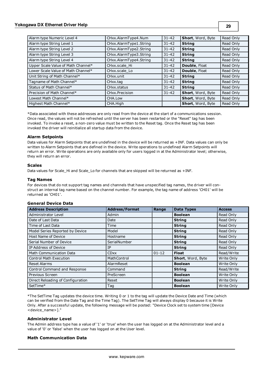## **Yokogawa DX Ethernet Driver Help**

| Alarm type Numeric Level 4         | CHxx.AlarmType4.Num      | $31 - 42$ | Short, Word, Byte        | Read Only |
|------------------------------------|--------------------------|-----------|--------------------------|-----------|
| Alarm type String Level 1          | CHxx.AlarmType1.String   | $31 - 42$ | <b>String</b>            | Read Only |
| Alarm type String Level 2          | CHxx.AlarmType2.String   | $31 - 42$ | <b>String</b>            | Read Only |
| Alarm type String Level 3          | CHxx.AlarmType3.String   | $31 - 42$ | <b>String</b>            | Read Only |
| Alarm type String Level 4          | CHxx.AlarmType4.String   | $31 - 42$ | <b>String</b>            | Read Only |
| Upper Scale Value of Math Channel* | CHxx.scale Hi            | $31 - 42$ | Double, Float            | Read Only |
| Lower Scale Value of Math Channel* | CHxx.scale Lo            | $31 - 42$ | Double, Float            | Read Only |
| Unit String of Math Channel*       | CHxx.unit                | $31 - 42$ | <b>String</b>            | Read Only |
| Tagname of Math Channel*           | CHxx.tag                 | $31 - 42$ | <b>String</b>            | Read Only |
| Status of Math Channel*            | CH <sub>xx</sub> .status | $31 - 42$ | <b>String</b>            | Read Only |
| Precision of Math Channel*         | CHxx.Precision           | $31 - 42$ | Short, Word, Byte        | Read Only |
| Lowest Math Channel*               | CHA.Low                  |           | <b>Short, Word, Byte</b> | Read Only |
| Highest Math Channel*              | CHA.High                 |           | Short, Word, Byte        | Read Only |

\*Data associated with these addresses are only read from the device at the start of a communications session. Once read, the values will not be refreshed until the server has been restarted or the "Reset" tag has been invoked. To invoke a reset, a non-zero value must be written to the Reset tag. Once the Reset tag has been invoked the driver will reinitialize all startup data from the device.

## **Alarm Setpoints**

Data values for Alarm Setpoints that are undefined in the device will be returned as +INF. Data values can only be written to Alarm Setpoints that are defined in the device. Write operations to undefined Alarm Setpoints will return an error. Write operations are only available only for users logged in at the Administrator level; otherwise, they will return an error.

## **Scales**

Data values for Scale\_Hi and Scale\_Lo for channels that are skipped will be returned as +INF.

## **Tag Names**

For devices that do not support tag names and channels that have unspecified tag names, the driver will construct an internal tag name based on the channel number. For example, the tag name of address 'CH01' will be returned as 'CH01'.

## **General Device Data**

| <b>Address Description</b>        | <b>Address/Format</b> | Range     | <b>Data Types</b> | <b>Access</b> |
|-----------------------------------|-----------------------|-----------|-------------------|---------------|
| Administrator Level               | Admin                 |           | <b>Boolean</b>    | Read Only     |
| Date of Last Data                 | Date                  |           | <b>String</b>     | Read Only     |
| Time of Last Data                 | Time                  |           | <b>String</b>     | Read Only     |
| Model Series Reported by Device   | Model                 |           | <b>String</b>     | Read Only     |
| Host Name of Device               | Hostname              |           | <b>String</b>     | Read Only     |
| Serial Number of Device           | SerialNumber          |           | <b>String</b>     | Read Only     |
| IP Address of Device              | IΡ                    |           | <b>String</b>     | Read Only     |
| <b>Math Communication Data</b>    | <b>CDxx</b>           | $01 - 12$ | Float             | Read/Write    |
| <b>Control Math Execution</b>     | MathControl           |           | Short, Word, Byte | Write Only    |
| <b>Reset Alarms</b>               | AlarmReset            |           | <b>Boolean</b>    | Write Only    |
| Control Command and Response      | Command               |           | <b>String</b>     | Read/Write    |
| Previous Screen                   | PreScreen             |           | <b>Boolean</b>    | Write Only    |
| Direct Reloading of Configuration | Reset                 |           | <b>Boolean</b>    | Write Only    |
| SetTime*                          | Tag                   |           | <b>Boolean</b>    | Write Only    |

\*The SetTime Tag updates the device time. Writing 0 or 1 to the tag will update the Device Date and Time (which can be verified from the Date Tag and the Time Tag). The SetTime Tag will always display 0 because it is Write Only. After a successful update, the following message will be posted: "Device Clock set to system time [Device <device\_name>]."

## **Administrator Level**

The Admin address type has a value of '1' or 'true' when the user has logged on at the Administrator level and a value of '0' or 'false' when the user has logged on at the User level.

## **Math Communication Data**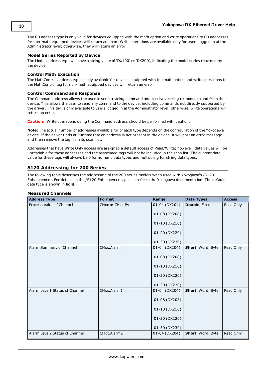The CD address type is only valid for devices equipped with the math option and write operations to CD addresses for non-math equipped devices will return an error. Write operations are available only for users logged in at the Administrator level; otherwise, they will return an error.

## **Model Series Reported by Device**

The Model address type will have a string value of 'DX100' or 'DX200', indicating the model series returned by the device.

## **Control Math Execution**

The MathControl address type is only available for devices equipped with the math option and write operations to the MathControl tag for non-math equipped devices will return an error.

## **Control Command and Response**

The Command address allows the user to send a string command and receive a string response to and from the device. This allows the user to send any command to the device, including commands not directly supported by the driver. This tag is only available to users logged in at the Administrator level; otherwise, write operations will return an error.

**Caution:** Write operations using the Command address should be performed with caution.

**Note:** The actual number of addresses available for of each type depends on the configuration of the Yokogawa device. If the driver finds at Runtime that an address is not present in the device, it will post an error message and then remove the tag from its scan list.

Addresses that have Write Only access are assigned a default access of Read/Write; however, data values will be unreadable for these addresses and the associated tags will not be included in the scan list. The current data value for these tags will always be 0 for numeric data types and null string for string data types.

## <span id="page-29-0"></span>**S120 Addressing for 200 Series**

The following table describes the addressing of the 200 series models when used with Yokogawa's /S120 Enhancement. For details on the /S120 Enhancement, please refer to the Yokogawa documentation. The default data type is shown in **bold**.

## **Measured Channels**

| <b>Address Type</b>            | <b>Format</b>   | Range         | <b>Data Types</b> | <b>Access</b> |
|--------------------------------|-----------------|---------------|-------------------|---------------|
| Process Value of Channel       | CHxx or CHxx.PV | 01-04 (DX204) | Double, Float     | Read Only     |
|                                |                 | 01-08 (DX208) |                   |               |
|                                |                 | 01-10 (DX210) |                   |               |
|                                |                 | 01-20 (DX220) |                   |               |
|                                |                 | 01-30 (DX230) |                   |               |
| Alarm Summary of Channel       | CHxx.Alarm      | 01-04 (DX204) | Short, Word, Byte | Read Only     |
|                                |                 | 01-08 (DX208) |                   |               |
|                                |                 | 01-10 (DX210) |                   |               |
|                                |                 | 01-20 (DX220) |                   |               |
|                                |                 | 01-30 (DX230) |                   |               |
| Alarm Level1 Status of Channel | CHxx.Alarm1     | 01-04 (DX204) | Short, Word, Byte | Read Only     |
|                                |                 | 01-08 (DX208) |                   |               |
|                                |                 | 01-10 (DX210) |                   |               |
|                                |                 | 01-20 (DX220) |                   |               |
|                                |                 | 01-30 (DX230) |                   |               |
| Alarm Level2 Status of Channel | CHxx.Alarm2     | 01-04 (DX204) | Short, Word, Byte | Read Only     |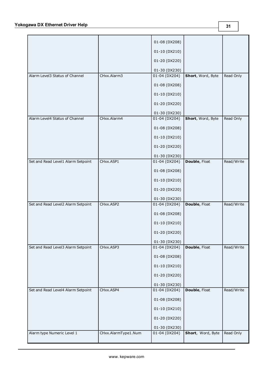|                                    |                     | 01-08 (DX208)     |                      |            |
|------------------------------------|---------------------|-------------------|----------------------|------------|
|                                    |                     | 01-10 (DX210)     |                      |            |
|                                    |                     | 01-20 (DX220)     |                      |            |
|                                    |                     | 01-30 (DX230)     |                      |            |
| Alarm Level3 Status of Channel     | CHxx.Alarm3         | 01-04 (DX204)     | Short, Word, Byte    | Read Only  |
|                                    |                     | 01-08 (DX208)     |                      |            |
|                                    |                     | 01-10 (DX210)     |                      |            |
|                                    |                     | 01-20 (DX220)     |                      |            |
|                                    |                     |                   |                      |            |
|                                    |                     | 01-30 (DX230)     |                      |            |
| Alarm Level4 Status of Channel     | CHxx.Alarm4         | $01 - 04$ (DX204) | Short, Word, Byte    | Read Only  |
|                                    |                     | 01-08 (DX208)     |                      |            |
|                                    |                     | 01-10 (DX210)     |                      |            |
|                                    |                     | 01-20 (DX220)     |                      |            |
|                                    |                     | 01-30 (DX230)     |                      |            |
| Set and Read Level1 Alarm Setpoint | CHxx.ASP1           | $01 - 04$ (DX204) | Double, Float        | Read/Write |
|                                    |                     | 01-08 (DX208)     |                      |            |
|                                    |                     | 01-10 (DX210)     |                      |            |
|                                    |                     | 01-20 (DX220)     |                      |            |
|                                    |                     | 01-30 (DX230)     |                      |            |
| Set and Read Level2 Alarm Setpoint | CHxx.ASP2           | 01-04 (DX204)     | Double, Float        | Read/Write |
|                                    |                     | 01-08 (DX208)     |                      |            |
|                                    |                     | 01-10 (DX210)     |                      |            |
|                                    |                     | 01-20 (DX220)     |                      |            |
|                                    |                     | 01-30 (DX230)     |                      |            |
| Set and Read Level3 Alarm Setpoint | CHxx.ASP3           | $01 - 04$ (DX204) | Double, Float        | Read/Write |
|                                    |                     | 01-08 (DX208)     |                      |            |
|                                    |                     | 01-10 (DX210)     |                      |            |
|                                    |                     | 01-20 (DX220)     |                      |            |
|                                    |                     | 01-30 (DX230)     |                      |            |
| Set and Read Level4 Alarm Setpoint | CHxx.ASP4           | 01-04 (DX204)     | <b>Double, Float</b> | Read/Write |
|                                    |                     | 01-08 (DX208)     |                      |            |
|                                    |                     | 01-10 (DX210)     |                      |            |
|                                    |                     | 01-20 (DX220)     |                      |            |
|                                    |                     | 01-30 (DX230)     |                      |            |
| Alarm type Numeric Level 1         | CHxx.AlarmType1.Num | 01-04 (DX204)     | Short, Word, Byte    | Read Only  |
|                                    |                     |                   |                      |            |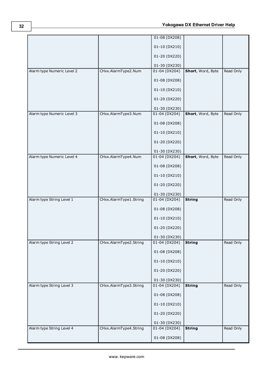|                            |                        | 01-08 (DX208)     |                   |           |
|----------------------------|------------------------|-------------------|-------------------|-----------|
|                            |                        | 01-10 (DX210)     |                   |           |
|                            |                        | 01-20 (DX220)     |                   |           |
|                            |                        | 01-30 (DX230)     |                   |           |
| Alarm type Numeric Level 2 | CHxx.AlarmType2.Num    | 01-04 (DX204)     | Short, Word, Byte | Read Only |
|                            |                        | 01-08 (DX208)     |                   |           |
|                            |                        | 01-10 (DX210)     |                   |           |
|                            |                        | 01-20 (DX220)     |                   |           |
|                            |                        | 01-30 (DX230)     |                   |           |
| Alarm type Numeric Level 3 | CHxx.AlarmType3.Num    | $01 - 04$ (DX204) | Short, Word, Byte | Read Only |
|                            |                        | 01-08 (DX208)     |                   |           |
|                            |                        | 01-10 (DX210)     |                   |           |
|                            |                        | 01-20 (DX220)     |                   |           |
|                            |                        | 01-30 (DX230)     |                   |           |
| Alarm type Numeric Level 4 | CHxx.AlarmType4.Num    | 01-04 (DX204)     | Short, Word, Byte | Read Only |
|                            |                        | 01-08 (DX208)     |                   |           |
|                            |                        | 01-10 (DX210)     |                   |           |
|                            |                        | 01-20 (DX220)     |                   |           |
|                            |                        | 01-30 (DX230)     |                   |           |
| Alarm type String Level 1  | CHxx.AlarmType1.String | 01-04 (DX204)     | <b>String</b>     | Read Only |
|                            |                        | 01-08 (DX208)     |                   |           |
|                            |                        | 01-10 (DX210)     |                   |           |
|                            |                        | 01-20 (DX220)     |                   |           |
|                            |                        | 01-30 (DX230)     |                   |           |
| Alarm type String Level 2  | CHxx.AlarmType2.String | $01 - 04$ (DX204) | <b>String</b>     | Read Only |
|                            |                        | 01-08 (DX208)     |                   |           |
|                            |                        | 01-10 (DX210)     |                   |           |
|                            |                        | 01-20 (DX220)     |                   |           |
|                            |                        | 01-30 (DX230)     |                   |           |
| Alarm type String Level 3  | CHxx.AlarmType3.String | 01-04 (DX204)     | <b>String</b>     | Read Only |
|                            |                        | 01-08 (DX208)     |                   |           |
|                            |                        | 01-10 (DX210)     |                   |           |
|                            |                        | 01-20 (DX220)     |                   |           |
|                            |                        | 01-30 (DX230)     |                   |           |
| Alarm type String Level 4  | CHxx.AlarmType4.String | 01-04 (DX204)     | <b>String</b>     | Read Only |
|                            |                        | 01-08 (DX208)     |                   |           |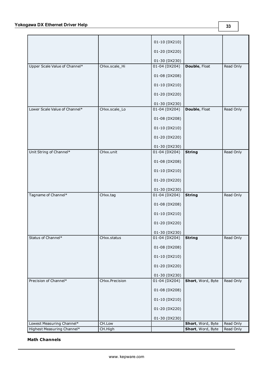|                               |                | 01-10 (DX210)     |                   |           |
|-------------------------------|----------------|-------------------|-------------------|-----------|
|                               |                | 01-20 (DX220)     |                   |           |
|                               |                | 01-30 (DX230)     |                   |           |
|                               |                |                   |                   |           |
| Upper Scale Value of Channel* | CHxx.scale_Hi  | 01-04 (DX204)     | Double, Float     | Read Only |
|                               |                | 01-08 (DX208)     |                   |           |
|                               |                | 01-10 (DX210)     |                   |           |
|                               |                | 01-20 (DX220)     |                   |           |
|                               |                | 01-30 (DX230)     |                   |           |
| Lower Scale Value of Channel* | CHxx.scale_Lo  | $01 - 04$ (DX204) | Double, Float     | Read Only |
|                               |                | 01-08 (DX208)     |                   |           |
|                               |                | 01-10 (DX210)     |                   |           |
|                               |                | 01-20 (DX220)     |                   |           |
|                               |                |                   |                   |           |
|                               |                | 01-30 (DX230)     |                   |           |
| Unit String of Channel*       | CHxx.unit      | 01-04 (DX204)     | <b>String</b>     | Read Only |
|                               |                | 01-08 (DX208)     |                   |           |
|                               |                | 01-10 (DX210)     |                   |           |
|                               |                | 01-20 (DX220)     |                   |           |
|                               |                | 01-30 (DX230)     |                   |           |
| Tagname of Channel*           | CHxx.tag       | 01-04 (DX204)     | <b>String</b>     | Read Only |
|                               |                | 01-08 (DX208)     |                   |           |
|                               |                | 01-10 (DX210)     |                   |           |
|                               |                | 01-20 (DX220)     |                   |           |
|                               |                | 01-30 (DX230)     |                   |           |
| Status of Channel*            | CHxx.status    | $01 - 04$ (DX204) | <b>String</b>     | Read Only |
|                               |                | 01-08 (DX208)     |                   |           |
|                               |                | $01-10$ (DX210)   |                   |           |
|                               |                | 01-20 (DX220)     |                   |           |
|                               |                | 01-30 (DX230)     |                   |           |
| Precision of Channel*         | CHxx.Precision | $01 - 04$ (DX204) | Short, Word, Byte | Read Only |
|                               |                |                   |                   |           |
|                               |                | 01-08 (DX208)     |                   |           |
|                               |                | 01-10 (DX210)     |                   |           |
|                               |                | 01-20 (DX220)     |                   |           |
|                               |                | 01-30 (DX230)     |                   |           |
| Lowest Measuring Channel*     | CH.Low         |                   | Short, Word, Byte | Read Only |
| Highest Measuring Channel*    | CH.High        |                   | Short, Word, Byte | Read Only |

## **Math Channels**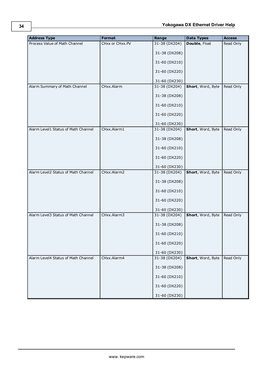| <b>Address Type</b>                 | <b>Format</b>   | Range         | <b>Data Types</b> | <b>Access</b> |
|-------------------------------------|-----------------|---------------|-------------------|---------------|
| Process Value of Math Channel       | CHxx or CHxx.PV | 31-38 (DX204) | Double, Float     | Read Only     |
|                                     |                 | 31-38 (DX208) |                   |               |
|                                     |                 | 31-60 (DX210) |                   |               |
|                                     |                 | 31-60 (DX220) |                   |               |
|                                     |                 | 31-60 (DX230) |                   |               |
| Alarm Summary of Math Channel       | CHxx.Alarm      | 31-38 (DX204) | Short, Word, Byte | Read Only     |
|                                     |                 | 31-38 (DX208) |                   |               |
|                                     |                 | 31-60 (DX210) |                   |               |
|                                     |                 | 31-60 (DX220) |                   |               |
|                                     |                 | 31-60 (DX230) |                   |               |
| Alarm Level1 Status of Math Channel | CHxx.Alarm1     | 31-38 (DX204) | Short, Word, Byte | Read Only     |
|                                     |                 | 31-38 (DX208) |                   |               |
|                                     |                 | 31-60 (DX210) |                   |               |
|                                     |                 | 31-60 (DX220) |                   |               |
|                                     |                 | 31-60 (DX230) |                   |               |
| Alarm Level2 Status of Math Channel | CHxx.Alarm2     | 31-38 (DX204) | Short, Word, Byte | Read Only     |
|                                     |                 | 31-38 (DX208) |                   |               |
|                                     |                 | 31-60 (DX210) |                   |               |
|                                     |                 | 31-60 (DX220) |                   |               |
|                                     |                 | 31-60 (DX230) |                   |               |
| Alarm Level3 Status of Math Channel | CHxx.Alarm3     | 31-38 (DX204) | Short, Word, Byte | Read Only     |
|                                     |                 | 31-38 (DX208) |                   |               |
|                                     |                 | 31-60 (DX210) |                   |               |
|                                     |                 | 31-60 (DX220) |                   |               |
|                                     |                 | 31-60 (DX230) |                   |               |
| Alarm Level4 Status of Math Channel | CHxx.Alarm4     | 31-38 (DX204) | Short, Word, Byte | Read Only     |
|                                     |                 | 31-38 (DX208) |                   |               |
|                                     |                 | 31-60 (DX210) |                   |               |
|                                     |                 | 31-60 (DX220) |                   |               |
|                                     |                 | 31-60 (DX230) |                   |               |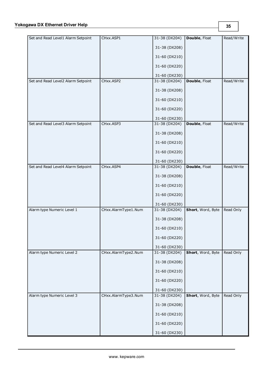| Set and Read Level1 Alarm Setpoint | CHxx.ASP1           | 31-38 (DX204)                  | <b>Double, Float</b> | Read/Write |
|------------------------------------|---------------------|--------------------------------|----------------------|------------|
|                                    |                     | 31-38 (DX208)                  |                      |            |
|                                    |                     | 31-60 (DX210)                  |                      |            |
|                                    |                     | 31-60 (DX220)                  |                      |            |
|                                    |                     | 31-60 (DX230)                  |                      |            |
| Set and Read Level2 Alarm Setpoint | CHxx.ASP2           | 31-38 (DX204)                  | <b>Double, Float</b> | Read/Write |
|                                    |                     | 31-38 (DX208)                  |                      |            |
|                                    |                     | 31-60 (DX210)                  |                      |            |
|                                    |                     | 31-60 (DX220)                  |                      |            |
|                                    |                     | 31-60 (DX230)                  |                      |            |
| Set and Read Level3 Alarm Setpoint | CHxx.ASP3           | 31-38 (DX204)                  | Double, Float        | Read/Write |
|                                    |                     | 31-38 (DX208)                  |                      |            |
|                                    |                     | 31-60 (DX210)                  |                      |            |
|                                    |                     | 31-60 (DX220)                  |                      |            |
|                                    |                     | 31-60 (DX230)                  |                      |            |
| Set and Read Level4 Alarm Setpoint | CHxx.ASP4           | 31-38 (DX204)                  | Double, Float        | Read/Write |
|                                    |                     | 31-38 (DX208)                  |                      |            |
|                                    |                     | 31-60 (DX210)                  |                      |            |
|                                    |                     | 31-60 (DX220)                  |                      |            |
|                                    |                     | 31-60 (DX230)                  |                      |            |
| Alarm type Numeric Level 1         | CHxx.AlarmType1.Num | 31-38 (DX204)                  | Short, Word, Byte    | Read Only  |
|                                    |                     | 31-38 (DX208)                  |                      |            |
|                                    |                     | 31-60 (DX210)                  |                      |            |
|                                    |                     | 31-60 (DX220)                  |                      |            |
|                                    |                     | 31-60 (DX230)                  |                      |            |
| Alarm type Numeric Level 2         | CHxx.AlarmType2.Num | 31-38 (DX204)                  | Short, Word, Byte    | Read Only  |
|                                    |                     | 31-38 (DX208)                  |                      |            |
|                                    |                     | 31-60 (DX210)                  |                      |            |
|                                    |                     | 31-60 (DX220)                  |                      |            |
|                                    |                     |                                |                      |            |
| Alarm type Numeric Level 3         | CHxx.AlarmType3.Num | 31-60 (DX230)<br>31-38 (DX204) | Short, Word, Byte    | Read Only  |
|                                    |                     |                                |                      |            |
|                                    |                     | 31-38 (DX208)                  |                      |            |
|                                    |                     | 31-60 (DX210)                  |                      |            |
|                                    |                     | 31-60 (DX220)                  |                      |            |
|                                    |                     | 31-60 (DX230)                  |                      |            |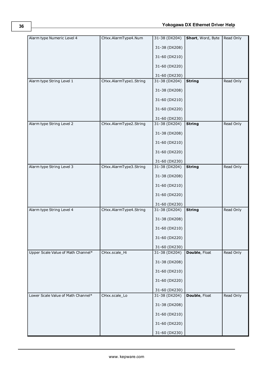| Alarm type Numeric Level 4         | CHxx.AlarmType4.Num    | 31-38 (DX204) | Short, Word, Byte | Read Only |
|------------------------------------|------------------------|---------------|-------------------|-----------|
|                                    |                        | 31-38 (DX208) |                   |           |
|                                    |                        | 31-60 (DX210) |                   |           |
|                                    |                        | 31-60 (DX220) |                   |           |
|                                    |                        | 31-60 (DX230) |                   |           |
| Alarm type String Level 1          | CHxx.AlarmType1.String | 31-38 (DX204) | <b>String</b>     | Read Only |
|                                    |                        | 31-38 (DX208) |                   |           |
|                                    |                        | 31-60 (DX210) |                   |           |
|                                    |                        | 31-60 (DX220) |                   |           |
|                                    |                        | 31-60 (DX230) |                   |           |
| Alarm type String Level 2          | CHxx.AlarmType2.String | 31-38 (DX204) | <b>String</b>     | Read Only |
|                                    |                        | 31-38 (DX208) |                   |           |
|                                    |                        | 31-60 (DX210) |                   |           |
|                                    |                        | 31-60 (DX220) |                   |           |
|                                    |                        | 31-60 (DX230) |                   |           |
| Alarm type String Level 3          | CHxx.AlarmType3.String | 31-38 (DX204) | <b>String</b>     | Read Only |
|                                    |                        | 31-38 (DX208) |                   |           |
|                                    |                        | 31-60 (DX210) |                   |           |
|                                    |                        | 31-60 (DX220) |                   |           |
|                                    |                        | 31-60 (DX230) |                   |           |
| Alarm type String Level 4          | CHxx.AlarmType4.String | 31-38 (DX204) | <b>String</b>     | Read Only |
|                                    |                        | 31-38 (DX208) |                   |           |
|                                    |                        | 31-60 (DX210) |                   |           |
|                                    |                        | 31-60 (DX220) |                   |           |
|                                    |                        | 31-60 (DX230) |                   |           |
| Upper Scale Value of Math Channel* | CHxx.scale_Hi          | 31-38 (DX204) | Double, Float     | Read Only |
|                                    |                        | 31-38 (DX208) |                   |           |
|                                    |                        | 31-60 (DX210) |                   |           |
|                                    |                        | 31-60 (DX220) |                   |           |
|                                    |                        | 31-60 (DX230) |                   |           |
| Lower Scale Value of Math Channel* | CHxx.scale_Lo          | 31-38 (DX204) | Double, Float     | Read Only |
|                                    |                        | 31-38 (DX208) |                   |           |
|                                    |                        | 31-60 (DX210) |                   |           |
|                                    |                        | 31-60 (DX220) |                   |           |
|                                    |                        | 31-60 (DX230) |                   |           |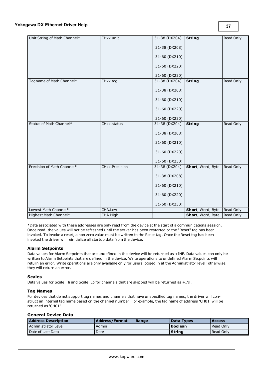| Unit String of Math Channel* | CHxx.unit      | 31-38 (DX204) | <b>String</b>     | Read Only |
|------------------------------|----------------|---------------|-------------------|-----------|
|                              |                | 31-38 (DX208) |                   |           |
|                              |                |               |                   |           |
|                              |                | 31-60 (DX210) |                   |           |
|                              |                | 31-60 (DX220) |                   |           |
|                              |                | 31-60 (DX230) |                   |           |
| Tagname of Math Channel*     | CHxx.tag       | 31-38 (DX204) | <b>String</b>     | Read Only |
|                              |                |               |                   |           |
|                              |                | 31-38 (DX208) |                   |           |
|                              |                | 31-60 (DX210) |                   |           |
|                              |                | 31-60 (DX220) |                   |           |
|                              |                |               |                   |           |
|                              |                | 31-60 (DX230) |                   |           |
| Status of Math Channel*      | CHxx.status    | 31-38 (DX204) | <b>String</b>     | Read Only |
|                              |                | 31-38 (DX208) |                   |           |
|                              |                | 31-60 (DX210) |                   |           |
|                              |                | 31-60 (DX220) |                   |           |
|                              |                | 31-60 (DX230) |                   |           |
| Precision of Math Channel*   | CHxx.Precision | 31-38 (DX204) | Short, Word, Byte | Read Only |
|                              |                | 31-38 (DX208) |                   |           |
|                              |                | 31-60 (DX210) |                   |           |
|                              |                | 31-60 (DX220) |                   |           |
|                              |                | 31-60 (DX230) |                   |           |
| Lowest Math Channel*         | CHA.Low        |               | Short, Word, Byte | Read Only |
| Highest Math Channel*        | CHA.High       |               | Short, Word, Byte | Read Only |

\*Data associated with these addresses are only read from the device at the start of a communications session. Once read, the values will not be refreshed until the server has been restarted or the "Reset" tag has been invoked. To invoke a reset, a non zero value must be written to the Reset tag. Once the Reset tag has been invoked the driver will reinitialize all startup data from the device.

## **Alarm Setpoints**

Data values for Alarm Setpoints that are undefined in the device will be returned as +INF. Data values can only be written to Alarm Setpoints that are defined in the device. Write operations to undefined Alarm Setpoints will return an error. Write operations are only available only for users logged in at the Administrator level; otherwise, they will return an error.

## **Scales**

Data values for Scale\_Hi and Scale\_Lo for channels that are skipped will be returned as +INF.

#### **Tag Names**

For devices that do not support tag names and channels that have unspecified tag names, the driver will construct an internal tag name based on the channel number. For example, the tag name of address 'CH01' will be returned as 'CH01'.

### **General Device Data**

| <b>Address Description</b> | <b>Address/Format</b> | Range | Data Types     | <b>Access</b> |
|----------------------------|-----------------------|-------|----------------|---------------|
| Administrator Level        | Admin                 |       | <b>Boolean</b> | Read Only     |
| Date of Last Data          | Date                  |       | <b>String</b>  | Read Only     |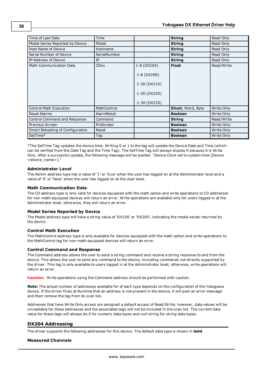| Time of Last Data                 | Time               |                             | <b>String</b>     | Read Only  |
|-----------------------------------|--------------------|-----------------------------|-------------------|------------|
| Model Series Reported by Device   | Model              |                             | <b>String</b>     | Read Only  |
| Host Name of Device               | Hostname           |                             | <b>String</b>     | Read Only  |
| Serial Number of Device           | SerialNumber       |                             | <b>String</b>     | Read Only  |
| IP Address of Device              | IP                 |                             | <b>String</b>     | Read Only  |
| <b>Math Communication Data</b>    | <b>CDxx</b>        | 1-8 (DX204)                 | <b>Float</b>      | Read/Write |
|                                   |                    | 1-8 (DX208)<br>1-30 (DX210) |                   |            |
|                                   |                    |                             |                   |            |
|                                   |                    | 1-30 (DX220)                |                   |            |
|                                   |                    | 1-30 (DX230)                |                   |            |
| <b>Control Math Execution</b>     | <b>MathControl</b> |                             | Short, Word, Byte | Write Only |
| <b>Reset Alarms</b>               | AlarmReset         |                             | <b>Boolean</b>    | Write Only |
| Control Command and Response      | Command            |                             | <b>String</b>     | Read/Write |
| Previous Screen                   | PreScreen          |                             | <b>Boolean</b>    | Write Only |
| Direct Reloading of Configuration | Reset              |                             | <b>Boolean</b>    | Write Only |
| SetTime*                          | Tag                |                             | <b>Boolean</b>    | Write Only |

\*The SetTime Tag updates the device time. Writing 0 or 1 to the tag will update the Device Date and Time (which can be verified from the Date Tag and the Time Tag). The SetTime Tag will always display 0 because it is Write Only. After a successful update, the following message will be posted: "Device Clock set to system time [Device <device\_name>]."

## **Administrator Level**

The Admin address type has a value of '1' or 'true' when the user has logged on at the Administrator level and a value of '0' or 'false' when the user has logged on at the User level.

#### **Math Communication Data**

The CD address type is only valid for devices equipped with the math option and write operations to CD addresses for non-math equipped devices will return an error. Write operations are available only for users logged in at the Administrator level; otherwise, they will return an error.

#### **Model Series Reported by Device**

The Model address type will have a string value of 'DX100' or 'DX200', indicating the model series returned by the device.

## **Control Math Execution**

The MathControl address type is only available for devices equipped with the math option and write operations to the MathControl tag for non-math equipped devices will return an error.

#### **Control Command and Response**

The Command address allows the user to send a string command and receive a string response to and from the device. This allows the user to send any command to the device, including commands not directly supported by the driver. This tag is only available to users logged in at the Administrator level; otherwise, write operations will return an error.

**Caution:** Write operations using the Command address should be performed with caution.

**Note:** The actual number of addresses available for of each type depends on the configuration of the Yokogawa device. If the driver finds at Runtime that an address is not present in the device, it will post an error message and then remove the tag from its scan list.

Addresses that have Write Only access are assigned a default access of Read/Write; however, data values will be unreadable for these addresses and the associated tags will not be included in the scan list. The current data value for these tags will always be 0 for numeric data types and null string for string data types.

## **DX204 Addressing**

The driver supports the following addresses for this device. The default data type is shown in **bold**.

## **Measured Channels**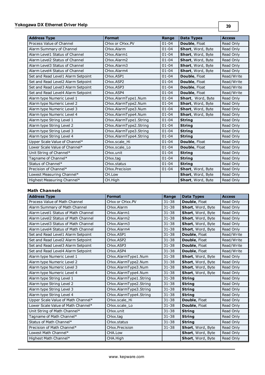| <b>Address Type</b>                | <b>Format</b>          | Range     | <b>Data Types</b> | <b>Access</b> |
|------------------------------------|------------------------|-----------|-------------------|---------------|
| Process Value of Channel           | CHxx or CHxx.PV        | $01 - 04$ | Double, Float     | Read Only     |
| Alarm Summary of Channel           | CHxx.Alarm             | $01 - 04$ | Short, Word, Byte | Read Only     |
| Alarm Level1 Status of Channel     | CHxx.Alarm1            | $01 - 04$ | Short, Word, Byte | Read Only     |
| Alarm Level2 Status of Channel     | CHxx.Alarm2            | $01 - 04$ | Short, Word, Byte | Read Only     |
| Alarm Level3 Status of Channel     | CHxx.Alarm3            | $01 - 04$ | Short, Word, Byte | Read Only     |
| Alarm Level4 Status of Channel     | CHxx.Alarm4            | $01 - 04$ | Short, Word, Byte | Read Only     |
| Set and Read Level1 Alarm Setpoint | CHxx.ASP1              | $01 - 04$ | Double, Float     | Read/Write    |
| Set and Read Level2 Alarm Setpoint | CHxx.ASP2              | $01 - 04$ | Double, Float     | Read/Write    |
| Set and Read Level3 Alarm Setpoint | CHxx.ASP3              | $01 - 04$ | Double, Float     | Read/Write    |
| Set and Read Level4 Alarm Setpoint | CHxx.ASP4              | $01 - 04$ | Double, Float     | Read/Write    |
| Alarm type Numeric Level 1         | CHxx.AlarmType1.Num    | $01 - 04$ | Short, Word, Byte | Read Only     |
| Alarm type Numeric Level 2         | CHxx.AlarmType2.Num    | $01 - 04$ | Short, Word, Byte | Read Only     |
| Alarm type Numeric Level 3         | CHxx.AlarmType3.Num    | $01 - 04$ | Short, Word, Byte | Read Only     |
| Alarm type Numeric Level 4         | CHxx.AlarmType4.Num    | $01 - 04$ | Short, Word, Byte | Read Only     |
| Alarm type String Level 1          | CHxx.AlarmType1.String | $01 - 04$ | <b>String</b>     | Read Only     |
| Alarm type String Level 2          | CHxx.AlarmType2.String | $01 - 04$ | <b>String</b>     | Read Only     |
| Alarm type String Level 3          | CHxx.AlarmType3.String | $01 - 04$ | <b>String</b>     | Read Only     |
| Alarm type String Level 4          | CHxx.AlarmType4.String | $01 - 04$ | <b>String</b>     | Read Only     |
| Upper Scale Value of Channel*      | CHxx.scale Hi          | $01 - 04$ | Double, Float     | Read Only     |
| Lower Scale Value of Channel*      | CHxx.scale Lo          | $01 - 04$ | Double, Float     | Read Only     |
| Unit String of Channel*            | CHxx.unit              | $01 - 04$ | <b>String</b>     | Read Only     |
| Tagname of Channel*                | CHxx.tag               | $01 - 04$ | <b>String</b>     | Read Only     |
| Status of Channel*                 | CHxx.status            | $01 - 04$ | <b>String</b>     | Read Only     |
| Precision of Channel*              | CHxx.Precision         | $01 - 04$ | Short, Word, Byte | Read Only     |
| Lowest Measuring Channel*          | CH.Low                 |           | Short, Word, Byte | Read Only     |
| Highest Measuring Channel*         | CH.High                |           | Short, Word, Byte | Read Only     |

# **Math Channels**

| <b>Address Type</b>                 | <b>Format</b>          | Range     | <b>Data Types</b> | <b>Access</b> |
|-------------------------------------|------------------------|-----------|-------------------|---------------|
| Process Value of Math Channel       | CHxx or CHxx.PV        | $31 - 38$ | Double, Float     | Read Only     |
| Alarm Summary of Math Channel       | CHxx.Alarm             | $31 - 38$ | Short, Word, Byte | Read Only     |
| Alarm Level1 Status of Math Channel | CHxx.Alarm1            | $31 - 38$ | Short, Word, Byte | Read Only     |
| Alarm Level2 Status of Math Channel | CHxx.Alarm2            | $31 - 38$ | Short, Word, Byte | Read Only     |
| Alarm Level3 Status of Math Channel | CHxx.Alarm3            | $31 - 38$ | Short, Word, Byte | Read Only     |
| Alarm Level4 Status of Math Channel | CHxx.Alarm4            | $31 - 38$ | Short, Word, Byte | Read Only     |
| Set and Read Level1 Alarm Setpoint  | CHxx.ASP1              | $31 - 38$ | Double, Float     | Read/Write    |
| Set and Read Level2 Alarm Setpoint  | CHxx.ASP2              | $31 - 38$ | Double, Float     | Read/Write    |
| Set and Read Level3 Alarm Setpoint  | CHxx.ASP3              | $31 - 38$ | Double, Float     | Read/Write    |
| Set and Read Level4 Alarm Setpoint  | CHxx.ASP4              | $31 - 38$ | Double, Float     | Read/Write    |
| Alarm type Numeric Level 1          | CHxx.AlarmType1.Num    | $31 - 38$ | Short, Word, Byte | Read Only     |
| Alarm type Numeric Level 2          | CHxx.AlarmType2.Num    | $31 - 38$ | Short, Word, Byte | Read Only     |
| Alarm type Numeric Level 3          | CHxx.AlarmType3.Num    | $31 - 38$ | Short, Word, Byte | Read Only     |
| Alarm type Numeric Level 4          | CHxx.AlarmType4.Num    | $31 - 38$ | Short, Word, Byte | Read Only     |
| Alarm type String Level 1           | CHxx.AlarmType1.String | $31 - 38$ | <b>String</b>     | Read Only     |
| Alarm type String Level 2           | CHxx.AlarmType2.String | $31 - 38$ | <b>String</b>     | Read Only     |
| Alarm type String Level 3           | CHxx.AlarmType3.String | $31 - 38$ | <b>String</b>     | Read Only     |
| Alarm type String Level 4           | CHxx.AlarmType4.String | $31 - 38$ | <b>String</b>     | Read Only     |
| Upper Scale Value of Math Channel*  | CHxx.scale Hi          | $31 - 38$ | Double, Float     | Read Only     |
| Lower Scale Value of Math Channel*  | CHxx.scale Lo          | $31 - 38$ | Double, Float     | Read Only     |
| Unit String of Math Channel*        | CHxx.unit              | $31 - 38$ | <b>String</b>     | Read Only     |
| Tagname of Math Channel*            | CHxx.tag               | $31 - 38$ | <b>String</b>     | Read Only     |
| Status of Math Channel*             | CHxx.status            | $31 - 38$ | <b>String</b>     | Read Only     |
| Precision of Math Channel*          | <b>CHxx.Precision</b>  | $31 - 38$ | Short, Word, Byte | Read Only     |
| Lowest Math Channel*                | CHA.Low                |           | Short, Word, Byte | Read Only     |
| Highest Math Channel*               | CHA.High               |           | Short, Word, Byte | Read Only     |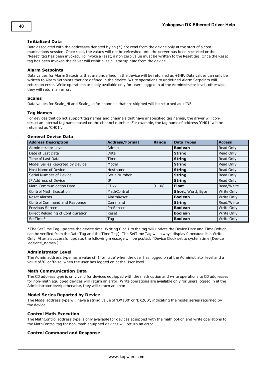## **Initialized Data**

Data associated with the addresses denoted by an (\*) are read from the device only at the start of a communications session. Once read, the values will not be refreshed until the server has been restarted or the "Reset" tag has been invoked. To invoke a reset, a non zero value must be written to the Reset tag. Once the Reset tag has been invoked the driver will reinitialize all startup data from the device.

## **Alarm Setpoints**

Data values for Alarm Setpoints that are undefined in the device will be returned as +INF. Data values can only be written to Alarm Setpoints that are defined in the device. Write operations to undefined Alarm Setpoints will return an error. Write operations are only available only for users logged in at the Administrator level; otherwise, they will return an error.

## **Scales**

Data values for Scale\_Hi and Scale\_Lo for channels that are skipped will be returned as +INF.

## **Tag Names**

For devices that do not support tag names and channels that have unspecified tag names, the driver will construct an internal tag name based on the channel number. For example, the tag name of address 'CH01' will be returned as 'CH01'.

## **General Device Data**

| <b>Address Description</b>        | <b>Address/Format</b> | Range     | <b>Data Types</b> | <b>Access</b> |
|-----------------------------------|-----------------------|-----------|-------------------|---------------|
| Administrator Level               | Admin                 |           | <b>Boolean</b>    | Read Only     |
| Date of Last Data                 | Date                  |           | <b>String</b>     | Read Only     |
| Time of Last Data                 | Time                  |           | <b>String</b>     | Read Only     |
| Model Series Reported by Device   | Model                 |           | <b>String</b>     | Read Only     |
| Host Name of Device               | Hostname              |           | <b>String</b>     | Read Only     |
| Serial Number of Device           | SerialNumber          |           | <b>String</b>     | Read Only     |
| IP Address of Device              | IP                    |           | <b>String</b>     | Read Only     |
| <b>Math Communication Data</b>    | <b>CDxx</b>           | $01 - 08$ | <b>Float</b>      | Read/Write    |
| <b>Control Math Execution</b>     | MathControl           |           | Short, Word, Byte | Write Only    |
| <b>Reset Alarms</b>               | AlarmReset            |           | <b>Boolean</b>    | Write Only    |
| Control Command and Response      | Command               |           | <b>String</b>     | Read/Write    |
| Previous Screen                   | PreScreen             |           | <b>Boolean</b>    | Write Only    |
| Direct Reloading of Configuration | Reset                 |           | <b>Boolean</b>    | Write Only    |
| SetTime*                          | Tag                   |           | <b>Boolean</b>    | Write Only    |

\*The SetTime Tag updates the device time. Writing 0 or 1 to the tag will update the Device Date and Time (which can be verified from the Date Tag and the Time Tag). The SetTime Tag will always display 0 because it is Write Only. After a successful update, the following message will be posted: "Device Clock set to system time [Device <device\_name>]."

## **Administrator Level**

The Admin address type has a value of '1' or 'true' when the user has logged on at the Administrator level and a value of '0' or 'false' when the user has logged on at the User level.

## **Math Communication Data**

The CD address type is only valid for devices equipped with the math option and write operations to CD addresses for non-math equipped devices will return an error. Write operations are available only for users logged in at the Administrator level; otherwise, they will return an error.

## **Model Series Reported by Device**

The Model address type will have a string value of 'DX100' or 'DX200', indicating the model series returned by the device.

## **Control Math Execution**

The MathControl address type is only available for devices equipped with the math option and write operations to the MathControl tag for non-math equipped devices will return an error.

## **Control Command and Response**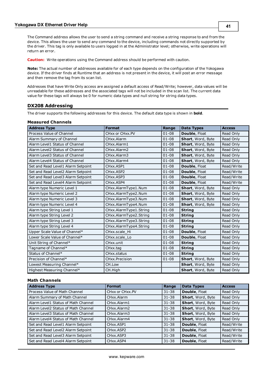The Command address allows the user to send a string command and receive a string response to and from the device. This allows the user to send any command to the device, including commands not directly supported by the driver. This tag is only available to users logged in at the Administrator level; otherwise, write operations will return an error.

**Caution:** Write operations using the Command address should be performed with caution.

**Note:** The actual number of addresses available for of each type depends on the configuration of the Yokogawa device. If the driver finds at Runtime that an address is not present in the device, it will post an error message and then remove the tag from its scan list.

Addresses that have Write Only access are assigned a default access of Read/Write; however, data values will be unreadable for these addresses and the associated tags will not be included in the scan list. The current data value for these tags will always be 0 for numeric data types and null string for string data types.

## **DX208 Addressing**

The driver supports the following addresses for this device. The default data type is shown in **bold**.

#### **Measured Channels**

| <b>Address Type</b>                | <b>Format</b>          | Range     | <b>Data Types</b> | <b>Access</b> |
|------------------------------------|------------------------|-----------|-------------------|---------------|
| Process Value of Channel           | CHxx or CHxx.PV        | $01 - 08$ | Double, Float     | Read Only     |
| Alarm Summary of Channel           | CHxx.Alarm             | $01 - 08$ | Short, Word, Byte | Read Only     |
| Alarm Level1 Status of Channel     | CHxx.Alarm1            | $01 - 08$ | Short, Word, Byte | Read Only     |
| Alarm Level2 Status of Channel     | CHxx.Alarm2            | $01 - 08$ | Short, Word, Byte | Read Only     |
| Alarm Level3 Status of Channel     | CHxx.Alarm3            | $01 - 08$ | Short, Word, Byte | Read Only     |
| Alarm Level4 Status of Channel     | CHxx.Alarm4            | $01 - 08$ | Short, Word, Byte | Read Only     |
| Set and Read Level1 Alarm Setpoint | CHxx.ASP1              | $01 - 08$ | Double, Float     | Read/Write    |
| Set and Read Level2 Alarm Setpoint | CHxx.ASP2              | $01 - 08$ | Double, Float     | Read/Write    |
| Set and Read Level3 Alarm Setpoint | CHxx.ASP3              | $01 - 08$ | Double, Float     | Read/Write    |
| Set and Read Level4 Alarm Setpoint | CHxx.ASP4              | $01 - 08$ | Double, Float     | Read/Write    |
| Alarm type Numeric Level 1         | CHxx.AlarmType1.Num    | $01 - 08$ | Short, Word, Byte | Read Only     |
| Alarm type Numeric Level 2         | CHxx.AlarmType2.Num    | $01 - 08$ | Short, Word, Byte | Read Only     |
| Alarm type Numeric Level 3         | CHxx.AlarmType3.Num    | $01 - 08$ | Short, Word, Byte | Read Only     |
| Alarm type Numeric Level 4         | CHxx.AlarmType4.Num    | $01 - 08$ | Short, Word, Byte | Read Only     |
| Alarm type String Level 1          | CHxx.AlarmType1.String | $01 - 08$ | <b>String</b>     | Read Only     |
| Alarm type String Level 2          | CHxx.AlarmType2.String | $01 - 08$ | <b>String</b>     | Read Only     |
| Alarm type String Level 3          | CHxx.AlarmType3.String | $01 - 08$ | <b>String</b>     | Read Only     |
| Alarm type String Level 4          | CHxx.AlarmType4.String | $01 - 08$ | <b>String</b>     | Read Only     |
| Upper Scale Value of Channel*      | CHxx.scale Hi          | $01 - 08$ | Double, Float     | Read Only     |
| Lower Scale Value of Channel*      | CHxx.scale Lo          | $01 - 08$ | Double, Float     | Read Only     |
| Unit String of Channel*            | CHxx.unit              | $01 - 08$ | <b>String</b>     | Read Only     |
| Tagname of Channel*                | CHxx.tag               | $01 - 08$ | <b>String</b>     | Read Only     |
| Status of Channel*                 | CHxx.status            | $01 - 08$ | <b>String</b>     | Read Only     |
| Precision of Channel*              | CHxx.Precision         | $01 - 08$ | Short, Word, Byte | Read Only     |
| Lowest Measuring Channel*          | CH.Low                 |           | Short, Word, Byte | Read Only     |
| Highest Measuring Channel*         | CH.High                |           | Short, Word, Byte | Read Only     |

| <b>Address Type</b>                 | <b>Format</b>                      | Range     | <b>Data Types</b> | <b>Access</b> |
|-------------------------------------|------------------------------------|-----------|-------------------|---------------|
| Process Value of Math Channel       | CHxx or CHxx.PV                    | $31 - 38$ | Double, Float     | Read Only     |
| Alarm Summary of Math Channel       | CHxx.Alarm                         | $31 - 38$ | Short, Word, Byte | Read Only     |
| Alarm Level1 Status of Math Channel | CHxx.Alarm1                        | $31 - 38$ | Short, Word, Byte | Read Only     |
| Alarm Level2 Status of Math Channel | CHxx.Alarm2                        | $31 - 38$ | Short, Word, Byte | Read Only     |
| Alarm Level3 Status of Math Channel | CHxx.Alarm3                        | $31 - 38$ | Short, Word, Byte | Read Only     |
| Alarm Level4 Status of Math Channel | CHxx.Alarm4                        | $31 - 38$ | Short, Word, Byte | Read Only     |
| Set and Read Level1 Alarm Setpoint  | CHxx.ASP1                          | $31 - 38$ | Double, Float     | Read/Write    |
| Set and Read Level2 Alarm Setpoint  | CH <sub>xx</sub> .ASP <sub>2</sub> | $31 - 38$ | Double, Float     | Read/Write    |
| Set and Read Level3 Alarm Setpoint  | CH <sub>xx</sub> .ASP3             | $31 - 38$ | Double, Float     | Read/Write    |
| Set and Read Level4 Alarm Setpoint  | CHxx.ASP4                          | $31 - 38$ | Double, Float     | Read/Write    |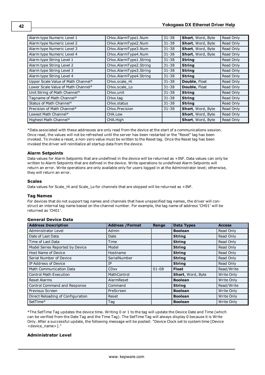| Alarm type Numeric Level 1         | CHxx.AlarmType1.Num      | $31 - 38$ | <b>Short, Word, Byte</b> | Read Only |
|------------------------------------|--------------------------|-----------|--------------------------|-----------|
| Alarm type Numeric Level 2         | CHxx.AlarmType2.Num      | $31 - 38$ | <b>Short, Word, Byte</b> | Read Only |
| Alarm type Numeric Level 3         | CHxx.AlarmType3.Num      | $31 - 38$ | <b>Short, Word, Byte</b> | Read Only |
| Alarm type Numeric Level 4         | CHxx.AlarmType4.Num      | $31 - 38$ | <b>Short, Word, Byte</b> | Read Only |
| Alarm type String Level 1          | CHxx.AlarmType1.String   | $31 - 38$ | <b>String</b>            | Read Only |
| Alarm type String Level 2          | CHxx.AlarmType2.String   | $31 - 38$ | <b>String</b>            | Read Only |
| Alarm type String Level 3          | CHxx.AlarmType3.String   | $31 - 38$ | <b>String</b>            | Read Only |
| Alarm type String Level 4          | CHxx.AlarmType4.String   | $31 - 38$ | <b>String</b>            | Read Only |
| Upper Scale Value of Math Channel* | CHxx.scale Hi            | $31 - 38$ | Double, Float            | Read Only |
| Lower Scale Value of Math Channel* | CHxx.scale Lo            | $31 - 38$ | Double, Float            | Read Only |
| Unit String of Math Channel*       | CHxx.unit                | $31 - 38$ | <b>String</b>            | Read Only |
| Tagname of Math Channel*           | CHxx.tag                 | $31 - 38$ | <b>String</b>            | Read Only |
| Status of Math Channel*            | CH <sub>xx</sub> .status | $31 - 38$ | <b>String</b>            | Read Only |
| Precision of Math Channel*         | <b>CHxx.Precision</b>    | $31 - 38$ | <b>Short, Word, Byte</b> | Read Only |
| Lowest Math Channel*               | CHA.Low                  |           | <b>Short, Word, Byte</b> | Read Only |
| Highest Math Channel*              | CHA.High                 |           | <b>Short, Word, Byte</b> | Read Only |

\*Data associated with these addresses are only read from the device at the start of a communications session. Once read, the values will not be refreshed until the server has been restarted or the "Reset" tag has been invoked. To invoke a reset, a non-zero value must be written to the Reset tag. Once the Reset tag has been invoked the driver will reinitialize all startup data from the device.

### **Alarm Setpoints**

Data values for Alarm Setpoints that are undefined in the device will be returned as +INF. Data values can only be written to Alarm Setpoints that are defined in the device. Write operations to undefined Alarm Setpoints will return an error. Write operations are only available only for users logged in at the Administrator level; otherwise, they will return an error.

#### **Scales**

Data values for Scale\_Hi and Scale\_Lo for channels that are skipped will be returned as +INF.

#### **Tag Names**

For devices that do not support tag names and channels that have unspecified tag names, the driver will construct an internal tag name based on the channel number. For example, the tag name of address 'CH01' will be returned as 'CH01'.

## **General Device Data**

| <b>Address Description</b>          | <b>Address / Format</b> | Range     | <b>Data Types</b> | <b>Access</b> |
|-------------------------------------|-------------------------|-----------|-------------------|---------------|
| Administrator Level                 | Admin                   |           | <b>Boolean</b>    | Read Only     |
| Date of Last Data                   | Date                    |           | <b>String</b>     | Read Only     |
| Time of Last Data                   | Time                    |           | <b>String</b>     | Read Only     |
| Model Series Reported by Device     | Model                   |           | <b>String</b>     | Read Only     |
| Host Name of Device                 | Hostname                |           | <b>String</b>     | Read Only     |
| Serial Number of Device             | SerialNumber            |           | <b>String</b>     | Read Only     |
| IP Address of Device                | IP                      |           | <b>String</b>     | Read Only     |
| <b>Math Communication Data</b>      | <b>CDxx</b>             | $01 - 08$ | <b>Float</b>      | Read/Write    |
| <b>Control Math Execution</b>       | MathControl             |           | Short, Word, Byte | Write Only    |
| <b>Reset Alarms</b>                 | AlarmReset              |           | <b>Boolean</b>    | Write Only    |
| <b>Control Command and Response</b> | Command                 |           | <b>String</b>     | Read/Write    |
| Previous Screen                     | PreScreen               |           | <b>Boolean</b>    | Write Only    |
| Direct Reloading of Configuration   | Reset                   |           | <b>Boolean</b>    | Write Only    |
| SetTime*                            | Tag                     |           | <b>Boolean</b>    | Write Only    |

\*The SetTime Tag updates the device time. Writing 0 or 1 to the tag will update the Device Date and Time (which can be verified from the Date Tag and the Time Tag). The SetTime Tag will always display 0 because it is Write Only. After a successful update, the following message will be posted: "Device Clock set to system time [Device <device\_name>]."

## **Administrator Level**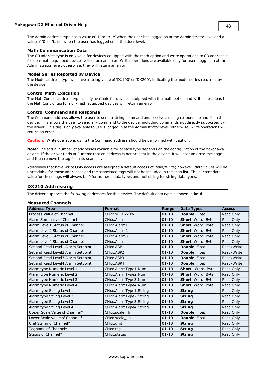The Admin address type has a value of '1' or 'true' when the user has logged on at the Administrator level and a value of '0' or 'false' when the user has logged on at the User level.

#### **Math Communication Data**

The CD address type is only valid for devices equipped with the math option and write operations to CD addresses for non-math equipped devices will return an error. Write operations are available only for users logged in at the Administrator level; otherwise, they will return an error.

### **Model Series Reported by Device**

The Model address type will have a string value of 'DX100' or 'DX200', indicating the model series returned by the device.

### **Control Math Execution**

The MathControl address type is only available for devices equipped with the math option and write operations to the MathControl tag for non-math equipped devices will return an error.

### **Control Command and Response**

The Command address allows the user to send a string command and receive a string response to and from the device. This allows the user to send any command to the device, including commands not directly supported by the driver. This tag is only available to users logged in at the Administrator level; otherwise, write operations will return an error.

**Caution:** Write operations using the Command address should be performed with caution.

**Note:** The actual number of addresses available for of each type depends on the configuration of the Yokogawa device. If the driver finds at Runtime that an address is not present in the device, it will post an error message and then remove the tag from its scan list.

Addresses that have Write Only access are assigned a default access of Read/Write; however, data values will be unreadable for these addresses and the associated tags will not be included in the scan list. The current data value for these tags will always be 0 for numeric data types and null string for string data types.

## **DX210 Addressing**

The driver supports the following addresses for this device. The default data type is shown in **bold**.

#### **Measured Channels**

| <b>Address Type</b>                | <b>Format</b>          | Range     | <b>Data Types</b>        | <b>Access</b> |
|------------------------------------|------------------------|-----------|--------------------------|---------------|
| Process Value of Channel           | CHxx or CHxx.PV        | $01 - 10$ | Double, Float            | Read Only     |
| Alarm Summary of Channel           | CHxx.Alarm             | $01 - 10$ | <b>Short, Word, Byte</b> | Read Only     |
| Alarm Level1 Status of Channel     | CHxx.Alarm1            | $01 - 10$ | <b>Short, Word, Byte</b> | Read Only     |
| Alarm Level2 Status of Channel     | CHxx.Alarm2            | $01 - 10$ | Short, Word, Byte        | Read Only     |
| Alarm Level3 Status of Channel     | CHxx.Alarm3            | $01 - 10$ | Short, Word, Byte        | Read Only     |
| Alarm Level4 Status of Channel     | CHxx.Alarm4            | $01 - 10$ | Short, Word, Byte        | Read Only     |
| Set and Read Level1 Alarm Setpoint | CHxx.ASP1              | $01 - 10$ | Double, Float            | Read/Write    |
| Set and Read Level2 Alarm Setpoint | CHxx.ASP2              | $01 - 10$ | Double, Float            | Read/Write    |
| Set and Read Level3 Alarm Setpoint | CHxx.ASP3              | $01 - 10$ | Double, Float            | Read/Write    |
| Set and Read Level4 Alarm Setpoint | CHxx.ASP4              | $01 - 10$ | Double, Float            | Read/Write    |
| Alarm type Numeric Level 1         | CHxx.AlarmType1.Num    | $01 - 10$ | Short, Word, Byte        | Read Only     |
| Alarm type Numeric Level 2         | CHxx.AlarmType2.Num    | $01 - 10$ | Short, Word, Byte        | Read Only     |
| Alarm type Numeric Level 3         | CHxx.AlarmType3.Num    | $01 - 10$ | Short, Word, Byte        | Read Only     |
| Alarm type Numeric Level 4         | CHxx.AlarmType4.Num    | $01 - 10$ | Short, Word, Byte        | Read Only     |
| Alarm type String Level 1          | CHxx.AlarmType1.String | $01 - 10$ | <b>String</b>            | Read Only     |
| Alarm type String Level 2          | CHxx.AlarmType2.String | $01 - 10$ | <b>String</b>            | Read Only     |
| Alarm type String Level 3          | CHxx.AlarmType3.String | $01 - 10$ | <b>String</b>            | Read Only     |
| Alarm type String Level 4          | CHxx.AlarmType4.String | $01 - 10$ | <b>String</b>            | Read Only     |
| Upper Scale Value of Channel*      | CHxx.scale Hi          | $01 - 10$ | Double, Float            | Read Only     |
| Lower Scale Value of Channel*      | CHxx.scale_Lo          | $01 - 10$ | Double, Float            | Read Only     |
| Unit String of Channel*            | CHxx.unit              | $01 - 10$ | <b>String</b>            | Read Only     |
| Tagname of Channel*                | CHxx.tag               | $01 - 10$ | <b>String</b>            | Read Only     |
| Status of Channel*                 | CHxx.status            | $01 - 10$ | <b>String</b>            | Read Only     |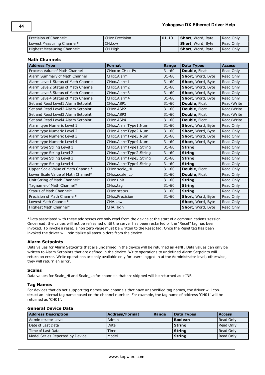| Precision of Channel*      | CHxx. Precision | $ 01-10$ | <b>Short</b> , Word, Byte | Read Only   |
|----------------------------|-----------------|----------|---------------------------|-------------|
| Lowest Measuring Channel*  | CH.Low          |          | <b>Short</b> , Word, Byte | l Read Only |
| Highest Measuring Channel* | CH.High         |          | <b>Short</b> , Word, Byte | l Read Only |

### **Math Channels**

| <b>Address Type</b>                 | <b>Format</b>           | Range     | <b>Data Types</b> | <b>Access</b> |
|-------------------------------------|-------------------------|-----------|-------------------|---------------|
| Process Value of Math Channel       | CHxx or CHxx.PV         | $31 - 60$ | Double, Float     | Read Only     |
| Alarm Summary of Math Channel       | CHxx.Alarm              | $31 - 60$ | Short, Word, Byte | Read Only     |
| Alarm Level1 Status of Math Channel | CHxx.Alarm1             | $31 - 60$ | Short, Word, Byte | Read Only     |
| Alarm Level2 Status of Math Channel | CHxx.Alarm2             | $31 - 60$ | Short, Word, Byte | Read Only     |
| Alarm Level3 Status of Math Channel | CHxx.Alarm3             | $31 - 60$ | Short, Word, Byte | Read Only     |
| Alarm Level4 Status of Math Channel | CHxx.Alarm4             | $31 - 60$ | Short, Word, Byte | Read Only     |
| Set and Read Level1 Alarm Setpoint  | CHxx.ASP1               | $31 - 60$ | Double, Float     | Read/Write    |
| Set and Read Level2 Alarm Setpoint  | CHxx.ASP2               | $31 - 60$ | Double, Float     | Read/Write    |
| Set and Read Level3 Alarm Setpoint  | CH <sub>xx</sub> , ASP3 | $31 - 60$ | Double, Float     | Read/Write    |
| Set and Read Level4 Alarm Setpoint  | CHxx.ASP4               | $31 - 60$ | Double, Float     | Read/Write    |
| Alarm type Numeric Level 1          | CHxx.AlarmType1.Num     | $31 - 60$ | Short, Word, Byte | Read Only     |
| Alarm type Numeric Level 2          | CHxx.AlarmType2.Num     | $31 - 60$ | Short, Word, Byte | Read Only     |
| Alarm type Numeric Level 3          | CHxx.AlarmType3.Num     | $31 - 60$ | Short, Word, Byte | Read Only     |
| Alarm type Numeric Level 4          | CHxx.AlarmType4.Num     | $31 - 60$ | Short, Word, Byte | Read Only     |
| Alarm type String Level 1           | CHxx.AlarmType1.String  | $31 - 60$ | <b>String</b>     | Read Only     |
| Alarm type String Level 2           | CHxx.AlarmType2.String  | $31 - 60$ | <b>String</b>     | Read Only     |
| Alarm type String Level 3           | CHxx.AlarmType3.String  | $31 - 60$ | <b>String</b>     | Read Only     |
| Alarm type String Level 4           | CHxx.AlarmType4.String  | $31 - 60$ | <b>String</b>     | Read Only     |
| Upper Scale Value of Math Channel*  | CHxx.scale_Hi           | $31 - 60$ | Double, Float     | Read Only     |
| Lower Scale Value of Math Channel*  | CHxx.scale_Lo           | $31 - 60$ | Double, Float     | Read Only     |
| Unit String of Math Channel*        | CHxx.unit               | $31 - 60$ | <b>String</b>     | Read Only     |
| Tagname of Math Channel*            | CHxx.tag                | $31 - 60$ | <b>String</b>     | Read Only     |
| Status of Math Channel*             | CHxx.status             | $31 - 60$ | <b>String</b>     | Read Only     |
| Precision of Math Channel*          | CHxx.Precision          | $31 - 60$ | Short, Word, Byte | Read Only     |
| Lowest Math Channel*                | CHA.Low                 |           | Short, Word, Byte | Read Only     |
| Highest Math Channel*               | CHA.High                |           | Short, Word, Byte | Read Only     |

\*Data associated with these addresses are only read from the device at the start of a communications session. Once read, the values will not be refreshed until the server has been restarted or the "Reset" tag has been invoked. To invoke a reset, a non zero value must be written to the Reset tag. Once the Reset tag has been invoked the driver will reinitialize all startup data from the device.

#### **Alarm Setpoints**

Data values for Alarm Setpoints that are undefined in the device will be returned as +INF. Data values can only be written to Alarm Setpoints that are defined in the device. Write operations to undefined Alarm Setpoints will return an error. Write operations are only available only for users logged in at the Administrator level; otherwise, they will return an error.

#### **Scales**

Data values for Scale\_Hi and Scale\_Lo for channels that are skipped will be returned as +INF.

#### **Tag Names**

For devices that do not support tag names and channels that have unspecified tag names, the driver will construct an internal tag name based on the channel number. For example, the tag name of address 'CH01' will be returned as 'CH01'.

#### **General Device Data**

| <b>Address Description</b>      | <b>Address/Format</b> | Range | Data Types     | <b>Access</b> |
|---------------------------------|-----------------------|-------|----------------|---------------|
| Administrator Level             | Admin                 |       | <b>Boolean</b> | Read Only     |
| Date of Last Data               | Date                  |       | String         | Read Only     |
| Time of Last Data               | Time                  |       | l Strina       | Read Only     |
| Model Series Reported by Device | Model                 |       | <b>String</b>  | Read Only     |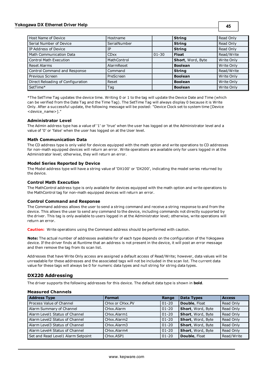## **Yokogawa DX Ethernet Driver Help**

| Host Name of Device               | Hostname     |           | <b>String</b>     | Read Only  |
|-----------------------------------|--------------|-----------|-------------------|------------|
| Serial Number of Device           | SerialNumber |           | <b>String</b>     | Read Only  |
| IP Address of Device              | īΡ           |           | <b>String</b>     | Read Only  |
| <b>Math Communication Data</b>    | <b>CDxx</b>  | $01 - 30$ | <b>Float</b>      | Read/Write |
| <b>Control Math Execution</b>     | MathControl  |           | Short, Word, Byte | Write Only |
| Reset Alarms                      | AlarmReset   |           | <b>Boolean</b>    | Write Only |
| Control Command and Response      | Command      |           | <b>String</b>     | Read/Write |
| Previous Screen                   | PreScreen    |           | <b>Boolean</b>    | Write Only |
| Direct Reloading of Configuration | Reset        |           | <b>Boolean</b>    | Write Only |
| SetTime*                          | Tag          |           | <b>Boolean</b>    | Write Only |

\*The SetTime Tag updates the device time. Writing 0 or 1 to the tag will update the Device Date and Time (which can be verified from the Date Tag and the Time Tag). The SetTime Tag will always display 0 because it is Write Only. After a successful update, the following message will be posted: "Device Clock set to system time [Device <device\_name>]."

## **Administrator Level**

The Admin address type has a value of '1' or 'true' when the user has logged on at the Administrator level and a value of '0' or 'false' when the user has logged on at the User level.

### **Math Communication Data**

The CD address type is only valid for devices equipped with the math option and write operations to CD addresses for non-math equipped devices will return an error. Write operations are available only for users logged in at the Administrator level; otherwise, they will return an error.

### **Model Series Reported by Device**

The Model address type will have a string value of 'DX100' or 'DX200', indicating the model series returned by the device.

## **Control Math Execution**

The MathControl address type is only available for devices equipped with the math option and write operations to the MathControl tag for non-math equipped devices will return an error.

#### **Control Command and Response**

The Command address allows the user to send a string command and receive a string response to and from the device. This allows the user to send any command to the device, including commands not directly supported by the driver. This tag is only available to users logged in at the Administrator level; otherwise, write operations will return an error.

**Caution:** Write operations using the Command address should be performed with caution.

**Note:** The actual number of addresses available for of each type depends on the configuration of the Yokogawa device. If the driver finds at Runtime that an address is not present in the device, it will post an error message and then remove the tag from its scan list.

Addresses that have Write Only access are assigned a default access of Read/Write; however, data values will be unreadable for these addresses and the associated tags will not be included in the scan list. The current data value for these tags will always be 0 for numeric data types and null string for string data types.

## **DX220 Addressing**

The driver supports the following addresses for this device. The default data type is shown in **bold**.

#### **Measured Channels**

| <b>Address Type</b>                | <b>Format</b>   | Range     | <b>Data Types</b> | <b>Access</b> |
|------------------------------------|-----------------|-----------|-------------------|---------------|
| Process Value of Channel           | CHxx or CHxx.PV | $01 - 20$ | Double, Float     | Read Only     |
| Alarm Summary of Channel           | CHxx.Alarm      | $01 - 20$ | Short, Word, Byte | Read Only     |
| Alarm Level1 Status of Channel     | CHxx.Alarm1     | $01 - 20$ | Short, Word, Byte | Read Only     |
| Alarm Level2 Status of Channel     | CHxx.Alarm2     | $01 - 20$ | Short, Word, Byte | Read Only     |
| Alarm Level3 Status of Channel     | CHxx.Alarm3     | $01 - 20$ | Short, Word, Byte | Read Only     |
| Alarm Level4 Status of Channel     | CHxx.Alarm4     | $01 - 20$ | Short, Word, Byte | Read Only     |
| Set and Read Level1 Alarm Setpoint | CHxx.ASP1       | $01 - 20$ | Double, Float     | Read/Write    |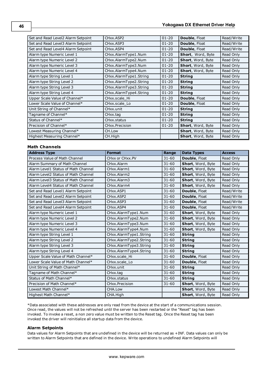| Set and Read Level2 Alarm Setpoint | CHxx.ASP2               | $01 - 20$ | Double, Float        | Read/Write |
|------------------------------------|-------------------------|-----------|----------------------|------------|
| Set and Read Level3 Alarm Setpoint | CH <sub>xx</sub> .ASP3  | $01 - 20$ | <b>Double, Float</b> | Read/Write |
| Set and Read Level4 Alarm Setpoint | CH <sub>xx</sub> , ASP4 | $01 - 20$ | <b>Double, Float</b> | Read/Write |
| Alarm type Numeric Level 1         | CHxx.AlarmType1.Num     | $01 - 20$ | Short, Word, Byte    | Read Only  |
| Alarm type Numeric Level 2         | CHxx.AlarmType2.Num     | $01 - 20$ | Short, Word, Byte    | Read Only  |
| Alarm type Numeric Level 3         | CHxx.AlarmType3.Num     | $01 - 20$ | Short, Word, Byte    | Read Only  |
| Alarm type Numeric Level 4         | CHxx.AlarmType4.Num     | $01 - 20$ | Short, Word, Byte    | Read Only  |
| Alarm type String Level 1          | CHxx.AlarmType1.String  | $01 - 20$ | <b>String</b>        | Read Only  |
| Alarm type String Level 2          | CHxx.AlarmType2.String  | $01 - 20$ | <b>String</b>        | Read Only  |
| Alarm type String Level 3          | CHxx.AlarmType3.String  | $01 - 20$ | <b>String</b>        | Read Only  |
| Alarm type String Level 4          | CHxx.AlarmType4.String  | $01 - 20$ | <b>String</b>        | Read Only  |
| Upper Scale Value of Channel*      | CHxx.scale Hi           | $01 - 20$ | Double, Float        | Read Only  |
| Lower Scale Value of Channel*      | CHxx.scale_Lo           | $01 - 20$ | <b>Double, Float</b> | Read Only  |
| Unit String of Channel*            | CH <sub>xx</sub> unit   | $01 - 20$ | <b>String</b>        | Read Only  |
| Tagname of Channel*                | CHxx.tag                | $01 - 20$ | <b>String</b>        | Read Only  |
| Status of Channel*                 | CHxx.status             | $01 - 20$ | <b>String</b>        | Read Only  |
| Precision of Channel*              | CHxx.Precision          | $01 - 20$ | Short, Word, Byte    | Read Only  |
| Lowest Measuring Channel*          | CH.Low                  |           | Short, Word, Byte    | Read Only  |
| Highest Measuring Channel*         | CH.High                 |           | Short, Word, Byte    | Read Only  |

# **Math Channels**

| <b>Address Type</b>                 | <b>Format</b>           | Range     | <b>Data Types</b> | <b>Access</b> |
|-------------------------------------|-------------------------|-----------|-------------------|---------------|
| Process Value of Math Channel       | CHxx or CHxx.PV         | $31 - 60$ | Double, Float     | Read Only     |
| Alarm Summary of Math Channel       | CHxx.Alarm              | $31 - 60$ | Short, Word, Byte | Read Only     |
| Alarm Level1 Status of Math Channel | CHxx.Alarm1             | $31 - 60$ | Short, Word, Byte | Read Only     |
| Alarm Level2 Status of Math Channel | CHxx.Alarm2             | $31 - 60$ | Short, Word, Byte | Read Only     |
| Alarm Level3 Status of Math Channel | CHxx.Alarm3             | $31 - 60$ | Short, Word, Byte | Read Only     |
| Alarm Level4 Status of Math Channel | CHxx.Alarm4             | $31 - 60$ | Short, Word, Byte | Read Only     |
| Set and Read Level1 Alarm Setpoint  | CHxx.ASP1               | $31 - 60$ | Double, Float     | Read/Write    |
| Set and Read Level2 Alarm Setpoint  | CHxx.ASP2               | $31 - 60$ | Double, Float     | Read/Write    |
| Set and Read Level3 Alarm Setpoint  | CH <sub>xx</sub> , ASP3 | $31 - 60$ | Double, Float     | Read/Write    |
| Set and Read Level4 Alarm Setpoint  | CHxx.ASP4               | $31 - 60$ | Double, Float     | Read/Write    |
| Alarm type Numeric Level 1          | CHxx.AlarmType1.Num     | $31 - 60$ | Short, Word, Byte | Read Only     |
| Alarm type Numeric Level 2          | CHxx.AlarmType2.Num     | $31 - 60$ | Short, Word, Byte | Read Only     |
| Alarm type Numeric Level 3          | CHxx.AlarmType3.Num     | $31 - 60$ | Short, Word, Byte | Read Only     |
| Alarm type Numeric Level 4          | CHxx.AlarmType4.Num     | $31 - 60$ | Short, Word, Byte | Read Only     |
| Alarm type String Level 1           | CHxx.AlarmType1.String  | $31 - 60$ | <b>String</b>     | Read Only     |
| Alarm type String Level 2           | CHxx.AlarmType2.String  | $31 - 60$ | <b>String</b>     | Read Only     |
| Alarm type String Level 3           | CHxx.AlarmType3.String  | $31 - 60$ | <b>String</b>     | Read Only     |
| Alarm type String Level 4           | CHxx.AlarmType4.String  | $31 - 60$ | <b>String</b>     | Read Only     |
| Upper Scale Value of Math Channel*  | CHxx.scale Hi           | $31 - 60$ | Double, Float     | Read Only     |
| Lower Scale Value of Math Channel*  | CHxx.scale Lo           | $31 - 60$ | Double, Float     | Read Only     |
| Unit String of Math Channel*        | CHxx.unit               | $31 - 60$ | <b>String</b>     | Read Only     |
| Tagname of Math Channel*            | CHxx.tag                | $31 - 60$ | <b>String</b>     | Read Only     |
| Status of Math Channel*             | CHxx.status             | $31 - 60$ | <b>String</b>     | Read Only     |
| Precision of Math Channel*          | CHxx.Precision          | $31 - 60$ | Short, Word, Byte | Read Only     |
| Lowest Math Channel*                | CHA.Low                 |           | Short, Word, Byte | Read Only     |
| Highest Math Channel*               | CHA.High                |           | Short, Word, Byte | Read Only     |

\*Data associated with these addresses are only read from the device at the start of a communications session. Once read, the values will not be refreshed until the server has been restarted or the "Reset" tag has been invoked. To invoke a reset, a non zero value must be written to the Reset tag. Once the Reset tag has been invoked the driver will reinitialize all startup data from the device.

#### **Alarm Setpoints**

Data values for Alarm Setpoints that are undefined in the device will be returned as +INF. Data values can only be written to Alarm Setpoints that are defined in the device. Write operations to undefined Alarm Setpoints will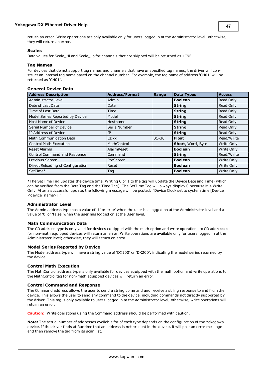**47**

return an error. Write operations are only available only for users logged in at the Administrator level; otherwise, they will return an error.

### **Scales**

Data values for Scale\_Hi and Scale\_Lo for channels that are skipped will be returned as +INF.

#### **Tag Names**

For devices that do not support tag names and channels that have unspecified tag names, the driver will construct an internal tag name based on the channel number. For example, the tag name of address 'CH01' will be returned as 'CH01'.

## **General Device Data**

| <b>Address Description</b>        | <b>Address/Format</b> | Range     | <b>Data Types</b> | <b>Access</b> |
|-----------------------------------|-----------------------|-----------|-------------------|---------------|
| Administrator Level               | Admin                 |           | <b>Boolean</b>    | Read Only     |
| Date of Last Data                 | Date                  |           | <b>String</b>     | Read Only     |
| Time of Last Data                 | Time                  |           | <b>String</b>     | Read Only     |
| Model Series Reported by Device   | Model                 |           | <b>String</b>     | Read Only     |
| Host Name of Device               | Hostname              |           | <b>String</b>     | Read Only     |
| Serial Number of Device           | SerialNumber          |           | <b>String</b>     | Read Only     |
| IP Address of Device              | IP                    |           | <b>String</b>     | Read Only     |
| <b>Math Communication Data</b>    | <b>CDxx</b>           | $01 - 30$ | <b>Float</b>      | Read/Write    |
| <b>Control Math Execution</b>     | MathControl           |           | Short, Word, Byte | Write Only    |
| <b>Reset Alarms</b>               | AlarmReset            |           | <b>Boolean</b>    | Write Only    |
| Control Command and Response      | Command               |           | <b>String</b>     | Read/Write    |
| Previous Screen                   | PreScreen             |           | <b>Boolean</b>    | Write Only    |
| Direct Reloading of Configuration | Reset                 |           | <b>Boolean</b>    | Write Only    |
| SetTime*                          | Tag                   |           | <b>Boolean</b>    | Write Only    |

\*The SetTime Tag updates the device time. Writing 0 or 1 to the tag will update the Device Date and Time (which can be verified from the Date Tag and the Time Tag). The SetTime Tag will always display 0 because it is Write Only. After a successful update, the following message will be posted: "Device Clock set to system time [Device <device\_name>]."

#### **Administrator Level**

The Admin address type has a value of '1' or 'true' when the user has logged on at the Administrator level and a value of '0' or 'false' when the user has logged on at the User level.

#### **Math Communication Data**

The CD address type is only valid for devices equipped with the math option and write operations to CD addresses for non-math equipped devices will return an error. Write operations are available only for users logged in at the Administrator level; otherwise, they will return an error.

#### **Model Series Reported by Device**

The Model address type will have a string value of 'DX100' or 'DX200', indicating the model series returned by the device.

#### **Control Math Execution**

The MathControl address type is only available for devices equipped with the math option and write operations to the MathControl tag for non-math equipped devices will return an error.

#### **Control Command and Response**

The Command address allows the user to send a string command and receive a string response to and from the device. This allows the user to send any command to the device, including commands not directly supported by the driver. This tag is only available to users logged in at the Administrator level; otherwise, write operations will return an error.

**Caution:** Write operations using the Command address should be performed with caution.

**Note:** The actual number of addresses available for of each type depends on the configuration of the Yokogawa device. If the driver finds at Runtime that an address is not present in the device, it will post an error message and then remove the tag from its scan list.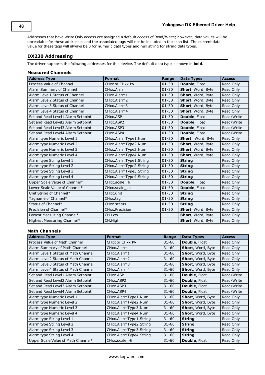Addresses that have Write Only access are assigned a default access of Read/Write; however, data values will be unreadable for these addresses and the associated tags will not be included in the scan list. The current data value for these tags will always be 0 for numeric data types and null string for string data types.

## **DX230 Addressing**

The driver supports the following addresses for this device. The default data type is shown in **bold**.

### **Measured Channels**

| <b>Address Type</b>                | <b>Format</b>          | Range     | <b>Data Types</b> | <b>Access</b> |
|------------------------------------|------------------------|-----------|-------------------|---------------|
| Process Value of Channel           | CHxx or CHxx.PV        | $01 - 30$ | Double, Float     | Read Only     |
| Alarm Summary of Channel           | CHxx.Alarm             | $01 - 30$ | Short, Word, Byte | Read Only     |
| Alarm Level1 Status of Channel     | CHxx.Alarm1            | $01 - 30$ | Short, Word, Byte | Read Only     |
| Alarm Level2 Status of Channel     | CHxx.Alarm2            | $01 - 30$ | Short, Word, Byte | Read Only     |
| Alarm Level3 Status of Channel     | CHxx.Alarm3            | $01 - 30$ | Short, Word, Byte | Read Only     |
| Alarm Level4 Status of Channel     | CHxx.Alarm4            | $01 - 30$ | Short, Word, Byte | Read Only     |
| Set and Read Level1 Alarm Setpoint | CHxx.ASP1              | $01 - 30$ | Double, Float     | Read/Write    |
| Set and Read Level2 Alarm Setpoint | CHxx.ASP2              | $01 - 30$ | Double, Float     | Read/Write    |
| Set and Read Level3 Alarm Setpoint | CHxx.ASP3              | $01 - 30$ | Double, Float     | Read/Write    |
| Set and Read Level4 Alarm Setpoint | CHxx.ASP4              | $01 - 30$ | Double, Float     | Read/Write    |
| Alarm type Numeric Level 1         | CHxx.AlarmType1.Num    | $01 - 30$ | Short, Word, Byte | Read Only     |
| Alarm type Numeric Level 2         | CHxx.AlarmType2.Num    | $01 - 30$ | Short, Word, Byte | Read Only     |
| Alarm type Numeric Level 3         | CHxx.AlarmType3.Num    | $01 - 30$ | Short, Word, Byte | Read Only     |
| Alarm type Numeric Level 4         | CHxx.AlarmType4.Num    | $01 - 30$ | Short, Word, Byte | Read Only     |
| Alarm type String Level 1          | CHxx.AlarmType1.String | $01 - 30$ | <b>String</b>     | Read Only     |
| Alarm type String Level 2          | CHxx.AlarmType2.String | $01 - 30$ | <b>String</b>     | Read Only     |
| Alarm type String Level 3          | CHxx.AlarmType3.String | $01 - 30$ | <b>String</b>     | Read Only     |
| Alarm type String Level 4          | CHxx.AlarmType4.String | $01 - 30$ | <b>String</b>     | Read Only     |
| Upper Scale Value of Channel*      | CHxx.scale Hi          | $01 - 30$ | Double, Float     | Read Only     |
| Lower Scale Value of Channel*      | CHxx.scale Lo          | $01 - 30$ | Double, Float     | Read Only     |
| Unit String of Channel*            | CHxx.unit              | $01 - 30$ | <b>String</b>     | Read Only     |
| Tagname of Channel*                | CHxx.taq               | $01 - 30$ | <b>String</b>     | Read Only     |
| Status of Channel*                 | CHxx.status            | $01 - 30$ | <b>String</b>     | Read Only     |
| Precision of Channel*              | CHxx.Precision         | $01 - 30$ | Short, Word, Byte | Read Only     |
| Lowest Measuring Channel*          | CH.Low                 |           | Short, Word, Byte | Read Only     |
| Highest Measuring Channel*         | CH.High                |           | Short, Word, Byte | Read Only     |

| <b>Address Type</b>                 | <b>Format</b>                       | Range     | <b>Data Types</b>    | <b>Access</b> |
|-------------------------------------|-------------------------------------|-----------|----------------------|---------------|
| Process Value of Math Channel       | CHxx or CHxx.PV                     | $31 - 60$ | <b>Double, Float</b> | Read Only     |
| Alarm Summary of Math Channel       | CHxx.Alarm                          | $31 - 60$ | Short, Word, Byte    | Read Only     |
| Alarm Level1 Status of Math Channel | CHxx.Alarm1                         | $31 - 60$ | Short, Word, Byte    | Read Only     |
| Alarm Level2 Status of Math Channel | CHxx.Alarm2                         | $31 - 60$ | Short, Word, Byte    | Read Only     |
| Alarm Level3 Status of Math Channel | CHxx.Alarm3                         | $31 - 60$ | Short, Word, Byte    | Read Only     |
| Alarm Level4 Status of Math Channel | CHxx.Alarm4                         | $31 - 60$ | Short, Word, Byte    | Read Only     |
| Set and Read Level1 Alarm Setpoint  | CHxx.ASP1                           | $31 - 60$ | <b>Double, Float</b> | Read/Write    |
| Set and Read Level2 Alarm Setpoint  | CH <sub>xx</sub> , ASP <sub>2</sub> | $31 - 60$ | <b>Double, Float</b> | Read/Write    |
| Set and Read Level3 Alarm Setpoint  | CHxx.ASP3                           | $31 - 60$ | <b>Double, Float</b> | Read/Write    |
| Set and Read Level4 Alarm Setpoint  | CHxx.ASP4                           | $31 - 60$ | Double, Float        | Read/Write    |
| Alarm type Numeric Level 1          | CHxx.AlarmType1.Num                 | $31 - 60$ | Short, Word, Byte    | Read Only     |
| Alarm type Numeric Level 2          | CHxx.AlarmType2.Num                 | $31 - 60$ | Short, Word, Byte    | Read Only     |
| Alarm type Numeric Level 3          | CHxx.AlarmType3.Num                 | $31 - 60$ | Short, Word, Byte    | Read Only     |
| Alarm type Numeric Level 4          | CHxx.AlarmType4.Num                 | $31 - 60$ | Short, Word, Byte    | Read Only     |
| Alarm type String Level 1           | CHxx.AlarmType1.String              | $31 - 60$ | <b>String</b>        | Read Only     |
| Alarm type String Level 2           | CHxx.AlarmType2.String              | $31 - 60$ | <b>String</b>        | Read Only     |
| Alarm type String Level 3           | CHxx.AlarmType3.String              | $31 - 60$ | <b>String</b>        | Read Only     |
| Alarm type String Level 4           | CHxx.AlarmType4.String              | $31 - 60$ | <b>String</b>        | Read Only     |
| Upper Scale Value of Math Channel*  | CHxx.scale Hi                       | $31 - 60$ | Double, Float        | Read Only     |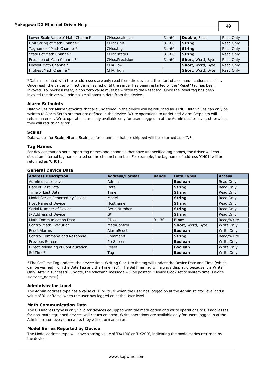## **Yokogawa DX Ethernet Driver Help**

**49**

| Lower Scale Value of Math Channel* | CHxx.scale Lo  | $31 - 60$ | <b>Double, Float</b>      | Read Only |
|------------------------------------|----------------|-----------|---------------------------|-----------|
| Unit String of Math Channel*       | CHxx.unit      | $31 - 60$ | <b>String</b>             | Read Only |
| Tagname of Math Channel*           | CHxx.tag       | $31 - 60$ | <b>String</b>             | Read Only |
| Status of Math Channel*            | CHxx.status    | $31 - 60$ | <b>String</b>             | Read Only |
| Precision of Math Channel*         | CHxx.Precision | $31 - 60$ | <b>Short</b> , Word, Byte | Read Only |
| Lowest Math Channel*               | CHA.Low        |           | Short, Word, Byte         | Read Only |
| Highest Math Channel*              | CHA.High       |           | Short, Word, Byte         | Read Only |

\*Data associated with these addresses are only read from the device at the start of a communications session. Once read, the values will not be refreshed until the server has been restarted or the "Reset" tag has been invoked. To invoke a reset, a non zero value must be written to the Reset tag. Once the Reset tag has been invoked the driver will reinitialize all startup data from the device.

## **Alarm Setpoints**

Data values for Alarm Setpoints that are undefined in the device will be returned as +INF. Data values can only be written to Alarm Setpoints that are defined in the device. Write operations to undefined Alarm Setpoints will return an error. Write operations are only available only for users logged in at the Administrator level; otherwise, they will return an error.

### **Scales**

Data values for Scale Hi and Scale Lo for channels that are skipped will be returned as +INF.

### **Tag Names**

For devices that do not support tag names and channels that have unspecified tag names, the driver will construct an internal tag name based on the channel number. For example, the tag name of address 'CH01' will be returned as 'CH01'.

| <b>Address Description</b>        | <b>Address/Format</b> | Range     | <b>Data Types</b> | <b>Access</b> |
|-----------------------------------|-----------------------|-----------|-------------------|---------------|
| Administrator Level               | Admin                 |           | <b>Boolean</b>    | Read Only     |
| Date of Last Data                 | Date                  |           | <b>String</b>     | Read Only     |
| Time of Last Data                 | Time                  |           | <b>String</b>     | Read Only     |
| Model Series Reported by Device   | Model                 |           | <b>String</b>     | Read Only     |
| Host Name of Device               | Hostname              |           | <b>String</b>     | Read Only     |
| Serial Number of Device           | SerialNumber          |           | <b>String</b>     | Read Only     |
| IP Address of Device              | IP.                   |           | <b>String</b>     | Read Only     |
| <b>Math Communication Data</b>    | <b>CDxx</b>           | $01 - 30$ | <b>Float</b>      | Read/Write    |
| <b>Control Math Execution</b>     | MathControl           |           | Short, Word, Byte | Write Only    |
| <b>Reset Alarms</b>               | AlarmReset            |           | <b>Boolean</b>    | Write Only    |
| Control Command and Response      | Command               |           | <b>String</b>     | Read/Write    |
| Previous Screen                   | PreScreen             |           | <b>Boolean</b>    | Write Only    |
| Direct Reloading of Configuration | Reset                 |           | <b>Boolean</b>    | Write Only    |
| SetTime*                          | Taq                   |           | <b>Boolean</b>    | Write Only    |

#### **General Device Data**

\*The SetTime Tag updates the device time. Writing 0 or 1 to the tag will update the Device Date and Time (which can be verified from the Date Tag and the Time Tag). The SetTime Tag will always display 0 because it is Write Only. After a successful update, the following message will be posted: "Device Clock set to system time [Device <device\_name>]."

## **Administrator Level**

The Admin address type has a value of '1' or 'true' when the user has logged on at the Administrator level and a value of '0' or 'false' when the user has logged on at the User level.

## **Math Communication Data**

The CD address type is only valid for devices equipped with the math option and write operations to CD addresses for non-math equipped devices will return an error. Write operations are available only for users logged in at the Administrator level; otherwise, they will return an error.

#### **Model Series Reported by Device**

The Model address type will have a string value of 'DX100' or 'DX200', indicating the model series returned by the device.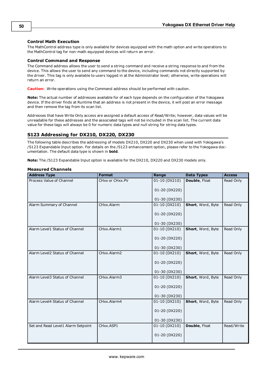## **Control Math Execution**

The MathControl address type is only available for devices equipped with the math option and write operations to the MathControl tag for non-math equipped devices will return an error.

## **Control Command and Response**

The Command address allows the user to send a string command and receive a string response to and from the device. This allows the user to send any command to the device, including commands not directly supported by the driver. This tag is only available to users logged in at the Administrator level; otherwise, write operations will return an error.

**Caution:** Write operations using the Command address should be performed with caution.

**Note:** The actual number of addresses available for of each type depends on the configuration of the Yokogawa device. If the driver finds at Runtime that an address is not present in the device, it will post an error message and then remove the tag from its scan list.

Addresses that have Write Only access are assigned a default access of Read/Write; however, data values will be unreadable for these addresses and the associated tags will not be included in the scan list. The current data value for these tags will always be 0 for numeric data types and null string for string data types.

## **S123 Addressing for DX210, DX220, DX230**

The following table describes the addressing of models DX210, DX220 and DX230 when used with Yokogawa's /S123 Expandable Input option. For details on the /S123 enhancement option, please refer to the Yokogawa documentation. The default data type is shown in **bold**.

**Note:** The /S123 Expandable Input option is available for the DX210, DX220 and DX230 models only.

| <b>Address Type</b>                | <b>Format</b>   | Range           | <b>Data Types</b> | <b>Access</b> |
|------------------------------------|-----------------|-----------------|-------------------|---------------|
| Process Value of Channel           | CHxx or CHxx.PV | 01-10 (DX210)   | Double, Float     | Read Only     |
|                                    |                 | 01-20 (DX220)   |                   |               |
|                                    |                 | 01-30 (DX230)   |                   |               |
| Alarm Summary of Channel           | CHxx.Alarm      | $01-10$ (DX210) | Short, Word, Byte | Read Only     |
|                                    |                 | 01-20 (DX220)   |                   |               |
|                                    |                 | 01-30 (DX230)   |                   |               |
| Alarm Level1 Status of Channel     | CHxx.Alarm1     | 01-10 (DX210)   | Short, Word, Byte | Read Only     |
|                                    |                 | 01-20 (DX220)   |                   |               |
|                                    |                 | 01-30 (DX230)   |                   |               |
| Alarm Level2 Status of Channel     | CHxx.Alarm2     | 01-10 (DX210)   | Short, Word, Byte | Read Only     |
|                                    |                 | 01-20 (DX220)   |                   |               |
|                                    |                 | 01-30 (DX230)   |                   |               |
| Alarm Level3 Status of Channel     | CHxx.Alarm3     | 01-10 (DX210)   | Short, Word, Byte | Read Only     |
|                                    |                 | 01-20 (DX220)   |                   |               |
|                                    |                 | 01-30 (DX230)   |                   |               |
| Alarm Level4 Status of Channel     | CHxx.Alarm4     | 01-10 (DX210)   | Short, Word, Byte | Read Only     |
|                                    |                 | 01-20 (DX220)   |                   |               |
|                                    |                 | 01-30 (DX230)   |                   |               |
| Set and Read Level1 Alarm Setpoint | CHxx.ASP1       | 01-10 (DX210)   | Double, Float     | Read/Write    |
|                                    |                 | 01-20 (DX220)   |                   |               |

### **Measured Channels**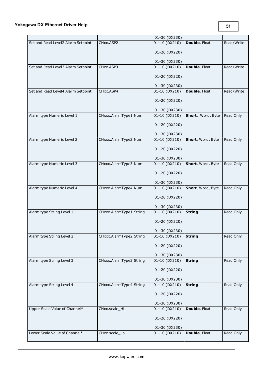|                                    |                         | 01-30 (DX230)   |                   |            |
|------------------------------------|-------------------------|-----------------|-------------------|------------|
| Set and Read Level2 Alarm Setpoint | CHxx.ASP2               | 01-10 (DX210)   | Double, Float     | Read/Write |
|                                    |                         | 01-20 (DX220)   |                   |            |
|                                    |                         | 01-30 (DX230)   |                   |            |
| Set and Read Level3 Alarm Setpoint | CHxx.ASP3               | 01-10 (DX210)   | Double, Float     | Read/Write |
|                                    |                         | 01-20 (DX220)   |                   |            |
|                                    |                         | 01-30 (DX230)   |                   |            |
| Set and Read Level4 Alarm Setpoint | CHxx.ASP4               | 01-10 (DX210)   | Double, Float     | Read/Write |
|                                    |                         | 01-20 (DX220)   |                   |            |
|                                    |                         | 01-30 (DX230)   |                   |            |
| Alarm type Numeric Level 1         | CHxxx.AlarmType1.Num    | 01-10 (DX210)   | Short, Word, Byte | Read Only  |
|                                    |                         | 01-20 (DX220)   |                   |            |
|                                    |                         | 01-30 (DX230)   |                   |            |
| Alarm type Numeric Level 2         | CHxxx.AlarmType2.Num    | 01-10 (DX210)   | Short, Word, Byte | Read Only  |
|                                    |                         | 01-20 (DX220)   |                   |            |
|                                    |                         | 01-30 (DX230)   |                   |            |
| Alarm type Numeric Level 3         | CHxxx.AlarmType3.Num    | 01-10 (DX210)   | Short, Word, Byte | Read Only  |
|                                    |                         | 01-20 (DX220)   |                   |            |
|                                    |                         | 01-30 (DX230)   |                   |            |
| Alarm type Numeric Level 4         | CHxxx.AlarmType4.Num    | 01-10 (DX210)   | Short, Word, Byte | Read Only  |
|                                    |                         | 01-20 (DX220)   |                   |            |
|                                    |                         | 01-30 (DX230)   |                   |            |
| Alarm type String Level 1          | CHxxx.AlarmType1.String | $01-10$ (DX210) | <b>String</b>     | Read Only  |
|                                    |                         | 01-20 (DX220)   |                   |            |
|                                    |                         | 01-30 (DX230)   |                   |            |
| Alarm type String Level 2          | CHxxx.AlarmType2.String | 01-10 (DX210)   | <b>String</b>     | Read Only  |
|                                    |                         | 01-20 (DX220)   |                   |            |
|                                    |                         | 01-30 (DX230)   |                   |            |
| Alarm type String Level 3          | CHxxx.AlarmType3.String | 01-10 (DX210)   | <b>String</b>     | Read Only  |
|                                    |                         | 01-20 (DX220)   |                   |            |
|                                    |                         | 01-30 (DX230)   |                   |            |
| Alarm type String Level 4          | CHxxx.AlarmType4.String | 01-10 (DX210)   | <b>String</b>     | Read Only  |
|                                    |                         | 01-20 (DX220)   |                   |            |
|                                    |                         | 01-30 (DX230)   |                   |            |
| Upper Scale Value of Channel*      | CHxx.scale_Hi           | 01-10 (DX210)   | Double, Float     | Read Only  |
|                                    |                         | 01-20 (DX220)   |                   |            |
|                                    |                         | 01-30 (DX230)   |                   |            |
| Lower Scale Value of Channel*      | CHxx.scale_Lo           | 01-10 (DX210)   | Double, Float     | Read Only  |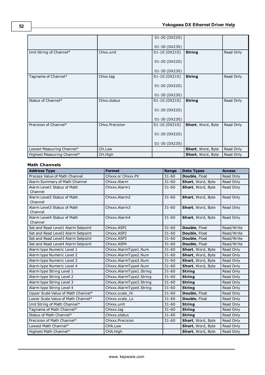|                            |                          | 01-20 (DX220) |                   |           |
|----------------------------|--------------------------|---------------|-------------------|-----------|
|                            |                          |               |                   |           |
|                            |                          | 01-30 (DX230) |                   |           |
| Unit String of Channel*    | CHxx.unit                | 01-10 (DX210) | <b>String</b>     | Read Only |
|                            |                          |               |                   |           |
|                            |                          | 01-20 (DX220) |                   |           |
|                            |                          |               |                   |           |
|                            |                          | 01-30 (DX230) |                   |           |
| Tagname of Channel*        | CHxx.tag                 | 01-10 (DX210) | <b>String</b>     | Read Only |
|                            |                          |               |                   |           |
|                            |                          | 01-20 (DX220) |                   |           |
|                            |                          |               |                   |           |
|                            |                          | 01-30 (DX230) |                   |           |
| Status of Channel*         | CH <sub>xx</sub> .status | 01-10 (DX210) | <b>String</b>     | Read Only |
|                            |                          |               |                   |           |
|                            |                          | 01-20 (DX220) |                   |           |
|                            |                          | 01-30 (DX230) |                   |           |
| Precision of Channel*      | CHxx.Precision           | 01-10 (DX210) | Short, Word, Byte | Read Only |
|                            |                          |               |                   |           |
|                            |                          | 01-20 (DX220) |                   |           |
|                            |                          |               |                   |           |
|                            |                          | 01-30 (DX230) |                   |           |
| Lowest Measuring Channel*  | CH.Low                   |               | Short, Word, Byte | Read Only |
| Highest Measuring Channel* | CH.High                  |               | Short, Word, Byte | Read Only |

| <b>Address Type</b>                    | <b>Format</b>           | Range     | <b>Data Types</b>              | <b>Access</b> |
|----------------------------------------|-------------------------|-----------|--------------------------------|---------------|
| Process Value of Math Channel          | CHxxx or CHxxx.PV       | $31 - 60$ | Double, Float                  | Read Only     |
| Alarm Summary of Math Channel          | CHxxx.Alarm             | $31 - 60$ | Short, Word, Byte              | Read Only     |
| Alarm Level1 Status of Math            | CHxxx.Alarm1            | $31 - 60$ | Short, Word, Byte              | Read Only     |
| Channel                                |                         |           |                                |               |
| Alarm Level2 Status of Math            | CHxxx.Alarm2            | $31 - 60$ | Short, Word, Byte              | Read Only     |
| Channel                                |                         |           |                                |               |
| Alarm Level3 Status of Math            | CHxxx.Alarm3            | $31 - 60$ | Short, Word, Byte              | Read Only     |
| Channel                                |                         |           |                                |               |
| Alarm Level4 Status of Math<br>Channel | CHxxx.Alarm4            | $31 - 60$ | Short, Word, Byte              | Read Only     |
| Set and Read Level1 Alarm Setpoint     | CHxxx.ASP1              | $31 - 60$ |                                | Read/Write    |
| Set and Read Level2 Alarm Setpoint     | CHxxx.ASP2              | $31 - 60$ | Double, Float<br>Double, Float | Read/Write    |
|                                        |                         |           |                                |               |
| Set and Read Level3 Alarm Setpoint     | CHxxx.ASP3              | $31 - 60$ | Double, Float                  | Read/Write    |
| Set and Read Level4 Alarm Setpoint     | CHxxx.ASP4              | $31 - 60$ | Double, Float                  | Read/Write    |
| Alarm type Numeric Level 1             | CHxxx.AlarmType1.Num    | $31 - 60$ | Short, Word, Byte              | Read Only     |
| Alarm type Numeric Level 2             | CHxxx.AlarmType2.Num    | $31 - 60$ | Short, Word, Byte              | Read Only     |
| Alarm type Numeric Level 3             | CHxxx.AlarmType3.Num    | $31 - 60$ | Short, Word, Byte              | Read Only     |
| Alarm type Numeric Level 4             | CHxxx.AlarmType4.Num    | $31 - 60$ | Short, Word, Byte              | Read Only     |
| Alarm type String Level 1              | CHxxx.AlarmType1.String | $31 - 60$ | <b>String</b>                  | Read Only     |
| Alarm type String Level 2              | CHxxx.AlarmType2.String | $31 - 60$ | <b>String</b>                  | Read Only     |
| Alarm type String Level 3              | CHxxx.AlarmType3.String | $31 - 60$ | <b>String</b>                  | Read Only     |
| Alarm type String Level 4              | CHxxx.AlarmType4.String | $31 - 60$ | <b>String</b>                  | Read Only     |
| Upper Scale Value of Math Channel*     | CHxxx.scale Hi          | $31 - 60$ | Double, Float                  | Read Only     |
| Lower Scale Value of Math Channel*     | CHxxx.scale Lo          | $31 - 60$ | Double, Float                  | Read Only     |
| Unit String of Math Channel*           | CHxxx.unit              | $31 - 60$ | <b>String</b>                  | Read Only     |
| Tagname of Math Channel*               | CHxxx.tag               | $31 - 60$ | <b>String</b>                  | Read Only     |
| Status of Math Channel*                | CHxxx.status            | $31 - 60$ | <b>String</b>                  | Read Only     |
| Precision of Math Channel*             | CHxxx.Precision         | $31 - 60$ | Short, Word, Byte              | Read Only     |
| Lowest Math Channel*                   | CHA.Low                 |           | Short, Word, Byte              | Read Only     |
| Highest Math Channel*                  | CHA.High                |           | Short, Word, Byte              | Read Only     |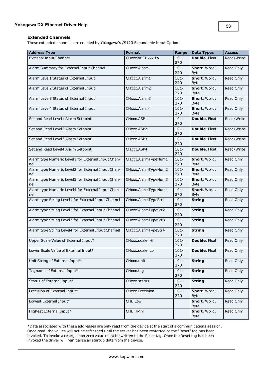### **Extended Channels**

These extended channels are enabled by Yokogawa's /S123 Expandable Input Option.

| <b>Address Type</b>                                       | <b>Format</b>       | Range          | <b>Data Types</b>           | <b>Access</b> |
|-----------------------------------------------------------|---------------------|----------------|-----------------------------|---------------|
| <b>External Input Channel</b>                             | CHxxx or CHxxx.PV   | $101 -$<br>270 | Double, Float               | Read/Write    |
| Alarm Summary for External Input Channel                  | CHxxx.Alarm         | $101 -$<br>270 | Short, Word,<br><b>Byte</b> | Read Only     |
| Alarm Level1 Status of External Input                     | CHxxx.Alarm1        | $101 -$<br>270 | Short, Word,<br><b>Byte</b> | Read Only     |
| Alarm Level2 Status of External Input                     | CHxxx.Alarm2        | $101 -$<br>270 | Short, Word,<br><b>Byte</b> | Read Only     |
| Alarm Level3 Status of External Input                     | CHxxx.Alarm3        | $101 -$<br>270 | Short, Word,<br><b>Byte</b> | Read Only     |
| Alarm Level4 Status of External Input                     | CHxxx.Alarm4        | $101 -$<br>270 | Short, Word,<br><b>Byte</b> | Read Only     |
| Set and Read Level1 Alarm Setpoint                        | CHxxx.ASP1          | $101 -$<br>270 | Double, Float               | Read/Write    |
| Set and Read Level2 Alarm Setpoint                        | CHxxx.ASP2          | $101 -$<br>270 | Double, Float               | Read/Write    |
| Set and Read Level3 Alarm Setpoint                        | CHxxx.ASP3          | $101 -$<br>270 | Double, Float               | Read/Write    |
| Set and Read Level4 Alarm Setpoint                        | CHxxx.ASP4          | $101 -$<br>270 | Double, Float               | Read/Write    |
| Alarm type Numeric Level1 for External Input Chan-<br>nel | CHxxx.AlarmTypeNum1 | $101 -$<br>270 | Short, Word,<br>Byte        | Read Only     |
| Alarm type Numeric Level2 for External Input Chan-<br>nel | CHxxx.AlarmTypeNum2 | $101 -$<br>270 | Short, Word,<br><b>Byte</b> | Read Only     |
| Alarm type Numeric Level3 for External Input Chan-<br>nel | CHxxx.AlarmTypeNum3 | $101 -$<br>270 | Short, Word,<br><b>Byte</b> | Read Only     |
| Alarm type Numeric Level4 for External Input Chan-<br>nel | CHxxx.AlarmTypeNum4 | $101 -$<br>270 | Short, Word,<br><b>Byte</b> | Read Only     |
| Alarm type String Level1 for External Input Channel       | CHxxx.AlarmTypeStr1 | $101 -$<br>270 | <b>String</b>               | Read Only     |
| Alarm type String Level2 for External Input Channel       | CHxxx.AlarmTypeStr2 | $101 -$<br>270 | <b>String</b>               | Read Only     |
| Alarm type String Level3 for External Input Channel       | CHxxx.AlarmTypeStr3 | $101 -$<br>270 | <b>String</b>               | Read Only     |
| Alarm type String Level4 for External Input Channel       | CHxxx.AlarmTypeStr4 | $101 -$<br>270 | <b>String</b>               | Read Only     |
| Upper Scale Value of External Input*                      | CHxxx.scale Hi      | $101 -$<br>270 | Double, Float               | Read Only     |
| Lower Scale Value of External Input*                      | CHxxx.scale_Lo      | $101 -$<br>270 | Double, Float               | Read Only     |
| Unit String of External Input*                            | CHxxx.unit          | $101 -$<br>270 | <b>String</b>               | Read Only     |
| Tagname of External Input*                                | CHxxx.tag           | $101 -$<br>270 | <b>String</b>               | Read Only     |
| Status of External Input*                                 | CHxxx.status        | $101 -$<br>270 | <b>String</b>               | Read Only     |
| Precision of External Input*                              | CHxxx.Precision     | $101 -$<br>270 | Short, Word,<br><b>Byte</b> | Read Only     |
| Lowest External Input*                                    | CHE.Low             |                | Short, Word,<br><b>Byte</b> | Read Only     |
| Highest External Input*                                   | CHE.High            |                | Short, Word,<br><b>Byte</b> | Read Only     |

\*Data associated with these addresses are only read from the device at the start of a communications session. Once read, the values will not be refreshed until the server has been restarted or the "Reset" tag has been invoked. To invoke a reset, a non zero value must be written to the Reset tag. Once the Reset tag has been invoked the driver will reinitialize all startup data from the device.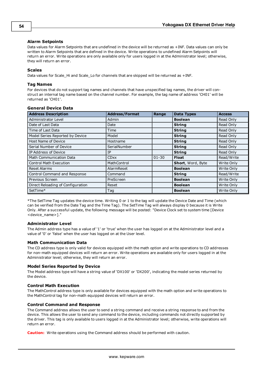## **Alarm Setpoints**

Data values for Alarm Setpoints that are undefined in the device will be returned as +INF. Data values can only be written to Alarm Setpoints that are defined in the device. Write operations to undefined Alarm Setpoints will return an error. Write operations are only available only for users logged in at the Administrator level; otherwise, they will return an error.

### **Scales**

Data values for Scale\_Hi and Scale\_Lo for channels that are skipped will be returned as +INF.

## **Tag Names**

For devices that do not support tag names and channels that have unspecified tag names, the driver will construct an internal tag name based on the channel number. For example, the tag name of address 'CH01' will be returned as 'CH01'.

| <b>Address Description</b>        | <b>Address/Format</b> | Range     | <b>Data Types</b>        | <b>Access</b> |
|-----------------------------------|-----------------------|-----------|--------------------------|---------------|
| Administrator Level               | Admin                 |           | <b>Boolean</b>           | Read Only     |
| Date of Last Data                 | Date                  |           | <b>String</b>            | Read Only     |
| Time of Last Data                 | Time                  |           | <b>String</b>            | Read Only     |
| Model Series Reported by Device   | Model                 |           | <b>String</b>            | Read Only     |
| Host Name of Device               | Hostname              |           | <b>String</b>            | Read Only     |
| Serial Number of Device           | SerialNumber          |           | <b>String</b>            | Read Only     |
| IP Address of Device              | IP                    |           | <b>String</b>            | Read Only     |
| <b>Math Communication Data</b>    | <b>CDxx</b>           | $01 - 30$ | <b>Float</b>             | Read/Write    |
| <b>Control Math Execution</b>     | MathControl           |           | <b>Short, Word, Byte</b> | Write Only    |
| <b>Reset Alarms</b>               | AlarmReset            |           | <b>Boolean</b>           | Write Only    |
| Control Command and Response      | Command               |           | <b>String</b>            | Read/Write    |
| Previous Screen                   | PreScreen             |           | <b>Boolean</b>           | Write Only    |
| Direct Reloading of Configuration | Reset                 |           | <b>Boolean</b>           | Write Only    |
| SetTime*                          | Tag                   |           | <b>Boolean</b>           | Write Only    |

## **General Device Data**

\*The SetTime Tag updates the device time. Writing 0 or 1 to the tag will update the Device Date and Time (which can be verified from the Date Tag and the Time Tag). The SetTime Tag will always display 0 because it is Write Only. After a successful update, the following message will be posted: "Device Clock set to system time [Device <device\_name>]."

## **Administrator Level**

The Admin address type has a value of '1' or 'true' when the user has logged on at the Administrator level and a value of '0' or 'false' when the user has logged on at the User level.

## **Math Communication Data**

The CD address type is only valid for devices equipped with the math option and write operations to CD addresses for non-math equipped devices will return an error. Write operations are available only for users logged in at the Administrator level; otherwise, they will return an error.

#### **Model Series Reported by Device**

The Model address type will have a string value of 'DX100' or 'DX200', indicating the model series returned by the device.

## **Control Math Execution**

The MathControl address type is only available for devices equipped with the math option and write operations to the MathControl tag for non-math equipped devices will return an error.

#### **Control Command and Response**

The Command address allows the user to send a string command and receive a string response to and from the device. This allows the user to send any command to the device, including commands not directly supported by the driver. This tag is only available to users logged in at the Administrator level; otherwise, write operations will return an error.

**Caution:** Write operations using the Command address should be performed with caution.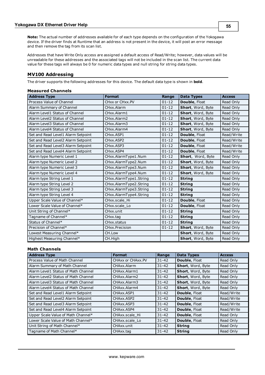**Note:** The actual number of addresses available for of each type depends on the configuration of the Yokogawa device. If the driver finds at Runtime that an address is not present in the device, it will post an error message and then remove the tag from its scan list.

Addresses that have Write Only access are assigned a default access of Read/Write; however, data values will be unreadable for these addresses and the associated tags will not be included in the scan list. The current data value for these tags will always be 0 for numeric data types and null string for string data types.

## **MV100 Addressing**

The driver supports the following addresses for this device. The default data type is shown in **bold**.

#### **Measured Channels**

| <b>Address Type</b>                | <b>Format</b>          | Range     | <b>Data Types</b> | <b>Access</b> |
|------------------------------------|------------------------|-----------|-------------------|---------------|
| Process Value of Channel           | CHxx or CHxx.PV        | $01 - 12$ | Double, Float     | Read Only     |
| Alarm Summary of Channel           | CHxx.Alarm             | $01 - 12$ | Short, Word, Byte | Read Only     |
| Alarm Level1 Status of Channel     | CHxx.Alarm1            | $01 - 12$ | Short, Word, Byte | Read Only     |
| Alarm Level2 Status of Channel     | CHxx.Alarm2            | $01 - 12$ | Short, Word, Byte | Read Only     |
| Alarm Level3 Status of Channel     | CHxx.Alarm3            | $01 - 12$ | Short, Word, Byte | Read Only     |
| Alarm Level4 Status of Channel     | CHxx.Alarm4            | $01 - 12$ | Short, Word, Byte | Read Only     |
| Set and Read Level1 Alarm Setpoint | CHxx.ASP1              | $01 - 12$ | Double, Float     | Read/Write    |
| Set and Read Level2 Alarm Setpoint | CHxx.ASP2              | $01 - 12$ | Double, Float     | Read/Write    |
| Set and Read Level3 Alarm Setpoint | CHxx.ASP3              | $01 - 12$ | Double, Float     | Read/Write    |
| Set and Read Level4 Alarm Setpoint | CHxx.ASP4              | $01 - 12$ | Double, Float     | Read/Write    |
| Alarm type Numeric Level 1         | CHxx.AlarmType1.Num    | $01 - 12$ | Short, Word, Byte | Read Only     |
| Alarm type Numeric Level 2         | CHxx.AlarmType2.Num    | $01 - 12$ | Short, Word, Byte | Read Only     |
| Alarm type Numeric Level 3         | CHxx.AlarmType3.Num    | $01 - 12$ | Short, Word, Byte | Read Only     |
| Alarm type Numeric Level 4         | CHxx.AlarmType4.Num    | $01 - 12$ | Short, Word, Byte | Read Only     |
| Alarm type String Level 1          | CHxx.AlarmType1.String | $01 - 12$ | <b>String</b>     | Read Only     |
| Alarm type String Level 2          | CHxx.AlarmType2.String | $01 - 12$ | <b>String</b>     | Read Only     |
| Alarm type String Level 3          | CHxx.AlarmType3.String | $01 - 12$ | <b>String</b>     | Read Only     |
| Alarm type String Level 4          | CHxx.AlarmType4.String | $01 - 12$ | <b>String</b>     | Read Only     |
| Upper Scale Value of Channel*      | CHxx.scale Hi          | $01 - 12$ | Double, Float     | Read Only     |
| Lower Scale Value of Channel*      | CHxx.scale Lo          | $01 - 12$ | Double, Float     | Read Only     |
| Unit String of Channel*            | CHxx.unit              | $01 - 12$ | <b>String</b>     | Read Only     |
| Tagname of Channel*                | CHxx.tag               | $01 - 12$ | <b>String</b>     | Read Only     |
| Status of Channel*                 | CHxx.status            | $01 - 12$ | <b>String</b>     | Read Only     |
| Precision of Channel*              | CHxx.Precision         | $01 - 12$ | Short, Word, Byte | Read Only     |
| Lowest Measuring Channel*          | CH.Low                 |           | Short, Word, Byte | Read Only     |
| Highest Measuring Channel*         | CH.High                |           | Short, Word, Byte | Read Only     |

| <b>Address Type</b>                 | <b>Format</b>     | Range     | <b>Data Types</b> | <b>Access</b> |
|-------------------------------------|-------------------|-----------|-------------------|---------------|
| Process Value of Math Channel       | CHAXX or CHAXX.PV | $31 - 42$ | Double, Float     | Read Only     |
| Alarm Summary of Math Channel       | CHAxx.Alarm       | $31 - 42$ | Short, Word, Byte | Read Only     |
| Alarm Level1 Status of Math Channel | CHAxx.Alarm1      | $31 - 42$ | Short, Word, Byte | Read Only     |
| Alarm Level2 Status of Math Channel | CHAxx.Alarm2      | $31 - 42$ | Short, Word, Byte | Read Only     |
| Alarm Level3 Status of Math Channel | CHAxx.Alarm3      | $31 - 42$ | Short, Word, Byte | Read Only     |
| Alarm Level4 Status of Math Channel | CHAxx.Alarm4      | $31 - 42$ | Short, Word, Byte | Read Only     |
| Set and Read Level1 Alarm Setpoint  | CHAxx.ASP1        | $31 - 42$ | Double, Float     | Read/Write    |
| Set and Read Level2 Alarm Setpoint  | CHAxx, ASP2       | $31 - 42$ | Double, Float     | Read/Write    |
| Set and Read Level3 Alarm Setpoint  | CHAxx, ASP3       | $31 - 42$ | Double, Float     | Read/Write    |
| Set and Read Level4 Alarm Setpoint  | CHAxx ASP4        | $31 - 42$ | Double, Float     | Read/Write    |
| Upper Scale Value of Math Channel*  | CHAxx.scale Hi    | $31 - 42$ | Double, Float     | Read Only     |
| Lower Scale Value of Math Channel*  | CHAxx.scale Lo    | $31 - 42$ | Double, Float     | Read Only     |
| Unit String of Math Channel*        | CHAxx.unit        | $31 - 42$ | <b>String</b>     | Read Only     |
| Tagname of Math Channel*            | CHAxx.tag         | $31 - 42$ | <b>String</b>     | Read Only     |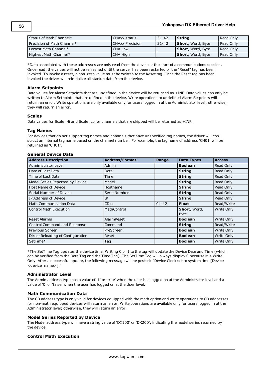| Status of Math Channel*    | CHAxx.status    | 31-42 | Strina                    | Read Only   |
|----------------------------|-----------------|-------|---------------------------|-------------|
| Precision of Math Channel* | CHAxx.Precision | 31-42 | <b>Short</b> , Word, Byte | Read Only   |
| Lowest Math Channel*       | CHA Low         |       | Short, Word, Byte         | l Read Only |
| Highest Math Channel*      | CHA.High        |       | Short, Word, Byte         | Read Only   |

\*Data associated with these addresses are only read from the device at the start of a communications session. Once read, the values will not be refreshed until the server has been restarted or the "Reset" tag has been invoked. To invoke a reset, a non-zero value must be written to the Reset tag. Once the Reset tag has been invoked the driver will reinitialize all startup data from the device.

#### **Alarm Setpoints**

Data values for Alarm Setpoints that are undefined in the device will be returned as +INF. Data values can only be written to Alarm Setpoints that are defined in the device. Write operations to undefined Alarm Setpoints will return an error. Write operations are only available only for users logged in at the Administrator level; otherwise, they will return an error.

### **Scales**

Data values for Scale\_Hi and Scale\_Lo for channels that are skipped will be returned as +INF.

#### **Tag Names**

For devices that do not support tag names and channels that have unspecified tag names, the driver will construct an internal tag name based on the channel number. For example, the tag name of address 'CH01' will be returned as 'CH01'.

## **General Device Data**

| <b>Address Description</b>        | <b>Address/Format</b> | Range     | <b>Data Types</b> | <b>Access</b> |
|-----------------------------------|-----------------------|-----------|-------------------|---------------|
| Administrator Level               | Admin                 |           | <b>Boolean</b>    | Read Only     |
| Date of Last Data                 | Date                  |           | <b>String</b>     | Read Only     |
| Time of Last Data                 | Time                  |           | <b>String</b>     | Read Only     |
| Model Series Reported by Device   | Model                 |           | <b>String</b>     | Read Only     |
| Host Name of Device               | Hostname              |           | <b>String</b>     | Read Only     |
| Serial Number of Device           | SerialNumber          |           | <b>String</b>     | Read Only     |
| IP Address of Device              | IP                    |           | <b>String</b>     | Read Only     |
| <b>Math Communication Data</b>    | <b>CDxx</b>           | $01 - 12$ | <b>Float</b>      | Read/Write    |
| <b>Control Math Execution</b>     | MathControl           |           | Short, Word,      | Write Only    |
|                                   |                       |           | <b>Byte</b>       |               |
| <b>Reset Alarms</b>               | AlarmReset            |           | <b>Boolean</b>    | Write Only    |
| Control Command and Response      | Command               |           | <b>String</b>     | Read/Write    |
| Previous Screen                   | PreScreen             |           | <b>Boolean</b>    | Write Only    |
| Direct Reloading of Configuration | Reset                 |           | <b>Boolean</b>    | Write Only    |
| SetTime*                          | Tag                   |           | <b>Boolean</b>    | Write Only    |

\*The SetTime Tag updates the device time. Writing 0 or 1 to the tag will update the Device Date and Time (which can be verified from the Date Tag and the Time Tag). The SetTime Tag will always display 0 because it is Write Only. After a successful update, the following message will be posted: "Device Clock set to system time [Device <device\_name>]."

## **Administrator Level**

The Admin address type has a value of '1' or 'true' when the user has logged on at the Administrator level and a value of '0' or 'false' when the user has logged on at the User level.

#### **Math Communication Data**

The CD address type is only valid for devices equipped with the math option and write operations to CD addresses for non-math equipped devices will return an error. Write operations are available only for users logged in at the Administrator level; otherwise, they will return an error.

#### **Model Series Reported by Device**

The Model address type will have a string value of 'DX100' or 'DX200', indicating the model series returned by the device.

## **Control Math Execution**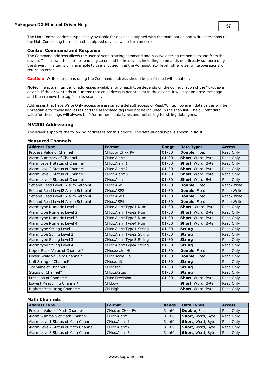The MathControl address type is only available for devices equipped with the math option and write operations to the MathControl tag for non-math equipped devices will return an error.

#### **Control Command and Response**

The Command address allows the user to send a string command and receive a string response to and from the device. This allows the user to send any command to the device, including commands not directly supported by the driver. This tag is only available to users logged in at the Administrator level; otherwise, write operations will return an error.

**Caution:** Write operations using the Command address should be performed with caution.

**Note:** The actual number of addresses available for of each type depends on the configuration of the Yokogawa device. If the driver finds at Runtime that an address is not present in the device, it will post an error message and then remove the tag from its scan list.

Addresses that have Write Only access are assigned a default access of Read/Write; however, data values will be unreadable for these addresses and the associated tags will not be included in the scan list. The current data value for these tags will always be 0 for numeric data types and null string for string data types.

### **MV200 Addressing**

The driver supports the following addresses for this device. The default data type is shown in **bold**.

#### **Measured Channels**

| <b>Address Type</b>                | <b>Format</b>                       | Range     | <b>Data Types</b> | <b>Access</b> |
|------------------------------------|-------------------------------------|-----------|-------------------|---------------|
| Process Value of Channel           | CHxx or CHxx.PV                     | $01 - 30$ | Double, Float     | Read Only     |
| Alarm Summary of Channel           | CHxx.Alarm                          | $01 - 30$ | Short, Word, Byte | Read Only     |
| Alarm Level1 Status of Channel     | CHxx.Alarm1                         | $01 - 30$ | Short, Word, Byte | Read Only     |
| Alarm Level2 Status of Channel     | CHxx.Alarm2                         | $01 - 30$ | Short, Word, Byte | Read Only     |
| Alarm Level3 Status of Channel     | CHxx.Alarm3                         | $01 - 30$ | Short, Word, Byte | Read Only     |
| Alarm Level4 Status of Channel     | CHxx.Alarm4                         | $01 - 30$ | Short, Word, Byte | Read Only     |
| Set and Read Level1 Alarm Setpoint | CHxx.ASP1                           | $01 - 30$ | Double, Float     | Read/Write    |
| Set and Read Level2 Alarm Setpoint | CH <sub>xx</sub> , ASP <sub>2</sub> | $01 - 30$ | Double, Float     | Read/Write    |
| Set and Read Level3 Alarm Setpoint | CHxx.ASP3                           | $01 - 30$ | Double, Float     | Read/Write    |
| Set and Read Level4 Alarm Setpoint | CHxx.ASP4                           | $01 - 30$ | Double, Float     | Read/Write    |
| Alarm type Numeric Level 1         | CHxx.AlarmType1.Num                 | $01 - 30$ | Short, Word, Byte | Read Only     |
| Alarm type Numeric Level 2         | CHxx.AlarmType2.Num                 | $01 - 30$ | Short, Word, Byte | Read Only     |
| Alarm type Numeric Level 3         | CHxx.AlarmType3.Num                 | $01 - 30$ | Short, Word, Byte | Read Only     |
| Alarm type Numeric Level 4         | CHxx.AlarmType4.Num                 | $01 - 30$ | Short, Word, Byte | Read Only     |
| Alarm type String Level 1          | CHxx.AlarmType1.String              | $01 - 30$ | <b>String</b>     | Read Only     |
| Alarm type String Level 2          | CHxx.AlarmType2.String              | $01 - 30$ | <b>String</b>     | Read Only     |
| Alarm type String Level 3          | CHxx.AlarmType3.String              | $01 - 30$ | <b>String</b>     | Read Only     |
| Alarm type String Level 4          | CHxx.AlarmType4.String              | $01 - 30$ | <b>String</b>     | Read Only     |
| Upper Scale Value of Channel*      | CHxx.scale Hi                       | $01 - 30$ | Double, Float     | Read Only     |
| Lower Scale Value of Channel*      | CHxx.scale Lo                       | $01 - 30$ | Double, Float     | Read Only     |
| Unit String of Channel*            | CHxx.unit                           | $01 - 30$ | <b>String</b>     | Read Only     |
| Tagname of Channel*                | CHxx.tag                            | $01 - 30$ | <b>String</b>     | Read Only     |
| Status of Channel*                 | CHxx.status                         | $01 - 30$ | <b>String</b>     | Read Only     |
| Precision of Channel*              | CHxx.Precision                      | $01 - 30$ | Short, Word, Byte | Read Only     |
| Lowest Measuring Channel*          | CH.Low                              |           | Short, Word, Byte | Read Only     |
| Highest Measuring Channel*         | CH.High                             |           | Short, Word, Byte | Read Only     |

| <b>Address Type</b>                 | <b>Format</b>   | Range     | <b>Data Types</b>         | <b>Access</b> |
|-------------------------------------|-----------------|-----------|---------------------------|---------------|
| Process Value of Math Channel       | CHxx or CHxx.PV | 31-60     | <b>Double, Float</b>      | Read Only     |
| Alarm Summary of Math Channel       | CHxx.Alarm      | 31-60     | Short, Word, Byte         | Read Only     |
| Alarm Level1 Status of Math Channel | CHxx.Alarm1     | $31 - 60$ | <b>Short</b> , Word, Byte | Read Only     |
| Alarm Level2 Status of Math Channel | CHxx.Alarm2     | 31-60     | <b>Short</b> , Word, Byte | Read Only     |
| Alarm Level3 Status of Math Channel | CHxx.Alarm3     | 31-60     | Short, Word, Byte         | Read Only     |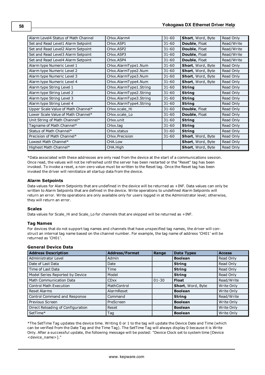| Alarm Level4 Status of Math Channel | CHxx.Alarm4              | $31 - 60$ | Short, Word, Byte        | Read Only  |
|-------------------------------------|--------------------------|-----------|--------------------------|------------|
| Set and Read Level1 Alarm Setpoint  | CHxx.ASP1                | $31 - 60$ | Double, Float            | Read/Write |
| Set and Read Level2 Alarm Setpoint  | CHxx.ASP2                | $31 - 60$ | Double, Float            | Read/Write |
| Set and Read Level3 Alarm Setpoint  | CH <sub>xx</sub> , ASP3  | $31 - 60$ | <b>Double, Float</b>     | Read/Write |
| Set and Read Level4 Alarm Setpoint  | CH <sub>xx</sub> .ASP4   | $31 - 60$ | <b>Double, Float</b>     | Read/Write |
| Alarm type Numeric Level 1          | CHxx.AlarmType1.Num      | $31 - 60$ | Short, Word, Byte        | Read Only  |
| Alarm type Numeric Level 2          | CHxx.AlarmType2.Num      | $31 - 60$ | Short, Word, Byte        | Read Only  |
| Alarm type Numeric Level 3          | CHxx.AlarmType3.Num      | $31 - 60$ | Short, Word, Byte        | Read Only  |
| Alarm type Numeric Level 4          | CHxx.AlarmType4.Num      | $31 - 60$ | <b>Short, Word, Byte</b> | Read Only  |
| Alarm type String Level 1           | CHxx.AlarmType1.String   | $31 - 60$ | <b>String</b>            | Read Only  |
| Alarm type String Level 2           | CHxx.AlarmType2.String   | $31 - 60$ | <b>String</b>            | Read Only  |
| Alarm type String Level 3           | CHxx.AlarmType3.String   | $31 - 60$ | <b>String</b>            | Read Only  |
| Alarm type String Level 4           | CHxx.AlarmType4.String   | $31 - 60$ | <b>String</b>            | Read Only  |
| Upper Scale Value of Math Channel*  | CHxx.scale Hi            | $31 - 60$ | <b>Double, Float</b>     | Read Only  |
| Lower Scale Value of Math Channel*  | CHxx.scale Lo            | $31 - 60$ | <b>Double, Float</b>     | Read Only  |
| Unit String of Math Channel*        | CHxx.unit                | $31 - 60$ | <b>String</b>            | Read Only  |
| Tagname of Math Channel*            | CHxx.tag                 | $31 - 60$ | <b>String</b>            | Read Only  |
| Status of Math Channel*             | CH <sub>xx</sub> .status | $31 - 60$ | <b>String</b>            | Read Only  |
| Precision of Math Channel*          | CHxx.Precision           | $31 - 60$ | <b>Short, Word, Byte</b> | Read Only  |
| Lowest Math Channel*                | CHA.Low                  |           | <b>Short, Word, Byte</b> | Read Only  |
| Highest Math Channel*               | CHA.High                 |           | <b>Short, Word, Byte</b> | Read Only  |

\*Data associated with these addresses are only read from the device at the start of a communications session. Once read, the values will not be refreshed until the server has been restarted or the "Reset" tag has been invoked. To invoke a reset, a non-zero value must be written to the Reset tag. Once the Reset tag has been invoked the driver will reinitialize all startup data from the device.

### **Alarm Setpoints**

Data values for Alarm Setpoints that are undefined in the device will be returned as +INF. Data values can only be written to Alarm Setpoints that are defined in the device. Write operations to undefined Alarm Setpoints will return an error. Write operations are only available only for users logged in at the Administrator level; otherwise, they will return an error.

#### **Scales**

Data values for Scale\_Hi and Scale\_Lo for channels that are skipped will be returned as +INF.

## **Tag Names**

For devices that do not support tag names and channels that have unspecified tag names, the driver will construct an internal tag name based on the channel number. For example, the tag name of address 'CH01' will be returned as 'CH01'.

#### **General Device Data**

| <b>Address Description</b>        | <b>Address/Format</b> | Range     | <b>Data Types</b> | <b>Access</b> |
|-----------------------------------|-----------------------|-----------|-------------------|---------------|
| Administrator Level               | Admin                 |           | <b>Boolean</b>    | Read Only     |
| Date of Last Data                 | Date                  |           | <b>String</b>     | Read Only     |
| Time of Last Data                 | Time                  |           | <b>String</b>     | Read Only     |
| Model Series Reported by Device   | Model                 |           | <b>String</b>     | Read Only     |
| <b>Math Communication Data</b>    | <b>CDxx</b>           | $01 - 30$ | <b>Float</b>      | Read/Write    |
| <b>Control Math Execution</b>     | MathControl           |           | Short, Word, Byte | Write Only    |
| <b>Reset Alarms</b>               | AlarmReset            |           | <b>Boolean</b>    | Write Only    |
| Control Command and Response      | Command               |           | <b>String</b>     | Read/Write    |
| Previous Screen                   | PreScreen             |           | <b>Boolean</b>    | Write Only    |
| Direct Reloading of Configuration | Reset                 |           | <b>Boolean</b>    | Write Only    |
| SetTime*                          | Tag                   |           | <b>Boolean</b>    | Write Only    |

\*The SetTime Tag updates the device time. Writing 0 or 1 to the tag will update the Device Date and Time (which can be verified from the Date Tag and the Time Tag). The SetTime Tag will always display 0 because it is Write Only. After a successful update, the following message will be posted: "Device Clock set to system time [Device <device\_name>]."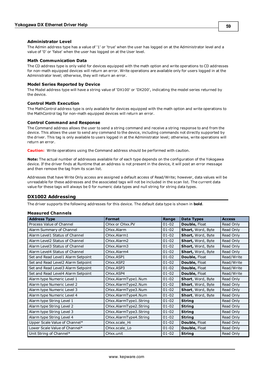### **Administrator Level**

The Admin address type has a value of '1' or 'true' when the user has logged on at the Administrator level and a value of '0' or 'false' when the user has logged on at the User level.

#### **Math Communication Data**

The CD address type is only valid for devices equipped with the math option and write operations to CD addresses for non-math equipped devices will return an error. Write operations are available only for users logged in at the Administrator level; otherwise, they will return an error.

#### **Model Series Reported by Device**

The Model address type will have a string value of 'DX100' or 'DX200', indicating the model series returned by the device.

#### **Control Math Execution**

The MathControl address type is only available for devices equipped with the math option and write operations to the MathControl tag for non-math equipped devices will return an error.

#### **Control Command and Response**

The Command address allows the user to send a string command and receive a string response to and from the device. This allows the user to send any command to the device, including commands not directly supported by the driver. This tag is only available to users logged in at the Administrator level; otherwise, write operations will return an error.

**Caution:** Write operations using the Command address should be performed with caution.

**Note:** The actual number of addresses available for of each type depends on the configuration of the Yokogawa device. If the driver finds at Runtime that an address is not present in the device, it will post an error message and then remove the tag from its scan list.

Addresses that have Write Only access are assigned a default access of Read/Write; however, data values will be unreadable for these addresses and the associated tags will not be included in the scan list. The current data value for these tags will always be 0 for numeric data types and null string for string data types.

## **DX1002 Addressing**

The driver supports the following addresses for this device. The default data type is shown in **bold**.

#### **Measured Channels**

| <b>Address Type</b>                | <b>Format</b>          | Range     | <b>Data Types</b>    | <b>Access</b> |
|------------------------------------|------------------------|-----------|----------------------|---------------|
| Process Value of Channel           | CHxx or CHxx.PV        | $01 - 02$ | Double, Float        | Read Only     |
| Alarm Summary of Channel           | CHxx.Alarm             | $01 - 02$ | Short, Word, Byte    | Read Only     |
| Alarm Level1 Status of Channel     | CHxx.Alarm1            | $01 - 02$ | Short, Word, Byte    | Read Only     |
| Alarm Level2 Status of Channel     | CHxx.Alarm2            | $01 - 02$ | Short, Word, Byte    | Read Only     |
| Alarm Level3 Status of Channel     | CHxx.Alarm3            | $01 - 02$ | Short, Word, Byte    | Read Only     |
| Alarm Level4 Status of Channel     | CHxx.Alarm4            | $01 - 02$ | Short, Word, Byte    | Read Only     |
| Set and Read Level1 Alarm Setpoint | CHxx.ASP1              | $01 - 02$ | Double, Float        | Read/Write    |
| Set and Read Level2 Alarm Setpoint | CHxx.ASP2              | $01 - 02$ | Double, Float        | Read/Write    |
| Set and Read Level3 Alarm Setpoint | CHxx.ASP3              | $01 - 02$ | <b>Double, Float</b> | Read/Write    |
| Set and Read Level4 Alarm Setpoint | CHxx.ASP4              | $01 - 02$ | Double, Float        | Read/Write    |
| Alarm type Numeric Level 1         | CHxx.AlarmType1.Num    | $01 - 02$ | Short, Word, Byte    | Read Only     |
| Alarm type Numeric Level 2         | CHxx.AlarmType2.Num    | $01 - 02$ | Short, Word, Byte    | Read Only     |
| Alarm type Numeric Level 3         | CHxx.AlarmType3.Num    | $01 - 02$ | Short, Word, Byte    | Read Only     |
| Alarm type Numeric Level 4         | CHxx.AlarmType4.Num    | $01 - 02$ | Short, Word, Byte    | Read Only     |
| Alarm type String Level 1          | CHxx.AlarmType1.String | $01 - 02$ | <b>String</b>        | Read Only     |
| Alarm type String Level 2          | CHxx.AlarmType2.String | $01 - 02$ | <b>String</b>        | Read Only     |
| Alarm type String Level 3          | CHxx.AlarmType3.String | $01 - 02$ | <b>String</b>        | Read Only     |
| Alarm type String Level 4          | CHxx.AlarmType4.String | $01 - 02$ | <b>String</b>        | Read Only     |
| Upper Scale Value of Channel*      | CHxx.scale_Hi          | $01 - 02$ | Double, Float        | Read Only     |
| Lower Scale Value of Channel*      | CHxx.scale Lo          | $01 - 02$ | Double, Float        | Read Only     |
| Unit String of Channel*            | CHxx.unit              | $01 - 02$ | <b>String</b>        | Read Only     |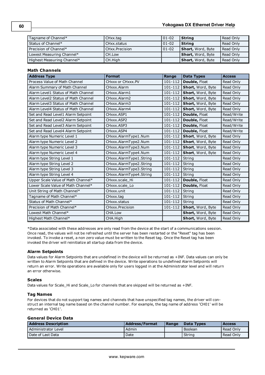| Tagname of Channel*        | CHxx.tag       | $01 - 02$ | String            | Read Only |
|----------------------------|----------------|-----------|-------------------|-----------|
| Status of Channel*         | CHxx status    | $01 - 02$ | l String          | Read Only |
| Precision of Channel*      | CHxx.Precision | $01 - 02$ | Short, Word, Byte | Read Only |
| Lowest Measuring Channel*  | CH.Low         |           | Short, Word, Byte | Read Only |
| Highest Measuring Channel* | CH.High        |           | Short, Word, Byte | Read Only |

## **Math Channels**

| <b>Address Type</b>                 | <b>Format</b>           | Range       | <b>Data Types</b> | <b>Access</b> |
|-------------------------------------|-------------------------|-------------|-------------------|---------------|
| Process Value of Math Channel       | CHXXX or CHXXX.PV       | 101-112     | Double, Float     | Read Only     |
| Alarm Summary of Math Channel       | CHxxx.Alarm             | 101-112     | Short, Word, Byte | Read Only     |
| Alarm Level1 Status of Math Channel | CHxxx.Alarm1            | $101 - 112$ | Short, Word, Byte | Read Only     |
| Alarm Level2 Status of Math Channel | CHxxx.Alarm2            | 101-112     | Short, Word, Byte | Read Only     |
| Alarm Level3 Status of Math Channel | CHxxx.Alarm3            | 101-112     | Short, Word, Byte | Read Only     |
| Alarm Level4 Status of Math Channel | CHxxx.Alarm4            | $101 - 112$ | Short, Word, Byte | Read Only     |
| Set and Read Level1 Alarm Setpoint  | CHxxx.ASP1              | 101-112     | Double, Float     | Read/Write    |
| Set and Read Level2 Alarm Setpoint  | CHxxx.ASP2              | 101-112     | Double, Float     | Read/Write    |
| Set and Read Level3 Alarm Setpoint  | CHxxx.ASP3              | 101-112     | Double, Float     | Read/Write    |
| Set and Read Level4 Alarm Setpoint  | CHxxx.ASP4              | 101-112     | Double, Float     | Read/Write    |
| Alarm type Numeric Level 1          | CHxxx.AlarmType1.Num    | 101-112     | Short, Word, Byte | Read Only     |
| Alarm type Numeric Level 2          | CHxxx.AlarmType2.Num    | 101-112     | Short, Word, Byte | Read Only     |
| Alarm type Numeric Level 3          | CHxxx.AlarmType3.Num    | 101-112     | Short, Word, Byte | Read Only     |
| Alarm type Numeric Level 4          | CHxxx.AlarmType4.Num    | 101-112     | Short, Word, Byte | Read Only     |
| Alarm type String Level 1           | CHxxx.AlarmType1.String | 101-112     | String            | Read Only     |
| Alarm type String Level 2           | CHxxx.AlarmType2.String | 101-112     | String            | Read Only     |
| Alarm type String Level 3           | CHxxx.AlarmType3.String | 101-112     | String            | Read Only     |
| Alarm type String Level 4           | CHxxx.AlarmType4.String | 101-112     | String            | Read Only     |
| Upper Scale Value of Math Channel*  | CHxxx.scale Hi          | 101-112     | Double, Float     | Read Only     |
| Lower Scale Value of Math Channel*  | CHxxx.scale_Lo          | 101-112     | Double, Float     | Read Only     |
| Unit String of Math Channel*        | CHxxx.unit              | 101-112     | String            | Read Only     |
| Tagname of Math Channel*            | CHxxx.tag               | 101-112     | String            | Read Only     |
| Status of Math Channel*             | CHxxx.status            | 101-112     | String            | Read Only     |
| Precision of Math Channel*          | CHxxx.Precision         | 101-112     | Short, Word, Byte | Read Only     |
| Lowest Math Channel*                | CHA.Low                 |             | Short, Word, Byte | Read Only     |
| Highest Math Channel*               | CHA.High                |             | Short, Word, Byte | Read Only     |

\*Data associated with these addresses are only read from the device at the start of a communications session. Once read, the values will not be refreshed until the server has been restarted or the "Reset" tag has been invoked. To invoke a reset, a non zero value must be written to the Reset tag. Once the Reset tag has been invoked the driver will reinitialize all startup data from the device.

#### **Alarm Setpoints**

Data values for Alarm Setpoints that are undefined in the device will be returned as +INF. Data values can only be written to Alarm Setpoints that are defined in the device. Write operations to undefined Alarm Setpoints will return an error. Write operations are available only for users logged in at the Administrator level and will return an error otherwise.

#### **Scales**

Data values for Scale\_Hi and Scale\_Lo for channels that are skipped will be returned as +INF.

#### **Tag Names**

For devices that do not support tag names and channels that have unspecified tag names, the driver will construct an internal tag name based on the channel number. For example, the tag name of address 'CH01' will be returned as 'CH01'.

## **General Device Data**

| <b>Address Description</b> | <b>Address/Format</b> | <b>Range</b> | Data Types | <b>Access</b> |
|----------------------------|-----------------------|--------------|------------|---------------|
| Administrator Level        | Admin                 |              | l Boolean  | Read Only     |
| Date of Last Data          | Date                  |              | ' String   | Read Only     |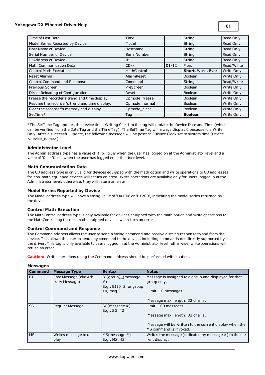## **Yokogawa DX Ethernet Driver Help**

| Time of Last Data                             | Time          |           | String            | Read Only  |
|-----------------------------------------------|---------------|-----------|-------------------|------------|
| Model Series Reported by Device               | Model         |           | String            | Read Only  |
| Host Name of Device                           | Hostname      |           | String            | Read Only  |
| Serial Number of Device                       | SerialNumber  |           | String            | Read Only  |
| IP Address of Device                          | ΙP            |           | String            | Read Only  |
| <b>Math Communication Data</b>                | <b>CDxx</b>   | $01 - 12$ | Float             | Read/Write |
| <b>Control Math Execution</b>                 | MathControl   |           | Short, Word, Byte | Write Only |
| <b>Reset Alarms</b>                           | AlarmReset    |           | Boolean           | Write Only |
| Control Command and Response                  | Command       |           | String            | Read/Write |
| Previous Screen                               | PreScreen     |           | <b>Boolean</b>    | Write Only |
| Direct Reloading of Configuration             | Reset         |           | <b>Boolean</b>    | Write Only |
| Freeze the recorder's trend and time display. | Opmode freeze |           | Boolean           | Write Only |
| Resume the recorder's trend and time display. | Opmode_normal |           | Boolean           | Write Only |
| Clear the recorder's memory and display.      | Opmode_clear  |           | <b>Boolean</b>    | Write Only |
| SetTime*                                      | Taq           |           | <b>Boolean</b>    | Write Only |

\*The SetTime Tag updates the device time. Writing 0 or 1 to the tag will update the Device Date and Time (which can be verified from the Date Tag and the Time Tag). The SetTime Tag will always display 0 because it is Write Only. After a successful update, the following message will be posted: "Device Clock set to system time [Device <device\_name>]."

### **Administrator Level**

The Admin address type has a value of '1' or 'true' when the user has logged on at the Administrator level and a value of '0' or 'false' when the user has logged on at the User level.

### **Math Communication Data**

The CD address type is only valid for devices equipped with the math option and write operations to CD addresses for non-math equipped devices will return an error. Write operations are available only for users logged in at the Administrator level; otherwise, they will return an error.

## **Model Series Reported by Device**

The Model address type will have a string value of 'DX100' or 'DX200', indicating the model series returned by the device.

## **Control Math Execution**

The MathControl address type is only available for devices equipped with the math option and write operations to the MathControl tag for non-math equipped devices will return an error.

#### **Control Command and Response**

The Command address allows the user to send a string command and receive a string response to and from the device. This allows the user to send any command to the device, including commands not directly supported by the driver. This tag is only available to users logged in at the Administrator level; otherwise, write operations will return an error.

**Caution:** Write operations using the Command address should be performed with caution.

| <b>Command</b> | <b>Message Type</b>                       | <b>Syntax</b>                                                                  | <b>Notes</b>                                                                                |
|----------------|-------------------------------------------|--------------------------------------------------------------------------------|---------------------------------------------------------------------------------------------|
| BJ             | Free Message (aka Arbi-<br>trary Message) | BJ(group) (message<br>$#$ )<br>E.g., BJ10 <sub>2</sub> for group<br>10, msg 2. | Message is assigned to a group and displayed for that<br>group only.<br>Limit: 10 messages. |
|                |                                           |                                                                                | Message max. length: 32 char.s.                                                             |
| SG             | Regular Message                           | $SG(message \#)$<br>E.g., SG 42                                                | Limit: 100 messages.<br>Message max. length: 32 char.s.                                     |
|                |                                           |                                                                                | Message will be written to the current display when the<br>MS command is invoked.           |
| <b>MS</b>      | Writes message to dis-<br>play            | $MS(message \#)$<br>E.g., MS 42                                                | Writes the message (indicated by message $#$ ) to the cur-<br>rent display.                 |

#### **Messages**

www. kepware.com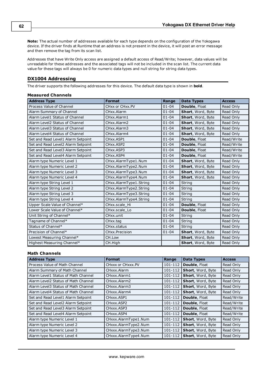**Note:** The actual number of addresses available for each type depends on the configuration of the Yokogawa device. If the driver finds at Runtime that an address is not present in the device, it will post an error message and then remove the tag from its scan list.

Addresses that have Write Only access are assigned a default access of Read/Write; however, data values will be unreadable for these addresses and the associated tags will not be included in the scan list. The current data value for these tags will always be 0 for numeric data types and null string for string data types.

## **DX1004 Addressing**

The driver supports the following addresses for this device. The default data type is shown in **bold**.

## **Measured Channels**

| <b>Address Type</b>                | <b>Format</b>          | Range     | <b>Data Types</b> | <b>Access</b> |
|------------------------------------|------------------------|-----------|-------------------|---------------|
| Process Value of Channel           | CHxx or CHxx.PV        | $01 - 04$ | Double, Float     | Read Only     |
| Alarm Summary of Channel           | CHxx.Alarm             | $01 - 04$ | Short, Word, Byte | Read Only     |
| Alarm Level1 Status of Channel     | CHxx.Alarm1            | $01 - 04$ | Short, Word, Byte | Read Only     |
| Alarm Level2 Status of Channel     | CHxx.Alarm2            | $01 - 04$ | Short, Word, Byte | Read Only     |
| Alarm Level3 Status of Channel     | CHxx.Alarm3            | $01 - 04$ | Short, Word, Byte | Read Only     |
| Alarm Level4 Status of Channel     | CHxx.Alarm4            | $01 - 04$ | Short, Word, Byte | Read Only     |
| Set and Read Level1 Alarm Setpoint | CHxx.ASP1              | $01 - 04$ | Double, Float     | Read/Write    |
| Set and Read Level2 Alarm Setpoint | CHxx.ASP2              | $01 - 04$ | Double, Float     | Read/Write    |
| Set and Read Level3 Alarm Setpoint | CHxx.ASP3              | $01 - 04$ | Double, Float     | Read/Write    |
| Set and Read Level4 Alarm Setpoint | CHxx.ASP4              | $01 - 04$ | Double, Float     | Read/Write    |
| Alarm type Numeric Level 1         | CHxx.AlarmType1.Num    | $01 - 04$ | Short, Word, Byte | Read Only     |
| Alarm type Numeric Level 2         | CHxx.AlarmType2.Num    | $01 - 04$ | Short, Word, Byte | Read Only     |
| Alarm type Numeric Level 3         | CHxx.AlarmType3.Num    | $01 - 04$ | Short, Word, Byte | Read Only     |
| Alarm type Numeric Level 4         | CHxx.AlarmType4.Num    | $01 - 04$ | Short, Word, Byte | Read Only     |
| Alarm type String Level 1          | CHxx.AlarmType1.String | $01 - 04$ | String            | Read Only     |
| Alarm type String Level 2          | CHxx.AlarmType2.String | $01 - 04$ | String            | Read Only     |
| Alarm type String Level 3          | CHxx.AlarmType3.String | $01 - 04$ | String            | Read Only     |
| Alarm type String Level 4          | CHxx.AlarmType4.String | $01 - 04$ | String            | Read Only     |
| Upper Scale Value of Channel*      | CHxx.scale Hi          | $01 - 04$ | Double, Float     | Read Only     |
| Lower Scale Value of Channel*      | CHxx.scale Lo          | $01 - 04$ | Double, Float     | Read Only     |
| Unit String of Channel*            | CHxx.unit              | $01 - 04$ | String            | Read Only     |
| Tagname of Channel*                | CHxx.tag               | $01 - 04$ | String            | Read Only     |
| Status of Channel*                 | CHxx.status            | $01 - 04$ | String            | Read Only     |
| Precision of Channel*              | CHxx.Precision         | $01 - 04$ | Short, Word, Byte | Read Only     |
| Lowest Measuring Channel*          | CH.Low                 |           | Short, Word, Byte | Read Only     |
| Highest Measuring Channel*         | CH.High                |           | Short, Word, Byte | Read Only     |

| <b>Address Type</b>                 | Format               | Range       | <b>Data Types</b>    | <b>Access</b> |
|-------------------------------------|----------------------|-------------|----------------------|---------------|
| Process Value of Math Channel       | CHXXX or CHXXX.PV    | 101-112     | <b>Double, Float</b> | Read Only     |
| Alarm Summary of Math Channel       | CHxxx.Alarm          | 101-112     | Short, Word, Byte    | Read Only     |
| Alarm Level1 Status of Math Channel | CHxxx.Alarm1         | 101-112     | Short, Word, Byte    | Read Only     |
| Alarm Level2 Status of Math Channel | CHxxx.Alarm2         | 101-112     | Short, Word, Byte    | Read Only     |
| Alarm Level3 Status of Math Channel | CHxxx.Alarm3         | $101 - 112$ | Short, Word, Byte    | Read Only     |
| Alarm Level4 Status of Math Channel | CHxxx.Alarm4         | 101-112     | Short, Word, Byte    | Read Only     |
| Set and Read Level1 Alarm Setpoint  | CHxxx ASP1           | $101 - 112$ | Double, Float        | Read/Write    |
| Set and Read Level2 Alarm Setpoint  | CHxxx ASP2           | $101 - 112$ | Double, Float        | Read/Write    |
| Set and Read Level3 Alarm Setpoint  | CHxxx.ASP3           | $101 - 112$ | <b>Double, Float</b> | Read/Write    |
| Set and Read Level4 Alarm Setpoint  | CHxxx.ASP4           | 101-112     | Double, Float        | Read/Write    |
| Alarm type Numeric Level 1          | CHxxx.AlarmType1.Num | $101 - 112$ | Short, Word, Byte    | Read Only     |
| Alarm type Numeric Level 2          | CHxxx.AlarmType2.Num | 101-112     | Short, Word, Byte    | Read Only     |
| Alarm type Numeric Level 3          | CHxxx.AlarmType3.Num | $101 - 112$ | Short, Word, Byte    | Read Only     |
| Alarm type Numeric Level 4          | CHxxx.AlarmType4.Num | 101-112     | Short, Word, Byte    | Read Only     |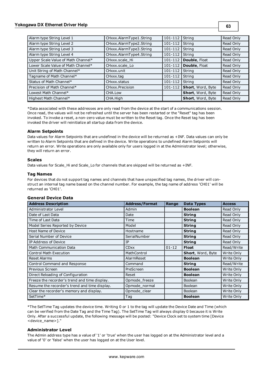## **Yokogawa DX Ethernet Driver Help**

| ×<br>×<br>I<br>۰.<br>×<br>× |
|-----------------------------|
|-----------------------------|

| Alarm type String Level 1          | CHxxx.AlarmType1.String | $101 - 112$      | String                      | Read Only |
|------------------------------------|-------------------------|------------------|-----------------------------|-----------|
| Alarm type String Level 2          | CHxxx.AlarmType2.String | 101-112          | String                      | Read Only |
| Alarm type String Level 3          | CHxxx.AlarmType3.String | 101-112   String |                             | Read Only |
| Alarm type String Level 4          | CHxxx.AlarmType4.String | 101-112   String |                             | Read Only |
| Upper Scale Value of Math Channel* | CHxxx.scale Hi          | 101-112          | Double, Float               | Read Only |
| Lower Scale Value of Math Channel* | CHxxx.scale Lo          | 101-112          | Double, Float               | Read Only |
| Unit String of Math Channel*       | CHxxx.unit              | 101-112          | String                      | Read Only |
| Tagname of Math Channel*           | CHxxx.tag               | 101-112          | String                      | Read Only |
| Status of Math Channel*            | CHxxx.status            | 101-112          | String                      | Read Only |
| Precision of Math Channel*         | CHxxx.Precision         |                  | 101-112   Short, Word, Byte | Read Only |
| Lowest Math Channel*               | CHA.Low                 |                  | Short, Word, Byte           | Read Only |
| Highest Math Channel*              | CHA.High                |                  | <b>Short, Word, Byte</b>    | Read Only |

\*Data associated with these addresses are only read from the device at the start of a communications session. Once read, the values will not be refreshed until the server has been restarted or the "Reset" tag has been invoked. To invoke a reset, a non-zero value must be written to the Reset tag. Once the Reset tag has been invoked the driver will reinitialize all startup data from the device.

### **Alarm Setpoints**

Data values for Alarm Setpoints that are undefined in the device will be returned as +INF. Data values can only be written to Alarm Setpoints that are defined in the device. Write operations to undefined Alarm Setpoints will return an error. Write operations are only available only for users logged in at the Administrator level; otherwise, they will return an error.

### **Scales**

Data values for Scale\_Hi and Scale\_Lo for channels that are skipped will be returned as +INF.

### **Tag Names**

For devices that do not support tag names and channels that have unspecified tag names, the driver will construct an internal tag name based on the channel number. For example, the tag name of address 'CH01' will be returned as 'CH01'.

### **General Device Data**

| <b>Address Description</b>                    | <b>Address/Format</b> | Range     | <b>Data Types</b>        | <b>Access</b> |
|-----------------------------------------------|-----------------------|-----------|--------------------------|---------------|
| Administrator Level                           | Admin                 |           | <b>Boolean</b>           | Read Only     |
| Date of Last Data                             | Date                  |           | <b>String</b>            | Read Only     |
| Time of Last Data                             | Time                  |           | <b>String</b>            | Read Only     |
| Model Series Reported by Device               | Model                 |           | <b>String</b>            | Read Only     |
| <b>Host Name of Device</b>                    | Hostname              |           | <b>String</b>            | Read Only     |
| Serial Number of Device                       | SerialNumber          |           | <b>String</b>            | Read Only     |
| IP Address of Device                          | IΡ                    |           | <b>String</b>            | Read Only     |
| <b>Math Communication Data</b>                | <b>CDxx</b>           | $01 - 12$ | <b>Float</b>             | Read/Write    |
| <b>Control Math Execution</b>                 | MathControl           |           | <b>Short, Word, Byte</b> | Write Only    |
| <b>Reset Alarms</b>                           | AlarmReset            |           | <b>Boolean</b>           | Write Only    |
| Control Command and Response                  | Command               |           | <b>String</b>            | Read/Write    |
| Previous Screen                               | PreScreen             |           | <b>Boolean</b>           | Write Only    |
| Direct Reloading of Configuration             | Reset                 |           | <b>Boolean</b>           | Write Only    |
| Freeze the recorder's trend and time display. | Opmode_freeze         |           | <b>Boolean</b>           | Write Only    |
| Resume the recorder's trend and time display. | Opmode normal         |           | Boolean                  | Write Only    |
| Clear the recorder's memory and display.      | Opmode_clear          |           | <b>Boolean</b>           | Write Only    |
| SetTime*                                      | Tag                   |           | <b>Boolean</b>           | Write Only    |

\*The SetTime Tag updates the device time. Writing 0 or 1 to the tag will update the Device Date and Time (which can be verified from the Date Tag and the Time Tag). The SetTime Tag will always display 0 because it is Write Only. After a successful update, the following message will be posted: "Device Clock set to system time [Device <device\_name>]."

#### **Administrator Level**

The Admin address type has a value of '1' or 'true' when the user has logged on at the Administrator level and a value of '0' or 'false' when the user has logged on at the User level.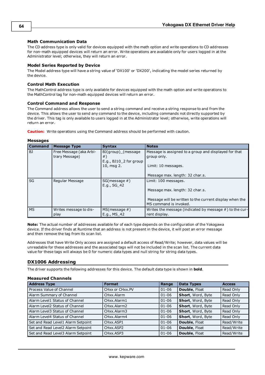### **Math Communication Data**

The CD address type is only valid for devices equipped with the math option and write operations to CD addresses for non-math equipped devices will return an error. Write operations are available only for users logged in at the Administrator level; otherwise, they will return an error.

#### **Model Series Reported by Device**

The Model address type will have a string value of 'DX100' or 'DX200', indicating the model series returned by the device.

#### **Control Math Execution**

The MathControl address type is only available for devices equipped with the math option and write operations to the MathControl tag for non-math equipped devices will return an error.

#### **Control Command and Response**

The Command address allows the user to send a string command and receive a string response to and from the device. This allows the user to send any command to the device, including commands not directly supported by the driver. This tag is only available to users logged in at the Administrator level; otherwise, write operations will return an error.

**Caution:** Write operations using the Command address should be performed with caution.

#### **Messages**

| <b>Command</b> | <b>Message Type</b>                       | <b>Syntax</b>                                                    | <b>Notes</b>                                                                      |
|----------------|-------------------------------------------|------------------------------------------------------------------|-----------------------------------------------------------------------------------|
| BJ             | Free Message (aka Arbi-<br>trary Message) | BJ(group) (message<br>$#$ )<br>E.g., BJ10 <sub>2</sub> for group | Message is assigned to a group and displayed for that<br>group only.              |
|                |                                           | 10, msg 2.                                                       | Limit: 10 messages.                                                               |
|                |                                           |                                                                  | Message max. length: 32 char.s.                                                   |
| SG             | Regular Message                           | $SG(message \#)$<br>E.g., SG 42                                  | Limit: 100 messages.                                                              |
|                |                                           |                                                                  | Message max. length: 32 char.s.                                                   |
|                |                                           |                                                                  | Message will be written to the current display when the<br>MS command is invoked. |
| <b>MS</b>      | Writes message to dis-<br>play            | $MS(message \#)$<br>E.g., MS 42                                  | Writes the message (indicated by message $#$ ) to the cur-<br>rent display.       |

**Note:** The actual number of addresses available for of each type depends on the configuration of the Yokogawa device. If the driver finds at Runtime that an address is not present in the device, it will post an error message and then remove the tag from its scan list.

Addresses that have Write Only access are assigned a default access of Read/Write; however, data values will be unreadable for these addresses and the associated tags will not be included in the scan list. The current data value for these tags will always be 0 for numeric data types and null string for string data types.

## **DX1006 Addressing**

The driver supports the following addresses for this device. The default data type is shown in **bold**.

#### **Measured Channels**

| <b>Address Type</b>                | <b>Format</b>          | Range     | <b>Data Types</b> | <b>Access</b> |
|------------------------------------|------------------------|-----------|-------------------|---------------|
| Process Value of Channel           | CHxx or CHxx.PV        | $01 - 06$ | Double, Float     | Read Only     |
| Alarm Summary of Channel           | CHxx.Alarm             | $01 - 06$ | Short, Word, Byte | Read Only     |
| Alarm Level1 Status of Channel     | CHxx.Alarm1            | $01 - 06$ | Short, Word, Byte | Read Only     |
| Alarm Level2 Status of Channel     | CHxx.Alarm2            | $01 - 06$ | Short, Word, Byte | Read Only     |
| Alarm Level3 Status of Channel     | CHxx.Alarm3            | $01 - 06$ | Short, Word, Byte | Read Only     |
| Alarm Level4 Status of Channel     | CHxx.Alarm4            | $01 - 06$ | Short, Word, Byte | Read Only     |
| Set and Read Level1 Alarm Setpoint | CHxx.ASP1              | $01 - 06$ | Double, Float     | Read/Write    |
| Set and Read Level2 Alarm Setpoint | CHxx.ASP2              | $01 - 06$ | Double, Float     | Read/Write    |
| Set and Read Level3 Alarm Setpoint | CH <sub>xx</sub> .ASP3 | $01 - 06$ | Double, Float     | Read/Write    |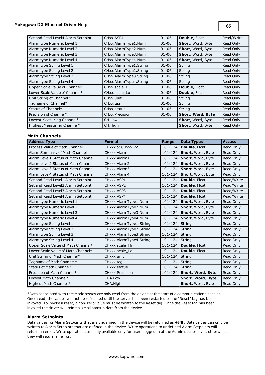| Set and Read Level4 Alarm Setpoint | CH <sub>xx</sub> , ASP4  | $01 - 06$ | Double, Float     | Read/Write |
|------------------------------------|--------------------------|-----------|-------------------|------------|
| Alarm type Numeric Level 1         | CHxx.AlarmType1.Num      | $01 - 06$ | Short, Word, Byte | Read Only  |
| Alarm type Numeric Level 2         | CHxx.AlarmType2.Num      | $01 - 06$ | Short, Word, Byte | Read Only  |
| Alarm type Numeric Level 3         | CHxx.AlarmType3.Num      | $01 - 06$ | Short, Word, Byte | Read Only  |
| Alarm type Numeric Level 4         | CHxx.AlarmType4.Num      | $01 - 06$ | Short, Word, Byte | Read Only  |
| Alarm type String Level 1          | CHxx.AlarmType1.String   | $01 - 06$ | String            | Read Only  |
| Alarm type String Level 2          | CHxx.AlarmType2.String   | $01 - 06$ | String            | Read Only  |
| Alarm type String Level 3          | CHxx.AlarmType3.String   | $01 - 06$ | String            | Read Only  |
| Alarm type String Level 4          | CHxx.AlarmType4.String   | $01 - 06$ | String            | Read Only  |
| Upper Scale Value of Channel*      | CHxx.scale Hi            | $01 - 06$ | Double, Float     | Read Only  |
| Lower Scale Value of Channel*      | CHxx.scale_Lo            | $01 - 06$ | Double, Float     | Read Only  |
| Unit String of Channel*            | CHxx.unit                | $01 - 06$ | String            | Read Only  |
| Tagname of Channel*                | CHxx.tag                 | $01 - 06$ | String            | Read Only  |
| Status of Channel*                 | CH <sub>xx</sub> .status | $01 - 06$ | String            | Read Only  |
| Precision of Channel*              | CHxx.Precision           | $01 - 06$ | Short, Word, Byte | Read Only  |
| Lowest Measuring Channel*          | CH.Low                   |           | Short, Word, Byte | Read Only  |
| Highest Measuring Channel*         | CH.High                  |           | Short, Word, Byte | Read Only  |

## **Math Channels**

| <b>Address Type</b>                 | <b>Format</b>           | Range       | <b>Data Types</b>             | <b>Access</b> |
|-------------------------------------|-------------------------|-------------|-------------------------------|---------------|
| Process Value of Math Channel       | CHxxx or CHxxx.PV       | $101 - 124$ | Double, Float                 | Read Only     |
| Alarm Summary of Math Channel       | CHxxx.Alarm             |             | 101-124   Short, Word, Byte   | Read Only     |
| Alarm Level1 Status of Math Channel | CHxxx.Alarm1            |             | 101-124   Short, Word, Byte   | Read Only     |
| Alarm Level2 Status of Math Channel | CHxxx.Alarm2            | $101 - 124$ | Short, Word, Byte             | Read Only     |
| Alarm Level3 Status of Math Channel | CHxxx, Alarm3           |             | 101-124   Short, Word, Byte   | Read Only     |
| Alarm Level4 Status of Math Channel | CHxxx.Alarm4            |             | 101-124   Short, Word, Byte   | Read Only     |
| Set and Read Level1 Alarm Setpoint  | CHxxx.ASP1              | 101-124     | Double, Float                 | Read/Write    |
| Set and Read Level2 Alarm Setpoint  | CHxxx.ASP2              | $101 - 124$ | Double, Float                 | Read/Write    |
| Set and Read Level3 Alarm Setpoint  | CHxxx.ASP3              | 101-124     | Double, Float                 | Read/Write    |
| Set and Read Level4 Alarm Setpoint  | CHxxx.ASP4              | 101-124     | Double, Float                 | Read/Write    |
| Alarm type Numeric Level 1          | CHxxx.AlarmType1.Num    | 101-124     | Short, Word, Byte             | Read Only     |
| Alarm type Numeric Level 2          | CHxxx.AlarmType2.Num    | 101-124     | Short, Word, Byte             | Read Only     |
| Alarm type Numeric Level 3          | CHxxx.AlarmType3.Num    |             | $101 - 124$ Short, Word, Byte | Read Only     |
| Alarm type Numeric Level 4          | CHxxx.AlarmType4.Num    | 101-124     | Short, Word, Byte             | Read Only     |
| Alarm type String Level 1           | CHxxx.AlarmType1.String | 101-124     | String                        | Read Only     |
| Alarm type String Level 2           | CHxxx.AlarmType2.String | 101-124     | String                        | Read Only     |
| Alarm type String Level 3           | CHxxx.AlarmType3.String | 101-124     | String                        | Read Only     |
| Alarm type String Level 4           | CHxxx.AlarmType4.String | 101-124     | String                        | Read Only     |
| Upper Scale Value of Math Channel*  | CHxxx.scale Hi          | 101-124     | Double, Float                 | Read Only     |
| Lower Scale Value of Math Channel*  | CHxxx.scale Lo          | 101-124     | Double, Float                 | Read Only     |
| Unit String of Math Channel*        | CHxxx.unit              | 101-124     | String                        | Read Only     |
| Tagname of Math Channel*            | CHxxx.tag               | 101-124     | String                        | Read Only     |
| Status of Math Channel*             | CHxxx.status            | 101-124     | String                        | Read Only     |
| Precision of Math Channel*          | CHxxx.Precision         | 101-124     | Short, Word, Byte             | Read Only     |
| Lowest Math Channel*                | CHA.Low                 |             | Short, Word, Byte             | Read Only     |
| Highest Math Channel*               | CHA.High                |             | Short, Word, Byte             | Read Only     |

\*Data associated with these addresses are only read from the device at the start of a communications session. Once read, the values will not be refreshed until the server has been restarted or the "Reset" tag has been invoked. To invoke a reset, a non-zero value must be written to the Reset tag. Once the Reset tag has been invoked the driver will reinitialize all startup data from the device.

#### **Alarm Setpoints**

Data values for Alarm Setpoints that are undefined in the device will be returned as +INF. Data values can only be written to Alarm Setpoints that are defined in the device. Write operations to undefined Alarm Setpoints will return an error. Write operations are only available only for users logged in at the Administrator level; otherwise, they will return an error.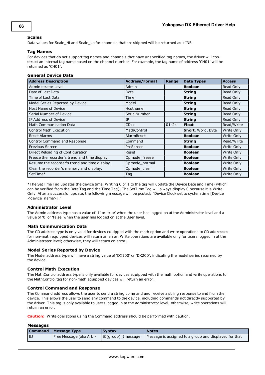## **Scales**

Data values for Scale\_Hi and Scale\_Lo for channels that are skipped will be returned as +INF.

### **Tag Names**

For devices that do not support tag names and channels that have unspecified tag names, the driver will construct an internal tag name based on the channel number. For example, the tag name of address 'CH01' will be returned as 'CH01'.

## **General Device Data**

| <b>Address Description</b>                    | <b>Address/Format</b> | Range     | <b>Data Types</b>        | <b>Access</b> |
|-----------------------------------------------|-----------------------|-----------|--------------------------|---------------|
| Administrator Level                           | Admin                 |           | <b>Boolean</b>           | Read Only     |
| Date of Last Data                             | Date                  |           | <b>String</b>            | Read Only     |
| Time of Last Data                             | Time                  |           | <b>String</b>            | Read Only     |
| Model Series Reported by Device               | Model                 |           | <b>String</b>            | Read Only     |
| Host Name of Device                           | Hostname              |           | <b>String</b>            | Read Only     |
| Serial Number of Device                       | SerialNumber          |           | <b>String</b>            | Read Only     |
| IP Address of Device                          | IP                    |           | <b>String</b>            | Read Only     |
| Math Communication Data                       | <b>CDxx</b>           | $01 - 24$ | <b>Float</b>             | Read/Write    |
| <b>Control Math Execution</b>                 | MathControl           |           | <b>Short, Word, Byte</b> | Write Only    |
| <b>Reset Alarms</b>                           | AlarmReset            |           | <b>Boolean</b>           | Write Only    |
| <b>Control Command and Response</b>           | Command               |           | <b>String</b>            | Read/Write    |
| Previous Screen                               | PreScreen             |           | <b>Boolean</b>           | Write Only    |
| Direct Reloading of Configuration             | Reset                 |           | <b>Boolean</b>           | Write Only    |
| Freeze the recorder's trend and time display. | Opmode freeze         |           | <b>Boolean</b>           | Write Only    |
| Resume the recorder's trend and time display. | Opmode_normal         |           | <b>Boolean</b>           | Write Only    |
| Clear the recorder's memory and display.      | Opmode_clear          |           | <b>Boolean</b>           | Write Only    |
| SetTime*                                      | Tag                   |           | <b>Boolean</b>           | Write Only    |

\*The SetTime Tag updates the device time. Writing 0 or 1 to the tag will update the Device Date and Time (which can be verified from the Date Tag and the Time Tag). The SetTime Tag will always display 0 because it is Write Only. After a successful update, the following message will be posted: "Device Clock set to system time [Device <device\_name>]."

## **Administrator Level**

The Admin address type has a value of '1' or 'true' when the user has logged on at the Administrator level and a value of '0' or 'false' when the user has logged on at the User level.

### **Math Communication Data**

The CD address type is only valid for devices equipped with the math option and write operations to CD addresses for non-math equipped devices will return an error. Write operations are available only for users logged in at the Administrator level; otherwise, they will return an error.

#### **Model Series Reported by Device**

The Model address type will have a string value of 'DX100' or 'DX200', indicating the model series returned by the device.

## **Control Math Execution**

The MathControl address type is only available for devices equipped with the math option and write operations to the MathControl tag for non-math equipped devices will return an error.

#### **Control Command and Response**

The Command address allows the user to send a string command and receive a string response to and from the device. This allows the user to send any command to the device, including commands not directly supported by the driver. This tag is only available to users logged in at the Administrator level; otherwise, write operations will return an error.

**Caution:** Write operations using the Command address should be performed with caution.

#### **Messages**

| l Command | Message Type            | <b>Syntax</b>      | <b>Notes</b>                                          |
|-----------|-------------------------|--------------------|-------------------------------------------------------|
| l BJ      | Free Message (aka Arbi- | BJ(group) (message | Message is assigned to a group and displayed for that |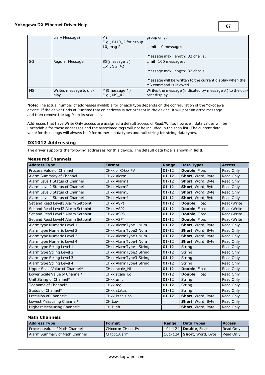|           | trary Message)         | $#$ )                                           | group only.                                                |
|-----------|------------------------|-------------------------------------------------|------------------------------------------------------------|
|           |                        | E.g., BJ10 <sub>2</sub> for group<br>10, msg 2. | Limit: 10 messages.                                        |
|           |                        |                                                 | Message max. length: 32 char.s.                            |
| SG        | Regular Message        | $SG(message \#)$                                | Limit: 100 messages.                                       |
|           |                        | E.g., SG 42                                     |                                                            |
|           |                        |                                                 | Message max. length: 32 char.s.                            |
|           |                        |                                                 | Message will be written to the current display when the    |
|           |                        |                                                 | MS command is invoked.                                     |
| <b>MS</b> | Writes message to dis- | MS(message #)                                   | Writes the message (indicated by message $#$ ) to the cur- |
|           | play                   | E.g., MS 42                                     | rent display.                                              |

**Note:** The actual number of addresses available for of each type depends on the configuration of the Yokogawa device. If the driver finds at Runtime that an address is not present in the device, it will post an error message and then remove the tag from its scan list.

Addresses that have Write Only access are assigned a default access of Read/Write; however, data values will be unreadable for these addresses and the associated tags will not be included in the scan list. The current data value for these tags will always be 0 for numeric data types and null string for string data types.

## **DX1012 Addressing**

The driver supports the following addresses for this device. The default data type is shown in **bold**.

### **Measured Channels**

| <b>Address Type</b>                | <b>Format</b>          | Range     | <b>Data Types</b> | <b>Access</b> |
|------------------------------------|------------------------|-----------|-------------------|---------------|
| Process Value of Channel           | CHxx or CHxx.PV        | $01 - 12$ | Double, Float     | Read Only     |
| Alarm Summary of Channel           | CHxx.Alarm             | $01 - 12$ | Short, Word, Byte | Read Only     |
| Alarm Level1 Status of Channel     | CHxx.Alarm1            | $01 - 12$ | Short, Word, Byte | Read Only     |
| Alarm Level2 Status of Channel     | CHxx.Alarm2            | $01 - 12$ | Short, Word, Byte | Read Only     |
| Alarm Level3 Status of Channel     | CHxx.Alarm3            | $01 - 12$ | Short, Word, Byte | Read Only     |
| Alarm Level4 Status of Channel     | CHxx.Alarm4            | $01 - 12$ | Short, Word, Byte | Read Only     |
| Set and Read Level1 Alarm Setpoint | CHxx.ASP1              | $01 - 12$ | Double, Float     | Read/Write    |
| Set and Read Level2 Alarm Setpoint | CHxx.ASP2              | $01 - 12$ | Double, Float     | Read/Write    |
| Set and Read Level3 Alarm Setpoint | CHxx.ASP3              | $01 - 12$ | Double, Float     | Read/Write    |
| Set and Read Level4 Alarm Setpoint | CHxx.ASP4              | $01 - 12$ | Double, Float     | Read/Write    |
| Alarm type Numeric Level 1         | CHxx.AlarmType1.Num    | $01 - 12$ | Short, Word, Byte | Read Only     |
| Alarm type Numeric Level 2         | CHxx.AlarmType2.Num    | $01 - 12$ | Short, Word, Byte | Read Only     |
| Alarm type Numeric Level 3         | CHxx.AlarmType3.Num    | $01 - 12$ | Short, Word, Byte | Read Only     |
| Alarm type Numeric Level 4         | CHxx.AlarmType4.Num    | $01 - 12$ | Short, Word, Byte | Read Only     |
| Alarm type String Level 1          | CHxx.AlarmType1.String | $01 - 12$ | String            | Read Only     |
| Alarm type String Level 2          | CHxx.AlarmType2.String | $01 - 12$ | String            | Read Only     |
| Alarm type String Level 3          | CHxx.AlarmType3.String | $01 - 12$ | String            | Read Only     |
| Alarm type String Level 4          | CHxx.AlarmType4.String | $01 - 12$ | String            | Read Only     |
| Upper Scale Value of Channel*      | CHxx.scale_Hi          | $01 - 12$ | Double, Float     | Read Only     |
| Lower Scale Value of Channel*      | CHxx.scale Lo          | $01 - 12$ | Double, Float     | Read Only     |
| Unit String of Channel*            | CHxx.unit              | $01 - 12$ | String            | Read Only     |
| Tagname of Channel*                | CHxx.tag               | $01 - 12$ | String            | Read Only     |
| Status of Channel*                 | CHxx.status            | $01 - 12$ | String            | Read Only     |
| Precision of Channel*              | CHxx.Precision         | $01 - 12$ | Short, Word, Byte | Read Only     |
| Lowest Measuring Channel*          | CH.Low                 |           | Short, Word, Byte | Read Only     |
| Highest Measuring Channel*         | CH.High                |           | Short, Word, Byte | Read Only     |

| <b>Address Type</b>             | <b>Format</b>     | l Range | <b>Data Types</b>                   | <b>Access</b> |
|---------------------------------|-------------------|---------|-------------------------------------|---------------|
| Process Value of Math Channel   | CHXXX or CHXXX.PV |         | <b>101-124   Double</b> , Float     | Read Only     |
| l Alarm Summary of Math Channel | CHxxx.Alarm       |         | $101-124$ <b>Short</b> , Word, Byte | Read Only     |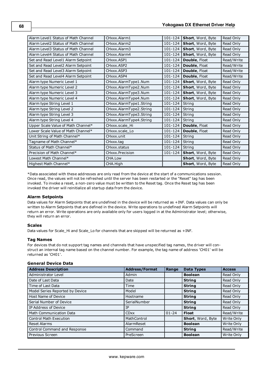| Alarm Level1 Status of Math Channel | CHxxx.Alarm1            | 101-124     | <b>Short, Word, Byte</b> | Read Only  |
|-------------------------------------|-------------------------|-------------|--------------------------|------------|
| Alarm Level2 Status of Math Channel | CHxxx.Alarm2            | 101-124     | Short, Word, Byte        | Read Only  |
| Alarm Level3 Status of Math Channel | CHxxx.Alarm3            | 101-124     | Short, Word, Byte        | Read Only  |
| Alarm Level4 Status of Math Channel | CHxxx.Alarm4            | 101-124     | <b>Short, Word, Byte</b> | Read Only  |
| Set and Read Level1 Alarm Setpoint  | CHxxx.ASP1              | 101-124     | Double, Float            | Read/Write |
| Set and Read Level2 Alarm Setpoint  | CHxxx.ASP2              | 101-124     | Double, Float            | Read/Write |
| Set and Read Level3 Alarm Setpoint  | CHxxx.ASP3              | 101-124     | Double, Float            | Read/Write |
| Set and Read Level4 Alarm Setpoint  | CHxxx.ASP4              | 101-124     | <b>Double, Float</b>     | Read/Write |
| Alarm type Numeric Level 1          | CHxxx.AlarmType1.Num    | 101-124     | Short, Word, Byte        | Read Only  |
| Alarm type Numeric Level 2          | CHxxx.AlarmType2.Num    | 101-124     | Short, Word, Byte        | Read Only  |
| Alarm type Numeric Level 3          | CHxxx.AlarmType3.Num    | 101-124     | Short, Word, Byte        | Read Only  |
| Alarm type Numeric Level 4          | CHxxx.AlarmType4.Num    | 101-124     | Short, Word, Byte        | Read Only  |
| Alarm type String Level 1           | CHxxx.AlarmType1.String | 101-124     | String                   | Read Only  |
| Alarm type String Level 2           | CHxxx.AlarmType2.String | $101 - 124$ | String                   | Read Only  |
| Alarm type String Level 3           | CHxxx.AlarmType3.String | 101-124     | String                   | Read Only  |
| Alarm type String Level 4           | CHxxx.AlarmType4.String | 101-124     | String                   | Read Only  |
| Upper Scale Value of Math Channel*  | CHxxx.scale Hi          | 101-124     | Double, Float            | Read Only  |
| Lower Scale Value of Math Channel*  | CHxxx.scale Lo          | 101-124     | Double, Float            | Read Only  |
| Unit String of Math Channel*        | CHxxx.unit              | 101-124     | String                   | Read Only  |
| Tagname of Math Channel*            | CHxxx.tag               | 101-124     | String                   | Read Only  |
| Status of Math Channel*             | CHxxx.status            | $101 - 124$ | String                   | Read Only  |
| Precision of Math Channel*          | CHxxx.Precision         | 101-124     | Short, Word, Byte        | Read Only  |
| Lowest Math Channel*                | CHA.Low                 |             | Short, Word, Byte        | Read Only  |
| Highest Math Channel*               | CHA.High                |             | Short, Word, Byte        | Read Only  |

\*Data associated with these addresses are only read from the device at the start of a communications session. Once read, the values will not be refreshed until the server has been restarted or the "Reset" tag has been invoked. To invoke a reset, a non-zero value must be written to the Reset tag. Once the Reset tag has been invoked the driver will reinitialize all startup data from the device.

## **Alarm Setpoints**

Data values for Alarm Setpoints that are undefined in the device will be returned as +INF. Data values can only be written to Alarm Setpoints that are defined in the device. Write operations to undefined Alarm Setpoints will return an error. Write operations are only available only for users logged in at the Administrator level; otherwise, they will return an error.

#### **Scales**

Data values for Scale\_Hi and Scale\_Lo for channels that are skipped will be returned as +INF.

#### **Tag Names**

For devices that do not support tag names and channels that have unspecified tag names, the driver will construct an internal tag name based on the channel number. For example, the tag name of address 'CH01' will be returned as 'CH01'.

## **General Device Data**

| <b>Address Description</b>      | <b>Address/Format</b> | Range     | <b>Data Types</b> | <b>Access</b> |
|---------------------------------|-----------------------|-----------|-------------------|---------------|
| Administrator Level             | Admin                 |           | <b>Boolean</b>    | Read Only     |
| Date of Last Data               | Date                  |           | <b>String</b>     | Read Only     |
| Time of Last Data               | Time                  |           | <b>String</b>     | Read Only     |
| Model Series Reported by Device | Model                 |           | <b>String</b>     | Read Only     |
| <b>Host Name of Device</b>      | Hostname              |           | <b>String</b>     | Read Only     |
| Serial Number of Device         | SerialNumber          |           | <b>String</b>     | Read Only     |
| IP Address of Device            | IP                    |           | <b>String</b>     | Read Only     |
| <b>Math Communication Data</b>  | <b>CDxx</b>           | $01 - 24$ | <b>Float</b>      | Read/Write    |
| <b>Control Math Execution</b>   | MathControl           |           | Short, Word, Byte | Write Only    |
| <b>Reset Alarms</b>             | AlarmReset            |           | <b>Boolean</b>    | Write Only    |
| Control Command and Response    | Command               |           | <b>String</b>     | Read/Write    |
| Previous Screen                 | PreScreen             |           | <b>Boolean</b>    | Write Only    |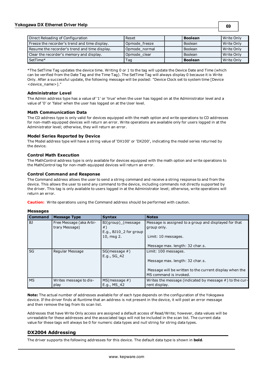**69**

| Direct Reloading of Configuration             | Reset         | <b>Boolean</b> | Write Only |
|-----------------------------------------------|---------------|----------------|------------|
| Freeze the recorder's trend and time display. | Opmode freeze | <b>Boolean</b> | Write Only |
| Resume the recorder's trend and time display. | Opmode normal | Boolean        | Write Only |
| Clear the recorder's memory and display.      | Opmode clear  | Boolean        | Write Only |
| SetTime*                                      | Taq           | <b>Boolean</b> | Write Only |

\*The SetTime Tag updates the device time. Writing 0 or 1 to the tag will update the Device Date and Time (which can be verified from the Date Tag and the Time Tag). The SetTime Tag will always display 0 because it is Write Only. After a successful update, the following message will be posted: "Device Clock set to system time [Device <device\_name>]."

### **Administrator Level**

The Admin address type has a value of '1' or 'true' when the user has logged on at the Administrator level and a value of '0' or 'false' when the user has logged on at the User level.

### **Math Communication Data**

The CD address type is only valid for devices equipped with the math option and write operations to CD addresses for non-math equipped devices will return an error. Write operations are available only for users logged in at the Administrator level; otherwise, they will return an error.

### **Model Series Reported by Device**

The Model address type will have a string value of 'DX100' or 'DX200', indicating the model series returned by the device.

### **Control Math Execution**

The MathControl address type is only available for devices equipped with the math option and write operations to the MathControl tag for non-math equipped devices will return an error.

#### **Control Command and Response**

The Command address allows the user to send a string command and receive a string response to and from the device. This allows the user to send any command to the device, including commands not directly supported by the driver. This tag is only available to users logged in at the Administrator level; otherwise, write operations will return an error.

**Caution:** Write operations using the Command address should be performed with caution.

#### **Messages**

| <b>Command</b> | <b>Message Type</b>                       | <b>Syntax</b>                                                    | <b>Notes</b>                                                                      |
|----------------|-------------------------------------------|------------------------------------------------------------------|-----------------------------------------------------------------------------------|
| BJ             | Free Message (aka Arbi-<br>trary Message) | BJ(group)_(message<br>$#$ )<br>E.g., BJ10 <sub>2</sub> for group | Message is assigned to a group and displayed for that<br>group only.              |
|                |                                           | 10, msg 2.                                                       | Limit: 10 messages.                                                               |
|                |                                           |                                                                  | Message max. length: 32 char.s.                                                   |
| SG             | Regular Message                           | $SG(message \#)$<br>E.g., SG 42                                  | Limit: 100 messages.                                                              |
|                |                                           |                                                                  | Message max. length: 32 char.s.                                                   |
|                |                                           |                                                                  | Message will be written to the current display when the<br>MS command is invoked. |
| <b>MS</b>      | Writes message to dis-<br>play            | $MS(message \#)$<br>E.g., MS 42                                  | Writes the message (indicated by message $#$ ) to the cur-<br>rent display.       |

**Note:** The actual number of addresses available for of each type depends on the configuration of the Yokogawa device. If the driver finds at Runtime that an address is not present in the device, it will post an error message and then remove the tag from its scan list.

Addresses that have Write Only access are assigned a default access of Read/Write; however, data values will be unreadable for these addresses and the associated tags will not be included in the scan list. The current data value for these tags will always be 0 for numeric data types and null string for string data types.

## **DX2004 Addressing**

The driver supports the following addresses for this device. The default data type is shown in **bold**.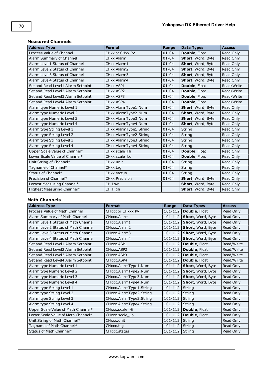| <b>Address Type</b>                | <b>Format</b>          | Range     | <b>Data Types</b> | <b>Access</b> |
|------------------------------------|------------------------|-----------|-------------------|---------------|
| Process Value of Channel           | CHxx or CHxx.PV        | $01 - 04$ | Double, Float     | Read Only     |
| Alarm Summary of Channel           | CHxx.Alarm             | $01 - 04$ | Short, Word, Byte | Read Only     |
| Alarm Level1 Status of Channel     | CHxx.Alarm1            | $01 - 04$ | Short, Word, Byte | Read Only     |
| Alarm Level2 Status of Channel     | CHxx.Alarm2            | $01 - 04$ | Short, Word, Byte | Read Only     |
| Alarm Level3 Status of Channel     | CHxx.Alarm3            | $01 - 04$ | Short, Word, Byte | Read Only     |
| Alarm Level4 Status of Channel     | CHxx.Alarm4            | $01 - 04$ | Short, Word, Byte | Read Only     |
| Set and Read Level1 Alarm Setpoint | CHxx.ASP1              | $01 - 04$ | Double, Float     | Read/Write    |
| Set and Read Level2 Alarm Setpoint | CHxx.ASP2              | $01 - 04$ | Double, Float     | Read/Write    |
| Set and Read Level3 Alarm Setpoint | CHxx.ASP3              | $01 - 04$ | Double, Float     | Read/Write    |
| Set and Read Level4 Alarm Setpoint | CHxx.ASP4              | $01 - 04$ | Double, Float     | Read/Write    |
| Alarm type Numeric Level 1         | CHxx.AlarmType1.Num    | $01 - 04$ | Short, Word, Byte | Read Only     |
| Alarm type Numeric Level 2         | CHxx.AlarmType2.Num    | $01 - 04$ | Short, Word, Byte | Read Only     |
| Alarm type Numeric Level 3         | CHxx.AlarmType3.Num    | $01 - 04$ | Short, Word, Byte | Read Only     |
| Alarm type Numeric Level 4         | CHxx.AlarmType4.Num    | $01 - 04$ | Short, Word, Byte | Read Only     |
| Alarm type String Level 1          | CHxx.AlarmType1.String | $01 - 04$ | String            | Read Only     |
| Alarm type String Level 2          | CHxx.AlarmType2.String | $01 - 04$ | String            | Read Only     |
| Alarm type String Level 3          | CHxx.AlarmType3.String | $01 - 04$ | String            | Read Only     |
| Alarm type String Level 4          | CHxx.AlarmType4.String | $01 - 04$ | String            | Read Only     |
| Upper Scale Value of Channel*      | CHxx.scale Hi          | $01 - 04$ | Double, Float     | Read Only     |
| Lower Scale Value of Channel*      | CHxx.scale Lo          | $01 - 04$ | Double, Float     | Read Only     |
| Unit String of Channel*            | CHxx.unit              | $01 - 04$ | String            | Read Only     |
| Tagname of Channel*                | CHxx.tag               | $01 - 04$ | <b>String</b>     | Read Only     |
| Status of Channel*                 | CHxx.status            | $01 - 04$ | String            | Read Only     |
| Precision of Channel*              | CHxx.Precision         | $01 - 04$ | Short, Word, Byte | Read Only     |
| Lowest Measuring Channel*          | CH.Low                 |           | Short, Word, Byte | Read Only     |
| Highest Measuring Channel*         | CH.High                |           | Short, Word, Byte | Read Only     |

## **Measured Channels**

| <b>Address Type</b>                 | <b>Format</b>           | Range       | <b>Data Types</b>        | <b>Access</b> |
|-------------------------------------|-------------------------|-------------|--------------------------|---------------|
| Process Value of Math Channel       | CHXXX or CHXXX.PV       | 101-112     | Double, Float            | Read Only     |
| Alarm Summary of Math Channel       | CHxxx.Alarm             | 101-112     | Short, Word, Byte        | Read Only     |
| Alarm Level1 Status of Math Channel | CHxxx.Alarm1            | $101 - 112$ | Short, Word, Byte        | Read Only     |
| Alarm Level2 Status of Math Channel | CHxxx.Alarm2            | 101-112     | <b>Short, Word, Byte</b> | Read Only     |
| Alarm Level3 Status of Math Channel | CHxxx.Alarm3            | $101 - 112$ | Short, Word, Byte        | Read Only     |
| Alarm Level4 Status of Math Channel | CHxxx.Alarm4            | 101-112     | Short, Word, Byte        | Read Only     |
| Set and Read Level1 Alarm Setpoint  | CHxxx.ASP1              | 101-112     | Double, Float            | Read/Write    |
| Set and Read Level2 Alarm Setpoint  | CHxxx.ASP2              | 101-112     | Double, Float            | Read/Write    |
| Set and Read Level3 Alarm Setpoint  | CHxxx.ASP3              | 101-112     | Double, Float            | Read/Write    |
| Set and Read Level4 Alarm Setpoint  | CHxxx.ASP4              | 101-112     | Double, Float            | Read/Write    |
| Alarm type Numeric Level 1          | CHxxx.AlarmType1.Num    | 101-112     | Short, Word, Byte        | Read Only     |
| Alarm type Numeric Level 2          | CHxxx.AlarmType2.Num    | 101-112     | Short, Word, Byte        | Read Only     |
| Alarm type Numeric Level 3          | CHxxx.AlarmType3.Num    | 101-112     | Short, Word, Byte        | Read Only     |
| Alarm type Numeric Level 4          | CHxxx.AlarmType4.Num    | 101-112     | Short, Word, Byte        | Read Only     |
| Alarm type String Level 1           | CHxxx.AlarmType1.String | 101-112     | String                   | Read Only     |
| Alarm type String Level 2           | CHxxx.AlarmType2.String | 101-112     | String                   | Read Only     |
| Alarm type String Level 3           | CHxxx.AlarmType3.String | 101-112     | String                   | Read Only     |
| Alarm type String Level 4           | CHxxx.AlarmType4.String | 101-112     | String                   | Read Only     |
| Upper Scale Value of Math Channel*  | CHxxx.scale Hi          | 101-112     | <b>Double, Float</b>     | Read Only     |
| Lower Scale Value of Math Channel*  | CHxxx.scale_Lo          | 101-112     | Double, Float            | Read Only     |
| Unit String of Math Channel*        | CHxxx.unit              | 101-112     | <b>String</b>            | Read Only     |
| Tagname of Math Channel*            | CHxxx.tag               | 101-112     | String                   | Read Only     |
| Status of Math Channel*             | CHxxx.status            | 101-112     | String                   | Read Only     |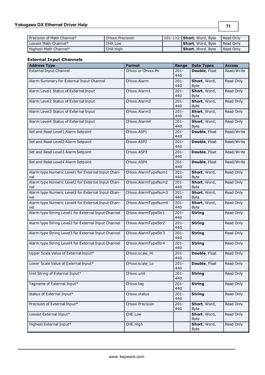| Precision of Math Channel* | CHxxx.Precision | $101-112$ <b>Short</b> , Word, Byte | Read Only   |
|----------------------------|-----------------|-------------------------------------|-------------|
| l Lowest Math Channel*     | CHA Low         | <b>Short</b> , Word, Byte           | I Read Only |
| Highest Math Channel*      | CHA.High        | <b>Short</b> , Word, Byte           | I Read Only |

## **External Input Channels**

| <b>Address Type</b>                                       | <b>Format</b>       | Range          | <b>Data Types</b>           | <b>Access</b> |
|-----------------------------------------------------------|---------------------|----------------|-----------------------------|---------------|
| <b>External Input Channel</b>                             | CHxxx or CHxxx.PV   | $201 -$<br>440 | Double, Float               | Read/Write    |
| Alarm Summary for External Input Channel                  | CHxxx.Alarm         | $201 -$<br>440 | Short, Word,<br><b>Byte</b> | Read Only     |
| Alarm Level1 Status of External Input                     | CHxxx.Alarm1        | $201 -$<br>440 | Short, Word,<br><b>Byte</b> | Read Only     |
| Alarm Level2 Status of External Input                     | CHxxx.Alarm2        | $201 -$<br>440 | Short, Word,<br><b>Byte</b> | Read Only     |
| Alarm Level3 Status of External Input                     | CHxxx.Alarm3        | $201 -$<br>440 | Short, Word,<br><b>Byte</b> | Read Only     |
| Alarm Level4 Status of External Input                     | CHxxx.Alarm4        | $201 -$<br>440 | Short, Word,<br>Byte        | Read Only     |
| Set and Read Level1 Alarm Setpoint                        | CHxxx.ASP1          | $201 -$<br>440 | Double, Float               | Read/Write    |
| Set and Read Level2 Alarm Setpoint                        | CHxxx.ASP2          | $201 -$<br>440 | Double, Float               | Read/Write    |
| Set and Read Level3 Alarm Setpoint                        | CHxxx.ASP3          | $201 -$<br>440 | Double, Float               | Read/Write    |
| Set and Read Level4 Alarm Setpoint                        | CHxxx.ASP4          | $201 -$<br>440 | Double, Float               | Read/Write    |
| Alarm type Numeric Level1 for External Input Chan-<br>nel | CHxxx.AlarmTypeNum1 | $201 -$<br>440 | Short, Word,<br><b>Byte</b> | Read Only     |
| Alarm type Numeric Level2 for External Input Chan-<br>nel | CHxxx.AlarmTypeNum2 | $201 -$<br>440 | Short, Word,<br>Byte        | Read Only     |
| Alarm type Numeric Level3 for External Input Chan-<br>nel | CHxxx.AlarmTypeNum3 | $201 -$<br>440 | Short, Word,<br><b>Byte</b> | Read Only     |
| Alarm type Numeric Level4 for External Input Chan-<br>nel | CHxxx.AlarmTypeNum4 | $201 -$<br>440 | Short, Word,<br><b>Byte</b> | Read Only     |
| Alarm type String Level1 for External Input Channel       | CHxxx.AlarmTypeStr1 | $201 -$<br>440 | <b>String</b>               | Read Only     |
| Alarm type String Level2 for External Input Channel       | CHxxx.AlarmTypeStr2 | $201 -$<br>440 | <b>String</b>               | Read Only     |
| Alarm type String Level3 for External Input Channel       | CHxxx.AlarmTypeStr3 | $201 -$<br>440 | <b>String</b>               | Read Only     |
| Alarm type String Level4 for External Input Channel       | CHxxx.AlarmTypeStr4 | $201 -$<br>440 | <b>String</b>               | Read Only     |
| Upper Scale Value of External Input*                      | CHxxx.scale_Hi      | $201 -$<br>440 | Double, Float               | Read Only     |
| Lower Scale Value of External Input*                      | CHxxx.scale_Lo      | $201 -$<br>440 | Double, Float               | Read Only     |
| Unit String of External Input*                            | CHxxx.unit          | $201 -$<br>440 | <b>String</b>               | Read Only     |
| Tagname of External Input*                                | CHxxx.tag           | $201 -$<br>440 | <b>String</b>               | Read Only     |
| Status of External Input*                                 | CHxxx.status        | $201 -$<br>440 | <b>String</b>               | Read Only     |
| Precision of External Input*                              | CHxxx.Precision     | $201 -$<br>440 | Short, Word,<br><b>Byte</b> | Read Only     |
| Lowest External Input*                                    | CHE.Low             |                | Short, Word,<br><b>Byte</b> | Read Only     |
| Highest External Input*                                   | CHE.High            |                | Short, Word,<br><b>Byte</b> | Read Only     |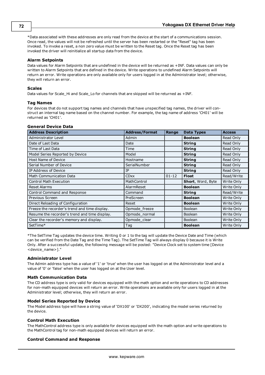\*Data associated with these addresses are only read from the device at the start of a communications session. Once read, the values will not be refreshed until the server has been restarted or the "Reset" tag has been invoked. To invoke a reset, a non zero value must be written to the Reset tag. Once the Reset tag has been invoked the driver will reinitialize all startup data from the device.

### **Alarm Setpoints**

Data values for Alarm Setpoints that are undefined in the device will be returned as +INF. Data values can only be written to Alarm Setpoints that are defined in the device. Write operations to undefined Alarm Setpoints will return an error. Write operations are only available only for users logged in at the Administrator level; otherwise, they will return an error.

#### **Scales**

Data values for Scale\_Hi and Scale\_Lo for channels that are skipped will be returned as +INF.

### **Tag Names**

For devices that do not support tag names and channels that have unspecified tag names, the driver will construct an internal tag name based on the channel number. For example, the tag name of address 'CH01' will be returned as 'CH01'.

#### **General Device Data**

| <b>Address Description</b>                    | <b>Address/Format</b> | Range     | <b>Data Types</b> | <b>Access</b> |
|-----------------------------------------------|-----------------------|-----------|-------------------|---------------|
| Administrator Level                           | Admin                 |           | <b>Boolean</b>    | Read Only     |
| Date of Last Data                             | Date                  |           | <b>String</b>     | Read Only     |
| Time of Last Data                             | Time                  |           | <b>String</b>     | Read Only     |
| Model Series Reported by Device               | Model                 |           | <b>String</b>     | Read Only     |
| Host Name of Device                           | Hostname              |           | <b>String</b>     | Read Only     |
| Serial Number of Device                       | SerialNumber          |           | <b>String</b>     | Read Only     |
| IP Address of Device                          | IP                    |           | <b>String</b>     | Read Only     |
| <b>Math Communication Data</b>                | <b>CDxx</b>           | $01 - 12$ | <b>Float</b>      | Read/Write    |
| <b>Control Math Execution</b>                 | MathControl           |           | Short, Word, Byte | Write Only    |
| <b>Reset Alarms</b>                           | AlarmReset            |           | <b>Boolean</b>    | Write Only    |
| Control Command and Response                  | Command               |           | <b>String</b>     | Read/Write    |
| Previous Screen                               | PreScreen             |           | <b>Boolean</b>    | Write Only    |
| Direct Reloading of Configuration             | Reset                 |           | <b>Boolean</b>    | Write Only    |
| Freeze the recorder's trend and time display. | Opmode_freeze         |           | <b>Boolean</b>    | Write Only    |
| Resume the recorder's trend and time display. | Opmode normal         |           | <b>Boolean</b>    | Write Only    |
| Clear the recorder's memory and display.      | Opmode clear          |           | <b>Boolean</b>    | Write Only    |
| SetTime*                                      | Tag                   |           | <b>Boolean</b>    | Write Only    |

\*The SetTime Tag updates the device time. Writing 0 or 1 to the tag will update the Device Date and Time (which can be verified from the Date Tag and the Time Tag). The SetTime Tag will always display 0 because it is Write Only. After a successful update, the following message will be posted: "Device Clock set to system time [Device <device\_name>]."

#### **Administrator Level**

The Admin address type has a value of '1' or 'true' when the user has logged on at the Administrator level and a value of '0' or 'false' when the user has logged on at the User level.

#### **Math Communication Data**

The CD address type is only valid for devices equipped with the math option and write operations to CD addresses for non-math equipped devices will return an error. Write operations are available only for users logged in at the Administrator level; otherwise, they will return an error.

#### **Model Series Reported by Device**

The Model address type will have a string value of 'DX100' or 'DX200', indicating the model series returned by the device.

### **Control Math Execution**

The MathControl address type is only available for devices equipped with the math option and write operations to the MathControl tag for non-math equipped devices will return an error.

## **Control Command and Response**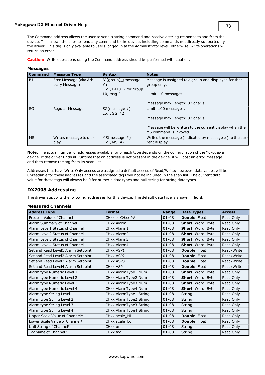The Command address allows the user to send a string command and receive a string response to and from the device. This allows the user to send any command to the device, including commands not directly supported by the driver. This tag is only available to users logged in at the Administrator level; otherwise, write operations will return an error.

**Caution:** Write operations using the Command address should be performed with caution.

| <b>Command</b> | <b>Message Type</b>                       | <b>Syntax</b>                                                    | <b>Notes</b>                                                                      |
|----------------|-------------------------------------------|------------------------------------------------------------------|-----------------------------------------------------------------------------------|
| BJ             | Free Message (aka Arbi-<br>trary Message) | BJ(group) (message<br>$#$ )<br>E.g., BJ10 <sub>2</sub> for group | Message is assigned to a group and displayed for that<br>group only.              |
|                |                                           | 10, msg 2.                                                       | Limit: 10 messages.                                                               |
|                |                                           |                                                                  | Message max. length: 32 char.s.                                                   |
| SG             | Regular Message                           | $SG(message \#)$<br>E.g., SG 42                                  | Limit: 100 messages.                                                              |
|                |                                           |                                                                  | Message max. length: 32 char.s.                                                   |
|                |                                           |                                                                  | Message will be written to the current display when the<br>MS command is invoked. |
| <b>MS</b>      | Writes message to dis-<br>play            | $MS(message \#)$<br>E.g., MS 42                                  | Writes the message (indicated by message $#$ ) to the cur-<br>rent display.       |

#### **Messages**

**Note:** The actual number of addresses available for of each type depends on the configuration of the Yokogawa device. If the driver finds at Runtime that an address is not present in the device, it will post an error message and then remove the tag from its scan list.

Addresses that have Write Only access are assigned a default access of Read/Write; however, data values will be unreadable for these addresses and the associated tags will not be included in the scan list. The current data value for these tags will always be 0 for numeric data types and null string for string data types.

#### <span id="page-72-0"></span>**DX2008 Addressing**

The driver supports the following addresses for this device. The default data type is shown in **bold**.

#### **Measured Channels**

| <b>Address Type</b>                | <b>Format</b>          | Range     | <b>Data Types</b> | <b>Access</b> |
|------------------------------------|------------------------|-----------|-------------------|---------------|
| Process Value of Channel           | CHxx or CHxx.PV        | $01 - 08$ | Double, Float     | Read Only     |
| Alarm Summary of Channel           | CHxx.Alarm             | $01 - 08$ | Short, Word, Byte | Read Only     |
| Alarm Level1 Status of Channel     | CHxx.Alarm1            | $01 - 08$ | Short, Word, Byte | Read Only     |
| Alarm Level2 Status of Channel     | CHxx.Alarm2            | $01 - 08$ | Short, Word, Byte | Read Only     |
| Alarm Level3 Status of Channel     | CHxx.Alarm3            | $01 - 08$ | Short, Word, Byte | Read Only     |
| Alarm Level4 Status of Channel     | CHxx.Alarm4            | $01 - 08$ | Short, Word, Byte | Read Only     |
| Set and Read Level1 Alarm Setpoint | CHxx.ASP1              | $01 - 08$ | Double, Float     | Read/Write    |
| Set and Read Level2 Alarm Setpoint | CHxx.ASP2              | $01 - 08$ | Double, Float     | Read/Write    |
| Set and Read Level3 Alarm Setpoint | CHxx.ASP3              | $01 - 08$ | Double, Float     | Read/Write    |
| Set and Read Level4 Alarm Setpoint | CHxx.ASP4              | $01 - 08$ | Double, Float     | Read/Write    |
| Alarm type Numeric Level 1         | CHxx.AlarmType1.Num    | $01 - 08$ | Short, Word, Byte | Read Only     |
| Alarm type Numeric Level 2         | CHxx.AlarmType2.Num    | $01 - 08$ | Short, Word, Byte | Read Only     |
| Alarm type Numeric Level 3         | CHxx.AlarmType3.Num    | $01 - 08$ | Short, Word, Byte | Read Only     |
| Alarm type Numeric Level 4         | CHxx.AlarmType4.Num    | $01 - 08$ | Short, Word, Byte | Read Only     |
| Alarm type String Level 1          | CHxx.AlarmType1.String | $01 - 08$ | String            | Read Only     |
| Alarm type String Level 2          | CHxx.AlarmType2.String | $01 - 08$ | String            | Read Only     |
| Alarm type String Level 3          | CHxx.AlarmType3.String | $01 - 08$ | String            | Read Only     |
| Alarm type String Level 4          | CHxx.AlarmType4.String | $01 - 08$ | String            | Read Only     |
| Upper Scale Value of Channel*      | CHxx.scale_Hi          | $01 - 08$ | Double, Float     | Read Only     |
| Lower Scale Value of Channel*      | CHxx.scale Lo          | $01 - 08$ | Double, Float     | Read Only     |
| Unit String of Channel*            | CHxx.unit              | $01 - 08$ | String            | Read Only     |
| Tagname of Channel*                | CHxx.tag               | $01 - 08$ | String            | Read Only     |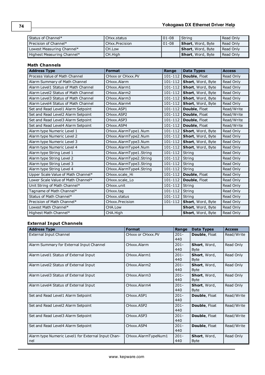| Status of Channel*         | l CHxx.status            | $ 01-08$ | String                    | Read Only   |
|----------------------------|--------------------------|----------|---------------------------|-------------|
| Precision of Channel*      | <b>I CHxx. Precision</b> | $ 01-08$ | <b>Short</b> , Word, Byte | Read Only   |
| Lowest Measuring Channel*  | CH.Low                   |          | <b>Short</b> , Word, Byte | Read Only   |
| Highest Measuring Channel* | CH.High                  |          | <b>Short</b> , Word, Byte | l Read Only |

# **Math Channels**

| <b>Address Type</b>                 | <b>Format</b>           | Range       | <b>Data Types</b> | <b>Access</b> |
|-------------------------------------|-------------------------|-------------|-------------------|---------------|
| Process Value of Math Channel       | CHxxx or CHxxx.PV       | 101-112     | Double, Float     | Read Only     |
| Alarm Summary of Math Channel       | CHxxx.Alarm             | $101 - 112$ | Short, Word, Byte | Read Only     |
| Alarm Level1 Status of Math Channel | CHxxx.Alarm1            | $101 - 112$ | Short, Word, Byte | Read Only     |
| Alarm Level2 Status of Math Channel | CHxxx.Alarm2            | $101 - 112$ | Short, Word, Byte | Read Only     |
| Alarm Level3 Status of Math Channel | CHxxx.Alarm3            | $101 - 112$ | Short, Word, Byte | Read Only     |
| Alarm Level4 Status of Math Channel | CHxxx.Alarm4            | $101 - 112$ | Short, Word, Byte | Read Only     |
| Set and Read Level1 Alarm Setpoint  | CHxxx.ASP1              | $101 - 112$ | Double, Float     | Read/Write    |
| Set and Read Level2 Alarm Setpoint  | CHxxx.ASP2              | 101-112     | Double, Float     | Read/Write    |
| Set and Read Level3 Alarm Setpoint  | CHxxx.ASP3              | 101-112     | Double, Float     | Read/Write    |
| Set and Read Level4 Alarm Setpoint  | CHxxx.ASP4              | 101-112     | Double, Float     | Read/Write    |
| Alarm type Numeric Level 1          | CHxxx.AlarmType1.Num    | 101-112     | Short, Word, Byte | Read Only     |
| Alarm type Numeric Level 2          | CHxxx.AlarmType2.Num    | $101 - 112$ | Short, Word, Byte | Read Only     |
| Alarm type Numeric Level 3          | CHxxx.AlarmType3.Num    | 101-112     | Short, Word, Byte | Read Only     |
| Alarm type Numeric Level 4          | CHxxx.AlarmType4.Num    | 101-112     | Short, Word, Byte | Read Only     |
| Alarm type String Level 1           | CHxxx.AlarmType1.String | 101-112     | <b>String</b>     | Read Only     |
| Alarm type String Level 2           | CHxxx.AlarmType2.String | 101-112     | String            | Read Only     |
| Alarm type String Level 3           | CHxxx.AlarmType3.String | 101-112     | String            | Read Only     |
| Alarm type String Level 4           | CHxxx.AlarmType4.String | $101 - 112$ | String            | Read Only     |
| Upper Scale Value of Math Channel*  | CHxxx.scale Hi          | 101-112     | Double, Float     | Read Only     |
| Lower Scale Value of Math Channel*  | CHxxx.scale Lo          | 101-112     | Double, Float     | Read Only     |
| Unit String of Math Channel*        | CHxxx.unit              | 101-112     | String            | Read Only     |
| Tagname of Math Channel*            | CHxxx.tag               | 101-112     | String            | Read Only     |
| Status of Math Channel*             | CHxxx.status            | 101-112     | String            | Read Only     |
| Precision of Math Channel*          | CHxxx.Precision         | 101-112     | Short, Word, Byte | Read Only     |
| Lowest Math Channel*                | CHA.Low                 |             | Short, Word, Byte | Read Only     |
| Highest Math Channel*               | CHA.High                |             | Short, Word, Byte | Read Only     |

# **External Input Channels**

| <b>Address Type</b>                                       | <b>Format</b>       | Range          | <b>Data Types</b>           | <b>Access</b> |
|-----------------------------------------------------------|---------------------|----------------|-----------------------------|---------------|
| External Input Channel                                    | CHxxx or CHxxx.PV   | $201 -$<br>440 | <b>Double, Float</b>        | Read/Write    |
| Alarm Summary for External Input Channel                  | CHxxx.Alarm         | $201 -$<br>440 | Short, Word,<br><b>Byte</b> | Read Only     |
| Alarm Level1 Status of External Input                     | CHxxx.Alarm1        | $201 -$<br>440 | Short, Word,<br><b>Byte</b> | Read Only     |
| Alarm Level2 Status of External Input                     | CHxxx.Alarm2        | $201 -$<br>440 | Short, Word,<br><b>Byte</b> | Read Only     |
| Alarm Level3 Status of External Input                     | CHxxx.Alarm3        | $201 -$<br>440 | Short, Word,<br><b>Byte</b> | Read Only     |
| Alarm Level4 Status of External Input                     | CHxxx.Alarm4        | $201 -$<br>440 | Short, Word,<br><b>Byte</b> | Read Only     |
| Set and Read Level1 Alarm Setpoint                        | CHxxx.ASP1          | $201 -$<br>440 | Double, Float               | Read/Write    |
| Set and Read Level2 Alarm Setpoint                        | CHxxx.ASP2          | $201 -$<br>440 | Double, Float               | Read/Write    |
| Set and Read Level3 Alarm Setpoint                        | CHxxx.ASP3          | $201 -$<br>440 | <b>Double, Float</b>        | Read/Write    |
| Set and Read Level4 Alarm Setpoint                        | CHxxx.ASP4          | $201 -$<br>440 | <b>Double, Float</b>        | Read/Write    |
| Alarm type Numeric Level1 for External Input Chan-<br>nel | CHxxx.AlarmTypeNum1 | $201 -$<br>440 | Short, Word,<br><b>Byte</b> | Read Only     |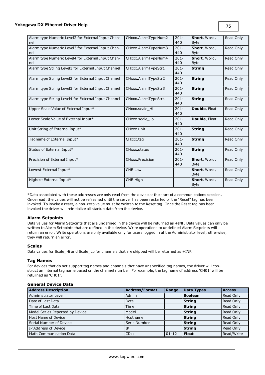| Alarm type Numeric Level2 for External Input Chan-<br>nel | CHxxx.AlarmTypeNum2 | $201 -$<br>440 | Short, Word,<br><b>Byte</b> | Read Only |
|-----------------------------------------------------------|---------------------|----------------|-----------------------------|-----------|
| Alarm type Numeric Level3 for External Input Chan-<br>nel | CHxxx.AlarmTypeNum3 | $201 -$<br>440 | Short, Word,<br><b>Byte</b> | Read Only |
| Alarm type Numeric Level4 for External Input Chan-<br>nel | CHxxx.AlarmTypeNum4 | $201 -$<br>440 | Short, Word,<br><b>Byte</b> | Read Only |
| Alarm type String Level1 for External Input Channel       | CHxxx.AlarmTypeStr1 | $201 -$<br>440 | <b>String</b>               | Read Only |
| Alarm type String Level2 for External Input Channel       | CHxxx.AlarmTypeStr2 | $201 -$<br>440 | <b>String</b>               | Read Only |
| Alarm type String Level3 for External Input Channel       | CHxxx.AlarmTypeStr3 | $201 -$<br>440 | <b>String</b>               | Read Only |
| Alarm type String Level4 for External Input Channel       | CHxxx.AlarmTypeStr4 | $201 -$<br>440 | <b>String</b>               | Read Only |
| Upper Scale Value of External Input*                      | CHxxx.scale_Hi      | $201 -$<br>440 | Double, Float               | Read Only |
| Lower Scale Value of External Input*                      | CHxxx.scale Lo      | $201 -$<br>440 | Double, Float               | Read Only |
| Unit String of External Input*                            | CHxxx.unit          | $201 -$<br>440 | <b>String</b>               | Read Only |
| Tagname of External Input*                                | CHxxx.tag           | $201 -$<br>440 | <b>String</b>               | Read Only |
| Status of External Input*                                 | CHxxx.status        | $201 -$<br>440 | <b>String</b>               | Read Only |
| Precision of External Input*                              | CHxxx.Precision     | $201 -$<br>440 | Short, Word,<br><b>Byte</b> | Read Only |
| Lowest External Input*                                    | CHE.Low             |                | Short, Word,<br><b>Byte</b> | Read Only |
| Highest External Input*                                   | CHE.High            |                | Short, Word,<br><b>Byte</b> | Read Only |

\*Data associated with these addresses are only read from the device at the start of a communications session. Once read, the values will not be refreshed until the server has been restarted or the "Reset" tag has been invoked. To invoke a reset, a non-zero value must be written to the Reset tag. Once the Reset tag has been invoked the driver will reinitialize all startup data from the device.

#### **Alarm Setpoints**

Data values for Alarm Setpoints that are undefined in the device will be returned as +INF. Data values can only be written to Alarm Setpoints that are defined in the device. Write operations to undefined Alarm Setpoints will return an error. Write operations are only available only for users logged in at the Administrator level; otherwise, they will return an error.

#### **Scales**

Data values for Scale\_Hi and Scale\_Lo for channels that are skipped will be returned as +INF.

#### **Tag Names**

For devices that do not support tag names and channels that have unspecified tag names, the driver will construct an internal tag name based on the channel number. For example, the tag name of address 'CH01' will be returned as 'CH01'.

#### **General Device Data**

| <b>Address Description</b>      | <b>Address/Format</b> | Range       | <b>Data Types</b> | <b>Access</b> |
|---------------------------------|-----------------------|-------------|-------------------|---------------|
| Administrator Level             | Admin                 |             | <b>Boolean</b>    | Read Only     |
| Date of Last Data               | Date                  |             | <b>String</b>     | Read Only     |
| Time of Last Data               | Time                  |             | <b>String</b>     | Read Only     |
| Model Series Reported by Device | Model                 |             | <b>String</b>     | Read Only     |
| Host Name of Device             | Hostname              |             | <b>String</b>     | Read Only     |
| Serial Number of Device         | SerialNumber          |             | <b>String</b>     | Read Only     |
| IP Address of Device            | ΙP                    |             | <b>String</b>     | Read Only     |
| Math Communication Data         | <b>CDxx</b>           | $ 01 - 12 $ | <b>Float</b>      | Read/Write    |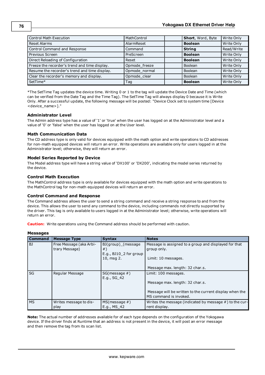| <b>Control Math Execution</b>                 | MathControl   | Short, Word, Byte | Write Only |
|-----------------------------------------------|---------------|-------------------|------------|
| <b>Reset Alarms</b>                           | AlarmReset    | <b>Boolean</b>    | Write Only |
| Control Command and Response                  | Command       | <b>String</b>     | Read/Write |
| Previous Screen                               | PreScreen     | <b>Boolean</b>    | Write Only |
| Direct Reloading of Configuration             | Reset         | <b>Boolean</b>    | Write Only |
| Freeze the recorder's trend and time display. | Opmode_freeze | <b>Boolean</b>    | Write Only |
| Resume the recorder's trend and time display. | Opmode normal | <b>Boolean</b>    | Write Only |
| Clear the recorder's memory and display.      | Opmode clear  | <b>Boolean</b>    | Write Only |
| SetTime*                                      | Tag           | <b>Boolean</b>    | Write Only |

\*The SetTime Tag updates the device time. Writing 0 or 1 to the tag will update the Device Date and Time (which can be verified from the Date Tag and the Time Tag). The SetTime Tag will always display 0 because it is Write Only. After a successful update, the following message will be posted: "Device Clock set to system time [Device <device\_name>]."

#### **Administrator Level**

The Admin address type has a value of '1' or 'true' when the user has logged on at the Administrator level and a value of '0' or 'false' when the user has logged on at the User level.

#### **Math Communication Data**

The CD address type is only valid for devices equipped with the math option and write operations to CD addresses for non-math equipped devices will return an error. Write operations are available only for users logged in at the Administrator level; otherwise, they will return an error.

#### **Model Series Reported by Device**

The Model address type will have a string value of 'DX100' or 'DX200', indicating the model series returned by the device.

#### **Control Math Execution**

The MathControl address type is only available for devices equipped with the math option and write operations to the MathControl tag for non-math equipped devices will return an error.

#### **Control Command and Response**

The Command address allows the user to send a string command and receive a string response to and from the device. This allows the user to send any command to the device, including commands not directly supported by the driver. This tag is only available to users logged in at the Administrator level; otherwise, write operations will return an error.

**Caution:** Write operations using the Command address should be performed with caution.

#### **Messages**

| <b>Command</b> | <b>Message Type</b>                       | <b>Syntax</b>                                                 | <b>Notes</b>                                                                               |
|----------------|-------------------------------------------|---------------------------------------------------------------|--------------------------------------------------------------------------------------------|
| BJ             | Free Message (aka Arbi-<br>trary Message) | BJ(group) (message<br>#)<br>E.g., BJ10 <sub>2</sub> for group | Message is assigned to a group and displayed for that<br>group only.                       |
|                |                                           | 10, msg 2.                                                    | Limit: 10 messages.<br>Message max. length: 32 char.s.                                     |
| SG             | Regular Message                           | $SG(message \#)$<br>E.g., SG 42                               | Limit: 100 messages.                                                                       |
|                |                                           |                                                               | Message max. length: 32 char.s.<br>Message will be written to the current display when the |
|                |                                           |                                                               | MS command is invoked.                                                                     |
| <b>MS</b>      | Writes message to dis-<br>play            | $MS(message \#)$<br>E.g., MS 42                               | Writes the message (indicated by message $#$ ) to the cur-<br>rent display.                |

**Note:** The actual number of addresses available for of each type depends on the configuration of the Yokogawa device. If the driver finds at Runtime that an address is not present in the device, it will post an error message and then remove the tag from its scan list.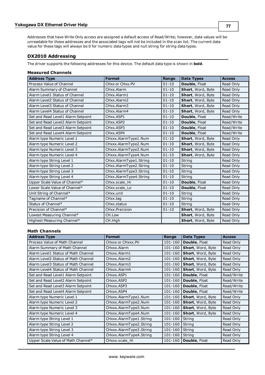Addresses that have Write Only access are assigned a default access of Read/Write; however, data values will be unreadable for these addresses and the associated tags will not be included in the scan list. The current data value for these tags will always be 0 for numeric data types and null string for string data types.

# <span id="page-76-0"></span>**DX2010 Addressing**

The driver supports the following addresses for this device. The default data type is shown in **bold**.

#### **Measured Channels**

| <b>Address Type</b>                | <b>Format</b>          | Range     | <b>Data Types</b> | <b>Access</b> |
|------------------------------------|------------------------|-----------|-------------------|---------------|
| Process Value of Channel           | CHxx or CHxx.PV        | $01 - 10$ | Double, Float     | Read Only     |
| Alarm Summary of Channel           | CHxx.Alarm             | $01 - 10$ | Short, Word, Byte | Read Only     |
| Alarm Level1 Status of Channel     | CHxx.Alarm1            | $01 - 10$ | Short, Word, Byte | Read Only     |
| Alarm Level2 Status of Channel     | CHxx.Alarm2            | $01 - 10$ | Short, Word, Byte | Read Only     |
| Alarm Level3 Status of Channel     | CHxx.Alarm3            | $01 - 10$ | Short, Word, Byte | Read Only     |
| Alarm Level4 Status of Channel     | CHxx.Alarm4            | $01 - 10$ | Short, Word, Byte | Read Only     |
| Set and Read Level1 Alarm Setpoint | CHxx.ASP1              | $01 - 10$ | Double, Float     | Read/Write    |
| Set and Read Level2 Alarm Setpoint | CHxx.ASP2              | $01 - 10$ | Double, Float     | Read/Write    |
| Set and Read Level3 Alarm Setpoint | CHxx.ASP3              | $01 - 10$ | Double, Float     | Read/Write    |
| Set and Read Level4 Alarm Setpoint | CHxx.ASP4              | $01 - 10$ | Double, Float     | Read/Write    |
| Alarm type Numeric Level 1         | CHxxx.AlarmType1.Num   | $01 - 10$ | Short, Word, Byte | Read Only     |
| Alarm type Numeric Level 2         | CHxxx.AlarmType2.Num   | $01 - 10$ | Short, Word, Byte | Read Only     |
| Alarm type Numeric Level 3         | CHxxx.AlarmType3.Num   | $01 - 10$ | Short, Word, Byte | Read Only     |
| Alarm type Numeric Level 4         | CHxxx.AlarmType4.Num   | $01 - 10$ | Short, Word, Byte | Read Only     |
| Alarm type String Level 1          | CHxx.AlarmType1.String | $01 - 10$ | String            | Read Only     |
| Alarm type String Level 2          | CHxx.AlarmType2.String | $01 - 10$ | String            | Read Only     |
| Alarm type String Level 3          | CHxx.AlarmType3.String | $01 - 10$ | String            | Read Only     |
| Alarm type String Level 4          | CHxx.AlarmType4.String | $01 - 10$ | String            | Read Only     |
| Upper Scale Value of Channel*      | CHxx.scale Hi          | $01 - 10$ | Double, Float     | Read Only     |
| Lower Scale Value of Channel*      | CHxx.scale Lo          | $01 - 10$ | Double, Float     | Read Only     |
| Unit String of Channel*            | CHxx.unit              | $01 - 10$ | String            | Read Only     |
| Tagname of Channel*                | CHxx.tag               | $01 - 10$ | String            | Read Only     |
| Status of Channel*                 | CHxx.status            | $01 - 10$ | String            | Read Only     |
| Precision of Channel*              | CHxx.Precision         | $01 - 10$ | Short, Word, Byte | Read Only     |
| Lowest Measuring Channel*          | CH.Low                 |           | Short, Word, Byte | Read Only     |
| Highest Measuring Channel*         | CH.High                |           | Short, Word, Byte | Read Only     |

#### **Math Channels**

| <b>Address Type</b>                  | <b>Format</b>           | Range       | Data Types               | <b>Access</b> |
|--------------------------------------|-------------------------|-------------|--------------------------|---------------|
| Process Value of Math Channel        | CHxxx or CHxxx.PV       | 101-160     | Double, Float            | Read Only     |
| Alarm Summary of Math Channel        | CHxxx.Alarm             | 101-160     | Short, Word, Byte        | Read Only     |
| Alarm Level1 Status of Math Channel  | CHxxx.Alarm1            | 101-160     | <b>Short, Word, Byte</b> | Read Only     |
| Alarm Level2 Status of Math Channel  | CHxxx.Alarm2            | 101-160     | Short, Word, Byte        | Read Only     |
| Alarm Level 3 Status of Math Channel | CHxxx, Alarm3           | 101-160     | Short, Word, Byte        | Read Only     |
| Alarm Level4 Status of Math Channel  | CHxxx.Alarm4            | 101-160     | <b>Short, Word, Byte</b> | Read Only     |
| Set and Read Level1 Alarm Setpoint   | CHxxx.ASP1              | 101-160     | <b>Double, Float</b>     | Read/Write    |
| Set and Read Level2 Alarm Setpoint   | CHxxx.ASP2              | $101 - 160$ | Double, Float            | Read/Write    |
| Set and Read Level3 Alarm Setpoint   | CHxxx.ASP3              | 101-160     | Double, Float            | Read/Write    |
| Set and Read Level4 Alarm Setpoint   | CHxxx.ASP4              | 101-160     | Double, Float            | Read/Write    |
| Alarm type Numeric Level 1           | CHxxx.AlarmType1.Num    | 101-160     | <b>Short, Word, Byte</b> | Read Only     |
| Alarm type Numeric Level 2           | CHxxx.AlarmType2.Num    | 101-160     | Short, Word, Byte        | Read Only     |
| Alarm type Numeric Level 3           | CHxxx.AlarmType3.Num    | 101-160     | <b>Short, Word, Byte</b> | Read Only     |
| Alarm type Numeric Level 4           | CHxxx.AlarmType4.Num    | 101-160     | <b>Short, Word, Byte</b> | Read Only     |
| Alarm type String Level 1            | CHxxx.AlarmType1.String | 101-160     | String                   | Read Only     |
| Alarm type String Level 2            | CHxxx.AlarmType2.String | 101-160     | String                   | Read Only     |
| Alarm type String Level 3            | CHxxx.AlarmType3.String | 101-160     | String                   | Read Only     |
| Alarm type String Level 4            | CHxxx.AlarmType4.String | 101-160     | String                   | Read Only     |
| Upper Scale Value of Math Channel*   | CHxxx.scale_Hi          | 101-160     | <b>Double, Float</b>     | Read Only     |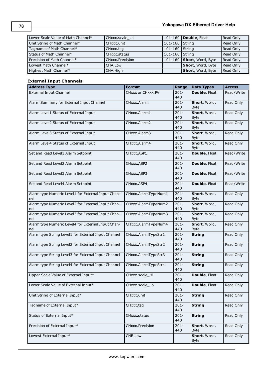| Lower Scale Value of Math Channel* | CHxxx.scale Lo  |                  | 101-160   Double, Float   | Read Only |
|------------------------------------|-----------------|------------------|---------------------------|-----------|
| Unit String of Math Channel*       | CHxxx unit      | 101-160 String   |                           | Read Only |
| Tagname of Math Channel*           | CHxxx.tag       | 101-160   String |                           | Read Only |
| Status of Math Channel*            | CHxxx.status    | 101-160 String   |                           | Read Only |
| Precision of Math Channel*         | CHxxx.Precision |                  | 101-160 Short, Word, Byte | Read Only |
| Lowest Math Channel*               | CHA.Low         |                  | <b>Short</b> , Word, Byte | Read Only |
| Highest Math Channel*              | CHA.High        |                  | Short, Word, Byte         | Read Only |

# **External Input Channels**

| <b>Address Type</b>                                       | <b>Format</b>       | Range          | <b>Data Types</b>           | <b>Access</b> |
|-----------------------------------------------------------|---------------------|----------------|-----------------------------|---------------|
| <b>External Input Channel</b>                             | CHxxx or CHxxx.PV   | $201 -$<br>440 | Double, Float               | Read/Write    |
| Alarm Summary for External Input Channel                  | CHxxx.Alarm         | $201 -$<br>440 | Short, Word,<br><b>Byte</b> | Read Only     |
| Alarm Level1 Status of External Input                     | CHxxx.Alarm1        | $201 -$<br>440 | Short, Word,<br><b>Byte</b> | Read Only     |
| Alarm Level2 Status of External Input                     | CHxxx.Alarm2        | $201 -$<br>440 | Short, Word,<br><b>Byte</b> | Read Only     |
| Alarm Level3 Status of External Input                     | CHxxx.Alarm3        | $201 -$<br>440 | Short, Word,<br><b>Byte</b> | Read Only     |
| Alarm Level4 Status of External Input                     | CHxxx.Alarm4        | $201 -$<br>440 | Short, Word,<br>Byte        | Read Only     |
| Set and Read Level1 Alarm Setpoint                        | CHxxx.ASP1          | $201 -$<br>440 | Double, Float               | Read/Write    |
| Set and Read Level2 Alarm Setpoint                        | CHxxx.ASP2          | $201 -$<br>440 | Double, Float               | Read/Write    |
| Set and Read Level3 Alarm Setpoint                        | CHxxx.ASP3          | $201 -$<br>440 | Double, Float               | Read/Write    |
| Set and Read Level4 Alarm Setpoint                        | CHxxx.ASP4          | $201 -$<br>440 | Double, Float               | Read/Write    |
| Alarm type Numeric Level1 for External Input Chan-<br>nel | CHxxx.AlarmTypeNum1 | $201 -$<br>440 | Short, Word,<br><b>Byte</b> | Read Only     |
| Alarm type Numeric Level2 for External Input Chan-<br>nel | CHxxx.AlarmTypeNum2 | $201 -$<br>440 | Short, Word,<br><b>Byte</b> | Read Only     |
| Alarm type Numeric Level3 for External Input Chan-<br>nel | CHxxx.AlarmTypeNum3 | $201 -$<br>440 | Short, Word,<br><b>Byte</b> | Read Only     |
| Alarm type Numeric Level4 for External Input Chan-<br>nel | CHxxx.AlarmTypeNum4 | $201 -$<br>440 | Short, Word,<br><b>Byte</b> | Read Only     |
| Alarm type String Level1 for External Input Channel       | CHxxx.AlarmTypeStr1 | $201 -$<br>440 | <b>String</b>               | Read Only     |
| Alarm type String Level2 for External Input Channel       | CHxxx.AlarmTypeStr2 | $201 -$<br>440 | <b>String</b>               | Read Only     |
| Alarm type String Level3 for External Input Channel       | CHxxx.AlarmTypeStr3 | $201 -$<br>440 | <b>String</b>               | Read Only     |
| Alarm type String Level4 for External Input Channel       | CHxxx.AlarmTypeStr4 | $201 -$<br>440 | <b>String</b>               | Read Only     |
| Upper Scale Value of External Input*                      | CHxxx.scale Hi      | $201 -$<br>440 | Double, Float               | Read Only     |
| Lower Scale Value of External Input*                      | CHxxx.scale_Lo      | 201-<br>440    | Double, Float               | Read Only     |
| Unit String of External Input*                            | CHxxx.unit          | $201 -$<br>440 | <b>String</b>               | Read Only     |
| Tagname of External Input*                                | CHxxx.tag           | $201 -$<br>440 | <b>String</b>               | Read Only     |
| Status of External Input*                                 | CHxxx.status        | $201 -$<br>440 | <b>String</b>               | Read Only     |
| Precision of External Input*                              | CHxxx.Precision     | $201 -$<br>440 | Short, Word,<br><b>Byte</b> | Read Only     |
| Lowest External Input*                                    | CHE.Low             |                | Short, Word,<br><b>Byte</b> | Read Only     |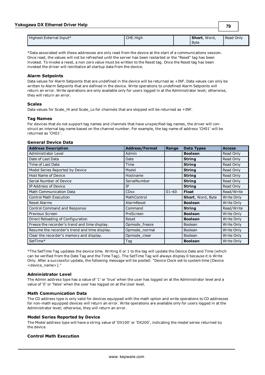| Highest External Input* | CHE.High | Short, Word, | Read Only |
|-------------------------|----------|--------------|-----------|
|                         |          | <b>Byte</b>  |           |

**79**

\*Data associated with these addresses are only read from the device at the start of a communications session. Once read, the values will not be refreshed until the server has been restarted or the "Reset" tag has been invoked. To invoke a reset, a non zero value must be written to the Reset tag. Once the Reset tag has been invoked the driver will reinitialize all startup data from the device.

#### **Alarm Setpoints**

Data values for Alarm Setpoints that are undefined in the device will be returned as +INF. Data values can only be written to Alarm Setpoints that are defined in the device. Write operations to undefined Alarm Setpoints will return an error. Write operations are only available only for users logged in at the Administrator level; otherwise, they will return an error.

#### **Scales**

Data values for Scale\_Hi and Scale\_Lo for channels that are skipped will be returned as +INF.

#### **Tag Names**

For devices that do not support tag names and channels that have unspecified tag names, the driver will construct an internal tag name based on the channel number. For example, the tag name of address 'CH01' will be returned as 'CH01'.

#### **General Device Data**

| <b>Address Description</b>                    | <b>Address/Format</b> | Range     | <b>Data Types</b>        | <b>Access</b> |
|-----------------------------------------------|-----------------------|-----------|--------------------------|---------------|
| Administrator Level                           | Admin                 |           | <b>Boolean</b>           | Read Only     |
| Date of Last Data                             | Date                  |           | <b>String</b>            | Read Only     |
| Time of Last Data                             | Time                  |           | <b>String</b>            | Read Only     |
| Model Series Reported by Device               | Model                 |           | <b>String</b>            | Read Only     |
| Host Name of Device                           | Hostname              |           | <b>String</b>            | Read Only     |
| Serial Number of Device                       | SerialNumber          |           | <b>String</b>            | Read Only     |
| IP Address of Device                          | IP                    |           | <b>String</b>            | Read Only     |
| Math Communication Data                       | <b>CDxx</b>           | $01 - 60$ | <b>Float</b>             | Read/Write    |
| <b>Control Math Execution</b>                 | MathControl           |           | <b>Short, Word, Byte</b> | Write Only    |
| <b>Reset Alarms</b>                           | AlarmReset            |           | <b>Boolean</b>           | Write Only    |
| Control Command and Response                  | Command               |           | <b>String</b>            | Read/Write    |
| Previous Screen                               | PreScreen             |           | <b>Boolean</b>           | Write Only    |
| Direct Reloading of Configuration             | Reset                 |           | <b>Boolean</b>           | Write Only    |
| Freeze the recorder's trend and time display. | Opmode freeze         |           | <b>Boolean</b>           | Write Only    |
| Resume the recorder's trend and time display. | Opmode_normal         |           | <b>Boolean</b>           | Write Only    |
| Clear the recorder's memory and display.      | Opmode_clear          |           | <b>Boolean</b>           | Write Only    |
| SetTime*                                      | Tag                   |           | <b>Boolean</b>           | Write Only    |

\*The SetTime Tag updates the device time. Writing 0 or 1 to the tag will update the Device Date and Time (which can be verified from the Date Tag and the Time Tag). The SetTime Tag will always display 0 because it is Write Only. After a successful update, the following message will be posted: "Device Clock set to system time [Device <device\_name>]."

#### **Administrator Level**

The Admin address type has a value of '1' or 'true' when the user has logged on at the Administrator level and a value of '0' or 'false' when the user has logged on at the User level.

#### **Math Communication Data**

The CD address type is only valid for devices equipped with the math option and write operations to CD addresses for non-math equipped devices will return an error. Write operations are available only for users logged in at the Administrator level; otherwise, they will return an error.

#### **Model Series Reported by Device**

The Model address type will have a string value of 'DX100' or 'DX200', indicating the model series returned by the device.

#### **Control Math Execution**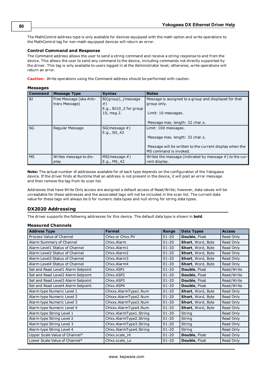The MathControl address type is only available for devices equipped with the math option and write operations to the MathControl tag for non-math equipped devices will return an error.

#### **Control Command and Response**

The Command address allows the user to send a string command and receive a string response to and from the device. This allows the user to send any command to the device, including commands not directly supported by the driver. This tag is only available to users logged in at the Administrator level; otherwise, write operations will return an error.

**Caution:** Write operations using the Command address should be performed with caution.

#### **Messages**

| <b>Command</b> | <b>Message Type</b>                       | <b>Syntax</b>                                                                  | <b>Notes</b>                                                                                |
|----------------|-------------------------------------------|--------------------------------------------------------------------------------|---------------------------------------------------------------------------------------------|
| BJ             | Free Message (aka Arbi-<br>trary Message) | BJ(group) (message<br>$#$ )<br>E.g., BJ10 <sub>2</sub> for group<br>10, msg 2. | Message is assigned to a group and displayed for that<br>group only.<br>Limit: 10 messages. |
|                |                                           |                                                                                | Message max. length: 32 char.s.                                                             |
| SG             | Regular Message                           | $SG(message \#)$<br>E.g., SG 42                                                | Limit: 100 messages.                                                                        |
|                |                                           |                                                                                | Message max. length: 32 char.s.                                                             |
|                |                                           |                                                                                | Message will be written to the current display when the<br>MS command is invoked.           |
| <b>MS</b>      | Writes message to dis-<br>play            | $MS(message \#)$<br>E.g., MS 42                                                | Writes the message (indicated by message $#$ ) to the cur-<br>rent display.                 |

**Note:** The actual number of addresses available for of each type depends on the configuration of the Yokogawa device. If the driver finds at Runtime that an address is not present in the device, it will post an error message and then remove the tag from its scan list.

Addresses that have Write Only access are assigned a default access of Read/Write; however, data values will be unreadable for these addresses and the associated tags will not be included in the scan list. The current data value for these tags will always be 0 for numeric data types and null string for string data types.

#### <span id="page-79-0"></span>**DX2020 Addressing**

The driver supports the following addresses for this device. The default data type is shown in **bold**.

#### **Measured Channels**

| <b>Address Type</b>                | <b>Format</b>           | Range     | <b>Data Types</b>    | <b>Access</b> |
|------------------------------------|-------------------------|-----------|----------------------|---------------|
| Process Value of Channel           | CHxx or CHxx.PV         | $01 - 20$ | Double, Float        | Read Only     |
| Alarm Summary of Channel           | CHxx.Alarm              | $01 - 20$ | Short, Word, Byte    | Read Only     |
| Alarm Level1 Status of Channel     | CHxx.Alarm1             | $01 - 20$ | Short, Word, Byte    | Read Only     |
| Alarm Level2 Status of Channel     | CHxx.Alarm2             | $01 - 20$ | Short, Word, Byte    | Read Only     |
| Alarm Level3 Status of Channel     | CHxx.Alarm3             | $01 - 20$ | Short, Word, Byte    | Read Only     |
| Alarm Level4 Status of Channel     | CHxx.Alarm4             | $01 - 20$ | Short, Word, Byte    | Read Only     |
| Set and Read Level1 Alarm Setpoint | CHxx.ASP1               | $01 - 20$ | <b>Double, Float</b> | Read/Write    |
| Set and Read Level2 Alarm Setpoint | CHxx.ASP2               | $01 - 20$ | <b>Double, Float</b> | Read/Write    |
| Set and Read Level3 Alarm Setpoint | CH <sub>xx</sub> , ASP3 | $01 - 20$ | Double, Float        | Read/Write    |
| Set and Read Level4 Alarm Setpoint | CH <sub>xx</sub> , ASP4 | $01 - 20$ | Double, Float        | Read/Write    |
| Alarm type Numeric Level 1         | CHxxx.AlarmType1.Num    | $01 - 20$ | Short, Word, Byte    | Read Only     |
| Alarm type Numeric Level 2         | CHxxx.AlarmType2.Num    | $01 - 20$ | Short, Word, Byte    | Read Only     |
| Alarm type Numeric Level 3         | CHxxx.AlarmType3.Num    | $01 - 20$ | Short, Word, Byte    | Read Only     |
| Alarm type Numeric Level 4         | CHxxx.AlarmType4.Num    | $01 - 20$ | Short, Word, Byte    | Read Only     |
| Alarm type String Level 1          | CHxx.AlarmType1.String  | $01 - 20$ | String               | Read Only     |
| Alarm type String Level 2          | CHxx.AlarmType2.String  | $01 - 20$ | String               | Read Only     |
| Alarm type String Level 3          | CHxx.AlarmType3.String  | $01 - 20$ | String               | Read Only     |
| Alarm type String Level 4          | CHxx.AlarmType4.String  | $01 - 20$ | String               | Read Only     |
| Upper Scale Value of Channel*      | CHxx.scale_Hi           | $01 - 20$ | Double, Float        | Read Only     |
| Lower Scale Value of Channel*      | CHxx.scale Lo           | $01 - 20$ | <b>Double, Float</b> | Read Only     |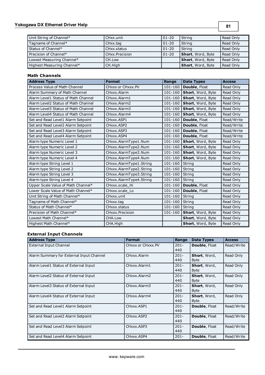# **Yokogawa DX Ethernet Driver Help**

**81**

| Unit String of Channel*    | CHxx.unit      | $01 - 20$ | String                   | Read Only |
|----------------------------|----------------|-----------|--------------------------|-----------|
| Tagname of Channel*        | CHxx.tag       | $01 - 20$ | String                   | Read Only |
| Status of Channel*         | CHxx.status    | $01 - 20$ | String                   | Read Only |
| Precision of Channel*      | CHxx.Precision | $01 - 20$ | Short, Word, Byte        | Read Only |
| Lowest Measuring Channel*  | CH.Low         |           | <b>Short, Word, Byte</b> | Read Only |
| Highest Measuring Channel* | CH.High        |           | Short, Word, Byte        | Read Only |

# **Math Channels**

| <b>Address Type</b>                 | <b>Format</b>           | Range       | <b>Data Types</b> | <b>Access</b> |
|-------------------------------------|-------------------------|-------------|-------------------|---------------|
| Process Value of Math Channel       | CHxxx or CHxxx.PV       | 101-160     | Double, Float     | Read Only     |
| Alarm Summary of Math Channel       | CHxxx.Alarm             | $101 - 160$ | Short, Word, Byte | Read Only     |
| Alarm Level1 Status of Math Channel | CHxxx.Alarm1            | 101-160     | Short, Word, Byte | Read Only     |
| Alarm Level2 Status of Math Channel | CHxxx.Alarm2            | $101 - 160$ | Short, Word, Byte | Read Only     |
| Alarm Level3 Status of Math Channel | CHxxx.Alarm3            | 101-160     | Short, Word, Byte | Read Only     |
| Alarm Level4 Status of Math Channel | CHxxx.Alarm4            | 101-160     | Short, Word, Byte | Read Only     |
| Set and Read Level1 Alarm Setpoint  | CHxxx.ASP1              | $101 - 160$ | Double, Float     | Read/Write    |
| Set and Read Level2 Alarm Setpoint  | CHxxx.ASP2              | 101-160     | Double, Float     | Read/Write    |
| Set and Read Level3 Alarm Setpoint  | CHxxx.ASP3              | 101-160     | Double, Float     | Read/Write    |
| Set and Read Level4 Alarm Setpoint  | CHxxx.ASP4              | $101 - 160$ | Double, Float     | Read/Write    |
| Alarm type Numeric Level 1          | CHxxx.AlarmType1.Num    | 101-160     | Short, Word, Byte | Read Only     |
| Alarm type Numeric Level 2          | CHxxx.AlarmType2.Num    | 101-160     | Short, Word, Byte | Read Only     |
| Alarm type Numeric Level 3          | CHxxx.AlarmType3.Num    | 101-160     | Short, Word, Byte | Read Only     |
| Alarm type Numeric Level 4          | CHxxx.AlarmType4.Num    | 101-160     | Short, Word, Byte | Read Only     |
| Alarm type String Level 1           | CHxxx.AlarmType1.String | 101-160     | String            | Read Only     |
| Alarm type String Level 2           | CHxxx.AlarmType2.String | 101-160     | String            | Read Only     |
| Alarm type String Level 3           | CHxxx.AlarmType3.String | 101-160     | String            | Read Only     |
| Alarm type String Level 4           | CHxxx.AlarmType4.String | 101-160     | String            | Read Only     |
| Upper Scale Value of Math Channel*  | CHxxx.scale Hi          | $101 - 160$ | Double, Float     | Read Only     |
| Lower Scale Value of Math Channel*  | CHxxx.scale Lo          | 101-160     | Double, Float     | Read Only     |
| Unit String of Math Channel*        | CHxxx.unit              | 101-160     | String            | Read Only     |
| Tagname of Math Channel*            | CHxxx.tag               | 101-160     | String            | Read Only     |
| Status of Math Channel*             | CHxxx.status            | 101-160     | String            | Read Only     |
| Precision of Math Channel*          | CHxxx.Precision         | 101-160     | Short, Word, Byte | Read Only     |
| Lowest Math Channel*                | CHA.Low                 |             | Short, Word, Byte | Read Only     |
| Highest Math Channel*               | CHA.High                |             | Short, Word, Byte | Read Only     |

# **External Input Channels**

| <b>Address Type</b>                      | <b>Format</b>     | Range          | <b>Data Types</b>           | <b>Access</b> |
|------------------------------------------|-------------------|----------------|-----------------------------|---------------|
| <b>External Input Channel</b>            | CHxxx or CHxxx.PV | $201 -$<br>440 | <b>Double, Float</b>        | Read/Write    |
| Alarm Summary for External Input Channel | CHxxx.Alarm       | $201 -$<br>440 | Short, Word,<br><b>Byte</b> | Read Only     |
| Alarm Level1 Status of External Input    | CHxxx.Alarm1      | $201 -$<br>440 | Short, Word,<br><b>Byte</b> | Read Only     |
| Alarm Level2 Status of External Input    | CHxxx.Alarm2      | $201 -$<br>440 | Short, Word,<br><b>Byte</b> | Read Only     |
| Alarm Level 3 Status of External Input   | CHxxx.Alarm3      | $201 -$<br>440 | Short, Word,<br><b>Byte</b> | Read Only     |
| Alarm Level4 Status of External Input    | CHxxx.Alarm4      | $201 -$<br>440 | Short, Word,<br><b>Byte</b> | Read Only     |
| Set and Read Level1 Alarm Setpoint       | CHxxx.ASP1        | $201 -$<br>440 | <b>Double, Float</b>        | Read/Write    |
| Set and Read Level2 Alarm Setpoint       | CHxxx.ASP2        | $201 -$<br>440 | <b>Double, Float</b>        | Read/Write    |
| Set and Read Level3 Alarm Setpoint       | CHxxx.ASP3        | $201 -$<br>440 | <b>Double, Float</b>        | Read/Write    |
| Set and Read Level4 Alarm Setpoint       | CHxxx.ASP4        | $201 -$        | Double, Float               | Read/Write    |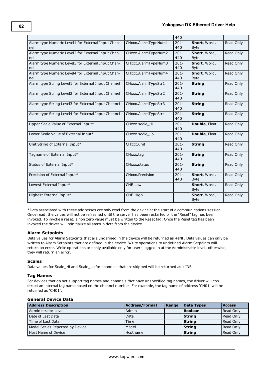|                                                           |                     | 440            |                             |           |
|-----------------------------------------------------------|---------------------|----------------|-----------------------------|-----------|
| Alarm type Numeric Level1 for External Input Chan-<br>nel | CHxxx.AlarmTypeNum1 | $201 -$<br>440 | Short, Word,<br><b>Byte</b> | Read Only |
| Alarm type Numeric Level2 for External Input Chan-<br>nel | CHxxx.AlarmTypeNum2 | $201 -$<br>440 | Short, Word,<br><b>Byte</b> | Read Only |
| Alarm type Numeric Level3 for External Input Chan-<br>nel | CHxxx.AlarmTypeNum3 | $201 -$<br>440 | Short, Word,<br><b>Byte</b> | Read Only |
| Alarm type Numeric Level4 for External Input Chan-<br>nel | CHxxx.AlarmTypeNum4 | $201 -$<br>440 | Short, Word,<br><b>Byte</b> | Read Only |
| Alarm type String Level1 for External Input Channel       | CHxxx.AlarmTypeStr1 | $201 -$<br>440 | <b>String</b>               | Read Only |
| Alarm type String Level2 for External Input Channel       | CHxxx.AlarmTypeStr2 | $201 -$<br>440 | <b>String</b>               | Read Only |
| Alarm type String Level3 for External Input Channel       | CHxxx.AlarmTypeStr3 | $201 -$<br>440 | <b>String</b>               | Read Only |
| Alarm type String Level4 for External Input Channel       | CHxxx.AlarmTypeStr4 | $201 -$<br>440 | <b>String</b>               | Read Only |
| Upper Scale Value of External Input*                      | CHxxx.scale Hi      | $201 -$<br>440 | Double, Float               | Read Only |
| Lower Scale Value of External Input*                      | CHxxx.scale Lo      | $201 -$<br>440 | Double, Float               | Read Only |
| Unit String of External Input*                            | CHxxx.unit          | $201 -$<br>440 | <b>String</b>               | Read Only |
| Tagname of External Input*                                | CHxxx.tag           | $201 -$<br>440 | <b>String</b>               | Read Only |
| Status of External Input*                                 | CHxxx.status        | $201 -$<br>440 | <b>String</b>               | Read Only |
| Precision of External Input*                              | CHxxx.Precision     | $201 -$<br>440 | Short, Word,<br><b>Byte</b> | Read Only |
| Lowest External Input*                                    | CHE.Low             |                | Short, Word,<br><b>Byte</b> | Read Only |
| Highest External Input*                                   | CHE.High            |                | Short, Word,<br><b>Byte</b> | Read Only |

\*Data associated with these addresses are only read from the device at the start of a communications session. Once read, the values will not be refreshed until the server has been restarted or the "Reset" tag has been invoked. To invoke a reset, a non zero value must be written to the Reset tag. Once the Reset tag has been invoked the driver will reinitialize all startup data from the device.

#### **Alarm Setpoints**

Data values for Alarm Setpoints that are undefined in the device will be returned as +INF. Data values can only be written to Alarm Setpoints that are defined in the device. Write operations to undefined Alarm Setpoints will return an error. Write operations are only available only for users logged in at the Administrator level; otherwise, they will return an error.

#### **Scales**

Data values for Scale\_Hi and Scale\_Lo for channels that are skipped will be returned as +INF.

#### **Tag Names**

For devices that do not support tag names and channels that have unspecified tag names, the driver will construct an internal tag name based on the channel number. For example, the tag name of address 'CH01' will be returned as 'CH01'.

#### **General Device Data**

| <b>Address Description</b>      | <b>Address/Format</b> | l Range | <b>Data Types</b> | <b>Access</b> |
|---------------------------------|-----------------------|---------|-------------------|---------------|
| Administrator Level             | Admin                 |         | <b>Boolean</b>    | Read Only     |
| Date of Last Data               | Date                  |         | <b>String</b>     | Read Only     |
| Time of Last Data               | Time                  |         | <b>String</b>     | Read Only     |
| Model Series Reported by Device | Model                 |         | <b>String</b>     | Read Only     |
| <b>Host Name of Device</b>      | Hostname              |         | <b>String</b>     | Read Only     |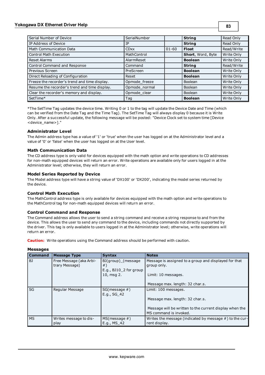### **Yokogawa DX Ethernet Driver Help**

| Serial Number of Device                       | SerialNumber  |           | <b>String</b>     | Read Only  |
|-----------------------------------------------|---------------|-----------|-------------------|------------|
| IP Address of Device                          | IP            |           | <b>String</b>     | Read Only  |
| Math Communication Data                       | <b>CDxx</b>   | $01 - 60$ | <b>Float</b>      | Read/Write |
| <b>Control Math Execution</b>                 | MathControl   |           | Short, Word, Byte | Write Only |
| Reset Alarms                                  | AlarmReset    |           | <b>Boolean</b>    | Write Only |
| Control Command and Response                  | Command       |           | <b>String</b>     | Read/Write |
| Previous Screen                               | PreScreen     |           | <b>Boolean</b>    | Write Only |
| Direct Reloading of Configuration             | Reset         |           | <b>Boolean</b>    | Write Only |
| Freeze the recorder's trend and time display. | Opmode freeze |           | Boolean           | Write Only |
| Resume the recorder's trend and time display. | Opmode_normal |           | <b>Boolean</b>    | Write Only |
| Clear the recorder's memory and display.      | Opmode_clear  |           | Boolean           | Write Only |
| SetTime*                                      | Taq           |           | <b>Boolean</b>    | Write Only |

\*The SetTime Tag updates the device time. Writing 0 or 1 to the tag will update the Device Date and Time (which can be verified from the Date Tag and the Time Tag). The SetTime Tag will always display 0 because it is Write Only. After a successful update, the following message will be posted: "Device Clock set to system time [Device <device\_name>]."

#### **Administrator Level**

The Admin address type has a value of '1' or 'true' when the user has logged on at the Administrator level and a value of '0' or 'false' when the user has logged on at the User level.

#### **Math Communication Data**

The CD address type is only valid for devices equipped with the math option and write operations to CD addresses for non-math equipped devices will return an error. Write operations are available only for users logged in at the Administrator level; otherwise, they will return an error.

#### **Model Series Reported by Device**

The Model address type will have a string value of 'DX100' or 'DX200', indicating the model series returned by the device.

#### **Control Math Execution**

The MathControl address type is only available for devices equipped with the math option and write operations to the MathControl tag for non-math equipped devices will return an error.

#### **Control Command and Response**

The Command address allows the user to send a string command and receive a string response to and from the device. This allows the user to send any command to the device, including commands not directly supported by the driver. This tag is only available to users logged in at the Administrator level; otherwise, write operations will return an error.

**Caution:** Write operations using the Command address should be performed with caution.

| <b>Command</b> | <b>Message Type</b>                       | <b>Syntax</b>                                                    | <b>Notes</b>                                                                      |
|----------------|-------------------------------------------|------------------------------------------------------------------|-----------------------------------------------------------------------------------|
| BJ             | Free Message (aka Arbi-<br>trary Message) | BJ(group) (message<br>$#$ )<br>E.g., BJ10 <sub>2</sub> for group | Message is assigned to a group and displayed for that<br>group only.              |
|                |                                           | 10, msg 2.                                                       | Limit: 10 messages.                                                               |
|                |                                           |                                                                  | Message max. length: 32 char.s.                                                   |
| SG             | Regular Message                           | $SG(message \#)$<br>E.g., SG_42                                  | Limit: 100 messages.                                                              |
|                |                                           |                                                                  | Message max. length: 32 char.s.                                                   |
|                |                                           |                                                                  | Message will be written to the current display when the<br>MS command is invoked. |
| <b>MS</b>      | Writes message to dis-<br>play            | $MS(message \#)$<br>E.g., MS 42                                  | Writes the message (indicated by message $#$ ) to the cur-<br>rent display.       |

**Messages**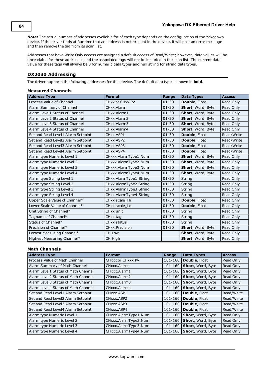**Note:** The actual number of addresses available for of each type depends on the configuration of the Yokogawa device. If the driver finds at Runtime that an address is not present in the device, it will post an error message and then remove the tag from its scan list.

Addresses that have Write Only access are assigned a default access of Read/Write; however, data values will be unreadable for these addresses and the associated tags will not be included in the scan list. The current data value for these tags will always be 0 for numeric data types and null string for string data types.

# <span id="page-83-0"></span>**DX2030 Addressing**

The driver supports the following addresses for this device. The default data type is shown in **bold**.

#### **Measured Channels**

| <b>Address Type</b>                | <b>Format</b>          | Range     | <b>Data Types</b> | <b>Access</b> |
|------------------------------------|------------------------|-----------|-------------------|---------------|
| Process Value of Channel           | CHxx or CHxx.PV        | $01 - 30$ | Double, Float     | Read Only     |
| Alarm Summary of Channel           | CHxx.Alarm             | $01 - 30$ | Short, Word, Byte | Read Only     |
| Alarm Level1 Status of Channel     | CHxx.Alarm1            | $01 - 30$ | Short, Word, Byte | Read Only     |
| Alarm Level2 Status of Channel     | CHxx.Alarm2            | $01 - 30$ | Short, Word, Byte | Read Only     |
| Alarm Level3 Status of Channel     | CHxx.Alarm3            | $01 - 30$ | Short, Word, Byte | Read Only     |
| Alarm Level4 Status of Channel     | CHxx.Alarm4            | $01 - 30$ | Short, Word, Byte | Read Only     |
| Set and Read Level1 Alarm Setpoint | CHxx.ASP1              | $01 - 30$ | Double, Float     | Read/Write    |
| Set and Read Level2 Alarm Setpoint | CHxx.ASP2              | $01 - 30$ | Double, Float     | Read/Write    |
| Set and Read Level3 Alarm Setpoint | CHxx.ASP3              | $01 - 30$ | Double, Float     | Read/Write    |
| Set and Read Level4 Alarm Setpoint | CHxx.ASP4              | $01 - 30$ | Double, Float     | Read/Write    |
| Alarm type Numeric Level 1         | CHxxx.AlarmType1.Num   | $01 - 30$ | Short, Word, Byte | Read Only     |
| Alarm type Numeric Level 2         | CHxxx.AlarmType2.Num   | $01 - 30$ | Short, Word, Byte | Read Only     |
| Alarm type Numeric Level 3         | CHxxx.AlarmType3.Num   | $01 - 30$ | Short, Word, Byte | Read Only     |
| Alarm type Numeric Level 4         | CHxxx.AlarmType4.Num   | $01 - 30$ | Short, Word, Byte | Read Only     |
| Alarm type String Level 1          | CHxx.AlarmType1.String | $01 - 30$ | String            | Read Only     |
| Alarm type String Level 2          | CHxx.AlarmType2.String | $01 - 30$ | <b>String</b>     | Read Only     |
| Alarm type String Level 3          | CHxx.AlarmType3.String | $01 - 30$ | String            | Read Only     |
| Alarm type String Level 4          | CHxx.AlarmType4.String | $01 - 30$ | String            | Read Only     |
| Upper Scale Value of Channel*      | CHxx.scale_Hi          | $01 - 30$ | Double, Float     | Read Only     |
| Lower Scale Value of Channel*      | CHxx.scale_Lo          | $01 - 30$ | Double, Float     | Read Only     |
| Unit String of Channel*            | CHxx.unit              | $01 - 30$ | String            | Read Only     |
| Tagname of Channel*                | CHxx.tag               | $01 - 30$ | String            | Read Only     |
| Status of Channel*                 | CHxx.status            | $01 - 30$ | String            | Read Only     |
| Precision of Channel*              | CHxx.Precision         | $01 - 30$ | Short, Word, Byte | Read Only     |
| Lowest Measuring Channel*          | CH.Low                 |           | Short, Word, Byte | Read Only     |
| Highest Measuring Channel*         | CH.High                |           | Short, Word, Byte | Read Only     |

# **Math Channels**

| <b>Address Type</b>                 | <b>Format</b>        | Range       | <b>Data Types</b>        | <b>Access</b> |
|-------------------------------------|----------------------|-------------|--------------------------|---------------|
| Process Value of Math Channel       | CHXXX or CHXXX.PV    | $101 - 160$ | <b>Double, Float</b>     | Read Only     |
| Alarm Summary of Math Channel       | CHxxx.Alarm          | $101 - 160$ | Short, Word, Byte        | Read Only     |
| Alarm Level1 Status of Math Channel | CHxxx.Alarm1         | $101 - 160$ | Short, Word, Byte        | Read Only     |
| Alarm Level2 Status of Math Channel | CHxxx.Alarm2         | $101 - 160$ | Short, Word, Byte        | Read Only     |
| Alarm Level3 Status of Math Channel | CHxxx.Alarm3         | 101-160     | Short, Word, Byte        | Read Only     |
| Alarm Level4 Status of Math Channel | CHxxx.Alarm4         | 101-160     | Short, Word, Byte        | Read Only     |
| Set and Read Level1 Alarm Setpoint  | CHxxx ASP1           | 101-160     | Double, Float            | Read/Write    |
| Set and Read Level2 Alarm Setpoint  | CHxxx.ASP2           | 101-160     | <b>Double, Float</b>     | Read/Write    |
| Set and Read Level3 Alarm Setpoint  | CHxxx.ASP3           | 101-160     | Double, Float            | Read/Write    |
| Set and Read Level4 Alarm Setpoint  | CHxxx.ASP4           | 101-160     | Double, Float            | Read/Write    |
| Alarm type Numeric Level 1          | CHxxx.AlarmType1.Num | $101 - 160$ | Short, Word, Byte        | Read Only     |
| Alarm type Numeric Level 2          | CHxxx.AlarmType2.Num | 101-160     | <b>Short, Word, Byte</b> | Read Only     |
| Alarm type Numeric Level 3          | CHxxx.AlarmType3.Num | 101-160     | Short, Word, Byte        | Read Only     |
| Alarm type Numeric Level 4          | CHxxx.AlarmType4.Num | 101-160     | <b>Short, Word, Byte</b> | Read Only     |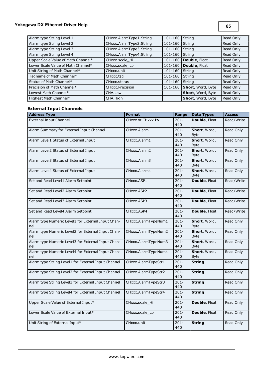# **Yokogawa DX Ethernet Driver Help**

**85**

| Alarm type String Level 1          | CHxxx.AlarmType1.String | $101 - 160$ | String               | Read Only |
|------------------------------------|-------------------------|-------------|----------------------|-----------|
| Alarm type String Level 2          | CHxxx.AlarmType2.String | 101-160     | String               | Read Only |
| Alarm type String Level 3          | CHxxx.AlarmType3.String | 101-160     | String               | Read Only |
| Alarm type String Level 4          | CHxxx.AlarmType4.String | 101-160     | String               | Read Only |
| Upper Scale Value of Math Channel* | CHxxx.scale Hi          | 101-160     | <b>Double, Float</b> | Read Only |
| Lower Scale Value of Math Channel* | CHxxx.scale Lo          | 101-160     | Double, Float        | Read Only |
| Unit String of Math Channel*       | CHxxx.unit              | 101-160     | <b>String</b>        | Read Only |
| Tagname of Math Channel*           | CHxxx.tag               | 101-160     | <b>String</b>        | Read Only |
| Status of Math Channel*            | CHxxx.status            | 101-160     | String               | Read Only |
| Precision of Math Channel*         | CHxxx.Precision         | 101-160     | Short, Word, Byte    | Read Only |
| Lowest Math Channel*               | CHA.Low                 |             | Short, Word, Byte    | Read Only |
| Highest Math Channel*              | CHA.High                |             | Short, Word, Byte    | Read Only |

# **External Input Channels**

| <b>Address Type</b>                                 | <b>Format</b>       | Range          | <b>Data Types</b> | <b>Access</b> |
|-----------------------------------------------------|---------------------|----------------|-------------------|---------------|
| <b>External Input Channel</b>                       | CHxxx or CHxxx.PV   | $201 -$        | Double, Float     | Read/Write    |
|                                                     |                     | 440            |                   |               |
| Alarm Summary for External Input Channel            | CHxxx.Alarm         | $201 -$        | Short, Word,      | Read Only     |
|                                                     |                     | 440            | <b>Byte</b>       |               |
| Alarm Level1 Status of External Input               | CHxxx.Alarm1        | $201 -$        | Short, Word,      | Read Only     |
|                                                     |                     | 440            | <b>Byte</b>       |               |
| Alarm Level2 Status of External Input               | CHxxx.Alarm2        | $201 -$        | Short, Word,      | Read Only     |
|                                                     |                     | 440            | <b>Byte</b>       |               |
| Alarm Level3 Status of External Input               | CHxxx.Alarm3        | $201 -$        | Short, Word,      | Read Only     |
|                                                     |                     | 440            | <b>Byte</b>       |               |
| Alarm Level4 Status of External Input               | CHxxx.Alarm4        | $201 -$        | Short, Word,      | Read Only     |
|                                                     |                     | 440            | <b>Byte</b>       |               |
| Set and Read Level1 Alarm Setpoint                  | CHxxx.ASP1          | $201 -$<br>440 | Double, Float     | Read/Write    |
|                                                     |                     |                |                   |               |
| Set and Read Level2 Alarm Setpoint                  | CHxxx.ASP2          | $201 -$<br>440 | Double, Float     | Read/Write    |
| Set and Read Level3 Alarm Setpoint                  | CHxxx.ASP3          | $201 -$        | Double, Float     | Read/Write    |
|                                                     |                     | 440            |                   |               |
| Set and Read Level4 Alarm Setpoint                  | CHxxx.ASP4          | $201 -$        | Double, Float     | Read/Write    |
|                                                     |                     | 440            |                   |               |
| Alarm type Numeric Level1 for External Input Chan-  | CHxxx.AlarmTypeNum1 | $201 -$        | Short, Word,      | Read Only     |
| nel                                                 |                     | 440            | <b>Byte</b>       |               |
| Alarm type Numeric Level2 for External Input Chan-  | CHxxx.AlarmTypeNum2 | $201 -$        | Short, Word,      | Read Only     |
| nel                                                 |                     | 440            | <b>Byte</b>       |               |
| Alarm type Numeric Level3 for External Input Chan-  | CHxxx.AlarmTypeNum3 | $201 -$        | Short, Word,      | Read Only     |
| nel                                                 |                     | 440            | <b>Byte</b>       |               |
| Alarm type Numeric Level4 for External Input Chan-  | CHxxx.AlarmTypeNum4 | $201 -$        | Short, Word,      | Read Only     |
| nel                                                 |                     | 440            | <b>Byte</b>       |               |
| Alarm type String Level1 for External Input Channel | CHxxx.AlarmTypeStr1 | $201 -$        | <b>String</b>     | Read Only     |
|                                                     |                     | 440            |                   |               |
| Alarm type String Level2 for External Input Channel | CHxxx.AlarmTypeStr2 | $201 -$        | <b>String</b>     | Read Only     |
|                                                     |                     | 440            |                   |               |
| Alarm type String Level3 for External Input Channel | CHxxx.AlarmTypeStr3 | $201 -$        | <b>String</b>     | Read Only     |
|                                                     |                     | 440            |                   |               |
| Alarm type String Level4 for External Input Channel | CHxxx.AlarmTypeStr4 | $201 -$        | <b>String</b>     | Read Only     |
|                                                     |                     | 440            |                   |               |
| Upper Scale Value of External Input*                | CHxxx.scale_Hi      | $201 -$        | Double, Float     | Read Only     |
|                                                     |                     | 440            |                   |               |
| Lower Scale Value of External Input*                | CHxxx.scale_Lo      | $201 -$        | Double, Float     | Read Only     |
|                                                     |                     | 440            |                   |               |
| Unit String of External Input*                      | CHxxx.unit          | $201 -$        | <b>String</b>     | Read Only     |
|                                                     |                     | 440            |                   |               |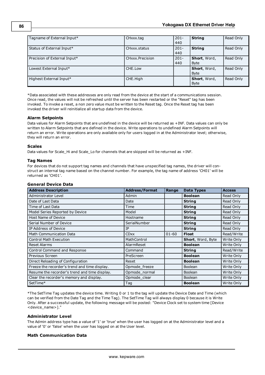| Tagname of External Input*   | CHxxx.tag       | $201 -$<br>440 | <b>String</b>               | Read Only |
|------------------------------|-----------------|----------------|-----------------------------|-----------|
| Status of External Input*    | CHxxx status    | $201 -$<br>440 | <b>String</b>               | Read Only |
| Precision of External Input* | CHxxx.Precision | $201 -$<br>440 | Short, Word,<br><b>Byte</b> | Read Only |
| Lowest External Input*       | CHE.Low         |                | Short, Word,<br><b>Byte</b> | Read Only |
| Highest External Input*      | CHE.High        |                | Short, Word,<br><b>Byte</b> | Read Only |

\*Data associated with these addresses are only read from the device at the start of a communications session. Once read, the values will not be refreshed until the server has been restarted or the "Reset" tag has been invoked. To invoke a reset, a non zero value must be written to the Reset tag. Once the Reset tag has been invoked the driver will reinitialize all startup data from the device.

#### **Alarm Setpoints**

Data values for Alarm Setpoints that are undefined in the device will be returned as +INF. Data values can only be written to Alarm Setpoints that are defined in the device. Write operations to undefined Alarm Setpoints will return an error. Write operations are only available only for users logged in at the Administrator level; otherwise, they will return an error.

#### **Scales**

Data values for Scale\_Hi and Scale\_Lo for channels that are skipped will be returned as +INF.

#### **Tag Names**

For devices that do not support tag names and channels that have unspecified tag names, the driver will construct an internal tag name based on the channel number. For example, the tag name of address 'CH01' will be returned as 'CH01'.

| <b>General Device Data</b> |  |
|----------------------------|--|
| Address Description        |  |

| <b>Address Description</b>                    | <b>Address/Format</b> | Range     | <b>Data Types</b>        | <b>Access</b> |
|-----------------------------------------------|-----------------------|-----------|--------------------------|---------------|
| Administrator Level                           | Admin                 |           | <b>Boolean</b>           | Read Only     |
| Date of Last Data                             | Date                  |           | <b>String</b>            | Read Only     |
| Time of Last Data                             | Time                  |           | <b>String</b>            | Read Only     |
| Model Series Reported by Device               | Model                 |           | <b>String</b>            | Read Only     |
| Host Name of Device                           | Hostname              |           | <b>String</b>            | Read Only     |
| Serial Number of Device                       | SerialNumber          |           | <b>String</b>            | Read Only     |
| IP Address of Device                          | IP                    |           | <b>String</b>            | Read Only     |
| Math Communication Data                       | <b>CDxx</b>           | $01 - 60$ | <b>Float</b>             | Read/Write    |
| <b>Control Math Execution</b>                 | MathControl           |           | <b>Short, Word, Byte</b> | Write Only    |
| <b>Reset Alarms</b>                           | AlarmReset            |           | <b>Boolean</b>           | Write Only    |
| Control Command and Response                  | Command               |           | <b>String</b>            | Read/Write    |
| Previous Screen                               | PreScreen             |           | <b>Boolean</b>           | Write Only    |
| Direct Reloading of Configuration             | Reset                 |           | <b>Boolean</b>           | Write Only    |
| Freeze the recorder's trend and time display. | Opmode freeze         |           | <b>Boolean</b>           | Write Only    |
| Resume the recorder's trend and time display. | Opmode normal         |           | <b>Boolean</b>           | Write Only    |
| Clear the recorder's memory and display.      | Opmode_clear          |           | <b>Boolean</b>           | Write Only    |
| SetTime*                                      | Tag                   |           | <b>Boolean</b>           | Write Only    |

\*The SetTime Tag updates the device time. Writing 0 or 1 to the tag will update the Device Date and Time (which can be verified from the Date Tag and the Time Tag). The SetTime Tag will always display 0 because it is Write Only. After a successful update, the following message will be posted: "Device Clock set to system time [Device <device\_name>]."

#### **Administrator Level**

The Admin address type has a value of '1' or 'true' when the user has logged on at the Administrator level and a value of '0' or 'false' when the user has logged on at the User level.

### **Math Communication Data**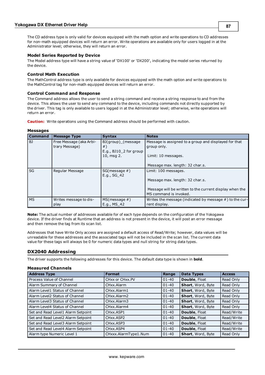The CD address type is only valid for devices equipped with the math option and write operations to CD addresses for non-math equipped devices will return an error. Write operations are available only for users logged in at the Administrator level; otherwise, they will return an error.

#### **Model Series Reported by Device**

The Model address type will have a string value of 'DX100' or 'DX200', indicating the model series returned by the device.

#### **Control Math Execution**

The MathControl address type is only available for devices equipped with the math option and write operations to the MathControl tag for non-math equipped devices will return an error.

#### **Control Command and Response**

The Command address allows the user to send a string command and receive a string response to and from the device. This allows the user to send any command to the device, including commands not directly supported by the driver. This tag is only available to users logged in at the Administrator level; otherwise, write operations will return an error.

**Caution:** Write operations using the Command address should be performed with caution.

#### **Messages**

| <b>Command</b> | <b>Message Type</b>                       | <b>Syntax</b>                                                    | <b>Notes</b>                                                                                                         |
|----------------|-------------------------------------------|------------------------------------------------------------------|----------------------------------------------------------------------------------------------------------------------|
| BJ             | Free Message (aka Arbi-<br>trary Message) | BJ(group) (message<br>$#$ )<br>E.g., BJ10 <sub>2</sub> for group | Message is assigned to a group and displayed for that<br>group only.                                                 |
|                |                                           | 10, msg 2.                                                       | Limit: 10 messages.<br>Message max. length: 32 char.s.                                                               |
| SG             | Regular Message                           | $SG(message \#)$<br>E.g., SG 42                                  | Limit: 100 messages.                                                                                                 |
|                |                                           |                                                                  | Message max. length: 32 char.s.<br>Message will be written to the current display when the<br>MS command is invoked. |
| <b>MS</b>      | Writes message to dis-<br>play            | $MS(message \#)$<br>E.g., MS 42                                  | Writes the message (indicated by message $#$ ) to the cur-<br>rent display.                                          |

**Note:** The actual number of addresses available for of each type depends on the configuration of the Yokogawa device. If the driver finds at Runtime that an address is not present in the device, it will post an error message and then remove the tag from its scan list.

Addresses that have Write Only access are assigned a default access of Read/Write; however, data values will be unreadable for these addresses and the associated tags will not be included in the scan list. The current data value for these tags will always be 0 for numeric data types and null string for string data types.

## <span id="page-86-0"></span>**DX2040 Addressing**

The driver supports the following addresses for this device. The default data type is shown in **bold**.

#### **Measured Channels**

| <b>Address Type</b>                | <b>Format</b>        | Range     | Data Types           | <b>Access</b> |
|------------------------------------|----------------------|-----------|----------------------|---------------|
| Process Value of Channel           | CHxx or CHxx.PV      | $01 - 40$ | <b>Double, Float</b> | Read Only     |
| Alarm Summary of Channel           | CHxx.Alarm           | $01 - 40$ | Short, Word, Byte    | Read Only     |
| Alarm Level1 Status of Channel     | CHxx.Alarm1          | $01 - 40$ | Short, Word, Byte    | Read Only     |
| Alarm Level2 Status of Channel     | CHxx.Alarm2          | $01 - 40$ | Short, Word, Byte    | Read Only     |
| Alarm Level3 Status of Channel     | CHxx.Alarm3          | $01 - 40$ | Short, Word, Byte    | Read Only     |
| Alarm Level4 Status of Channel     | CHxx.Alarm4          | $01 - 40$ | Short, Word, Byte    | Read Only     |
| Set and Read Level1 Alarm Setpoint | CHxx.ASP1            | $01 - 40$ | <b>Double, Float</b> | Read/Write    |
| Set and Read Level2 Alarm Setpoint | CHxx.ASP2            | $01 - 40$ | <b>Double, Float</b> | Read/Write    |
| Set and Read Level3 Alarm Setpoint | CHxx.ASP3            | $01 - 40$ | Double, Float        | Read/Write    |
| Set and Read Level4 Alarm Setpoint | CHxx.ASP4            | $01 - 40$ | <b>Double, Float</b> | Read/Write    |
| Alarm type Numeric Level 1         | CHxxx.AlarmType1.Num | $01 - 40$ | Short, Word, Byte    | Read Only     |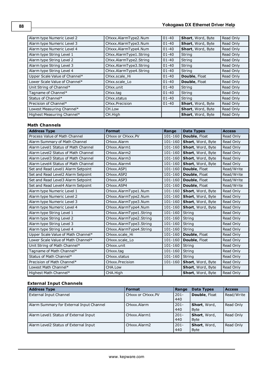| Alarm type Numeric Level 2    | CHxxx.AlarmType2.Num   | $01 - 40$ | Short, Word, Byte    | Read Only |
|-------------------------------|------------------------|-----------|----------------------|-----------|
| Alarm type Numeric Level 3    | CHxxx.AlarmType3.Num   | $01 - 40$ | Short, Word, Byte    | Read Only |
| Alarm type Numeric Level 4    | CHxxx.AlarmType4.Num   | $01 - 40$ | Short, Word, Byte    | Read Only |
| Alarm type String Level 1     | CHxx.AlarmType1.String | $01 - 40$ | String               | Read Only |
| Alarm type String Level 2     | CHxx.AlarmType2.String | $01 - 40$ | String               | Read Only |
| Alarm type String Level 3     | CHxx.AlarmType3.String | $01 - 40$ | String               | Read Only |
| Alarm type String Level 4     | CHxx.AlarmType4.String | $01 - 40$ | String               | Read Only |
| Upper Scale Value of Channel* | CHxx.scale Hi          | $01 - 40$ | <b>Double, Float</b> | Read Only |
| Lower Scale Value of Channel* | CHxx.scale Lo          | $01 - 40$ | Double, Float        | Read Only |
| Unit String of Channel*       | CHxx.unit              | $01 - 40$ | String               | Read Only |
| Tagname of Channel*           | CHxx.tag               | $01 - 40$ | String               | Read Only |
| Status of Channel*            | CHxx.status            | $01 - 40$ | String               | Read Only |
| Precision of Channel*         | CHxx.Precision         | $01 - 40$ | Short, Word, Byte    | Read Only |
| Lowest Measuring Channel*     | CH.Low                 |           | Short, Word, Byte    | Read Only |
| Highest Measuring Channel*    | CH.High                |           | Short, Word, Byte    | Read Only |

# **Math Channels**

| <b>Address Type</b>                 | <b>Format</b>           | Range       | <b>Data Types</b> | <b>Access</b> |
|-------------------------------------|-------------------------|-------------|-------------------|---------------|
| Process Value of Math Channel       | CHxxx or CHxxx.PV       | 101-160     | Double, Float     | Read Only     |
| Alarm Summary of Math Channel       | CHxxx.Alarm             | 101-160     | Short, Word, Byte | Read Only     |
| Alarm Level1 Status of Math Channel | CHxxx.Alarm1            | 101-160     | Short, Word, Byte | Read Only     |
| Alarm Level2 Status of Math Channel | CHxxx.Alarm2            | $101 - 160$ | Short, Word, Byte | Read Only     |
| Alarm Level3 Status of Math Channel | CHxxx.Alarm3            | 101-160     | Short, Word, Byte | Read Only     |
| Alarm Level4 Status of Math Channel | CHxxx.Alarm4            | 101-160     | Short, Word, Byte | Read Only     |
| Set and Read Level1 Alarm Setpoint  | CHxxx.ASP1              | 101-160     | Double, Float     | Read/Write    |
| Set and Read Level2 Alarm Setpoint  | CHxxx.ASP2              | 101-160     | Double, Float     | Read/Write    |
| Set and Read Level3 Alarm Setpoint  | CHxxx.ASP3              | 101-160     | Double, Float     | Read/Write    |
| Set and Read Level4 Alarm Setpoint  | CHxxx.ASP4              | 101-160     | Double, Float     | Read/Write    |
| Alarm type Numeric Level 1          | CHxxx.AlarmType1.Num    | 101-160     | Short, Word, Byte | Read Only     |
| Alarm type Numeric Level 2          | CHxxx.AlarmType2.Num    | 101-160     | Short, Word, Byte | Read Only     |
| Alarm type Numeric Level 3          | CHxxx.AlarmType3.Num    | 101-160     | Short, Word, Byte | Read Only     |
| Alarm type Numeric Level 4          | CHxxx.AlarmType4.Num    | 101-160     | Short, Word, Byte | Read Only     |
| Alarm type String Level 1           | CHxxx.AlarmType1.String | 101-160     | String            | Read Only     |
| Alarm type String Level 2           | CHxxx.AlarmType2.String | 101-160     | String            | Read Only     |
| Alarm type String Level 3           | CHxxx.AlarmType3.String | 101-160     | String            | Read Only     |
| Alarm type String Level 4           | CHxxx.AlarmType4.String | 101-160     | String            | Read Only     |
| Upper Scale Value of Math Channel*  | CHxxx.scale_Hi          | 101-160     | Double, Float     | Read Only     |
| Lower Scale Value of Math Channel*  | CHxxx.scale Lo          | 101-160     | Double, Float     | Read Only     |
| Unit String of Math Channel*        | CHxxx.unit              | $101 - 160$ | String            | Read Only     |
| Tagname of Math Channel*            | CHxxx.tag               | 101-160     | String            | Read Only     |
| Status of Math Channel*             | CHxxx.status            | 101-160     | String            | Read Only     |
| Precision of Math Channel*          | CHxxx.Precision         | 101-160     | Short, Word, Byte | Read Only     |
| Lowest Math Channel*                | CHA.Low                 |             | Short, Word, Byte | Read Only     |
| Highest Math Channel*               | CHA.High                |             | Short, Word, Byte | Read Only     |

# **External Input Channels**

| <b>Address Type</b>                      | <b>Format</b>     | Range          | <b>Data Types</b>           | <b>Access</b> |
|------------------------------------------|-------------------|----------------|-----------------------------|---------------|
| <b>External Input Channel</b>            | CHXXX or CHXXX.PV | $201 -$<br>440 | Double, Float               | Read/Write    |
| Alarm Summary for External Input Channel | CHxxx.Alarm       | $201 -$<br>440 | Short, Word,<br><b>Byte</b> | Read Only     |
| Alarm Level1 Status of External Input    | CHxxx.Alarm1      | $201 -$<br>440 | Short, Word,<br><b>Byte</b> | Read Only     |
| Alarm Level2 Status of External Input    | CHxxx.Alarm2      | $201 -$<br>440 | Short, Word,<br><b>Byte</b> | Read Only     |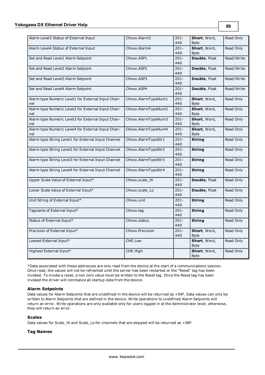| Alarm Level3 Status of External Input                     | CHxxx.Alarm3        | $201 -$<br>440 | Short, Word,<br><b>Byte</b> | Read Only  |
|-----------------------------------------------------------|---------------------|----------------|-----------------------------|------------|
| Alarm Level4 Status of External Input                     | CHxxx.Alarm4        | $201 -$        | Short, Word,                | Read Only  |
|                                                           |                     | 440            | <b>Byte</b>                 |            |
| Set and Read Level1 Alarm Setpoint                        | CHxxx.ASP1          | $201 -$<br>440 | Double, Float               | Read/Write |
| Set and Read Level2 Alarm Setpoint                        | CHxxx.ASP2          | $201 -$<br>440 | <b>Double, Float</b>        | Read/Write |
| Set and Read Level3 Alarm Setpoint                        | CHxxx.ASP3          | $201 -$<br>440 | Double, Float               | Read/Write |
| Set and Read Level4 Alarm Setpoint                        | CHxxx.ASP4          | $201 -$<br>440 | <b>Double, Float</b>        | Read/Write |
| Alarm type Numeric Level1 for External Input Chan-<br>nel | CHxxx.AlarmTypeNum1 | $201 -$<br>440 | Short, Word,<br>Byte        | Read Only  |
| Alarm type Numeric Level2 for External Input Chan-<br>nel | CHxxx.AlarmTypeNum2 | $201 -$<br>440 | Short, Word,<br><b>Byte</b> | Read Only  |
| Alarm type Numeric Level3 for External Input Chan-<br>nel | CHxxx.AlarmTypeNum3 | $201 -$<br>440 | Short, Word,<br><b>Byte</b> | Read Only  |
| Alarm type Numeric Level4 for External Input Chan-<br>nel | CHxxx.AlarmTypeNum4 | $201 -$<br>440 | Short, Word,<br><b>Byte</b> | Read Only  |
| Alarm type String Level1 for External Input Channel       | CHxxx.AlarmTypeStr1 | $201 -$<br>440 | <b>String</b>               | Read Only  |
| Alarm type String Level2 for External Input Channel       | CHxxx.AlarmTypeStr2 | $201 -$<br>440 | <b>String</b>               | Read Only  |
| Alarm type String Level3 for External Input Channel       | CHxxx.AlarmTypeStr3 | $201 -$<br>440 | <b>String</b>               | Read Only  |
| Alarm type String Level4 for External Input Channel       | CHxxx.AlarmTypeStr4 | $201 -$<br>440 | <b>String</b>               | Read Only  |
| Upper Scale Value of External Input*                      | CHxxx.scale_Hi      | $201 -$<br>440 | Double, Float               | Read Only  |
| Lower Scale Value of External Input*                      | CHxxx.scale_Lo      | $201 -$<br>440 | Double, Float               | Read Only  |
| Unit String of External Input*                            | CHxxx.unit          | $201 -$<br>440 | <b>String</b>               | Read Only  |
| Tagname of External Input*                                | CHxxx.tag           | $201 -$<br>440 | <b>String</b>               | Read Only  |
| Status of External Input*                                 | CHxxx.status        | $201 -$<br>440 | <b>String</b>               | Read Only  |
| Precision of External Input*                              | CHxxx.Precision     | $201 -$<br>440 | Short, Word,<br><b>Byte</b> | Read Only  |
| Lowest External Input*                                    | CHE.Low             |                | Short, Word,<br><b>Byte</b> | Read Only  |
| Highest External Input*                                   | CHE.High            |                | Short, Word,<br><b>Byte</b> | Read Only  |

\*Data associated with these addresses are only read from the device at the start of a communications session. Once read, the values will not be refreshed until the server has been restarted or the "Reset" tag has been invoked. To invoke a reset, a non zero value must be written to the Reset tag. Once the Reset tag has been invoked the driver will reinitialize all startup data from the device.

#### **Alarm Setpoints**

Data values for Alarm Setpoints that are undefined in the device will be returned as +INF. Data values can only be written to Alarm Setpoints that are defined in the device. Write operations to undefined Alarm Setpoints will return an error. Write operations are only available only for users logged in at the Administrator level; otherwise, they will return an error.

#### **Scales**

Data values for Scale\_Hi and Scale\_Lo for channels that are skipped will be returned as +INF.

## **Tag Names**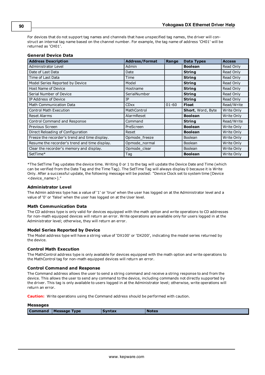For devices that do not support tag names and channels that have unspecified tag names, the driver will construct an internal tag name based on the channel number. For example, the tag name of address 'CH01' will be returned as 'CH01'.

| <b>General Device Data</b> |  |  |
|----------------------------|--|--|
|----------------------------|--|--|

| <b>Address Description</b>                    | <b>Address/Format</b> | Range     | <b>Data Types</b> | <b>Access</b> |
|-----------------------------------------------|-----------------------|-----------|-------------------|---------------|
| Administrator Level                           | Admin                 |           | <b>Boolean</b>    | Read Only     |
| Date of Last Data                             | Date                  |           | <b>String</b>     | Read Only     |
| Time of Last Data                             | Time                  |           | <b>String</b>     | Read Only     |
| Model Series Reported by Device               | Model                 |           | <b>String</b>     | Read Only     |
| <b>Host Name of Device</b>                    | Hostname              |           | <b>String</b>     | Read Only     |
| Serial Number of Device                       | SerialNumber          |           | <b>String</b>     | Read Only     |
| IP Address of Device                          | <b>TP</b>             |           | <b>String</b>     | Read Only     |
| <b>Math Communication Data</b>                | <b>CDxx</b>           | $01 - 60$ | <b>Float</b>      | Read/Write    |
| <b>Control Math Execution</b>                 | MathControl           |           | Short, Word, Byte | Write Only    |
| <b>Reset Alarms</b>                           | AlarmReset            |           | <b>Boolean</b>    | Write Only    |
| Control Command and Response                  | Command               |           | <b>String</b>     | Read/Write    |
| Previous Screen                               | PreScreen             |           | <b>Boolean</b>    | Write Only    |
| Direct Reloading of Configuration             | Reset                 |           | <b>Boolean</b>    | Write Only    |
| Freeze the recorder's trend and time display. | Opmode freeze         |           | <b>Boolean</b>    | Write Only    |
| Resume the recorder's trend and time display. | Opmode normal         |           | <b>Boolean</b>    | Write Only    |
| Clear the recorder's memory and display.      | Opmode_clear          |           | <b>Boolean</b>    | Write Only    |
| SetTime*                                      | Tag                   |           | <b>Boolean</b>    | Write Only    |

\*The SetTime Tag updates the device time. Writing 0 or 1 to the tag will update the Device Date and Time (which can be verified from the Date Tag and the Time Tag). The SetTime Tag will always display 0 because it is Write Only. After a successful update, the following message will be posted: "Device Clock set to system time [Device <device\_name>]."

#### **Administrator Level**

The Admin address type has a value of '1' or 'true' when the user has logged on at the Administrator level and a value of '0' or 'false' when the user has logged on at the User level.

#### **Math Communication Data**

The CD address type is only valid for devices equipped with the math option and write operations to CD addresses for non-math equipped devices will return an error. Write operations are available only for users logged in at the Administrator level; otherwise, they will return an error.

#### **Model Series Reported by Device**

The Model address type will have a string value of 'DX100' or 'DX200', indicating the model series returned by the device.

#### **Control Math Execution**

The MathControl address type is only available for devices equipped with the math option and write operations to the MathControl tag for non-math equipped devices will return an error.

#### **Control Command and Response**

The Command address allows the user to send a string command and receive a string response to and from the device. This allows the user to send any command to the device, including commands not directly supported by the driver. This tag is only available to users logged in at the Administrator level; otherwise, write operations will return an error.

**Caution:** Write operations using the Command address should be performed with caution.

#### **Messages**

**Command Message Type Syntax Notes**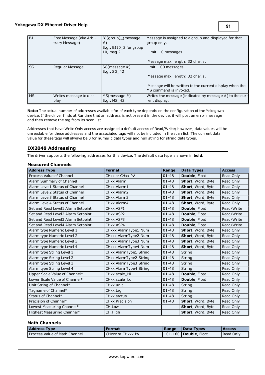| BJ        | Free Message (aka Arbi-<br>trary Message) | BJ(group) (message<br>$#$ )<br>E.g., BJ10 <sub>2</sub> for group<br>10, msg 2. | Message is assigned to a group and displayed for that<br>group only.<br>Limit: 10 messages. |
|-----------|-------------------------------------------|--------------------------------------------------------------------------------|---------------------------------------------------------------------------------------------|
|           |                                           |                                                                                | Message max. length: 32 char.s.                                                             |
| SG        | Regular Message                           | $SG(message \#)$<br>E.g., SG 42                                                | Limit: 100 messages.                                                                        |
|           |                                           |                                                                                | Message max. length: 32 char.s.                                                             |
|           |                                           |                                                                                | Message will be written to the current display when the<br>MS command is invoked.           |
| <b>MS</b> | Writes message to dis-<br>play            | $MS(message \#)$<br>E.g., MS 42                                                | Writes the message (indicated by message $#$ ) to the cur-<br>rent display.                 |

**Note:** The actual number of addresses available for of each type depends on the configuration of the Yokogawa device. If the driver finds at Runtime that an address is not present in the device, it will post an error message and then remove the tag from its scan list.

Addresses that have Write Only access are assigned a default access of Read/Write; however, data values will be unreadable for these addresses and the associated tags will not be included in the scan list. The current data value for these tags will always be 0 for numeric data types and null string for string data types.

## <span id="page-90-0"></span>**DX2048 Addressing**

The driver supports the following addresses for this device. The default data type is shown in **bold**.

#### **Measured Channels**

| <b>Address Type</b>                | <b>Format</b>          | Range     | <b>Data Types</b> | <b>Access</b> |
|------------------------------------|------------------------|-----------|-------------------|---------------|
| Process Value of Channel           | CHxx or CHxx.PV        | $01 - 48$ | Double, Float     | Read Only     |
| Alarm Summary of Channel           | CHxx.Alarm             | $01 - 48$ | Short, Word, Byte | Read Only     |
| Alarm Level1 Status of Channel     | CHxx.Alarm1            | $01 - 48$ | Short, Word, Byte | Read Only     |
| Alarm Level2 Status of Channel     | CHxx.Alarm2            | $01 - 48$ | Short, Word, Byte | Read Only     |
| Alarm Level3 Status of Channel     | CHxx.Alarm3            | $01 - 48$ | Short, Word, Byte | Read Only     |
| Alarm Level4 Status of Channel     | CHxx.Alarm4            | $01 - 48$ | Short, Word, Byte | Read Only     |
| Set and Read Level1 Alarm Setpoint | CHxx.ASP1              | $01 - 48$ | Double, Float     | Read/Write    |
| Set and Read Level2 Alarm Setpoint | CHxx.ASP2              | $01 - 48$ | Double, Float     | Read/Write    |
| Set and Read Level3 Alarm Setpoint | CHxx.ASP3              | $01 - 48$ | Double, Float     | Read/Write    |
| Set and Read Level4 Alarm Setpoint | CHxx.ASP4              | $01 - 48$ | Double, Float     | Read/Write    |
| Alarm type Numeric Level 1         | CHxxx.AlarmType1.Num   | $01 - 48$ | Short, Word, Byte | Read Only     |
| Alarm type Numeric Level 2         | CHxxx.AlarmType2.Num   | $01 - 48$ | Short, Word, Byte | Read Only     |
| Alarm type Numeric Level 3         | CHxxx.AlarmType3.Num   | $01 - 48$ | Short, Word, Byte | Read Only     |
| Alarm type Numeric Level 4         | CHxxx.AlarmType4.Num   | $01 - 48$ | Short, Word, Byte | Read Only     |
| Alarm type String Level 1          | CHxx.AlarmType1.String | $01 - 48$ | String            | Read Only     |
| Alarm type String Level 2          | CHxx.AlarmType2.String | $01 - 48$ | String            | Read Only     |
| Alarm type String Level 3          | CHxx.AlarmType3.String | $01 - 48$ | String            | Read Only     |
| Alarm type String Level 4          | CHxx.AlarmType4.String | $01 - 48$ | String            | Read Only     |
| Upper Scale Value of Channel*      | CHxx.scale Hi          | $01 - 48$ | Double, Float     | Read Only     |
| Lower Scale Value of Channel*      | CHxx.scale Lo          | $01 - 48$ | Double, Float     | Read Only     |
| Unit String of Channel*            | CHxx.unit              | $01 - 48$ | String            | Read Only     |
| Tagname of Channel*                | CHxx.tag               | $01 - 48$ | String            | Read Only     |
| Status of Channel*                 | CHxx.status            | $01 - 48$ | String            | Read Only     |
| Precision of Channel*              | CHxx.Precision         | $01 - 48$ | Short, Word, Byte | Read Only     |
| Lowest Measuring Channel*          | CH.Low                 |           | Short, Word, Byte | Read Only     |
| Highest Measuring Channel*         | CH.High                |           | Short, Word, Byte | Read Only     |

### **Math Channels**

| <b>Address Type</b>           | l Format                 | Range | <b>Data Types</b>               | <b>Access</b> |
|-------------------------------|--------------------------|-------|---------------------------------|---------------|
| Process Value of Math Channel | <b>CHxxx or CHxxx.PV</b> |       | 101-160   <b>Double</b> , Float | Read Only     |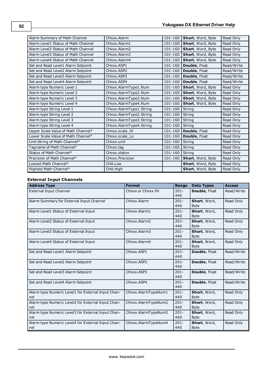| Alarm Summary of Math Channel       | CHxxx.Alarm             | $101 - 160$ | Short, Word, Byte           | Read Only  |
|-------------------------------------|-------------------------|-------------|-----------------------------|------------|
| Alarm Level1 Status of Math Channel | CHxxx.Alarm1            | $101 - 160$ | Short, Word, Byte           | Read Only  |
| Alarm Level2 Status of Math Channel | CHxxx.Alarm2            |             | 101-160   Short, Word, Byte | Read Only  |
| Alarm Level3 Status of Math Channel | CHxxx.Alarm3            | $101 - 160$ | Short, Word, Byte           | Read Only  |
| Alarm Level4 Status of Math Channel | CHxxx.Alarm4            | $101 - 160$ | Short, Word, Byte           | Read Only  |
| Set and Read Level1 Alarm Setpoint  | CHxxx.ASP1              | $101 - 160$ | <b>Double, Float</b>        | Read/Write |
| Set and Read Level2 Alarm Setpoint  | CHxxx.ASP2              | $101 - 160$ | Double, Float               | Read/Write |
| Set and Read Level3 Alarm Setpoint  | CHxxx.ASP3              | $101 - 160$ | Double, Float               | Read/Write |
| Set and Read Level4 Alarm Setpoint  | CHxxx.ASP4              | 101-160     | Double, Float               | Read/Write |
| Alarm type Numeric Level 1          | CHxxx.AlarmType1.Num    | 101-160     | Short, Word, Byte           | Read Only  |
| Alarm type Numeric Level 2          | CHxxx.AlarmType2.Num    | $101 - 160$ | Short, Word, Byte           | Read Only  |
| Alarm type Numeric Level 3          | CHxxx.AlarmType3.Num    | 101-160     | Short, Word, Byte           | Read Only  |
| Alarm type Numeric Level 4          | CHxxx.AlarmType4.Num    | 101-160     | Short, Word, Byte           | Read Only  |
| Alarm type String Level 1           | CHxxx.AlarmType1.String | $101 - 160$ | String                      | Read Only  |
| Alarm type String Level 2           | CHxxx.AlarmType2.String | $101 - 160$ | String                      | Read Only  |
| Alarm type String Level 3           | CHxxx.AlarmType3.String | $101 - 160$ | String                      | Read Only  |
| Alarm type String Level 4           | CHxxx.AlarmType4.String | 101-160     | <b>String</b>               | Read Only  |
| Upper Scale Value of Math Channel*  | CHxxx.scale Hi          | $101 - 160$ | Double, Float               | Read Only  |
| Lower Scale Value of Math Channel*  | CHxxx.scale Lo          | 101-160     | Double, Float               | Read Only  |
| Unit String of Math Channel*        | CHxxx.unit              | 101-160     | String                      | Read Only  |
| Tagname of Math Channel*            | CHxxx.tag               | 101-160     | String                      | Read Only  |
| Status of Math Channel*             | CHxxx.status            | $101 - 160$ | String                      | Read Only  |
| Precision of Math Channel*          | CHxxx.Precision         | 101-160     | Short, Word, Byte           | Read Only  |
| Lowest Math Channel*                | CHA.Low                 |             | Short, Word, Byte           | Read Only  |
| Highest Math Channel*               | CHA.High                |             | Short, Word, Byte           | Read Only  |

# **External Input Channels**

| <b>Address Type</b>                                       | <b>Format</b>       | Range          | <b>Data Types</b>           | <b>Access</b> |
|-----------------------------------------------------------|---------------------|----------------|-----------------------------|---------------|
| External Input Channel                                    | CHxxx or CHxxx.PV   | $201 -$<br>440 | Double, Float               | Read/Write    |
| Alarm Summary for External Input Channel                  | CHxxx.Alarm         | $201 -$<br>440 | Short, Word,<br><b>Byte</b> | Read Only     |
| Alarm Level1 Status of External Input                     | CHxxx.Alarm1        | $201 -$<br>440 | Short, Word,<br><b>Byte</b> | Read Only     |
| Alarm Level2 Status of External Input                     | CHxxx.Alarm2        | $201 -$<br>440 | Short, Word,<br><b>Byte</b> | Read Only     |
| Alarm Level3 Status of External Input                     | CHxxx.Alarm3        | $201 -$<br>440 | Short, Word,<br><b>Byte</b> | Read Only     |
| Alarm Level4 Status of External Input                     | CHxxx.Alarm4        | $201 -$<br>440 | Short, Word,<br><b>Byte</b> | Read Only     |
| Set and Read Level1 Alarm Setpoint                        | CHxxx.ASP1          | $201 -$<br>440 | Double, Float               | Read/Write    |
| Set and Read Level2 Alarm Setpoint                        | CHxxx.ASP2          | $201 -$<br>440 | Double, Float               | Read/Write    |
| Set and Read Level3 Alarm Setpoint                        | CHxxx.ASP3          | $201 -$<br>440 | Double, Float               | Read/Write    |
| Set and Read Level4 Alarm Setpoint                        | CHxxx.ASP4          | $201 -$<br>440 | Double, Float               | Read/Write    |
| Alarm type Numeric Level1 for External Input Chan-<br>nel | CHxxx.AlarmTypeNum1 | $201 -$<br>440 | Short, Word,<br><b>Byte</b> | Read Only     |
| Alarm type Numeric Level2 for External Input Chan-<br>nel | CHxxx.AlarmTypeNum2 | $201 -$<br>440 | Short, Word,<br><b>Byte</b> | Read Only     |
| Alarm type Numeric Level3 for External Input Chan-<br>nel | CHxxx.AlarmTypeNum3 | $201 -$<br>440 | Short, Word,<br><b>Byte</b> | Read Only     |
| Alarm type Numeric Level4 for External Input Chan-<br>nel | CHxxx.AlarmTypeNum4 | $201 -$<br>440 | Short, Word,<br>Byte        | Read Only     |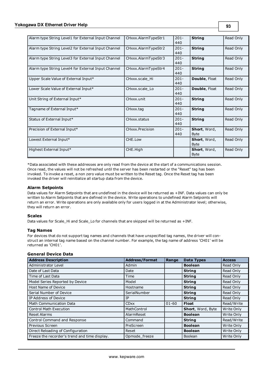| Alarm type String Level1 for External Input Channel | CHxxx.AlarmTypeStr1 | $201 -$<br>440 | <b>String</b>               | Read Only |
|-----------------------------------------------------|---------------------|----------------|-----------------------------|-----------|
| Alarm type String Level2 for External Input Channel | CHxxx.AlarmTypeStr2 | $201 -$<br>440 | <b>String</b>               | Read Only |
| Alarm type String Level3 for External Input Channel | CHxxx.AlarmTypeStr3 | $201 -$<br>440 | <b>String</b>               | Read Only |
| Alarm type String Level4 for External Input Channel | CHxxx.AlarmTypeStr4 | $201 -$<br>440 | <b>String</b>               | Read Only |
| Upper Scale Value of External Input*                | CHxxx.scale Hi      | $201 -$<br>440 | <b>Double, Float</b>        | Read Only |
| Lower Scale Value of External Input*                | CHxxx.scale Lo      | $201 -$<br>440 | Double, Float               | Read Only |
| Unit String of External Input*                      | CHxxx.unit          | $201 -$<br>440 | <b>String</b>               | Read Only |
| Tagname of External Input*                          | CHxxx.tag           | $201 -$<br>440 | <b>String</b>               | Read Only |
| Status of External Input*                           | CHxxx.status        | $201 -$<br>440 | <b>String</b>               | Read Only |
| Precision of External Input*                        | CHxxx.Precision     | $201 -$<br>440 | Short, Word,<br><b>Byte</b> | Read Only |
| Lowest External Input*                              | CHE.Low             |                | Short, Word,<br><b>Byte</b> | Read Only |
| Highest External Input*                             | CHE.High            |                | Short, Word,<br><b>Byte</b> | Read Only |

\*Data associated with these addresses are only read from the device at the start of a communications session. Once read, the values will not be refreshed until the server has been restarted or the "Reset" tag has been invoked. To invoke a reset, a non zero value must be written to the Reset tag. Once the Reset tag has been invoked the driver will reinitialize all startup data from the device.

#### **Alarm Setpoints**

Data values for Alarm Setpoints that are undefined in the device will be returned as +INF. Data values can only be written to Alarm Setpoints that are defined in the device. Write operations to undefined Alarm Setpoints will return an error. Write operations are only available only for users logged in at the Administrator level; otherwise, they will return an error.

#### **Scales**

Data values for Scale\_Hi and Scale\_Lo for channels that are skipped will be returned as +INF.

#### **Tag Names**

For devices that do not support tag names and channels that have unspecified tag names, the driver will construct an internal tag name based on the channel number. For example, the tag name of address 'CH01' will be returned as 'CH01'.

#### **General Device Data**

| <b>Address Description</b>                    | <b>Address/Format</b> | Range     | <b>Data Types</b> | <b>Access</b> |
|-----------------------------------------------|-----------------------|-----------|-------------------|---------------|
| Administrator Level                           | Admin                 |           | <b>Boolean</b>    | Read Only     |
| Date of Last Data                             | Date                  |           | <b>String</b>     | Read Only     |
| Time of Last Data                             | Time                  |           | <b>String</b>     | Read Only     |
| Model Series Reported by Device               | Model                 |           | <b>String</b>     | Read Only     |
| Host Name of Device                           | Hostname              |           | <b>String</b>     | Read Only     |
| Serial Number of Device                       | SerialNumber          |           | <b>String</b>     | Read Only     |
| IP Address of Device                          | IΡ                    |           | <b>String</b>     | Read Only     |
| <b>Math Communication Data</b>                | <b>CDxx</b>           | $01 - 60$ | <b>Float</b>      | Read/Write    |
| <b>Control Math Execution</b>                 | MathControl           |           | Short, Word, Byte | Write Only    |
| <b>Reset Alarms</b>                           | AlarmReset            |           | <b>Boolean</b>    | Write Only    |
| Control Command and Response                  | Command               |           | <b>String</b>     | Read/Write    |
| Previous Screen                               | PreScreen             |           | <b>Boolean</b>    | Write Only    |
| Direct Reloading of Configuration             | Reset                 |           | <b>Boolean</b>    | Write Only    |
| Freeze the recorder's trend and time display. | Opmode_freeze         |           | Boolean           | Write Only    |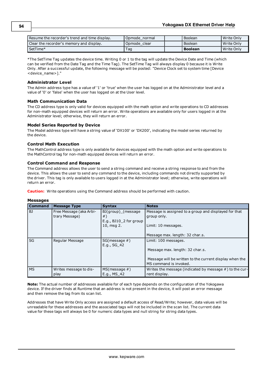| Resume the recorder's trend and time display. | Opmode normal | Boolean        | Write Only   |
|-----------------------------------------------|---------------|----------------|--------------|
| Clear the recorder's memory and display.      | Opmode clear  | Boolean        | Write Only   |
| SetTime*                                      | Taq           | <b>Boolean</b> | l Write Only |

\*The SetTime Tag updates the device time. Writing 0 or 1 to the tag will update the Device Date and Time (which can be verified from the Date Tag and the Time Tag). The SetTime Tag will always display 0 because it is Write Only. After a successful update, the following message will be posted: "Device Clock set to system time [Device <device\_name>]."

#### **Administrator Level**

The Admin address type has a value of '1' or 'true' when the user has logged on at the Administrator level and a value of '0' or 'false' when the user has logged on at the User level.

#### **Math Communication Data**

The CD address type is only valid for devices equipped with the math option and write operations to CD addresses for non-math equipped devices will return an error. Write operations are available only for users logged in at the Administrator level; otherwise, they will return an error.

#### **Model Series Reported by Device**

The Model address type will have a string value of 'DX100' or 'DX200', indicating the model series returned by the device.

#### **Control Math Execution**

The MathControl address type is only available for devices equipped with the math option and write operations to the MathControl tag for non-math equipped devices will return an error.

#### **Control Command and Response**

The Command address allows the user to send a string command and receive a string response to and from the device. This allows the user to send any command to the device, including commands not directly supported by the driver. This tag is only available to users logged in at the Administrator level; otherwise, write operations will return an error.

**Caution:** Write operations using the Command address should be performed with caution.

#### **Messages**

| <b>Command</b> | <b>Message Type</b>                       | <b>Syntax</b>                                                    | <b>Notes</b>                                                                      |
|----------------|-------------------------------------------|------------------------------------------------------------------|-----------------------------------------------------------------------------------|
| BJ             | Free Message (aka Arbi-<br>trary Message) | BJ(group) (message<br>$#$ )<br>E.g., BJ10 <sub>2</sub> for group | Message is assigned to a group and displayed for that<br>group only.              |
|                |                                           | 10, msg 2.                                                       | Limit: 10 messages.<br>Message max. length: 32 char.s.                            |
| SG             | Regular Message                           | $SG(message \#)$<br>E.g., SG 42                                  | Limit: 100 messages.                                                              |
|                |                                           |                                                                  | Message max. length: 32 char.s.                                                   |
|                |                                           |                                                                  | Message will be written to the current display when the<br>MS command is invoked. |
| <b>MS</b>      | Writes message to dis-<br>play            | $MS(message \#)$<br>E.g., MS 42                                  | Writes the message (indicated by message $#$ ) to the cur-<br>rent display.       |

**Note:** The actual number of addresses available for of each type depends on the configuration of the Yokogawa device. If the driver finds at Runtime that an address is not present in the device, it will post an error message and then remove the tag from its scan list.

Addresses that have Write Only access are assigned a default access of Read/Write; however, data values will be unreadable for these addresses and the associated tags will not be included in the scan list. The current data value for these tags will always be 0 for numeric data types and null string for string data types.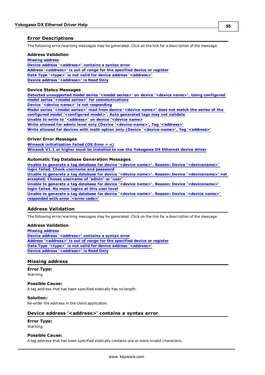### <span id="page-94-3"></span>**Error Descriptions**

The following error/warning messages may be generated. Click on the link for a description of the message.

#### **Address Validation**

**[Missing](#page-94-0) [address](#page-94-0) [Device](#page-94-1) [address](#page-94-1) ['<address>'](#page-94-1) [contains](#page-94-1) [a](#page-94-1) [syntax](#page-94-1) [error](#page-94-1) [Address](#page-95-0) ['<address>'](#page-95-0) [is](#page-95-0) [out](#page-95-0) [of](#page-95-0) [range](#page-95-0) [for](#page-95-0) [the](#page-95-0) [specified](#page-95-0) [device](#page-95-0) [or](#page-95-0) [register](#page-95-0) [Data](#page-95-1) [Type](#page-95-1) ['<type>'](#page-95-1) [is](#page-95-1) [not](#page-95-1) [valid](#page-95-1) [for](#page-95-1) [device](#page-95-1) [address](#page-95-1) ['<address>'](#page-95-1) [Device](#page-95-2) [address](#page-95-2) ['<address>'](#page-95-2) [is](#page-95-2) [Read](#page-95-2) [Only](#page-95-2)** 

#### **Device Status Messages**

**[Detected](#page-95-3) [unsupported](#page-95-3) [model](#page-95-3) [series](#page-95-3) ['<model](#page-95-3) [series>'](#page-95-3) [on](#page-95-3) [device](#page-95-3) ['<device](#page-95-3) [name>'.](#page-95-3) [Using](#page-95-3) [configured](#page-95-3) [model](#page-95-3) [series](#page-95-3) ['<model](#page-95-3) [series>'](#page-95-3) [for](#page-95-3) [communications](#page-95-3)**

**[Device](#page-96-0) ['<device](#page-96-0) [name>'](#page-96-0) [is](#page-96-0) [not](#page-96-0) [responding](#page-96-0)**

**[Model](#page-96-1) [series](#page-96-1) ['<model](#page-96-1) [series>'](#page-96-1) [read](#page-96-1) [from](#page-96-1) [device](#page-96-1) ['<device](#page-96-1) [name>'](#page-96-1) [does](#page-96-1) [not](#page-96-1) [match](#page-96-1) [the](#page-96-1) [series](#page-96-1) [of](#page-96-1) [the](#page-96-1) [configured](#page-96-1) [model](#page-96-1) ['<configured](#page-96-1) [model>'.](#page-96-1) [Auto](#page-96-1) [generated](#page-96-1) [tags](#page-96-1) [may](#page-96-1) [not](#page-96-1) [validate](#page-96-1) [Unable](#page-96-2) [to](#page-96-2) [write](#page-96-2) [to](#page-96-2) ['<address>'](#page-96-2) [on](#page-96-2) [device](#page-96-2) ['<device](#page-96-2) [name>](#page-96-2)**

**[Write](#page-96-3) [allowed](#page-96-3) [for](#page-96-3) [admin](#page-96-3) [level](#page-96-3) [only](#page-96-3) [\(Device](#page-96-3) ['<device-name>',](#page-96-3) [Tag](#page-96-3) ['<address>'](#page-96-3)**

**[Write](#page-97-0) [allowed](#page-97-0) [for](#page-97-0) [devices](#page-97-0) [with](#page-97-0) [math](#page-97-0) [option](#page-97-0) [only](#page-97-0) [\(Device](#page-97-0) ['<device-name>',](#page-97-0) [Tag](#page-97-0) ['<address>'](#page-97-0)**

#### **Driver Error Messages**

**[Winsock](#page-97-1) [initialization](#page-97-1) [failed](#page-97-1) [\(OS](#page-97-1) [Error](#page-97-1) [=](#page-97-1) [n\)](#page-97-1) [Winsock](#page-97-2) [V1.1](#page-97-2) [or](#page-97-2) [higher](#page-97-2) [must](#page-97-2) [be](#page-97-2) [installed](#page-97-2) [to](#page-97-2) [use](#page-97-2) [the](#page-97-2) [Yokogawa](#page-97-2) [DX](#page-97-2) [Ethernet](#page-97-2) [device](#page-97-2) [driver](#page-97-2)**

#### **Automatic Tag Database Generation Messages**

**[Unable](#page-98-0) [to](#page-98-0) [generate](#page-98-0) [a](#page-98-0) [tag](#page-98-0) [database](#page-98-0) [for](#page-98-0) [device](#page-98-0) ['<device](#page-98-0) [name>'.](#page-98-0) [Reason:](#page-98-0) [Device](#page-98-0) ['<devicename>'](#page-98-0) [login](#page-98-0) [failed.](#page-98-0) [Check](#page-98-0) [username](#page-98-0) [and](#page-98-0) [password](#page-98-0) [Unable](#page-98-1) [to](#page-98-1) [generate](#page-98-1) [a](#page-98-1) [tag](#page-98-1) [database](#page-98-1) [for](#page-98-1) [device](#page-98-1) ['<device](#page-98-1) [name>'.](#page-98-1) [Reason:](#page-98-1) [Device](#page-98-1) ['<devicename>'](#page-98-1) [not](#page-98-1) [accepted.](#page-98-1) [Choose](#page-98-1) [username](#page-98-1) [of](#page-98-1) ['admin'](#page-98-1) [or](#page-98-1) ['user'](#page-98-1) [Unable](#page-98-2) [to](#page-98-2) [generate](#page-98-2) [a](#page-98-2) [tag](#page-98-2) [database](#page-98-2) [for](#page-98-2) [device](#page-98-2) ['<device](#page-98-2) [name>'.](#page-98-2) [Reason:](#page-98-2) [Device](#page-98-2) ['<devicename>'](#page-98-2) [login](#page-98-2) [failed.](#page-98-2) [No](#page-98-2) [more](#page-98-2) [logins](#page-98-2) [at](#page-98-2) [this](#page-98-2) [user](#page-98-2) [level](#page-98-2) [Unable](#page-98-3) [to](#page-98-3) [generate](#page-98-3) [a](#page-98-3) [tag](#page-98-3) [database](#page-98-3) [for](#page-98-3) [device](#page-98-3) ['<device](#page-98-3) [name>'.](#page-98-3) [Reason:](#page-98-3) [Device](#page-98-3) ['<device](#page-98-3) [name>'](#page-98-3) [responded](#page-98-3) [with](#page-98-3) [error](#page-98-3) ['<error](#page-98-3) [code>'](#page-98-3)**

## <span id="page-94-2"></span>**Address Validation**

The following error/warning messages may be generated. Click on the link for a description of the message.

#### **Address Validation**

**[Missing](#page-94-0) [address](#page-94-0) [Device](#page-94-1) [address](#page-94-1) ['<address>'](#page-94-1) [contains](#page-94-1) [a](#page-94-1) [syntax](#page-94-1) [error](#page-94-1) [Address](#page-95-0) ['<address>'](#page-95-0) [is](#page-95-0) [out](#page-95-0) [of](#page-95-0) [range](#page-95-0) [for](#page-95-0) [the](#page-95-0) [specified](#page-95-0) [device](#page-95-0) [or](#page-95-0) [register](#page-95-0) [Data](#page-95-1) [Type](#page-95-1) ['<type>'](#page-95-1) [is](#page-95-1) [not](#page-95-1) [valid](#page-95-1) [for](#page-95-1) [device](#page-95-1) [address](#page-95-1) ['<address>'](#page-95-1) [Device](#page-95-2) [address](#page-95-2) ['<address>'](#page-95-2) [is](#page-95-2) [Read](#page-95-2) [Only](#page-95-2)** 

#### <span id="page-94-0"></span>**Missing address**

**Error Type:** Warning

**Possible Cause:** A tag address that has been specified statically has no length.

#### **Solution:**

<span id="page-94-1"></span>Re-enter the address in the client application.

#### Device address '<address>' contains a syntax error

#### **Error Type:** Warning

#### **Possible Cause:**

A tag address that has been specified statically contains one or more invalid characters.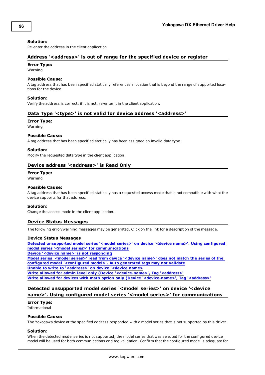#### **Solution:**

<span id="page-95-0"></span>Re-enter the address in the client application.

#### **Address '<address>' is out of range for the specified device or register**

#### **Error Type:**

Warning

#### **Possible Cause:**

A tag address that has been specified statically references a location that is beyond the range of supported locations for the device.

#### **Solution:**

<span id="page-95-1"></span>Verify the address is correct; if it is not, re-enter it in the client application.

#### Data Type '<type>' is not valid for device address '<address>'

#### **Error Type:**

Warning

#### **Possible Cause:**

A tag address that has been specified statically has been assigned an invalid data type.

#### **Solution:**

<span id="page-95-2"></span>Modify the requested data type in the client application.

### Device address '<address>' is Read Only

#### **Error Type:**

Warning

#### **Possible Cause:**

A tag address that has been specified statically has a requested access mode that is not compatible with what the device supports for that address.

#### **Solution:**

<span id="page-95-4"></span>Change the access mode in the client application.

#### **Device Status Messages**

The following error/warning messages may be generated. Click on the link for a description of the message.

#### **Device Status Messages**

**[Detected](#page-95-3) [unsupported](#page-95-3) [model](#page-95-3) [series](#page-95-3) ['<model](#page-95-3) [series>'](#page-95-3) [on](#page-95-3) [device](#page-95-3) ['<device](#page-95-3) [name>'.](#page-95-3) [Using](#page-95-3) [configured](#page-95-3) [model](#page-95-3) [series](#page-95-3) ['<model](#page-95-3) [series>'](#page-95-3) [for](#page-95-3) [communications](#page-95-3)**

**[Device](#page-96-0) ['<device](#page-96-0) [name>'](#page-96-0) [is](#page-96-0) [not](#page-96-0) [responding](#page-96-0)**

**[Model](#page-96-1) [series](#page-96-1) ['<model](#page-96-1) [series>'](#page-96-1) [read](#page-96-1) [from](#page-96-1) [device](#page-96-1) ['<device](#page-96-1) [name>'](#page-96-1) [does](#page-96-1) [not](#page-96-1) [match](#page-96-1) [the](#page-96-1) [series](#page-96-1) [of](#page-96-1) [the](#page-96-1) [configured](#page-96-1) [model](#page-96-1) ['<configured](#page-96-1) [model>'.](#page-96-1) [Auto](#page-96-1) [generated](#page-96-1) [tags](#page-96-1) [may](#page-96-1) [not](#page-96-1) [validate](#page-96-1) [Unable](#page-96-2) [to](#page-96-2) [write](#page-96-2) [to](#page-96-2) ['<address>'](#page-96-2) [on](#page-96-2) [device](#page-96-2) ['<device](#page-96-2) [name>](#page-96-2)**

**[Write](#page-96-3) [allowed](#page-96-3) [for](#page-96-3) [admin](#page-96-3) [level](#page-96-3) [only](#page-96-3) [\(Device](#page-96-3) ['<device-name>',](#page-96-3) [Tag](#page-96-3) ['<address>'](#page-96-3)**

<span id="page-95-3"></span>**[Write](#page-97-0) [allowed](#page-97-0) [for](#page-97-0) [devices](#page-97-0) [with](#page-97-0) [math](#page-97-0) [option](#page-97-0) [only](#page-97-0) [\(Device](#page-97-0) ['<device-name>',](#page-97-0) [Tag](#page-97-0) ['<address>'](#page-97-0)**

# **Detected unsupported model series '<model series>' on device '<device name>'. Using configured model series '<model series>' for communications**

#### **Error Type:**

Informational

#### **Possible Cause:**

The Yokogawa device at the specified address responded with a model series that is not supported by this driver.

#### **Solution:**

When the detected model series is not supported, the model series that was selected for the configured device model will be used for both communications and tag validation. Confirm that the configured model is adequate for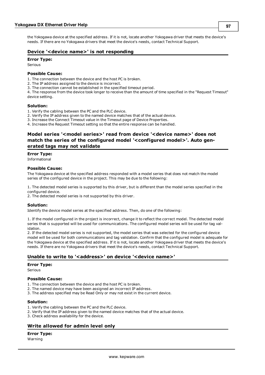the Yokogawa device at the specified address. If it is not, locate another Yokogawa driver that meets the device's needs. If there are no Yokogawa drivers that meet the device's needs, contact Technical Support.

### <span id="page-96-0"></span>**Device '<device name>' is not responding**

#### **Error Type:**

Serious

#### **Possible Cause:**

1. The connection between the device and the host PC is broken.

- 2. The IP address assigned to the device is incorrect.
- 3. The connection cannot be established in the specified timeout period.

4. The response from the device took longer to receive than the amount of time specified in the "Request Timeout" device setting.

#### **Solution:**

1. Verify the cabling between the PC and the PLC device.

- 2. Verify the IP address given to the named device matches that of the actual device.
- 3. Increase the Connect Timeout value in the Timeout page of Device Properties.

<span id="page-96-1"></span>4. Increase the Request Timeout setting so that the entire response can be handled.

# **Model series '<model series>' read from device '<device name>' does not match the series of the configured model '<configured model>'. Auto generated tags may not validate**

#### **Error Type:**

Informational

#### **Possible Cause:**

The Yokogawa device at the specified address responded with a model series that does not match the model series of the configured device in the project. This may be due to the following:

1. The detected model series is supported by this driver, but is different than the model series specified in the configured device.

2. The detected model series is not supported by this driver.

#### **Solution:**

Identify the device model series at the specified address. Then, do one of the following:

1. If the model configured in the project is incorrect, change it to reflect the correct model. The detected model series that is supported will be used for communications. The configured model series will be used for tag validation.

2. If the detected model series is not supported, the model series that was selected for the configured device model will be used for both communications and tag validation. Confirm that the configured model is adequate for the Yokogawa device at the specified address. If it is not, locate another Yokogawa driver that meets the device's needs. If there are no Yokogawa drivers that meet the device's needs, contact Technical Support.

#### <span id="page-96-2"></span>Unable to write to '<address>' on device '<device name>'

#### **Error Type:**

Serious

#### **Possible Cause:**

- 1. The connection between the device and the host PC is broken.
- 2. The named device may have been assigned an incorrect IP address.
- 3. The address specified may be Read Only or may not exist in the current device.

#### **Solution:**

- 1. Verify the cabling between the PC and the PLC device.
- 2. Verify that the IP address given to the named device matches that of the actual device.
- <span id="page-96-3"></span>3. Check address availability for the device.

## **Write allowed for admin level only**

#### **Error Type:**

Warning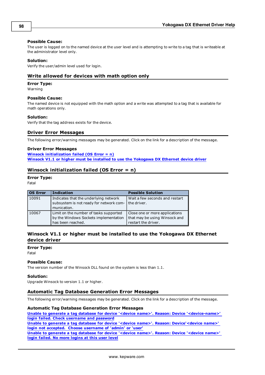#### **Possible Cause:**

The user is logged on to the named device at the user level and is attempting to write to a tag that is writeable at the administrator level only.

#### **Solution:**

<span id="page-97-0"></span>Verify the user/admin level used for login.

### **Write allowed for devices with math option only**

#### **Error Type:**

Warning

#### **Possible Cause:**

The named device is not equipped with the math option and a write was attempted to a tag that is available for math operations only.

#### **Solution:**

<span id="page-97-4"></span>Verify that the tag address exists for the device.

#### **Driver Error Messages**

The following error/warning messages may be generated. Click on the link for a description of the message.

#### **Driver Error Messages [Winsock](#page-97-1) [initialization](#page-97-1) [failed](#page-97-1) [\(OS](#page-97-1) [Error](#page-97-1) [=](#page-97-1) [n\)](#page-97-1) [Winsock](#page-97-2) [V1.1](#page-97-2) [or](#page-97-2) [higher](#page-97-2) [must](#page-97-2) [be](#page-97-2) [installed](#page-97-2) [to](#page-97-2) [use](#page-97-2) [the](#page-97-2) [Yokogawa](#page-97-2) [DX](#page-97-2) [Ethernet](#page-97-2) [device](#page-97-2) [driver](#page-97-2)**

### <span id="page-97-1"></span>**Winsock initialization failed (OS Error = n)**

#### **Error Type:**

Fatal

| <b>OS Error</b> | <b>Indication</b>                                                                                    | <b>Possible Solution</b>                                                               |
|-----------------|------------------------------------------------------------------------------------------------------|----------------------------------------------------------------------------------------|
| 10091           | Indicates that the underlying network<br>subsystem is not ready for network com-<br>munication.      | Wait a few seconds and restart<br>the driver.                                          |
| 10067           | Limit on the number of tasks supported<br>by the Windows Sockets implementation<br>has been reached. | Close one or more applications<br>that may be using Winsock and<br>restart the driver. |

# <span id="page-97-2"></span>**Winsock V1.1 or higher must be installed to use the Yokogawa DX Ethernet device driver**

# **Error Type:**

Fatal

#### **Possible Cause:**

The version number of the Winsock DLL found on the system is less than 1.1.

#### **Solution:**

<span id="page-97-3"></span>Upgrade Winsock to version 1.1 or higher.

#### **Automatic Tag Database Generation Error Messages**

The following error/warning messages may be generated. Click on the link for a description of the message.

#### **Automatic Tag Database Generation Error Messages**

**[Unable](#page-98-0) [to](#page-98-0) [generate](#page-98-0) [a](#page-98-0) [tag](#page-98-0) [database](#page-98-0) [for](#page-98-0) [device](#page-98-0) ['<device](#page-98-0) [name>'.](#page-98-0) [Reason:](#page-98-0) [Device](#page-98-0) ['<device-name>'](#page-98-0) [login](#page-98-0) [failed.](#page-98-0) [Check](#page-98-0) [username](#page-98-0) [and](#page-98-0) [password](#page-98-0)**

**[Unable](#page-98-1) [to](#page-98-1) [generate](#page-98-1) [a](#page-98-1) [tag](#page-98-1) [database](#page-98-1) [for](#page-98-1) [device](#page-98-1) ['<device](#page-98-1) [name>'.](#page-98-1) [Reason:](#page-98-1) [Device'<device](#page-98-1) [name>'](#page-98-1) [login](#page-98-1) [not](#page-98-1) [accepted.](#page-98-1) [Choose](#page-98-1) [username](#page-98-1) [of](#page-98-1) ['admin'](#page-98-1) [or](#page-98-1) ['user'](#page-98-1)**

**[Unable](#page-98-2) [to](#page-98-2) [generate](#page-98-2) [a](#page-98-2) [tag](#page-98-2) [database](#page-98-2) [for](#page-98-2) [device](#page-98-2) ['<device](#page-98-2) [name>'.](#page-98-2) [Reason:](#page-98-2) [Device](#page-98-2) ['<device](#page-98-2) [name>'](#page-98-2) [login](#page-98-2) [failed.](#page-98-2) [No](#page-98-2) [more](#page-98-2) [logins](#page-98-2) [at](#page-98-2) [this](#page-98-2) [user](#page-98-2) [level](#page-98-2)**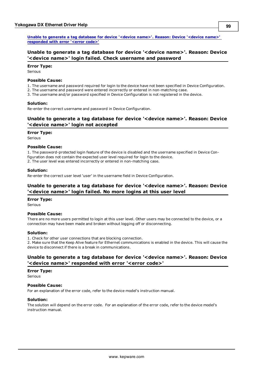**[Unable](#page-98-3) [to](#page-98-3) [generate](#page-98-3) [a](#page-98-3) [tag](#page-98-3) [database](#page-98-3) [for](#page-98-3) [device](#page-98-3) ['<device](#page-98-3) [name>'.](#page-98-3) [Reason:](#page-98-3) [Device](#page-98-3) ['<device](#page-98-3) [name>'](#page-98-3) [responded](#page-98-3) [with](#page-98-3) [error](#page-98-3) ['<error](#page-98-3) [code>'](#page-98-3)**

# <span id="page-98-0"></span>**Unable to generate a tag database for device '<device name>'. Reason: Device '<device name>' login failed. Check username and password**

#### **Error Type:**

Serious

#### **Possible Cause:**

1. The username and password required for login to the device have not been specified in Device Configuration.

- 2. The username and password were entered incorrectly or entered in non-matching case.
- 3. The username and/or password specified in Device Configuration is not registered in the device.

#### **Solution:**

<span id="page-98-1"></span>Re-enter the correct username and password in Device Configuration.

# **Unable to generate a tag database for device '<device name>'. Reason: Device '<device name>' login not accepted**

#### **Error Type:**

Serious

#### **Possible Cause:**

1. The password-protected login feature of the device is disabled and the username specified in Device Configuration does not contain the expected user level required for login to the device.

2. The user level was entered incorrectly or entered in non-matching case.

#### **Solution:**

<span id="page-98-2"></span>Re-enter the correct user level 'user' in the username field in Device Configuration.

## **Unable to generate a tag database for device '<device name>'. Reason: Device '<device name>' login failed. No more logins at this user level**

#### **Error Type:**

Serious

#### **Possible Cause:**

There are no more users permitted to login at this user level. Other users may be connected to the device, or a connection may have been made and broken without logging off or disconnecting.

#### **Solution:**

1. Check for other user connections that are blocking connection.

2. Make sure that the Keep Alive feature for Ethernet communications is enabled in the device. This will cause the device to disconnect if there is a break in communications.

# <span id="page-98-3"></span>**Unable to generate a tag database for device '<device name>'. Reason: Device '<device name>' responded with error '<error code>'**

#### **Error Type:**

Serious

#### **Possible Cause:**

For an explanation of the error code, refer to the device model's instruction manual.

#### **Solution:**

The solution will depend on the error code. For an explanation of the error code, refer to the device model's instruction manual.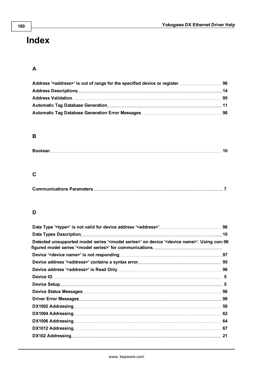# **Index**

# **A**

# **B**

|--|--|

# **C**

# **D**

| Detected unsupported model series ' <model series="">' on device '<device name="">'. Using con-96</device></model> |    |
|--------------------------------------------------------------------------------------------------------------------|----|
|                                                                                                                    |    |
|                                                                                                                    |    |
|                                                                                                                    |    |
|                                                                                                                    |    |
|                                                                                                                    |    |
|                                                                                                                    |    |
|                                                                                                                    |    |
|                                                                                                                    |    |
|                                                                                                                    |    |
|                                                                                                                    | 64 |
|                                                                                                                    |    |
|                                                                                                                    |    |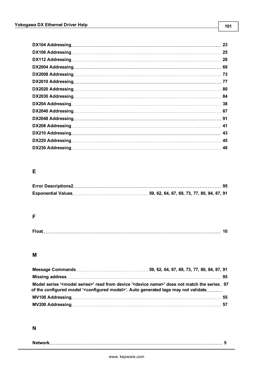|                  | 23 |
|------------------|----|
|                  | 25 |
| DX112 Addressing | 28 |
|                  |    |
|                  |    |
|                  |    |
|                  |    |
|                  |    |
|                  |    |
|                  |    |
|                  |    |
|                  |    |
|                  | 43 |
|                  | 45 |
|                  |    |

# **E**

# **F**

|--|

# **M**

| Model series ' <model series="">' read from device '<device name="">' does not match the series 97<br/>of the configured model '<configured model="">'. Auto generated tags may not validate</configured></device></model> |  |  |  |  |  |
|----------------------------------------------------------------------------------------------------------------------------------------------------------------------------------------------------------------------------|--|--|--|--|--|
|                                                                                                                                                                                                                            |  |  |  |  |  |
|                                                                                                                                                                                                                            |  |  |  |  |  |

# **N**

|--|--|